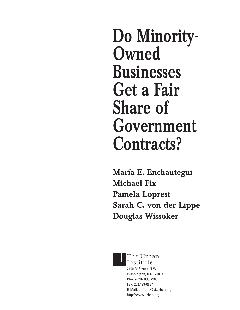**Do Minority-Owned Businesses Get a Fair Share of Government Contracts?**

**María E. Enchautegui Michael Fix Pamela Loprest Sarah C. von der Lippe Douglas Wissoker**



The Urban Institute 2100 M Street, N.W.

Washington, D.C. 20037 Phone: 202.833-7200 Fax: 202.429-0687 E-Mail: paffairs@ui.urban.org http://www.urban.org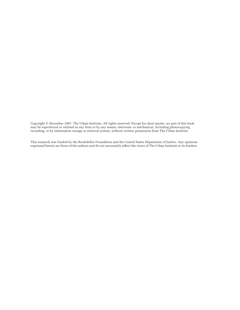Copyright © December 1997. The Urban Institute. All rights reserved. Except for short quotes, no part of this book may be reproduced or utilized in any form or by any means, electronic or mechanical, including photocopying, recording, or by information storage or retrieval system, without written permission from The Urban Institute.

This research was funded by the Rockefeller Foundation and the United States Department of Justice. Any opinions expressed herein are those of the authors and do not necessarily reflect the views of The Urban Institute or its funders.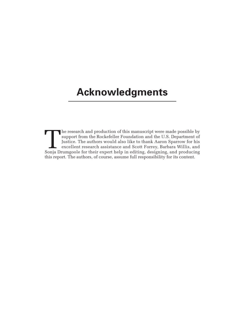# **Acknowledgments**

The research and production of this manuscript were made possible by support from the Rockefeller Foundation and the U.S. Department of Justice. The authors would also like to thank Aaron Sparrow for his excellent research support from the Rockefeller Foundation and the U.S. Department of Justice. The authors would also like to thank Aaron Sparrow for his excellent research assistance and Scott Forrey, Barbara Willis, and this report. The authors, of course, assume full responsibility for its content.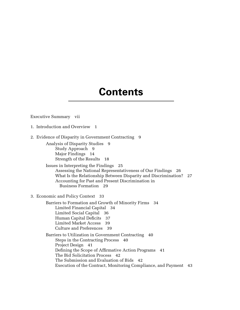# **Contents**

#### Executive Summary vii

- 1. Introduction and Overview 1
- 2. Evidence of Disparity in Government Contracting 9

Analysis of Disparity Studies 9 Study Approach 9 Major Findings 14 Strength of the Results 18

Issues in Interpreting the Findings 25 Assessing the National Representativeness of Our Findings 26 What Is the Relationship Between Disparity and Discrimination? 27 Accounting for Past and Present Discrimination in Business Formation 29

3. Economic and Policy Context 33

Barriers to Formation and Growth of Minority Firms 34 Limited Financial Capital 34 Limited Social Capital 36 Human Capital Deficits 37 Limited Market Access 39 Culture and Preferences 39 Barriers to Utilization in Government Contracting 40

Steps in the Contracting Process 40 Project Design 41 Defining the Scope of Affirmative Action Programs 41 The Bid Solicitation Process 42

The Submission and Evaluation of Bids 42

Execution of the Contract, Monitoring Compliance, and Payment 43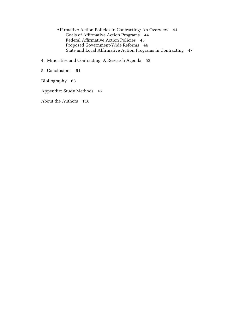Affirmative Action Policies in Contracting: An Overview 44 Goals of Affirmative Action Programs 44 Federal Affirmative Action Policies 45 Proposed Government-Wide Reforms 46 State and Local Affirmative Action Programs in Contracting 47

4. Minorities and Contracting: A Research Agenda 53

5. Conclusions 61

Bibliography 63

Appendix: Study Methods 67

About the Authors 118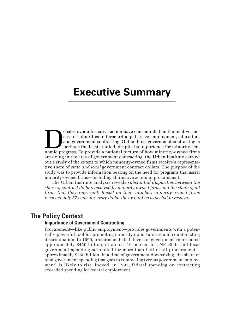# **Executive Summary**

ebates over affirmative action have concentrated on the relative success of minorities in three principal areas: employment, education, and government contracting. Of the three, government contracting is perhaps the least cess of minorities in three principal areas: employment, education, and government contracting. Of the three, government contracting is perhaps the least studied, despite its importance for minority ecoare doing in the area of government contracting, the Urban Institute carried out a study of the extent to which minority-owned firms receive a representative share of *state and local* government contract dollars. The purpose of the study was to provide information bearing on the need for programs that assist minority-owned firms—including affirmative action in procurement.

The Urban Institute analysis reveals *substantial disparities between the share of contract dollars received by minority-owned firms and the share of all firms that they represent. Based on their number, minority-owned firms received only 57 cents for every dollar they would be expected to receive.*

# **The Policy Context**

#### **Importance of Government Contracting**

Procurement—like public employment—provides governments with a potentially powerful tool for promoting minority opportunities and counteracting discrimination. In 1990, procurement at all levels of government represented approximately \$450 billion, or almost 10 percent of GNP. State and local government spending accounted for more than half of all procurement approximately \$250 billion. In a time of government downsizing, the share of total government spending that goes to contracting (versus government employment) is likely to rise. Indeed, in 1995, federal spending on contracting exceeded spending for federal employment.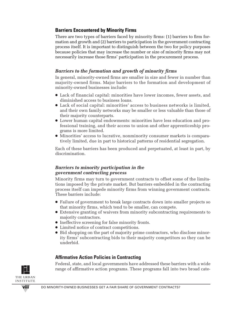# **Barriers Encountered by Minority Firms**

There are two types of barriers faced by minority firms: (1) barriers to firm formation and growth and (2) barriers to participation in the government contracting process itself. It is important to distinguish between the two for policy purposes because policies that may increase the number or size of minority firms may not necessarily increase those firms' participation in the procurement process.

# *Barriers to the formation and growth of minority firms*

In general, minority-owned firms are smaller in size and fewer in number than majority-owned firms. Major barriers to the formation and development of minority-owned businesses include:

- Lack of financial capital: minorities have lower incomes, fewer assets, and diminished access to business loans.
- Lack of social capital: minorities' access to business networks is limited, and their own family networks may be smaller or less valuable than those of their majority counterparts.
- Lower human capital endowments: minorities have less education and professional training, and their access to union and other apprenticeship programs is more limited.
- Minorities' access to lucrative, nonminority consumer markets is comparatively limited, due in part to historical patterns of residential segregation.

Each of these barriers has been produced and perpetuated, at least in part, by discrimination.

# *Barriers to minority participation in the government contracting process*

Minority firms may turn to government contracts to offset some of the limitations imposed by the private market. But barriers embedded in the contracting process itself can impede minority firms from winning government contracts. These barriers include:

- Failure of government to break large contracts down into smaller projects so that minority firms, which tend to be smaller, can compete.
- Extensive granting of waivers from minority subcontracting requirements to majority contractors.
- Ineffective screening for false minority fronts.
- Limited notice of contract competitions.
- Bid shopping on the part of majority prime contractors, who disclose minority firms' subcontracting bids to their majority competitors so they can be underbid.

# **Affirmative Action Policies in Contracting**

Federal, state, and local governments have addressed these barriers with a wide range of affirmative action programs. These programs fall into two broad cate-

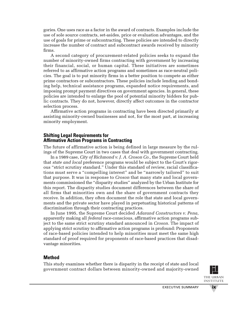gories. One uses race as a factor in the award of contracts. Examples include the use of sole source contracts, set-asides, price or evaluation advantages, and the use of goals for prime or subcontracting. These policies are intended to directly increase the number of contract and subcontract awards received by minority firms.

A second category of procurement-related policies seeks to expand the number of minority-owned firms contracting with government by increasing their financial, social, or human capital. These initiatives are sometimes referred to as affirmative action programs and sometimes as race-neutral policies. The goal is to put minority firms in a better position to compete as either prime contractors or subcontractors. These policies include lending and bonding help, technical assistance programs, expanded notice requirements, and imposing prompt payment directives on government agencies. In general, these policies are intended to enlarge the pool of potential minority bidders for public contracts. They do not, however, directly affect outcomes in the contractor selection process.

Affirmative action programs in contracting have been directed primarily at assisting minority-owned businesses and not, for the most part, at increasing minority employment.

# **Shifting Legal Requirements for Affirmative Action Programs in Contracting**

The future of affirmative action is being defined in large measure by the rulings of the Supreme Court in two cases that deal with government contracting.

In a 1989 case, *City of Richmond v. J. A. Croson Co.,* the Supreme Court held that *state and local* preference programs would be subject to the Court's rigorous "strict scrutiny standard." Under this standard of review, racial classifications must serve a "compelling interest" and be "narrowly tailored" to suit that purpose. It was in response to *Croson* that many state and local governments commissioned the "disparity studies" analyzed by the Urban Institute for this report. The disparity studies document differences between the share of all firms that minorities own and the share of government contracts they receive. In addition, they often document the role that state and local governments and the private sector have played in perpetuating historical patterns of discrimination through their contracting practices.

In June 1995, the Supreme Court decided *Adarand Constructors v. Pena,* apparently making all *federal* race-conscious, affirmative action programs subject to the same strict scrutiny standard announced in *Croson.* The impact of applying strict scrutiny to affirmative action programs is profound: Proponents of race-based policies intended to help minorities must meet the same high standard of proof required for proponents of race-based practices that disadvantage minorities.

# **Method**

This study examines whether there is disparity in the receipt of state and local government contract dollars between minority-owned and majority-owned



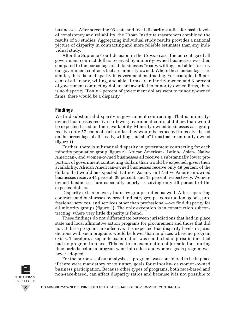businesses. After screening 95 state and local disparity studies for basic levels of consistency and reliability, the Urban Institute researchers combined the results of 58 studies. Aggregating individual study results provides a national picture of disparity in contracting and more reliable estimates than any individual study.

After the Supreme Court decision in the *Croson* case, the percentage of all government contract dollars received by minority-owned businesses was then compared to the percentage of all businesses "ready, willing, and able" to carry out government contracts that are minority-owned. Where these percentages are similar, there is no disparity in government contracting. For example, if 5 percent of all "ready, willing, and able" firms are minority-owned and 5 percent of government contracting dollars are awarded to minority-owned firms, there is no disparity. If only 2 percent of government dollars went to minority-owned firms, there would be a disparity.

#### **Findings**

We find substantial disparity in government contracting. That is, minorityowned businesses receive far fewer government contract dollars than would be expected based on their availability. Minority-owned businesses as a group receive only 57 cents of each dollar they would be expected to receive based on the percentage of all "ready, willing, and able" firms that are minority-owned (figure 1).

Further, there is substantial disparity in government contracting for each minority population group (figure 2). African American-, Latino-, Asian-, Native American-, and women-owned businesses all receive a substantially lower proportion of government contracting dollars than would be expected, given their availability. African American-owned businesses receive only 49 percent of the dollars that would be expected. Latino-, Asian-, and Native American-owned businesses receive 44 percent, 39 percent, and 18 percent, respectively. Womenowned businesses fare especially poorly, receiving only 29 percent of the expected dollars.

Disparity exists in every industry group studied as well. After separating contracts and businesses by broad industry group—construction, goods, professional services, and services other than professional—we find disparity for all minority groups (figure 3). The only exception is in construction subcontracting, where very little disparity is found.

These findings do not differentiate between jurisdictions that had in place state and local affirmative action programs for procurement and those that did not. If these programs are effective, it is expected that disparity levels in jurisdictions with such programs would be lower than in places where no program exists. Therefore, a separate examination was conducted of jurisdictions that had no program in place. This led to an examination of jurisdictions during time periods before a program went into effect and where a goals program was never adopted.

For the purposes of our analysis, a "program" was considered to be in place if there were mandatory or voluntary goals for minority- or women-owned business participation. Because other types of programs, both race-based and non-race-based, can affect disparity ratios and because it is not possible to

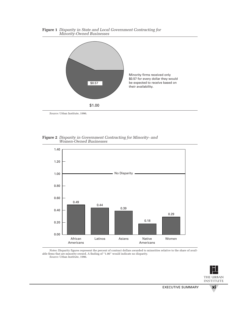

**Figure 1** *Disparity in State and Local Government Contracting for Minority-Owned Businesses*

*Source:* Urban Institute, 1996.





*Notes:* Disparity figures represent the percent of contract dollars awarded to minorities relative to the share of available firms that are minority-owned. A finding of "1.00" would indicate no disparity. *Source:* Urban Institute, 1996.

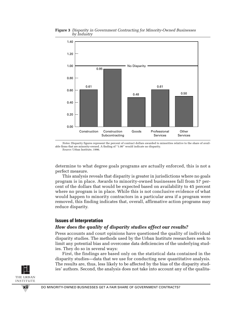

**Figure 3** *Disparity in Government Contracting for Minority-Owned Businesses by Industry*

*Notes:* Disparity figures represent the percent of contract dollars awarded to minorities relative to the share of available firms that are minority-owned. A finding of "1.00" would indicate no disparity. *Source:* Urban Institute, 1996.

determine to what degree goals programs are actually enforced, this is not a perfect measure.

This analysis reveals that disparity is greater in jurisdictions where no goals program is in place. Awards to minority-owned businesses fall from 57 percent of the dollars that would be expected based on availability to 45 percent where no program is in place. While this is not conclusive evidence of what would happen to minority contractors in a particular area if a program were removed, this finding indicates that, overall, affirmative action programs may reduce disparity.

#### **Issues of Interpretation**

#### *How does the quality of disparity studies affect our results?*

Press accounts and court opinions have questioned the quality of individual disparity studies. The methods used by the Urban Institute researchers seek to limit any potential bias and overcome data deficiencies of the underlying studies. They do so in several ways:

First, the findings are based only on the statistical data contained in the disparity studies—data that we use for conducting new quantitative analysis. The results are, thus, less likely to be affected by the bias of the disparity studies' authors. Second, the analysis does not take into account any of the qualita-

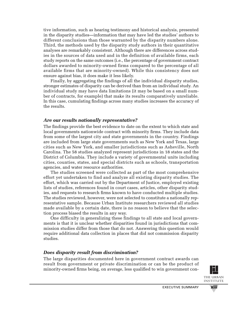tive information, such as hearing testimony and historical analysis, presented in the disparity studies—information that may have led the studies' authors to different conclusions than those warranted by the disparity numbers alone. Third, the methods used by the disparity study authors in their quantitative analyses are remarkably consistent. Although there are differences across studies in the sources of data used and in the definition of available firms, each study reports on the same outcomes (i.e., the percentage of government contract dollars awarded to minority-owned firms compared to the percentage of all available firms that are minority-owned). While this consistency does not ensure against bias, it does make it less likely.

Finally, by aggregating the findings of all the individual disparity studies, stronger estimates of disparity can be derived than from an individual study. An individual study may have data limitations (it may be based on a small number of contracts, for example) that make its results comparatively unreliable. In this case, cumulating findings across many studies increases the accuracy of the results.

### *Are our results nationally representative?*

The findings provide the best evidence to date on the extent to which state and local governments nationwide contract with minority firms. They include data from some of the largest city and state governments in the country. Findings are included from large state governments such as New York and Texas, large cities such as New York, and smaller jurisdictions such as Asheville, North Carolina. The 58 studies analyzed represent jurisdictions in 18 states and the District of Columbia. They include a variety of governmental units including cities, counties, states, and special districts such as schools, transportation agencies, and water resource authorities.

The studies screened were collected as part of the most comprehensive effort yet undertaken to find and analyze all existing disparity studies. The effort, which was carried out by the Department of Justice, employed existing lists of studies, references found in court cases, articles, other disparity studies, and requests to research firms known to have conducted multiple studies. The studies reviewed, however, were not selected to constitute a nationally representative sample. Because Urban Institute researchers reviewed all studies made available by a certain date, there is no reason to believe that the selection process biased the results in any way.

One difficulty in generalizing these findings to all state and local governments is that it is unclear whether disparities found in jurisdictions that commission studies differ from those that do not. Answering this question would require additional data collection in places that did not commission disparity studies.

# *Does disparity result from discrimination?*

The large disparities documented here in government contract awards can result from government or private discrimination or can be the product of minority-owned firms being, on average, less qualified to win government con-



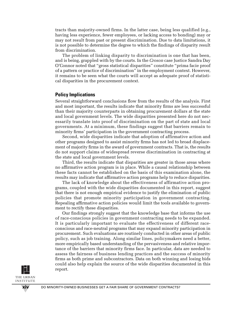tracts than majority-owned firms. In the latter case, being less qualified (e.g., having less experience, fewer employees, or lacking access to bonding) may or may not result from past or present discrimination. Due to data limitations, it is not possible to determine the degree to which the findings of disparity result from discrimination.

The problem of linking disparity to discrimination is one that has been, and is being, grappled with by the courts. In the *Croson* case Justice Sandra Day O'Connor noted that "gross statistical disparities" constitute "prima facie proof of a pattern or practice of discrimination" in the employment context. However, it remains to be seen what the courts will accept as adequate proof of statistical disparities in the procurement context.

#### **Policy Implications**

Several straightforward conclusions flow from the results of the analysis. First and most important, the results indicate that minority firms are less successful than their majority counterparts in obtaining procurement dollars at the state and local government levels. The wide disparities presented here do not necessarily translate into proof of discrimination on the part of state and local governments. At a minimum, these findings suggest that barriers remain to minority firms' participation in the government contracting process.

Second, wide disparities indicate that adoption of affirmative action and other programs designed to assist minority firms has not led to broad displacement of majority firms in the award of government contracts. That is, the results do not support claims of widespread reverse discrimination in contracting at the state and local government levels.

Third, the results indicate that disparities are greater in those areas where no affirmative action program is in place. While a causal relationship between these facts cannot be established on the basis of this examination alone, the results may indicate that affirmative action programs help to reduce disparities.

The lack of knowledge about the effectiveness of affirmative action programs, coupled with the wide disparities documented in this report, suggest that there is not enough empirical evidence to justify the elimination of public policies that promote minority participation in government contracting. Repealing affirmative action policies would limit the tools available to government to rectify these disparities.

Our findings strongly suggest that the knowledge base that informs the use of race-conscious policies in government contracting needs to be expanded. It is particularly important to evaluate the effectiveness of different raceconscious and race-neutral programs that may expand minority participation in procurement. Such evaluations are routinely conducted in other areas of public policy, such as job training. Along similar lines, policymakers need a better, more empirically based understanding of the pervasiveness and relative importance of the barriers that minority firms face. In particular, data are needed to assess the fairness of business lending practices and the success of minority firms as both prime and subcontractors. Data on both winning and losing bids could also help explain the source of the wide disparities documented in this report.

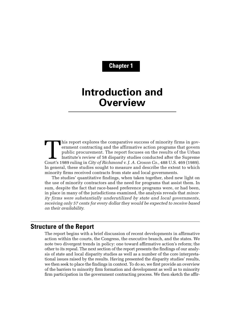# **Chapter 1**

# **Introduction and Overview**

This report explores the comparative success of minority firms in government contracting and the affirmative action programs that govern public procurement. The report focuses on the results of the Urban Institute's review ernment contracting and the affirmative action programs that govern public procurement. The report focuses on the results of the Urban Institute's review of 58 disparity studies conducted after the Supreme In general, these studies sought to measure and describe the extent to which minority firms received contracts from state and local governments.

The studies' quantitative findings, when taken together, shed new light on the use of minority contractors and the need for programs that assist them. In sum, despite the fact that race-based preference programs were, or had been, in place in many of the jurisdictions examined, the analysis reveals that *minority firms were substantially underutilized by state and local governments, receiving only 57 cents for every dollar they would be expected to receive based on their availability.* 

# **Structure of the Report**

The report begins with a brief discussion of recent developments in affirmative action within the courts, the Congress, the executive branch, and the states. We note two divergent trends in policy: one toward affirmative action's reform; the other to its repeal. The next section of the report presents the findings of our analysis of state and local disparity studies as well as a number of the core interpretational issues raised by the results. Having presented the disparity studies' results, we then seek to place the findings in context. To do so, we first provide an overview of the barriers to minority firm formation and development as well as to minority firm participation in the government contracting process. We then sketch the affir-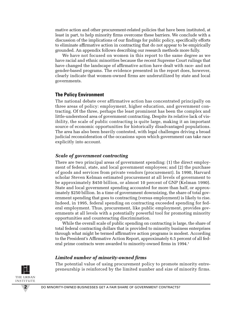mative action and other procurement-related policies that have been instituted, at least in part, to help minority firms overcome these barriers. We conclude with a discussion of the implications of our findings for public policy, specifically efforts to eliminate affirmative action in contracting that do not appear to be empirically grounded. An appendix follows describing our research methods more fully.

We have not focused on women in this report to the same degree as we have racial and ethnic minorities because the recent Supreme Court rulings that have changed the landscape of affirmative action have dealt with race- and not gender-based programs. The evidence presented in the report does, however, clearly indicate that women-owned firms are underutilized by state and local governments.

# **The Policy Environment**

The national debate over affirmative action has concentrated principally on three areas of policy: employment, higher education, and government contracting. Of the three, perhaps the least prominent has been the complex and little-understood area of government contracting. Despite its relative lack of visibility, the scale of public contracting is quite large, making it an important source of economic opportunities for historically disadvantaged populations. The area has also been heavily contested, with legal challenges driving a broad judicial reconsideration of the occasions upon which government can take race explicitly into account.

# *Scale of government contracting*

There are two principal areas of government spending: (1) the direct employment of federal, state, and local government employees; and (2) the purchase of goods and services from private vendors (procurement). In 1990, Harvard scholar Steven Kelman estimated procurement at all levels of government to be approximately \$450 billion, or almost 10 percent of GNP (Kelman 1990). State and local government spending accounted for more than half, or approximately \$250 billion. In a time of government downsizing, the share of total government spending that goes to contracting (versus employment) is likely to rise. Indeed, in 1995, federal spending on contracting exceeded spending for federal employment. Thus, procurement, like public employment, provides governments at all levels with a potentially powerful tool for promoting minority opportunities and counteracting discrimination.

While the overall scale of public spending on contracting is large, the share of total federal contracting dollars that is provided to minority business enterprises through what might be termed affirmative action programs is modest. According to the President's Affirmative Action Report, approximately 6.5 percent of all federal prime contracts were awarded to minority-owned firms in 1994.<sup>1</sup>

# *Limited number of minority-owned firms*

The potential value of using procurement policy to promote minority entrepreneurship is reinforced by the limited number and size of minority firms.

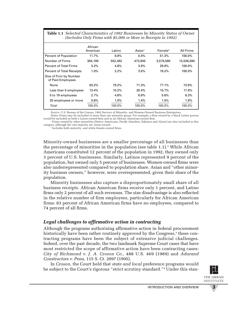| <b>Table 1.1</b> Selected Characteristics of 1992 Businesses by Minority Status of Owner<br>(Includes Only Firms with \$5,000 or More in Receipts in 1992) |                     |         |                    |                     |            |  |  |  |  |
|------------------------------------------------------------------------------------------------------------------------------------------------------------|---------------------|---------|--------------------|---------------------|------------|--|--|--|--|
|                                                                                                                                                            | African<br>American | Latino  | $\textsf{Asian}^1$ | Female <sup>2</sup> | All Firms  |  |  |  |  |
| <b>Percent of Population</b>                                                                                                                               | 11.7%               | 8.8%    | 0.4%               | 51.3%               | 100.0%     |  |  |  |  |
| Number of Firms                                                                                                                                            | 384,190             | 552,482 | 473,945            | 3,578,580           | 12,026,590 |  |  |  |  |
| <b>Percent of Total Firms</b>                                                                                                                              | 3.2%                | 4.6%    | 3.9%               | 29.8%               | 100.0%     |  |  |  |  |
| <b>Percent of Total Receipts</b>                                                                                                                           | 1.0%                | 2.2%    | 3.0%               | 19.2%               | 100.0%     |  |  |  |  |
| Size of Firm by Number<br>of Paid Employees                                                                                                                |                     |         |                    |                     |            |  |  |  |  |
| None                                                                                                                                                       | 83.2%               | 79.2%   | 71.3%              | 77.1%               | 73.9%      |  |  |  |  |
| Less than 5 employees                                                                                                                                      | 13.4%               | 15.2%   | 20.4%              | 15.7%               | 17.9%      |  |  |  |  |
| 5 to 19 employees                                                                                                                                          | 2.7%                | 4.6%    | 6.9%               | 5.6%                | 6.3%       |  |  |  |  |

Total 100.0% 100.0% 100.0% 100.0% 100.0%

*Source:* U.S. Bureau of the Census, 1992 Surveys of Minority- and Women-Owned Business Enterprises.

*Notes:* Firms may be included in more than one minority group. For example, a firm owned by a black Latino person would be included as both a Latino-owned firm and as an African American-owned firm.

20 employees or more 0.6% 1.0% 1.4% 1.5% 1.9%

<sup>1</sup> Firms owned by other minorities (Native Americans, Pacific Islanders, Eskimos and Aleuts) are also included in this category, although the vast majority are Asian-owned.

<sup>2</sup> Includes both minority- and white female-owned firms.

Minority-owned businesses are a smaller percentage of all businesses than the percentage of minorities in the population (see table  $1.1$ ).<sup>2</sup> While African Americans constituted 12 percent of the population in 1992, they owned only 3 percent of U.S. businesses. Similarly, Latinos represented 9 percent of the population, but owned only 5 percent of businesses. Women-owned firms were also underrepresented compared to population share. Asian and "other minority business owners," however, were overrepresented, given their share of the population.

Minority businesses also capture a disproportionately small share of all business receipts. African American firms receive only 1 percent, and Latino firms only 2 percent of all such revenues. The size disadvantage is also reflected in the relative number of firm employees, particularly for African American firms: 83 percent of African American firms have no employees, compared to 74 percent of all firms.

# *Legal challenges to affirmative action in contracting*

Although the programs authorizing affirmative action in federal procurement historically have been rather routinely approved by the Congress, $3$  these contracting programs have been the subject of extensive judicial challenges. Indeed, over the past decade, the two landmark Supreme Court cases that have most restricted the scope of affirmative action have been contracting cases: *City of Richmond v. J. A. Croson Co.,* 488 U.S. 469 (1989) and *Adarand Constructors v. Pena,* 115 S. Ct. 2097 (1995).

In *Croson,* the Court held that *state and local* preference programs would be subject to the Court's rigorous "strict scrutiny standard."4 Under this stan-

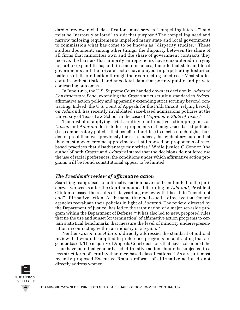dard of review, racial classifications must serve a "compelling interest"<sup>5</sup> and must be "narrowly tailored" to suit that purpose.<sup>6</sup> The compelling need and narrow tailoring requirements impelled many state and local governments to commission what has come to be known as "disparity studies." These studies document, among other things, the disparity between the share of all firms that minorities own and the share of government contracts they receive; the barriers that minority entrepreneurs have encountered in trying to start or expand firms; and, in some instances, the role that state and local governments and the private sector have played in perpetuating historical patterns of discrimination through their contracting practices.7 Most studies contain both statistical and anecdotal data that portray public and private contracting outcomes.

In June 1995, the U.S. Supreme Court handed down its decision in *Adarand Constructors v. Pena,* extending the *Croson* strict scrutiny standard to *federal* affirmative action policy and apparently extending strict scrutiny beyond contracting. Indeed, the U.S. Court of Appeals for the Fifth Circuit, relying heavily on *Adarand,* has recently invalidated race-based admissions policies at the University of Texas Law School in the case of *Hopwood v. State of Texas.*<sup>8</sup>

The upshot of applying strict scrutiny to affirmative action programs, as *Croson* and *Adarand* do, is to force proponents of benign, race-based policies (i.e., compensatory policies that benefit minorities) to meet a much higher burden of proof than was previously the case. Indeed, the evidentiary burden that they must now overcome approximates that imposed on proponents of racebased practices that disadvantage minorities.<sup>9</sup> While Justice O'Connor (the author of both *Croson* and *Adarand)* stated that the decisions do not foreclose the use of racial preferences, the conditions under which affirmative action programs will be found constitutional appear to be limited.

#### *The President's review of affirmative action*

Searching reappraisals of affirmative action have not been limited to the judiciary. Two weeks after the Court announced its ruling in *Adarand,* President Clinton released the results of his yearlong review with his call to "mend, not end" affirmative action. At the same time he issued a directive that federal agencies reevaluate their policies in light of *Adarand.* The review, directed by the Department of Justice, has led to the termination of a major set-aside program within the Department of Defense.<sup>10</sup> It has also led to new, proposed rules that tie the use and sunset (or termination) of affirmative action programs to certain statistical benchmarks that measure the level of minority underrepresentation in contracting within an industry or a region. $11$ 

Neither *Croson* nor *Adarand* directly addressed the standard of judicial review that would be applied to preference programs in contracting that are gender-based. The majority of Appeals Court decisions that have considered the issue have held that gender-based affirmative action should be subjected to a less strict form of scrutiny than race-based classifications.12 As a result, most recently proposed Executive Branch reforms of affirmative action do not directly address women.

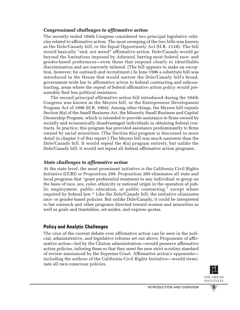# *Congressional challenges to affirmative action*

The recently ended 104th Congress considered two principal legislative vehicles related to affirmative action. The most sweeping of the two bills was known as the Dole/Canady bill, or the Equal Opportunity Act (H.R. 2128). The bill would basically "end, not mend" affirmative action. Dole/Canady would go beyond the limitations imposed by *Adarand,* barring most federal race- and gender-based preferences—even those that respond clearly to identifiable discrimination and are narrowly tailored. (The bill appears to make an exception, however, for outreach and recruitment.) In June 1996 a substitute bill was introduced in the House that would narrow the Dole/Canady bill's broad, government-wide bar to affirmative action to federal contracting and subcontracting, areas where the repeal of federal affirmative action policy would presumably find less political resistance.

The second principal affirmative action bill introduced during the 104th Congress was known as the Meyers bill, or the Entrepreneur Development Program Act of 1996 (H.R. 3994). Among other things, the Meyers bill repeals Section 8(a) of the Small Business Act, the Minority Small Business and Capital Ownership Program, which is intended to provide assistance to firms owned by socially and economically disadvantaged individuals in obtaining federal contracts. In practice, this program has provided assistance predominantly to firms owned by racial minorities. (The Section 8(a) program is discussed in more detail in chapter 3 of this report.) The Meyers bill was much narrower than the Dole/Canady bill. It would repeal the 8(a) program entirely, but unlike the Dole/Canady bill, it would not repeal all federal affirmative action programs.

# *State challenges to affirmative action*

At the state level, the most prominent initiative is the California Civil Rights Initiative (CCRI) or Proposition 209. Proposition 209 eliminates all state and local programs that "grant preferential treatment to any individual or group on the basis of race, sex, color, ethnicity or national origin in the operation of public employment, public education, or public contracting," except where required by federal law. <sup>13</sup> Like the Dole/Canady bill, the initiative eliminates race- or gender-based policies. But unlike Dole/Canady, it could be interpreted to bar outreach and other programs directed toward women and minorities as well as goals and timetables, set-asides, and express quotas.

# **Policy and Analytic Challenges**

The crux of the current debate over affirmative action can be seen in the judicial, administrative, and legislative reforms set out above. Proponents of affirmative action—led by the Clinton administration—would preserve affirmative action policies, tailoring them so that they meet the new strict scrutiny standard of review announced by the Supreme Court. Affirmative action's opponents including the authors of the California Civil Rights Initiative—would terminate all race-conscious policies.

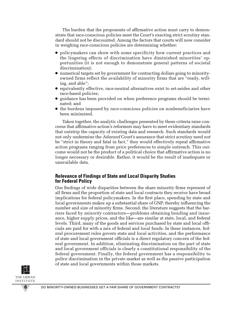The burden that the proponents of affirmative action must carry to demonstrate that race-conscious policies meet the Court's exacting strict scrutiny standard should not be discounted. Among the factors that courts will now consider in weighing race-conscious policies are determining whether:

- policymakers can show with some specificity how current practices and the lingering effects of discrimination have diminished minorities' opportunities (it is not enough to demonstrate general patterns of societal discrimination);
- numerical targets set by government for contracting dollars going to minorityowned firms reflect the availability of minority firms that are "ready, willing, and able";
- equivalently effective, race-neutral alternatives exist to set-asides and other race-based policies;
- guidance has been provided on when preference programs should be terminated; and
- the burdens imposed by race-conscious policies on nonbeneficiaries have been minimized.

Taken together, the analytic challenges presented by these criteria raise concerns that affirmative action's reformers may have to meet evidentiary standards that outstrip the capacity of existing data and research. Such standards would not only undermine the *Adarand* Court's assurance that strict scrutiny need *not* be "strict in theory and fatal in fact," they would effectively repeal affirmative action programs ranging from price preferences to simple outreach. This outcome would not be the product of a political choice that affirmative action is no longer necessary or desirable. Rather, it would be the result of inadequate or unavailable data.

# **Relevance of Findings of State and Local Disparity Studies for Federal Policy**

Our findings of wide disparities between the share minority firms represent of all firms and the proportion of state and local contracts they receive have broad implications for federal policymakers. In the first place, spending by state and local governments makes up a substantial share of GNP, thereby influencing the number and size of minority firms. Second, the literature suggests that the barriers faced by *minority* contractors—problems obtaining bonding and insurance, higher supply prices, and the like—are similar at state, local, and federal levels. Third, many of the goods and services purchased by state and local officials are paid for with a mix of federal and local funds. In these instances, federal procurement rules govern state and local activities, and the performance of state and local government officials is a direct regulatory concern of the federal government. In addition, eliminating discrimination on the part of state and local government officials is clearly a constitutional responsibility of the federal government. Finally, the federal government has a responsibility to police discrimination in the private market as well as the passive participation of state and local governments within those markets.

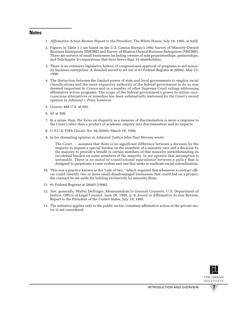#### **Notes**

- 1. *Affirmative Action Review, Report to the President*, The White House, July 19, 1995, at 62(f).
- 2. Figures in Table 1.1 are based on the U.S. Census Bureau's 1992 Survey of Minority-Owned Business Enterprises (SMOBE) and Survey of Women-Owned Business Enterprises (SWOBE). These are surveys of small businesses including owners of sole proprietorships, partnerships, and Subchapter S-corporations that have fewer than 35 shareholders.
- 3. There is an extensive legislative history of congressional approval of programs to aid minority business enterprises. A detailed record is set out at 61 Federal Register at 26042, May 23, 1996.
- 4. The distinction between the limited power of state and local governments to employ racial classifications and the more expansive authority of the federal government to do so was deemed important in *Croson* and in a number of other Supreme Court rulings addressing affirmative action programs. The scope of the federal government's power to utilize raceconscious alternatives or remedies has been substantially narrowed by the Court's recent opinion in *Adarand v. Pena,* however.
- 5. *Croson,* 488 U.S. at 505.
- 6. *Id.* at 508.
- 7. In a sense, then, the focus on disparity as a measure of discrimination is more a response to the Court's edict than a product of academic inquiry into discrimination and its impacts.
- 8. U.S.C.A. Fifth Circuit, No. 94-50569, March 18, 1996.
- 9. In his dissenting opinion in *Adarand,* Justice John Paul Stevens wrote:

The Court . . . assumes that there is no significant difference between a decision by the majority to impose a special burden on the members of a minority race and a decision by the majority to provide a benefit to certain members of that minority notwithstanding its incidental burden on some members of the majority. In my opinion that assumption is untenable. There is no moral or constitutional equivalence between a policy that is designed to perpetuate a caste system and one that seeks to eradicate racial subordination.

- 10. This was a practice known as the "rule of two," which required that whenever a contract officer could identify two or more small disadvantaged businesses that could bid on a project, the contract be set aside for bidding exclusively by minority firms.
- 11. 61 Federal Register at 26045 (1996).
- 12. See, generally, Walter Dellinger, Memorandum to General Counsels, U.S. Department of Justice, Office of Legal Counsel, June 28, 1995, p. 8, *found in* Affirmative Action Review, Report to the President of the United States, July 19, 1995.
- 13. The initiative applies only to the public sector; voluntary affirmative action in the private sector is not considered.

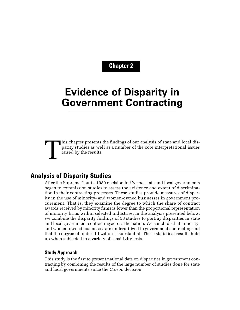# **Chapter 2**

# **Evidence of Disparity in Government Contracting**

# This chapter presents the findings of our analysis of state and local disparity studies as well as a number of the core interpretational issues raised by the results. parity studies as well as a number of the core interpretational issues raised by the results.

# **Analysis of Disparity Studies**

After the Supreme Court's 1989 decision in *Croson,* state and local governments began to commission studies to assess the existence and extent of discrimination in their contracting processes. These studies provide measures of disparity in the use of minority- and women-owned businesses in government procurement. That is, they examine the degree to which the share of contract awards received by minority firms is lower than the proportional representation of minority firms within selected industries. In the analysis presented below, we combine the disparity findings of 58 studies to portray disparities in state and local government contracting across the nation. We conclude that minorityand women-owned businesses are underutilized in government contracting and that the degree of underutilization is substantial. These statistical results hold up when subjected to a variety of sensitivity tests.

#### **Study Approach**

This study is the first to present national data on disparities in government contracting by combining the results of the large number of studies done for state and local governments since the *Croson* decision.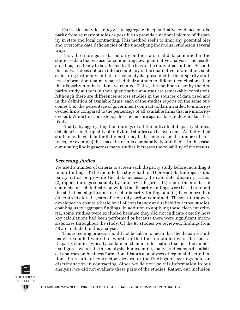Our basic analytic strategy is to aggregate the quantitative evidence on disparity from as many studies as possible to provide a national picture of disparity in state and local contracting. This method seeks to limit any potential bias and overcome data deficiencies of the underlying individual studies in several ways.

First, the findings are based only on the statistical data contained in the studies—data that we use for conducting new quantitative analysis. The results are, thus, less likely to be affected by the bias of the individual authors. Second, the analysis does not take into account any of the qualitative information, such as hearing testimony and historical analysis, presented in the disparity studies—information that may have led their authors to different conclusions than the disparity numbers alone warranted. Third, the methods used by the disparity study authors in their quantitative analyses are remarkably consistent. Although there are differences across studies in the sources of data used and in the definition of available firms, each of the studies reports on the same outcomes (i.e., the percentage of government contract dollars awarded to minorityowned firms compared to the percentage of all available firms that are minorityowned). While this consistency does not ensure against bias, it does make it less likely.

Finally, by aggregating the findings of all the individual disparity studies, deficiencies in the quality of individual studies can be overcome. An individual study may have data limitations (it may be based on a small number of contracts, for example) that make its results comparatively unreliable. In this case, cumulating findings across many studies increases the reliability of the results.

#### *Screening studies*

We used a number of criteria to screen each disparity study before including it in our findings. To be included, a study had to (1) present its findings as disparity ratios or provide the data necessary to calculate disparity ratios; (2) report findings separately by industry categories; (3) report the number of contracts in each industry on which the disparity findings were based or report the statistical significance of each disparity finding; and (4) have more than 80 contracts for all years of the study period combined. These criteria were developed to ensure a basic level of consistency and reliability across studies, enabling us to aggregate findings. In addition to applying these clear-cut criteria, some studies were excluded because they did not indicate exactly how key calculations had been performed or because there were significant inconsistencies throughout the study. Of the 95 studies we reviewed, findings from 58 are included in this analysis.1

This screening process should not be taken to mean that the disparity studies we excluded were the "worst" or that those included were the "best." Disparity studies typically contain much more information than just the numerical figures we use in this analysis. For example, many studies report statistical analyses on business formation, historical analyses of regional discrimination, the results of contractor surveys, or the findings of hearings held on discrimination in contracting. Since we do not use this information in our analysis, we did not evaluate these parts of the studies. Rather, our inclusion

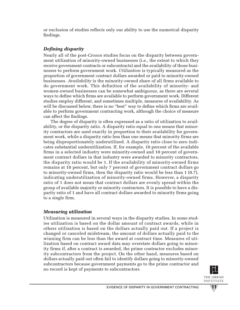or exclusion of studies reflects only our ability to use the numerical disparity findings.

# *Defining disparity*

Nearly all of the post-*Croson* studies focus on the disparity between government utilization of minority-owned businesses (i.e., the extent to which they receive government contracts or subcontracts) and the availability of those businesses to perform government work. *Utilization* is typically measured as the proportion of government contract dollars awarded or paid to minority-owned businesses. *Availability* is the minority-owned share of all firms available to do government work. This definition of the availability of minority- and women-owned businesses can be somewhat ambiguous, as there are several ways to define which firms are available to perform government work. Different studies employ different, and sometimes multiple, measures of availability. As will be discussed below, there is no "best" way to define which firms are available to perform government contracting work, although the choice of measure can affect the findings.

The degree of disparity is often expressed as a ratio of utilization to availability, or the disparity ratio. A disparity ratio equal to one means that minority contractors are used exactly in proportion to their availability for government work, while a disparity ratio less than one means that minority firms are being disproportionately underutilized. A disparity ratio close to zero indicates substantial underutilization. If, for example, 10 percent of the available firms in a selected industry were minority-owned and 10 percent of government contract dollars in that industry were awarded to minority contractors, the disparity ratio would be 1. If the availability of minority-owned firms remains at 10 percent, but only 7 percent of government contract dollars go to minority-owned firms, then the disparity ratio would be less than 1 (0.7), indicating underutilization of minority-owned firms. However, a disparity ratio of 1 does not mean that contract dollars are evenly spread within the group of available majority or minority contractors. It is possible to have a disparity ratio of 1 and have all contract dollars awarded to minority firms going to a single firm.

# *Measuring utilization*

Utilization is measured in several ways in the disparity studies. In some studies utilization is based on the dollar amount of contract awards, while in others utilization is based on the dollars actually paid out. If a project is changed or canceled midstream, the amount of dollars actually paid to the winning firm can be less than the award at contract time. Measures of utilization based on contract award data may overstate dollars going to minority firms if, after a contract is awarded, the prime contractor excludes minority subcontractors from the project. On the other hand, measures based on dollars actually paid out often fail to identify dollars going to minority-owned subcontractors because government payments go to the prime contractor and no record is kept of payments to subcontractors.

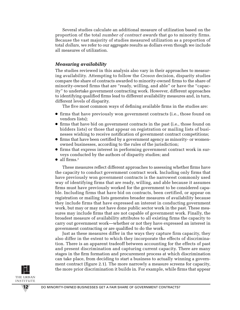Several studies calculate an additional measure of utilization based on the proportion of the total *number of contract awards* that go to minority firms. Because the vast majority of studies measured utilization as a proportion of total *dollars,* we refer to our aggregate results as dollars even though we include all measures of utilization.

### *Measuring availability*

The studies reviewed in this analysis also vary in their approaches to measuring availability. Attempting to follow the *Croson* decision, disparity studies compare the share of contracts awarded to minority-owned firms to the share of minority-owned firms that are "ready, willing, and able" or have the "capacity" to undertake government contracting work. However, different approaches to identifying qualified firms lead to different availability measures and, in turn, different levels of disparity.

The five most common ways of defining available firms in the studies are:

- firms that have previously won government contracts (i.e., those found on vendors lists);
- firms that have bid on government contracts in the past (i.e., those found on bidders lists) or those that appear on registration or mailing lists of businesses wishing to receive notification of government contract competitions;
- firms that have been certified by a government agency as minority- or womenowned businesses, according to the rules of the jurisdiction;
- firms that express interest in performing government contract work in surveys conducted by the authors of disparity studies; and
- $\bullet$  all firms.<sup>2</sup>

These measures reflect different approaches to assessing whether firms have the capacity to conduct government contract work. Including only firms that have previously won government contracts is the narrowest commonly used way of identifying firms that are ready, willing, and able because it assumes firms must have previously worked for the government to be considered capable. Including firms that have bid on contracts, been certified, or appear on registration or mailing lists generates broader measures of availability because they include firms that have expressed an interest in conducting government work, but may or may not have done public sector work in the past. These measures may include firms that are not capable of government work. Finally, the broadest measure of availability attributes to all existing firms the capacity to carry out government work—whether or not they have expressed an interest in government contracting or are qualified to do the work.

Just as these measures differ in the ways they capture firm capacity, they also differ in the extent to which they incorporate the effects of discrimination. There is an apparent tradeoff between accounting for the effects of past and present discrimination and capturing current capacity. There are many stages in the firm formation and procurement process at which discrimination can take place, from deciding to start a business to actually winning a government contract (figure 2.1). The more narrowly a measure screens for capacity, the more prior discrimination it builds in. For example, while firms that appear

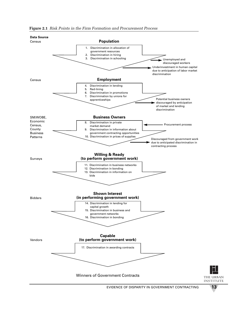

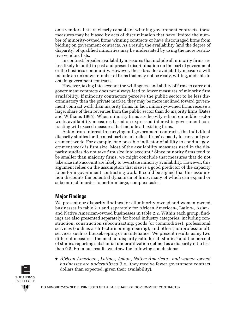on a vendors list are clearly capable of winning government contracts, these measures may be biased by acts of discrimination that have limited the number of minority-owned firms winning contracts or have discouraged firms from bidding on government contracts. As a result, the availability (and the degree of disparity) of qualified minorities may be understated by using the more restrictive vendors lists.

In contrast, broader availability measures that include all minority firms are less likely to build in past and present discrimination on the part of government or the business community. However, these broader availability measures will include an unknown number of firms that may not be ready, willing, and able to obtain government contracts.

However, taking into account the willingness and ability of firms to carry out government contracts does not always lead to lower measures of minority firm availability. If minority contractors perceive the public sector to be less discriminatory than the private market, they may be more inclined toward government contract work than majority firms. In fact, minority-owned firms receive a larger share of their revenues from the public sector than do majority firms (Bates and Williams 1995). When minority firms are heavily reliant on public sector work, availability measures based on expressed interest in government contracting will exceed measures that include all existing firms.

Aside from interest in carrying out government contracts, the individual disparity studies for the most part do not reflect firms' capacity to carry out government work. For example, one possible indicator of ability to conduct government work is firm size. Most of the availability measures used in the disparity studies do not take firm size into account.3 Since minority firms tend to be smaller than majority firms, we might conclude that measures that do not take size into account are likely to overstate minority availability. However, this argument relies on the assumption that size is a good predictor of the capacity to perform government contracting work. It could be argued that this assumption discounts the potential dynamism of firms, many of which can expand or subcontract in order to perform large, complex tasks.

# **Major Findings**

We present our disparity findings for all minority-owned and women-owned businesses in table 2.1 and separately for African American-, Latino-, Asian-, and Native American-owned businesses in table 2.2. Within each group, findings are also presented separately for broad industry categories, including construction, construction subcontracting, goods (or commodities), professional services (such as architecture or engineering), and other (nonprofessional), services such as housekeeping or maintenance. We present results using two different measures: the median disparity ratio for all studies<sup>4</sup> and the percent of studies reporting substantial underutilization defined as a disparity ratio less than 0.8. From our results we draw the following conclusions:

● *African American-, Latino-, Asian-, Native American-, and women-owned businesses are underutilized* (i.e., they receive fewer government contract dollars than expected, given their availability).

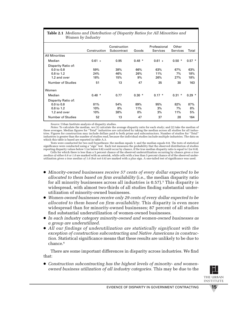| Table 2.1 Medians and Distribution of Disparity Ratios for All Minorities and |
|-------------------------------------------------------------------------------|
| Women by Industry                                                             |

|                                                                                          | Construction            | Construction<br>Subcontract | Goods                  | Professional<br>Services | Other<br><b>Services</b> | Total                    |
|------------------------------------------------------------------------------------------|-------------------------|-----------------------------|------------------------|--------------------------|--------------------------|--------------------------|
| <b>All Minorities</b>                                                                    |                         |                             |                        |                          |                          |                          |
| Median                                                                                   | $0.61 +$                | 0.95                        | $0.48*$                | $0.61 +$                 | $0.50*$                  | $0.57 *$                 |
| Disparity Ratio of:<br>$0.0$ to $0.8$<br>0.8 to 1.2<br>1.2 and over<br>Number of Studies | 59%<br>24%<br>18%<br>51 | 38%<br>46%<br>15%<br>13     | 66%<br>26%<br>9%<br>47 | 63%<br>11%<br>26%<br>35  | 67%<br>7%<br>27%<br>30   | 63%<br>18%<br>18%<br>163 |
| Women                                                                                    |                         |                             |                        |                          |                          |                          |
| Median                                                                                   | $0.48*$                 | 0.77                        | $0.30*$                | $0.17 *$                 | $0.31 *$                 | $0.29*$                  |
| Disparity Ratio of:<br>$0.0$ to $0.8$<br>0.8 to 1.2<br>1.2 and over                      | 81%<br>10%<br>10%       | 54%<br>8%<br>38%            | 89%<br>11%<br>$0\%$    | 95%<br>3%<br>3%          | 82%<br>7%<br>11%         | 87%<br>8%<br>5%          |
| <b>Number of Studies</b>                                                                 | 52                      | 13                          | 47                     | 37                       | 28                       | 164                      |

*Source:* Urban Institute analysis of disparity studies.

*Notes:* To calculate the median, we (1) calculate the average disparity ratio for each study; and (2) take the median of these averages. Median figures for "Total" industries are calculated by taking the median across all studies for all industries. Figures for construction may include dollars paid to both prime and subcontractors. Number of studies for "Total" industries is greater than the number of studies read, because the individual studies include multiple industries. The data on which this table is based are reported in table A.3.

Tests were conducted for two null hypotheses: the median equals 1; and the median equals 0.8. The tests of statistical significance were conducted using a "sign" test. Each test measures the probability that the observed distribution of studies reporting disparity values below 1 (or below 0.8) could occur by chance, if the true median disparity ratio is equal to l (or 0.8).

Cells for which there is less than a 5 percent chance of the observed underutilization occurring by chance *given a true median of either 0.8 or 1.0* are marked with an asterisk, while cells with a less than 5 percent chance of of the observed underutilization *given a true median of 1.0 (but not 0.8)* are marked with a plus sign. A one-tailed test of significance was used.

- *Minority-owned businesses receive 57 cents of every dollar expected to be allocated to them based on firm availability* (i.e., the median disparity ratio for all minority businesses across all industries is  $0.57$ ).<sup>5</sup> This disparity is widespread, with almost two-thirds of all studies finding substantial underutilization of minority-owned businesses.
- *Women-owned businesses receive only 29 cents of every dollar expected to be allocated to them based on firm availability*. This disparity is even more widespread than for minority-owned businesses; 87 percent of all studies find substantial underutilization of women-owned businesses.
- *In each industry category minority-owned and women-owned businesses as a group are underutilized.*
- *All our findings of underutilization are statistically significant with the exception of construction subcontracting and Native Americans in construction.* Statistical significance means that these results are unlikely to be due to chance.<sup>6</sup>

There are some important differences in disparity across industries. We find that:

● *Construction subcontracting has the highest levels of minority- and womenowned business utilization of all industry categories.* This may be due to the

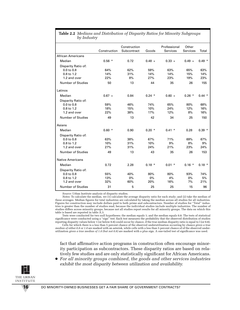| ру шаази у               |              |              |          |                 |          |          |
|--------------------------|--------------|--------------|----------|-----------------|----------|----------|
|                          |              | Construction |          | Professional    | Other    |          |
|                          | Construction | Subcontract  | Goods    | <b>Services</b> | Services | Total    |
| <b>African Americans</b> |              |              |          |                 |          |          |
| Median                   | $0.56*$      | 0.72         | $0.48 +$ | $0.33 +$        | $0.49 +$ | $0.49*$  |
| Disparity Ratio of:      |              |              |          |                 |          |          |
| $0.0$ to $0.8$           | 64%          | 62%          | 59%      | 63%             | 65%      | 63%      |
| 0.8 to 1.2               | 14%          | 31%          | 14%      | 14%             | 15%      | 14%      |
| 1.2 and over             | 22%          | 8%           | 27%      | 23%             | 19%      | 23%      |
| <b>Number of Studies</b> | 50           | 13           | 44       | 35              | 26       | 155      |
| Latinos                  |              |              |          |                 |          |          |
| Median                   | $0.67 +$     | 0.84         | $0.24$ * | $0.60 +$        | $0.26$ * | $0.44*$  |
| Disparity Ratio of:      |              |              |          |                 |          |          |
| $0.0$ to $0.8$           | 59%          | 46%          | 74%      | 65%             | 80%      | 68%      |
| 0.8 to 1.2               | 18%          | 15%          | 10%      | 24%             | 12%      | 16%      |
| 1.2 and over             | 22%          | 38%          | 17%      | 12%             | 8%       | 16%      |
| <b>Number of Studies</b> | 49           | 13           | 42       | 34              | 25       | 150      |
| Asians                   |              |              |          |                 |          |          |
| Median                   | $0.60*$      | 0.90         | $0.20*$  | $0.41 *$        | 0.28     | $0.39*$  |
| Disparity Ratio of:      |              |              |          |                 |          |          |
| $0.0$ to $0.8$           | 63%          | 38%          | 67%      | 71%             | 69%      | 67%      |
| 0.8 to 1.2               | 10%          | 31%          | 10%      | 9%              | 8%       | 9%       |
| 1.2 and over             | 27%          | 31%          | 24%      | 21%             | 23%      | 24%      |
| Number of Studies        | 49           | 13           | 43       | 35              | 26       | 153      |
| <b>Native Americans</b>  |              |              |          |                 |          |          |
| Median                   | 0.72         | 2.28         | $0.18$ * | $0.01$ *        | $0.16*$  | $0.18$ * |
| Disparity Ratio of:      |              |              |          |                 |          |          |
| 0.0 to 0.8               | 55%          | 40%          | 80%      | 80%             | 93%      | 74%      |
| 0.8 to 1.2               | 13%          | $0\%$        | 0%       | 4%              | 0%       | 5%       |
| 1.2 and over             | 32%          | 60%          | 20%      | 16%             | 7%       | 21%      |
| <b>Number of Studies</b> | 31           | 5            | 25       | 25              | 15       | 96       |

**Table 2.2** *Medians and Distribution of Disparity Ratios for Minority Subgroups by Industry*

*Source:* Urban Institute analysis of disparity studies.

*Notes:* To calculate the median, we (1) calculate the average disparity ratio for each study; and (2) take the median of these averages. Median figures for total industries are calculated by taking the median across all studies for all industries. Figures for construction may include dollars paid to both prime and subcontractors. Number of studies for "Total" industries is greater than the number of studies read, because the individual studies include multiple industries. The number of studies differs across minority groups, because not all studies report results for all minority groups. The data on which this table is based are reported in table A.3.

Tests were conducted for two null hypotheses: the median equals 1; and the median equals 0.8. The tests of statistical significance were conducted using a "sign" test. Each test measures the probability that the observed distribution of studies reporting disparity values below 1 (or below 0.8) could occur by chance, if the true median disparity ratio is equal to l (or 0.8).

Cells for which there is a less than 5 percent chance of the observed underutilization occurring by chance *given a true median of either 0.8 or 1.0* are marked with an asterisk, while cells with a less than 5 percent chance of of the observed underutilization *given a true median of 1.0 (but not 0.8)* are marked with a plus sign. A one-tailed test of significance was used.

fact that affirmative action programs in construction often encourage minority participation as subcontractors. These disparity ratios are based on relatively few studies and are only statistically significant for African Americans.

● *For all minority groups combined, the goods and other services industries exhibit the most disparity between utilization and availability.* 

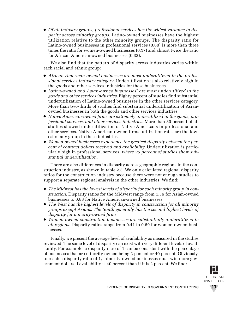● *Of all industry groups, professional services has the widest variance in disparity across minority groups.* Latino-owned businesses have the highest utilization relative to the other minority groups. The disparity ratio for Latino-owned businesses in professional services (0.60) is more than three times the ratio for women-owned businesses (0.17) and almost twice the ratio for African American-owned businesses (0.33).

We also find that the pattern of disparity across industries varies within each racial and ethnic group:

- *African American-owned businesses are most underutilized in the professional services industry category.* Underutilization is also relatively high in the goods and other services industries for these businesses.
- *Latino-owned and Asian-owned businesses*<sup>7</sup> *are most underutilized in the goods and other services industries*. Eighty percent of studies find substantial underutilization of Latino-owned businesses in the other services category. More than two-thirds of studies find substantial underutilization of Asianowned businesses in both the goods and other services industries.
- *Native American-owned firms are extremely underutilized in the goods, professional services, and other services industries.* More than 80 percent of all studies showed underutilization of Native Americans in professional and other services. Native American-owned firms' utilization rates are the lowest of any group in these industries.
- *Women-owned businesses experience the greatest disparity between the percent of contract dollars received and availability.* Underutilization is particularly high in professional services, *where 95 percent of studies show substantial underutilization.*

There are also differences in disparity across geographic regions in the construction industry, as shown in table 2.3. We only calculated regional disparity ratios for the construction industry because there were not enough studies to support a separate regional analysis in the other industries. We find:

- *The Midwest has the lowest levels of disparity for each minority group in construction.* Disparity ratios for the Midwest range from 1.36 for Asian-owned businesses to 0.88 for Native American-owned businesses.
- *The West has the highest levels of disparity in construction for all minority groups except Asians. The South generally has the second highest levels of disparity for minority-owned firms.*
- *Women-owned construction businesses are substantially underutilized in all regions.* Disparity ratios range from 0.41 to 0.69 for women-owned businesses.

Finally, we present the average level of availability as measured in the studies reviewed. The same level of disparity can exist with very different levels of availability. For example, a disparity ratio of 1 can be consistent with the percentage of businesses that are minority-owned being 2 percent or 40 percent. Obviously, to reach a disparity ratio of 1, minority-owned businesses must win more government dollars if availability is 40 percent than if it is 2 percent. We find:

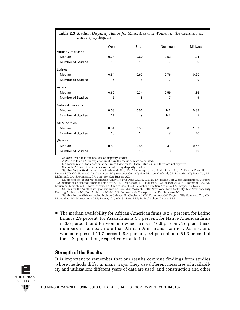| Industry by Region       |      |       |           |                |  |  |  |  |  |
|--------------------------|------|-------|-----------|----------------|--|--|--|--|--|
|                          | West | South | Northeast | Midwest        |  |  |  |  |  |
| <b>African Americans</b> |      |       |           |                |  |  |  |  |  |
| Median                   | 0.28 | 0.60  | 0.53      | 1.01           |  |  |  |  |  |
| <b>Number of Studies</b> | 15   | 19    | 7         | 9              |  |  |  |  |  |
| Latinos                  |      |       |           |                |  |  |  |  |  |
| Median                   | 0.54 | 0.60  | 0.76      | 0.90           |  |  |  |  |  |
| <b>Number of Studies</b> | 15   | 18    | 7         | 9              |  |  |  |  |  |
| Asians                   |      |       |           |                |  |  |  |  |  |
| Median                   | 0.60 | 0.34  | 0.59      | 1.36           |  |  |  |  |  |
| <b>Number of Studies</b> | 15   | 18    | 7         | 9              |  |  |  |  |  |
| <b>Native Americans</b>  |      |       |           |                |  |  |  |  |  |
| Median                   | 0.08 | 0.56  | <b>NA</b> | 0.88           |  |  |  |  |  |
| <b>Number of Studies</b> | 11   | 9     | <b>NA</b> | $\overline{7}$ |  |  |  |  |  |
| <b>All Minorities</b>    |      |       |           |                |  |  |  |  |  |
| Median                   | 0.51 | 0.58  | 0.69      | 1.02           |  |  |  |  |  |
| <b>Number of Studies</b> | 16   | 17    | 8         | 10             |  |  |  |  |  |
| Women                    |      |       |           |                |  |  |  |  |  |
| Median                   | 0.50 | 0.58  | 0.41      | 0.52           |  |  |  |  |  |
| <b>Number of Studies</b> | 16   | 18    | 8         | 10             |  |  |  |  |  |

**Table 2.3** *Median Disparity Ratios for Minorities and Women in the Construction*

*Source:* Urban Institute analysis of disparity studies.

*Notes:* See table 2.1 for explanation of how the medians were calculated.

NA means results for a particular cell were based on less than 5 studies, and therefore not reported.

See table A.1 for full references for the following disparity studies.

Studies for the **West** region include Alameda Co., CA; Albuquerque, NM; Contra Costa Co., CA; Denver Phase II, CO; Denver RTD, CO; Hayward, CA; Las Vegas, NV; Maricopa Co., AZ; New Mexico; Oakland, CA; Phoenix, AZ; Pima Co., AZ; Richmond, CA; Sacramento, CA; San Jose, CA; Tucson, AZ.

Studies for the **South** region include Asheville, NC; Dade Co., FL; Dallas, TX; Dallas/Fort Worth International Airport, TX; District of Columbia; Florida; Fort Worth, TX; Greensboro, NC; Houston, TX; Jacksonville, NC; Jefferson Co., AL; Louisiana; Memphis, TN; New Orleans, LA; Orange Co., FL; St. Petersburg, FL; San Antonio, TX; Tampa, FL; Texas.

Studies for the **Northeast** region include Boston, MA; Massachusetts; New York; New York City, NY; New York City Housing Authority, NY; Port Authority, NY/NJ; S.E. Pennsylvania Transportation, PA; Syracuse, NY.

Studies for the **Midwest** region include Chicago, IL; Cincinnati, OH; Columbus, OH; Dayton, OH; Hennepin Co., MN; Milwaukee, WI; Minneapolis, MN; Ramsey Co., MN; St. Paul, MN; St. Paul School District, MN.

● The median availability for African-American firms is 2.7 percent, for Latino firms is 2.9 percent, for Asian firms is 1.3 percent, for Native American firms is 0.6 percent, and for women-owned firms is 10.5 percent. To place these numbers in context, note that African Americans, Latinos, Asians, and women represent 11.7 percent, 8.8 percent, 0.4 percent, and 51.3 percent of the U.S. population, respectively (table 1.1).

#### **Strength of the Results**

It is important to remember that our results combine findings from studies whose methods differ in many ways: They use different measures of availability and utilization; different years of data are used; and construction and other

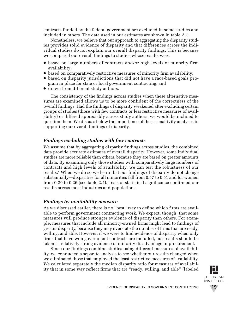contracts funded by the federal government are excluded in some studies and included in others. The data used in our estimates are shown in table A.3.

Nonetheless, we believe that our approach to aggregating the disparity studies provides solid evidence of disparity and that differences across the individual studies do not explain our overall disparity findings. This is because we compared our overall findings to studies whose results were:

- based on large numbers of contracts and/or high levels of minority firm availability;
- based on comparatively restrictive measures of minority firm availability;
- based on disparity jurisdictions that did not have a race-based goals program in place for state or local government contracting; and
- drawn from different study authors.

The consistency of the findings across studies when these alternative measures are examined allows us to be more confident of the correctness of the overall findings. Had the findings of disparity weakened after excluding certain groups of studies (those with few contracts or less restrictive measures of availability) or differed appreciably across study authors, we would be inclined to question them. We discuss below the importance of these sensitivity analyses in supporting our overall findings of disparity.

# *Findings excluding studies with few contracts*

We assume that by aggregating disparity findings across studies, the combined data provide accurate estimates of overall disparity. However, some individual studies are more reliable than others, because they are based on greater amounts of data. By examining only those studies with comparatively large numbers of contracts and high levels of availability, we can test the robustness of our results.<sup>8</sup> When we do so we learn that our findings of disparity do not change substantially—disparities for all minorities fall from 0.57 to 0.51 and for women from 0.29 to 0.26 (see table 2.4). Tests of statistical significance confirmed our results across most industries and populations.

# *Findings by availability measure*

As we discussed earlier, there is no "best" way to define which firms are available to perform government contracting work. We expect, though, that some measures will produce stronger evidence of disparity than others. For example, measures that include all minority-owned firms might lead to findings of greater disparity, because they may overstate the number of firms that are ready, willing, and able. However, if we were to find evidence of disparity when only firms that have won government contracts are included, our results should be taken as relatively strong evidence of minority disadvantage in procurement.

Since our findings combine studies using different measures of availability, we conducted a separate analysis to see whether our results changed when we eliminated those that employed the least restrictive measures of availability. We calculated separately the median disparity ratio for measures of availability that in some way reflect firms that are "ready, willing, and able" (labeled

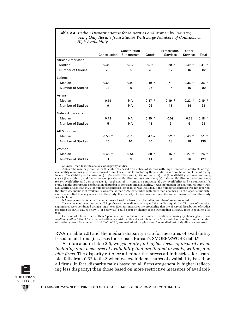#### **Table 2.4** *Median Disparity Ratios for Minorities and Women by Industry, Using Only Results from Studies With Large Numbers of Contracts or High Availability*

|                          | Construction | Construction<br>Subcontract | Goods    | Professional<br><b>Services</b> | Other<br>Services | Total    |
|--------------------------|--------------|-----------------------------|----------|---------------------------------|-------------------|----------|
| <b>African Americans</b> |              |                             |          |                                 |                   |          |
| Median                   | $0.36 +$     | 0.72                        | 0.75     | $0.20*$                         | $0.49*$           | $0.41 *$ |
| Number of Studies        | 20           | 5                           | 28       | 17                              | 16                | 82       |
| Latinos                  |              |                             |          |                                 |                   |          |
| Median                   | $0.68 +$     | 0.99                        | $0.19 *$ | $0.71 +$                        | $0.36*$           | $0.36*$  |
| <b>Number of Studies</b> | 22           | 9                           | 26       | 16                              |                   | 80       |
| Asians                   |              |                             |          |                                 |                   |          |
| Median                   | 0.59         | <b>NA</b>                   | $0.17 *$ | $0.19 *$                        | $0.22*$           | $0.19*$  |
| Number of Studies        | 9            | <b>NA</b>                   | 26       | 18                              | 14                | 68       |
| <b>Native Americans</b>  |              |                             |          |                                 |                   |          |
| Median                   | 0.72         | <b>NA</b>                   | $0.19*$  | 0.09                            | 0.23              | $0.18*$  |
| Number of Studies        | 5            | <b>NA</b>                   | 11       | 6                               | 6                 | 28       |
| <b>All Minorities</b>    |              |                             |          |                                 |                   |          |
| Median                   | $0.56*$      | 0.75                        | $0.47 +$ | $0.52$ *                        | $0.49*$           | $0.51$ * |
| <b>Number of Studies</b> | 40           | 10                          | 40       | 28                              | 28                | 136      |
| Women                    |              |                             |          |                                 |                   |          |
| Median                   | $0.45*$      | 0.54                        | $0.30*$  | $0.16*$                         | $0.27*$           | $0.26*$  |
| <b>Number of Studies</b> | 31           | 9                           | 41       | 31                              | 26                | 129      |

*Source:* Urban Institute analysis of disparity studies.

*Notes:* The results presented in this table are based on a subset of studies with large numbers of contracts or high availability of minority- or women-owned firms. The criteria for including these studies was a combination of the following levels of availability and contracts: (1) 1% availability and 1,175 contracts; (2) 1.25% availability and 940 contracts; (3) 1.5% availability and 783 contracts; (4) 2% availability and 587 contracts; (5) 2.5% availability and 470 contracts; (6) 5% availability and 234 contracts; (7) 10% availability and 116 contracts; (8) 20% availability and 45 contracts. If a study had the appropriate combination of number of contracts and availability, it was included in the analysis. No study with availability of less than 0.5% or number of contracts less than 45 was included. If the number of contracts was not reported, the study was included if availability was greater than 10%. For studies with more than one measure of disparity, this criterion was applied to every measure in the study. If a majority of measures met the criterion, all measures from the study were included.

NA means results for a particular cell were based on fewer than 5 studies, and therefore not reported.

Tests were conducted for two null hypotheses: the median equals 1; and the median equals 0.8. The tests of statistical significance were conducted using a "sign" test. Each test measures the probability that the observed distribution of studies reporting disparity values below  $\frac{1}{1}$  (or below 0.8) could occur by chance, if the true median disparity ratio is equal to 1 (or 0.8).

Cells for which there is less than 5 percent chance of the observed underutilization occurring by chance *given a true median of either 0.8 or 1.0* are marked with an asterisk, while cells with less than a 5 percent chance of the observed underutilization *given a true median of 1.0 (but not 0.8)* are marked with a plus sign. A one-tailed test of significance was used.

RWA in table 2.5) and the median disparity ratio for measures of availability based on all firms (i.e., uses the Census Bureau's SMOBE/SWOBE data).<sup>9</sup>

As indicated in table 2.5, we *generally find higher levels of disparity when including only measures of availability that are limited to ready, willing, and able firms.* The disparity ratio for all minorities across all industries, for example, falls from 0.57 to 0.42 when we exclude measures of availability based on all firms. In fact, disparity ratios based on all firms are generally higher (reflecting less disparity) than those based on more restrictive measures of availabil-

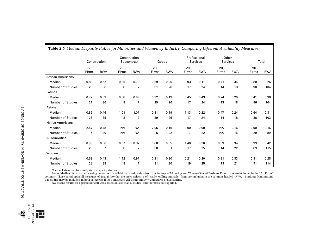|                          | Construction |            | Construction<br>Subcontract |                | Goods        |            | Professional<br>Services |            | Other<br>Services |            | Total        |            |
|--------------------------|--------------|------------|-----------------------------|----------------|--------------|------------|--------------------------|------------|-------------------|------------|--------------|------------|
|                          | All<br>Firms | <b>RWA</b> | All<br>Firms                | <b>RWA</b>     | All<br>Firms | <b>RWA</b> | All<br>Firms             | <b>RWA</b> | All<br>Firms      | <b>RWA</b> | All<br>Firms | <b>RWA</b> |
| <b>African Americans</b> |              |            |                             |                |              |            |                          |            |                   |            |              |            |
| Median                   | 0.83         | 0.52       | 0.85                        | 0.70           | 0.69         | 0.25       | 0.93                     | 0.11       | 0.71              | 0.45       | 0.80         | 0.26       |
| <b>Number of Studies</b> | 28           | 36         | 8                           | $\overline{7}$ | 31           | 26         | 17                       | 24         | 14                | 18         | 90           | 104        |
| Latinos                  |              |            |                             |                |              |            |                          |            |                   |            |              |            |
| Median                   | 0.77         | 0.53       | 0.58                        | 0.99           | 0.32         | 0.19       | 0.45                     | 0.43       | 0.24              | 0.20       | 0.41         | 0.36       |
| <b>Number of Studies</b> | 27           | 36         | 8                           | $\overline{7}$ | 29           | 26         | 17                       | 24         | 13                | 18         | 86           | 104        |
| Asians                   |              |            |                             |                |              |            |                          |            |                   |            |              |            |
| Median                   | 0.86         | 0.46       | 1.01                        | 1.07           | 0.31         | 0.19       | 1.13                     | 0.22       | 0.47              | 0.24       | 0.64         | 0.31       |
| <b>Number of Studies</b> | 26           | 35         | 8                           | $\overline{7}$ | 29           | 26         | 17                       | 24         | 14                | 18         | 86           | 103        |
| <b>Native Americans</b>  |              |            |                             |                |              |            |                          |            |                   |            |              |            |
| Median                   | 2.57         | 0.48       | <b>NA</b>                   | <b>NA</b>      | 2.06         | 0.16       | 0.00                     | 0.00       | <b>NA</b>         | 0.16       | 0.90         | 0.16       |
| <b>Number of Studies</b> | 5            | 30         | <b>NA</b>                   | <b>NA</b>      | 6            | 22         | $\overline{7}$           | 22         | <b>NA</b>         | 15         | 20           | 89         |
| <b>All Minorities</b>    |              |            |                             |                |              |            |                          |            |                   |            |              |            |
| Median                   | 0.99         | 0.56       | 0.97                        | 0.87           | 0.80         | 0.35       | 1.40                     | 0.36       | 0.99              | 0.34       | 0.99         | 0.42       |
| <b>Number of Studies</b> | 28           | 37         | 8                           | $\overline{7}$ | 30           | 31         | 17                       | 25         | 14                | 22         | 89           | 115        |
| Women                    |              |            |                             |                |              |            |                          |            |                   |            |              |            |
| Median                   | 0.59         | 0.43       | 1.12                        | 0.97           | 0.21         | 0.30       | 0.21                     | 0.20       | 0.31              | 0.33       | 0.31         | 0.28       |
| <b>Number of Studies</b> | 28           | 38         | 8                           | 7              | 31           | 30         | 19                       | 25         | 13                | 21         | 91           | 114        |

*Source:* Urban Institute analysis of disparity studies.

*Notes:* Median disparity ratios using measures of availability based on data from the Surveys of Minority- and Women-Owned Business Enterprises are included in the "All Firms" columns. Those based upon all measures of availability that are more reflective of "ready, willing and able" firms are included in the columns headed "RWA." Findings from individual studies may be included in both categories if they employed All Firms and RWA measures of availability.

NA means results for a particular cell were based on less than 5 studies, and therefore not reported.



THE URBAN<br>INSTITUTE INSTITUTE THE URBAN **21**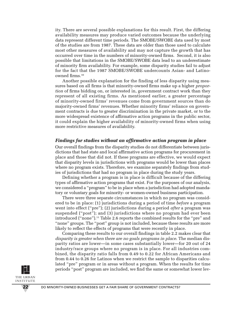ity. There are several possible explanations for this result. First, the differing availability measures may produce varied outcomes because the underlying data represent different time periods. The SMOBE/SWOBE data used by most of the studies are from 1987. These data are older than those used to calculate most other measures of availability and may not capture the growth that has occurred over time in the numbers of minority-owned firms. Second, it is also possible that limitations in the SMOBE/SWOBE data lead to an underestimate of minority firm availability. For example, some disparity studies fail to adjust for the fact that the 1987 SMOBE/SWOBE undercounts Asian- and Latinoowned firms.10

Another possible explanation for the finding of less disparity using measures based on all firms is that minority-owned firms make up a higher *proportion* of firms bidding on, or interested in, government contract work than they represent of all existing firms. As mentioned earlier, a greater percentage of minority-owned firms' revenues come from government sources than do majority-owned firms' revenues. Whether minority firms' reliance on government contracts is due to greater discrimination in the private market, or to the more widespread existence of affirmative action programs in the public sector, it could explain the higher availability of minority-owned firms when using more restrictive measures of availability.

#### *Findings for studies without an affirmative action program in place*

Our overall findings from the disparity studies do not differentiate between jurisdictions that had state and local affirmative action programs for procurement in place and those that did not. If these programs are effective, we would expect that disparity levels in jurisdictions with programs would be lower than places where no program exists. Therefore, we examine separately findings from studies of jurisdictions that had no program in place during the study years.

Defining whether a program is in place is difficult because of the differing types of affirmative action programs that exist. For the purposes of our analysis, we considered a "program" to be in place when a jurisdiction had adopted mandatory or voluntary goals for minority- or women-owned business participation.

There were three separate circumstances in which no program was considered to be in place: (1) jurisdictions during a period of time *before* a program went into effect ("pre"); (2) jurisdictions during a period *after* a program was suspended ("post"); and (3) jurisdictions where no program had ever been introduced ("none").11 Table 2.6 reports the combined results for the "pre" and "none" groups. The "post" group is not included, because these results are more likely to reflect the effects of programs that were recently in place.

Comparing these results to our overall findings in table 2.2 makes clear that *disparity is greater when there are no goals programs in place*. The median disparity ratios are lower—in some cases substantially lower—for 20 out of 24 industry/race groups where no program is in place. For all industries combined, the disparity ratio falls from 0.49 to 0.22 for African Americans and from 0.44 to 0.26 for Latinos when we restrict the sample to disparities calculated "pre" program or in areas without a program. When the results for time periods "post" program are included, we find the same or somewhat lower lev-

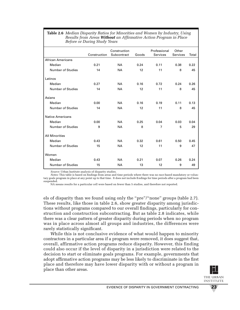| <b>Table 2.6</b> Median Disparity Ratios for Minorities and Women by Industry, Using |
|--------------------------------------------------------------------------------------|
| Results from Areas Without an Affirmative Action Program in Place                    |
| Before or During Study Years                                                         |

|                          | Construction | Construction<br>Subcontract | Goods | Professional<br>Services | Other<br>Services | Total |
|--------------------------|--------------|-----------------------------|-------|--------------------------|-------------------|-------|
| <b>African Americans</b> |              |                             |       |                          |                   |       |
| Median                   | 0.21         | <b>NA</b>                   | 0.24  | 0.11                     | 0.38              | 0.22  |
| Number of Studies        | 14           | <b>NA</b>                   | 12    | 11                       | 8                 | 45    |
| Latinos                  |              |                             |       |                          |                   |       |
| Median                   | 0.27         | <b>NA</b>                   | 0.16  | 0.72                     | 0.24              | 0.26  |
| Number of Studies        | 14           | <b>NA</b>                   | 12    | 11                       | 8                 | 45    |
| Asians                   |              |                             |       |                          |                   |       |
| Median                   | 0.00         | <b>NA</b>                   | 0.16  | 0.19                     | 0.11              | 0.13  |
| <b>Number of Studies</b> | 14           | <b>NA</b>                   | 12    | 11                       | 8                 | 45    |
| <b>Native Americans</b>  |              |                             |       |                          |                   |       |
| Median                   | 0.00         | <b>NA</b>                   | 0.25  | 0.04                     | 0.03              | 0.04  |
| <b>Number of Studies</b> | 9            | <b>NA</b>                   | 8     | $\overline{7}$           | 5                 | 29    |
| <b>All Minorities</b>    |              |                             |       |                          |                   |       |
| Median                   | 0.43         | <b>NA</b>                   | 0.32  | 0.61                     | 0.50              | 0.45  |
| Number of Studies        | 15           | <b>NA</b>                   | 12    | 11                       | 9                 | 47    |
| Women                    |              |                             |       |                          |                   |       |
| Median                   | 0.43         | <b>NA</b>                   | 0.21  | 0.07                     | 0.26              | 0.24  |
| <b>Number of Studies</b> | 15           | <b>NA</b>                   | 13    | 12                       | 9                 | 49    |

*Source:* Urban Institute analysis of disparity studies.

*Notes:* This table is based on findings from areas and time periods where there was no race-based mandatory or voluntary goals program in place at any point up to that time. It does not include findings for time periods after a program had been suspended.

NA means results for a particular cell were based on fewer than 5 studies, and therefore not reported.

els of disparity than we found using only the "pre"/"none" groups (table 2.7). These results, like those in table 2.6, show greater disparity among jurisdictions without programs compared to our overall findings, particularly for construction and construction subcontracting. But as table 2.8 indicates, while there was a clear pattern of greater disparity during periods when no program was in place across almost all groups and industries, the differences were rarely statistically significant.

While this is not conclusive evidence of what would happen to minority contractors in a particular area if a program were removed, it does suggest that, overall, affirmative action programs reduce disparity. However, this finding could also occur if the level of disparity in a jurisdiction were related to the decision to start or eliminate goals programs. For example, governments that adopt affirmative action programs may be less likely to discriminate in the first place and therefore may have lower disparity with or without a program in place than other areas.

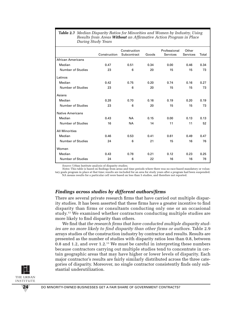| Dunng oluuy Teurs        |              |              |       |              |          |       |  |  |
|--------------------------|--------------|--------------|-------|--------------|----------|-------|--|--|
|                          |              | Construction |       | Professional | Other    |       |  |  |
|                          | Construction | Subcontract  | Goods | Services     | Services | Total |  |  |
| <b>African Americans</b> |              |              |       |              |          |       |  |  |
| Median                   | 0.47         | 0.51         | 0.34  | 0.00         | 0.46     | 0.34  |  |  |
| <b>Number of Studies</b> | 23           | 6            | 20    | 15           | 15       | 73    |  |  |
| Latinos                  |              |              |       |              |          |       |  |  |
| Median                   | 0.42         | 0.75         | 0.20  | 0.74         | 0.16     | 0.27  |  |  |
| <b>Number of Studies</b> | 23           | 6            | 20    | 15           | 15       | 73    |  |  |
| Asians                   |              |              |       |              |          |       |  |  |
| Median                   | 0.28         | 0.70         | 0.16  | 0.19         | 0.20     | 0.19  |  |  |
| <b>Number of Studies</b> | 23           | 6            | 20    | 15           | 15       | 73    |  |  |
| <b>Native Americans</b>  |              |              |       |              |          |       |  |  |
| Median                   | 0.43         | <b>NA</b>    | 0.15  | 0.00         | 0.13     | 0.13  |  |  |
| Number of Studies        | 16           | <b>NA</b>    | 14    | 11           | 11       | 52    |  |  |
| <b>All Minorities</b>    |              |              |       |              |          |       |  |  |
| Median                   | 0.46         | 0.53         | 0.41  | 0.61         | 0.49     | 0.47  |  |  |
| <b>Number of Studies</b> | 24           | 6            | 21    | 15           | 16       | 76    |  |  |
| Women                    |              |              |       |              |          |       |  |  |
| Median                   | 0.43         | 0.78         | 0.21  | 0.12         | 0.23     | 0.25  |  |  |
| <b>Number of Studies</b> | 24           | 6            | 22    | 16           | 16       | 78    |  |  |

**Table 2.7** *Median Disparity Ratios for Minorities and Women by Industry, Using Results from Areas Without an Affirmative Action Program in Place During Study Years*

*Source:* Urban Institute analysis of disparity studies.

*Notes:* This table is based on findings from areas and time periods where there was no race-based mandatory or voluntary goals program in place at that time; results are included for an area for study years after a program had been suspended. NA means results for a particular cell were based on less than 5 studies, and therefore not reported.

#### *Findings across studies by different authors/firms*

There are several private research firms that have carried out multiple disparity studies. It has been asserted that these firms have a greater incentive to find disparity than firms or consultants conducting only one or an occasional study. <sup>12</sup> We examined whether contractors conducting multiple studies are more likely to find disparity than others.

We find that *the research firms that have conducted multiple disparity studies are no more likely to find disparity than other firms or authors*. Table 2.9 arrays studies of the construction industry by contractor and results. Results are presented as the number of studies with disparity ratios less than 0.8, between 0.8 and 1.2, and over 1.2.13 We must be careful in interpreting these numbers because contractors carrying out multiple studies tend to concentrate in certain geographic areas that may have higher or lower levels of disparity. Each major contractor's results are fairly similarly distributed across the three categories of disparity. Moreover, no single contractor consistently finds only substantial underutilization.

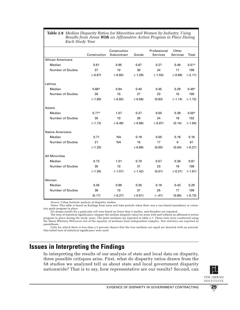#### **Table 2.8** *Median Disparity Ratios for Minorities and Women by Industry, Using Results from Areas With an Affirmative Action Program in Place During Each Study Year*

|                          | Construction | Construction<br>Subcontract | Goods     | Professional<br>Services | Other<br>Services | Total     |
|--------------------------|--------------|-----------------------------|-----------|--------------------------|-------------------|-----------|
| <b>African Americans</b> |              |                             |           |                          |                   |           |
| Median                   | 0.61         | 0.95                        | 0.67      | 0.27                     | 0.49              | $0.51*$   |
| <b>Number of Studies</b> | 37           | 10                          | 30        | 24                       | 17                | 108       |
|                          | $(-0.97)$    | $(-0.92)$                   | $(-1.28)$ | $(-1.53)$                | $(-0.98)$         | $(-2.11)$ |
| Latinos                  |              |                             |           |                          |                   |           |
| Median                   | $0.66*$      | 0.94                        | 0.40      | 0.45                     | 0.29              | $0.48*$   |
| <b>Number of Studies</b> | 35           | 10                          | 27        | 23                       | 15                | 100       |
|                          | $(-1.80)$    | $(-0.92)$                   | $(-0.56)$ | (0.93)                   | $(-1.14)$         | $(-1.72)$ |
| Asians                   |              |                             |           |                          |                   |           |
| Median                   | $0.77*$      | 1.07                        | 0.27      | 0.50                     | 0.39              | $0.50*$   |
| <b>Number of Studies</b> | 35           | 10                          | 28        | 24                       | 16                | 102       |
|                          | $(-1.72)$    | $(-0.49)$                   | $(-0.96)$ | $(-0.87)$                | (0.14)            | $(-1.94)$ |
| <b>Native Americans</b>  |              |                             |           |                          |                   |           |
| Median                   | 0.71         | <b>NA</b>                   | 0.19      | 0.00                     | 0.16              | 0.16      |
| <b>Number of Studies</b> | 21           | <b>NA</b>                   | 15        | 17                       | 8                 | 61        |
|                          | $(-1.33)$    |                             | $(-0.69)$ | (0.00)                   | (0.04)            | $(-0.27)$ |
| <b>All Minorities</b>    |              |                             |           |                          |                   |           |
| Median                   | 0.73         | 1.01                        | 0.70      | 0.57                     | 0.36              | 0.61      |
| <b>Number of Studies</b> | 35           | 10                          | 31        | 23                       | 19                | 108       |
|                          | $(-1.35)$    | $(-1.57)$                   | $(-1.42)$ | (0.01)                   | $(-0.31)$         | $(-1.61)$ |
| Women                    |              |                             |           |                          |                   |           |
| Median                   | 0.45         | 0.99                        | 0.35      | 0.18                     | 0.43              | 0.29      |
| <b>Number of Studies</b> | 36           | 10                          | 31        | 25                       | 17                | 109       |
|                          | (0.17)       | $(-0.27)$                   | $(-0.91)$ | $(-.41)$                 | (0.85)            | $(-0.73)$ |

*Source:* Urban Institute analysis of disparity studies.

*Notes:* This table is based on findings from areas and time periods when there was a race-based mandatory or voluntary goals program in place.

NA means results for a particular cell were based on fewer than 5 studies, and therefore not reported.

The tests of statistical significance compare the median disparity ratios for areas with and without an affirmative action program in place during the study years. The latter medians are reported in table 2.7. These tests were conducted using the Mann-Whitney-Wilcoxon test of the equality of medians from independent samples. Test statistics are reported in parentheses.

Cells for which there is less than a 5 percent chance that the true medians are equal are denoted with an asterisk. One-tailed tests of statistical significance were used.

# **Issues in Interpreting the Findings**

In interpreting the results of our analysis of state and local data on disparity, three possible critiques arise. First, what do disparity ratios drawn from the 58 studies we analyzed tell us about state and local government disparity nationwide? That is to say, how representative are our results? Second, can

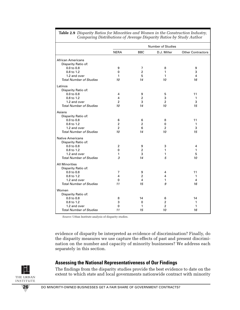|                                |                |                | <b>Number of Studies</b> |                          |
|--------------------------------|----------------|----------------|--------------------------|--------------------------|
|                                | <b>NERA</b>    | <b>BBC</b>     | D.J. Miller              | <b>Other Contractors</b> |
| <b>African Americans</b>       |                |                |                          |                          |
| Disparity Ratio of:            |                |                |                          |                          |
| 0.0 to 0.8                     | 9              | 7              | 8                        | 9                        |
| 0.8 to 1.2                     | $\Omega$       | $\overline{2}$ | 1                        | 3                        |
| 1.2 and over                   | 1              | 5              | 1                        | $\overline{\mathbf{4}}$  |
| <b>Total Number of Studies</b> | 10             | 14             | 10                       | 16                       |
| Latinos                        |                |                |                          |                          |
| Disparity Ratio of:            |                |                |                          |                          |
| $0.0$ to $0.8$                 | 4              | 9              | 5                        | 11                       |
| 0.8 to 1.2                     | 4              | $\overline{2}$ | 3                        | 1                        |
| 1.2 and over                   | $\overline{c}$ | 3              | $\overline{2}$           | 3                        |
| <b>Total Number of Studies</b> | 10             | 14             | 10                       | 15                       |
| Asians                         |                |                |                          |                          |
| Disparity Ratio of:            |                |                |                          |                          |
| 0.0 <sub>to</sub> 0.8          | 6              | 6              | 8                        | 11                       |
| 0.8 to 1.2                     | $\overline{2}$ | $\overline{2}$ | 0                        | 1                        |
| 1.2 and over                   | $\overline{2}$ | 6              | 2                        | 3                        |
| <b>Total Number of Studies</b> | 10             | 14             | 10                       | 15                       |
| <b>Native Americans</b>        |                |                |                          |                          |
| Disparity Ratio of:            |                |                |                          |                          |
| $0.0$ to $0.8$                 | $\overline{2}$ | 9              | 3                        | 4                        |
| $0.8$ to $1.2$                 | $\Omega$       | $\overline{2}$ | 1                        | 1                        |
| 1.2 and over                   | 1              | 3              | 1                        | 5                        |
| <b>Total Number of Studies</b> | 3              | 14             | 5                        | 10                       |
| <b>All Minorities</b>          |                |                |                          |                          |
| Disparity Ratio of:            |                |                |                          |                          |
| $0.0$ to $0.8$                 | 7              | 9              | 4                        | 11                       |
| 0.8 to 1.2                     | 4              | $\overline{2}$ | 4                        | 1                        |
| 1.2 and over                   | 0              | 4              | 1                        | 4                        |
| <b>Total Number of Studies</b> | 11             | 15             | 9                        | 16                       |
| Women                          |                |                |                          |                          |
| Disparity Ratio of:            |                |                |                          |                          |
| 0.0 to 0.8                     | 8              | 14             | 6                        | 14                       |
| 0.8 to 1.2                     | 3              | 0              | $\overline{c}$           | 1                        |
| 1.2 and over                   | 0              | 1              | 2                        | 1                        |
| <b>Total Number of Studies</b> | 11             | 15             | 10                       | 16                       |

**Table 2.9** *Disparity Ratios for Minorities and Women in the Construction Industry, Comparing Distributions of Average Disparity Ratios by Study Author*

*Source:* Urban Institute analysis of disparity studies.

evidence of disparity be interpreted as evidence of discrimination? Finally, do the disparity measures we use capture the effects of past and present discrimination on the number and capacity of minority businesses? We address each separately in this section.

#### **Assessing the National Representativeness of Our Findings**

The findings from the disparity studies provide the best evidence to date on the extent to which state and local governments nationwide contract with minority

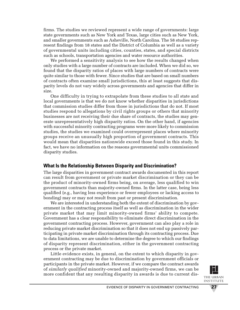firms. The studies we reviewed represent a wide range of governments: large state governments such as New York and Texas, large cities such as New York, and smaller governments such as Asheville, North Carolina. The 58 studies represent findings from 18 states and the District of Columbia as well as a variety of governmental units including cities, counties, states, and special districts such as schools, transportation agencies and water resource authorities.

We performed a sensitivity analysis to see how the results changed when only studies with a large number of contracts are included. When we did so, we found that the disparity ratios of places with large numbers of contracts were quite similar to those with fewer. Since studies that are based on small numbers of contracts often examine small jurisdictions, this at least suggests that disparity levels do not vary widely across governments and agencies that differ in size.

One difficulty in trying to extrapolate from these studies to all state and local governments is that we do not know whether disparities in jurisdictions that commission studies differ from those in jurisdictions that do not. If most studies respond to allegations by civil rights groups or others that minority businesses are not receiving their due share of contracts, the studies may generate unrepresentatively high disparity ratios. On the other hand, if agencies with successful minority contracting programs were more likely to commission studies, the studies we examined could overrepresent places where minority groups receive an unusually high proportion of government contracts. This would mean that disparities nationwide exceed those found in this study. In fact, we have no information on the reasons governmental units commissioned disparity studies.

### **What Is the Relationship Between Disparity and Discrimination?**

The large disparities in government contract awards documented in this report can result from government or private market discrimination or they can be the product of minority-owned firms being, on average, less qualified to win government contracts than majority-owned firms. In the latter case, being less qualified (e.g., having less experience or fewer employees or lacking access to bonding) may or may not result from past or present discrimination.

We are interested in understanding both the extent of discrimination by government in the contracting process itself as well as discrimination in the wider private market that may limit minority-owned firms' ability to compete. Government has a clear responsibility to eliminate direct discrimination in the government contracting process. However, government can also play a role in reducing private market discrimination so that it does not end up passively participating in private market discrimination through its contracting process. Due to data limitations, we are unable to determine the degree to which our findings of disparity represent discrimination, either in the government contracting process or the private market.

Little evidence exists, in general, on the extent to which disparity in government contracting may be due to discrimination by government officials or participants in the private market. However, if we compare the contract awards of *similarly qualified* minority-owned and majority-owned firms, we can be more confident that any resulting disparity in awards is due to current dis-

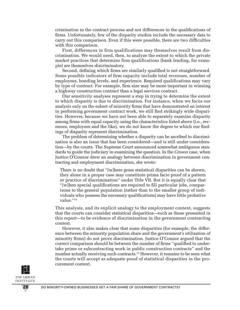crimination in the contract process and not differences in the qualifications of firms. Unfortunately, few of the disparity studies include the necessary data to carry out this comparison. Even if this were possible, there are two difficulties with this comparison.

First, differences in firm qualifications may themselves result from discrimination. We would need, then, to analyze the extent to which the private market practices that determine firm qualifications (bank lending, for example) are themselves discriminatory.

Second, defining which firms are similarly qualified is not straightforward. Some possible indicators of firm capacity include total revenues, number of employees, bonding levels, and experience. Required qualifications may vary by type of contract. For example, firm size may be more important in winning a highway construction contract than a legal services contract.

Our sensitivity analyses represent a step in trying to determine the extent to which disparity is due to discrimination. For instance, when we focus our analysis only on the subset of minority firms that have demonstrated an interest in performing government contract work, we still find strikingly wide disparities. However, because we have not been able to separately examine disparity among firms with equal capacity using the characteristics listed above (i.e., revenues, employees and the like), we do not know the degree to which our findings of disparity represent discrimination.

The problem of determining whether a disparity can be ascribed to discrimination is also an issue that has been considered—and is still under consideration—by the courts. The Supreme Court announced somewhat ambiguous standards to guide the judiciary in examining the question. In the *Croson* case, when Justice O'Connor drew an analogy between discrimination in government contracting and employment discrimination, she wrote:

There is no doubt that "[w]here gross statistical disparities can be shown, they alone in a proper case may constitute prima facie proof of a pattern or practice of discrimination" under Title VII. But it is equally clear that "[w]hen special qualifications are required to fill particular jobs, comparisons to the general population (rather than to the smaller group of individuals who possess the necessary qualifications) may have little probative value."<sup>14</sup>

This analysis, and its explicit analogy to the employment context, suggests that the courts can consider statistical disparities—such as those presented in this report—to be evidence of discrimination in the government contracting context.

However, it also makes clear that some disparities (for example, the difference between the minority population share and the government's utilization of minority firms) do not prove discrimination. Justice O'Connor argued that the correct comparison should be between the number of firms "qualified to undertake prime or subcontracting work in public construction contracts" and the number actually receiving such contracts.<sup>15</sup> However, it remains to be seen what the courts will accept as adequate proof of statistical disparities in the procurement context.

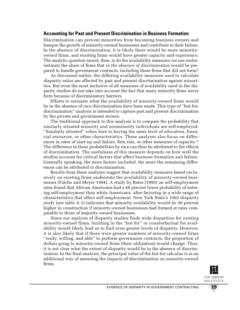#### **Accounting for Past and Present Discrimination in Business Formation**

Discrimination can prevent minorities from becoming business owners and hamper the growth of minority-owned businesses and contribute to their failure. In the absence of discrimination, it is likely there would be more minorityowned firms, and existing firms would have greater capacity and experience. The analytic question raised, then, is do the availability measures we use underestimate the share of firms that *in the absence of discrimination* would be prepared to handle government contracts, including those firms that did not form?

As discussed earlier, the differing availability measures used to calculate disparity ratios are affected by past and present discrimination against minorities. But even the most inclusive of all measures of availability used in the disparity studies do not take into account the fact that many minority firms never form because of discriminatory barriers.

Efforts to estimate what the availability of minority-owned firms would be in the absence of race discrimination have been made. This type of "but-fordiscrimination" analysis is intended to capture past and present discrimination by the private and government sectors.

The traditional approach to this analysis is to compare the probability that similarly situated minority and nonminority individuals are self-employed. "Similarly situated" refers here to having the same level of education, financial resources, or other characteristics. These analyses also focus on differences in rates of start-up and failure, firm size, or other measures of capacity. 16 The difference in these probabilities by race can then be attributed to the effects of discrimination. The usefulness of this measure depends on how well the studies account for critical factors that affect business formation and failure. Generally speaking, the more factors included, the more the remaining differences can be attributed to discrimination.

Results from these analyses suggest that availability measures based exclusively on existing firms understate the availability of minority-owned businesses (Fairlie and Meyer 1994). A study by Bates (1995) on self-employment rates found that African Americans had a 48 percent lower probability of entering self-employment than white Americans, after factoring in a wide range of characteristics that affect self-employment. New York State's 1992 disparity study (see table A.1) indicates that minority availability would be 30 percent higher in construction if minority-owned businesses had formed at rates comparable to those of majority-owned businesses.

Since our analysis of disparity studies finds wide disparities for *existing* minority-owned firms, building in the "but for" or counterfactual for availability would likely lead us to find even greater levels of disparity. However, it is also likely that if there were greater numbers of minority-owned firms "ready, willing, and able" to perform government contracts, the proportion of dollars going to minority-owned firms (their utilization) would change. Thus, it is not clear what the extent of disparity would be in the absence of discrimination. In the final analysis, the principal value of the but-for calculus is as an additional way of assessing the impacts of discrimination on minority-owned firms.

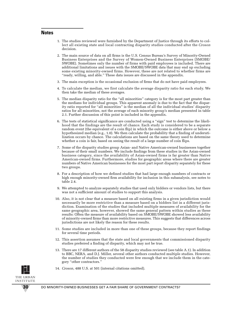#### **Notes**

- 1. The studies reviewed were furnished by the Department of Justice through its efforts to collect all existing state and local contracting disparity studies conducted after the *Croson* decision.
- 2. The main source of data on all firms is the U.S. Census Bureau's Survey of Minority-Owned Business Enterprises and the Survey of Women-Owned Business Enterprises (SMOBE/ SWOBE). Sometimes only the number of firms with paid employees is included. There are additional limitations and issues with the SMOBE/SWOBE data that may end up excluding some existing minority-owned firms. However, these are not related to whether firms are "ready, willing, and able." These data issues are discussed in the appendix.
- 3. The main exception is the occasional exclusion of firms that do not have paid employees.
- 4. To calculate the median, we first calculate the average disparity ratio for each study. We then take the median of these averages.
- 5. The median disparity ratio for the "all minorities" category is for the most part greater than the medians for individual groups. This apparent anomaly is due to the fact that the disparity ratio reported for "all minorities" is the median of all the individual studies' disparity ratios for all minorities, not the average of each minority group's median presented in table 2.1. Further discussion of this point is included in the appendix.
- 6. The tests of statistical significance are conducted using a "sign" test to determine the likelihood that the findings are the result of chance. Each study is considered to be a separate random event (the equivalent of a coin flip) in which the outcome is either above or below a hypothesized median (e.g., 1.0). We then calculate the probability that a finding of underutilization occurs by chance. The calculations are based on the same theory used to determine whether a coin is fair, based on seeing the result of a large number of coin flips.
- 7. Some of the disparity studies group Asian- and Native American-owned businesses together because of their small numbers. We include findings from these studies in the Asian-owned business category, since the availability of Asian-owned firms is far greater than Native American-owned firms. Furthermore, studies for geographic areas where there are greater numbers of Native American businesses for the most part report disparity separately for these two groups.
- 8. For a description of how we defined studies that had large enough numbers of contracts or high enough minority-owned firm availability for inclusion in this subanalysis, see notes to table 2.4.
- 9. We attempted to analyze separately studies that used only bidders or vendors lists, but there was not a sufficient amount of studies to support this analysis.
- 10. Also, it is not clear that a measure based on all existing firms in a given jurisdiction would necessarily be more restrictive than a measure based on a bidders list in a different jurisdiction. Examination of the studies that included multiple measures of availability for the same geographic area, however, showed the same general pattern within studies as these results: Often the measure of availability based on SMOBE/SWOBE showed less availability of minority-owned firms than more restrictive measures. This suggests that differences across jurisdictions are not likely the reason for these results.
- 11. Some studies are included in more than one of these groups, because they report findings for several time periods.
- 12. This assertion assumes that the state and local governments that commissioned disparity studies preferred a finding of disparity, which may not be true.
- 13. There are 17 different authors of the 58 disparity studies reviewed (see table A.1). In addition to BBC, NERA, and D.J. Miller, several other authors conducted multiple studies. However, the number of studies they conducted were few enough that we include them in the category "other contractors."
- 14. *Croson,* 488 U.S. at 501 (internal citations omitted).

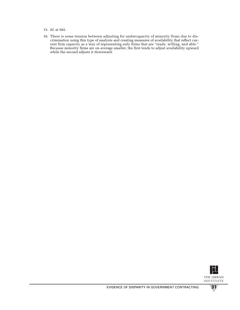- 15. *Id.* at 502.
- 16. There is some tension between adjusting for undercapacity of minority firms due to discrimination using this type of analysis and creating measures of availability that reflect current firm capacity as a way of representing only firms that are "ready, willing, and able." Because minority firms are on average smaller, the first tends to adjust availability upward while the second adjusts it downward.

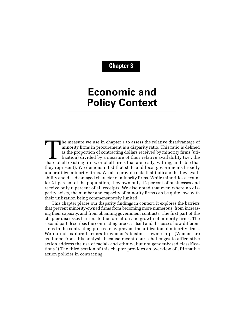# **Chapter 3**

# **Economic and Policy Context**

The measure we use in chapter 1 to assess the relative disadvantage of minority firms in procurement is a disparity ratio. This ratio is defined as the proportion of contracting dollars received by minority firms (utilization) divided by a measure of their relative availability (i.e., the share of all existing firms, or of all firms that are ready, willing, and able that they represent). We demonstrated that state and local governments broadly underutilize minority firms. We also provide data that indicate the low availability and disadvantaged character of minority firms. While minorities account for 21 percent of the population, they own only 12 percent of businesses and receive only 6 percent of all receipts. We also noted that even where no disparity exists, the number and capacity of minority firms can be quite low, with their utilization being commensurately limited.

This chapter places our disparity findings in context. It explores the barriers that prevent minority-owned firms from becoming more numerous, from increasing their capacity, and from obtaining government contracts. The first part of the chapter discusses barriers to the formation and growth of minority firms. The second part describes the contracting process itself and discusses how different steps in the contracting process may prevent the utilization of minority firms. We do not explore barriers to women's business ownership. (Women are excluded from this analysis because recent court challenges to affirmative action address the use of racial- and ethnic-, but not gender-based classifications.1 ) The third section of this chapter provides an overview of affirmative action policies in contracting.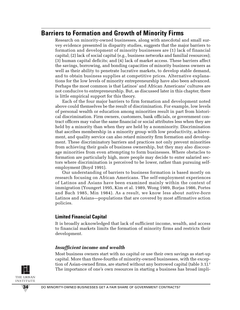# **Barriers to Formation and Growth of Minority Firms**

Research on minority-owned businesses, along with anecdotal and small survey evidence presented in disparity studies, suggests that the major barriers to formation and development of minority businesses are (1) lack of financial capital; (2) lack of social capital (e.g., business networks and familial resources); (3) human capital deficits; and (4) lack of market access. These barriers affect the savings, borrowing, and bonding capacities of minority business owners as well as their ability to penetrate lucrative markets, to develop stable demand, and to obtain business supplies at competitive prices. Alternative explanations for the low levels of minority entrepreneurship have also been advanced. Perhaps the most common is that Latinos' and African Americans' cultures are not conducive to entrepreneurship. But, as discussed later in this chapter, there is little empirical support for this theory.

Each of the four major barriers to firm formation and development noted above could themselves be the result of discrimination. For example, low levels of personal wealth or education among minorities result in part from historical discrimination. Firm owners, customers, bank officials, or government contract officers may value the same financial or social attributes less when they are held by a minority than when they are held by a nonminority. Discrimination that ascribes membership in a minority group with low productivity, achievement, and quality service can also retard minority firm formation and development. These discriminatory barriers and practices not only prevent minorities from achieving their goals of business ownership, but they may also discourage minorities from even attempting to form businesses. Where obstacles to formation are particularly high, more people may decide to enter salaried sectors where discrimination is perceived to be lower, rather than pursuing selfemployment (Boyd 1991).

Our understanding of barriers to business formation is based mostly on research focusing on African Americans. The self-employment experiences of Latinos and Asians have been examined mainly within the context of immigration (Youngert 1995, Kim et al. 1989, Wong 1989, Borjas 1986, Portes and Bach 1985, Min 1984). As a result, we know less about *native-born* Latinos and Asians—populations that are covered by most affirmative action policies.

### **Limited Financial Capital**

It is broadly acknowledged that lack of sufficient income, wealth, and access to financial markets limits the formation of minority firms and restricts their development.

#### *Insufficient income and wealth*

Most business owners start with no capital or use their own savings as start-up capital. More than three-fourths of minority-owned businesses, with the exception of Asian-owned firms, are started without any borrowed capital (table 3.1).<sup>2</sup> The importance of one's own resources in starting a business has broad impli-

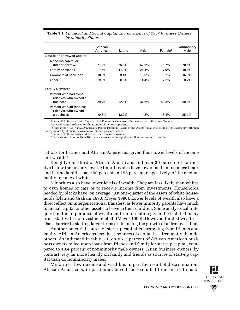| <b>Table 3.1</b> Financial and Social Capital Characteristics of 1987 Business Owners<br>by Minority Status |                     |        |                    |                     |                     |  |  |  |
|-------------------------------------------------------------------------------------------------------------|---------------------|--------|--------------------|---------------------|---------------------|--|--|--|
|                                                                                                             | African<br>American | Latino | $\textsf{Asian}^1$ | Female <sup>2</sup> | Nonminority<br>Male |  |  |  |
| Source of Borrowed Capital <sup>3</sup>                                                                     |                     |        |                    |                     |                     |  |  |  |
| None (no capital or<br>did not borrow)                                                                      | 77.2%               | 75.8%  | 62.6%              | 78.7%               | 70.6%               |  |  |  |
| Family or friends                                                                                           | 7.5%                | 11.3%  | 24.4%              | 7.9%                | 10.4%               |  |  |  |
| Commercial bank loan                                                                                        | 10.5%               | 9.4%   | 13.0%              | 11.2%               | 16.9%               |  |  |  |
| Other                                                                                                       | $9.9\%$             | 8.8%   | 14.4%              | 7.2%                | 8.7%                |  |  |  |
| <b>Family Networks</b>                                                                                      |                     |        |                    |                     |                     |  |  |  |
| Percent who had close<br>relatives who owned a<br>business                                                  | 29.7%               | 32.5%  | 37.6%              | 49.3%               | 50.1%               |  |  |  |
| Percent worked for close<br>relatives who owned<br>a business                                               | 10.8%               | 12.9%  | 14.2%              | 18.1%               | 25.1%               |  |  |  |

# **Table 3.1** *Financial and Social Capital Characteristics of 1987 Business Owners*

Source: U.S. Bureau of the Census, 1987 Economic Censuses, Characteristics of Business Owners. Notes: Percents are based on the number of owners reporting.

<sup>1</sup> Other minorities (Native Americans, Pacific Islanders, Eskimos and Aleuts) are also included in this category, although the vast majority of business owners in this category are Asian.

<sup>2</sup> Includes both minority and white female business owners.

<sup>3</sup> Percents sum to more than 100, because owners can report more than one source of capital.

cations for Latinos and African Americans, given their lower levels of income and wealth.<sup>3</sup>

Roughly one-third of African Americans and over 30 percent of Latinos live below the poverty level. Minorities also have lower median incomes: black and Latino families have 50 percent and 56 percent, respectively, of the median family income of whites.

Minorities also have lower levels of wealth. They are less likely than whites to own homes or cars or to receive income from investments. Households headed by blacks have, on average, just one-quarter of the assets of white households (Blau and Graham 1990, Meyer 1990). Lower levels of wealth also have a direct effect on intergenerational transfers, as fewer minority parents have much financial capital or other assets to leave to their children. Some analysts call into question the importance of wealth on firm formation given the fact that many firms start with no investment at all (Meyer 1990). However, limited wealth is also a barrier to starting larger firms or financing the growth of a firm over time.

Another potential source of start-up capital is borrowing from friends and family. African Americans use these sources of capital less frequently than do others. As indicated in table 3.1, only 7.5 percent of African American business owners relied upon loans from friends and family for start-up capital, compared to 10.4 percent of nonminority male owners. Asian business owners, by contrast, rely far more heavily on family and friends as sources of start-up capital than do nonminority males.

Minorities' low income and wealth is in part the result of discrimination. African Americans, in particular, have been excluded from institutions of

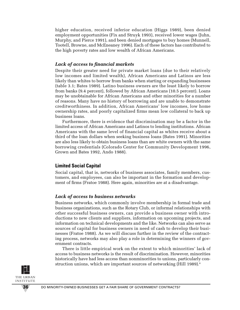higher education, received inferior education (Higgs 1989), been denied employment opportunities (Fix and Struyk 1993), received lower wages (Juhn, Murphy, and Pierce 1991), and been denied mortgages to buy homes (Munnell, Tootell, Browne, and McEneaney 1996). Each of these factors has contributed to the high poverty rates and low wealth of African Americans.

#### *Lack of access to financial markets*

Despite their greater need for private market loans (due to their relatively low incomes and limited wealth), African Americans and Latinos are less likely than whites to borrow from banks when starting or expanding businesses (table 3.1; Bates 1989). Latino business owners are the least likely to borrow from banks (9.4 percent), followed by African Americans (10.5 percent). Loans may be unobtainable for African Americans and other minorities for a number of reasons. Many have no history of borrowing and are unable to demonstrate creditworthiness. In addition, African Americans' low incomes, low home ownership rates, and poorly capitalized firms mean low collateral to back up business loans.

Furthermore, there is evidence that discrimination may be a factor in the limited access of African Americans and Latinos to lending institutions. African Americans with the same level of financial capital as whites receive about a third of the loan dollars when seeking business loans (Bates 1991). Minorities are also less likely to obtain business loans than are white owners with the same borrowing credentials (Colorado Center for Community Development 1996, Grown and Bates 1992, Ando 1988).

#### **Limited Social Capital**

Social capital, that is, networks of business associates, family members, customers, and employees, can also be important in the formation and development of firms (Fratoe 1988). Here again, minorities are at a disadvantage.

#### *Lack of access to business networks*

Business networks, which commonly involve membership in formal trade and business organizations, such as the Rotary Club, or informal relationships with other successful business owners, can provide a business owner with introductions to new clients and suppliers, information on upcoming projects, and information on technical developments and the like. Networks can also serve as sources of capital for business owners in need of cash to develop their businesses (Fratoe 1988). As we will discuss further in the review of the contracting process, networks may also play a role in determining the winners of government contracts.

There is little empirical work on the extent to which minorities' lack of access to business networks is the result of discrimination. However, minorities historically have had less access than nonminorities to unions, particularly construction unions, which are important sources of networking (Hill 1989).<sup>4</sup>

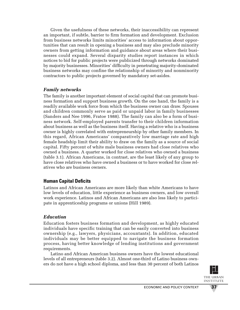Given the usefulness of these networks, their inaccessibility can represent an important, if subtle, barrier to firm formation and development. Exclusion from business networks limits minorities' access to information about opportunities that can result in opening a business and may also preclude minority owners from getting information and guidance about areas where their businesses could expand. Several disparity studies report instances in which notices to bid for public projects were publicized through networks dominated by majority businesses. Minorities' difficulty in penetrating majority-dominated business networks may confine the relationship of minority and nonminority contractors to public projects governed by mandatory set-asides.

### *Family networks*

The family is another important element of social capital that can promote business formation and support business growth. On the one hand, the family is a readily available work force from which the business owner can draw. Spouses and children commonly serve as paid or unpaid labor in family businesses (Sanders and Nee 1996, Fratoe 1988). The family can also be a form of business network. Self-employed parents transfer to their children information about business as well as the business itself. Having a relative who is a business owner is highly correlated with entrepreneurship by other family members. In this regard, African Americans' comparatively low marriage rate and high female headship limit their ability to draw on the family as a source of social capital. Fifty percent of white male business owners had close relatives who owned a business. A quarter worked for close relatives who owned a business (table 3.1). African Americans, in contrast, are the least likely of any group to have close relatives who have owned a business or to have worked for close relatives who are business owners.

### **Human Capital Deficits**

Latinos and African Americans are more likely than white Americans to have low levels of education, little experience as business owners, and low overall work experience. Latinos and African Americans are also less likely to participate in apprenticeship programs or unions (Hill 1989).

#### *Education*

Education fosters business formation and development, as highly educated individuals have specific training that can be easily converted into business ownership (e.g., lawyers, physicians, accountants). In addition, educated individuals may be better equipped to navigate the business formation process, having better knowledge of lending institutions and government requirements.

Latino and African American business owners have the lowest educational levels of all entrepreneurs (table 3.2). Almost one-third of Latino business owners do not have a high school diploma, and less than 30 percent of both Latinos

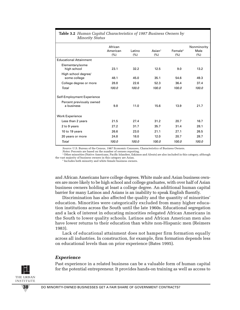| <b>Radio 0.2</b> Trainan Captur Characteristics of 1907 Dashitess Owners by<br><b>Minority Status</b> |                             |                |                          |                             |                             |  |  |
|-------------------------------------------------------------------------------------------------------|-----------------------------|----------------|--------------------------|-----------------------------|-----------------------------|--|--|
|                                                                                                       | African<br>American<br>(% ) | Latino<br>(% ) | $\text{Asian}^1$<br>(% ) | Female <sup>2</sup><br>(% ) | Nonminority<br>Male<br>(% ) |  |  |
| <b>Educational Attainment</b>                                                                         |                             |                |                          |                             |                             |  |  |
| Elementary/some<br>high school                                                                        | 23.1                        | 32.2           | 12.5                     | 9.0                         | 13.2                        |  |  |
| High school degree/<br>some college                                                                   | 48.1                        | 45.0           | 35.1                     | 54.6                        | 49.3                        |  |  |
| College degree or more                                                                                | 28.8                        | 22.6           | 52.3                     | 36.4                        | 37.4                        |  |  |
| Total                                                                                                 | 100.0                       | 100.0          | 100.0                    | 100.0                       | 100.0                       |  |  |
| Self-Employment Experience                                                                            |                             |                |                          |                             |                             |  |  |
| Percent previously owned<br>a business                                                                | 9.8                         | 11.0           | 15.6                     | 13.9                        | 21.7                        |  |  |
| <b>Work Experience</b>                                                                                |                             |                |                          |                             |                             |  |  |
| Less than 2 years                                                                                     | 21.5                        | 27.4           | 31.2                     | 20.7                        | 16.7                        |  |  |
| 2 to 9 years                                                                                          | 27.2                        | 31.7           | 35.7                     | 31.4                        | 28.1                        |  |  |
| 10 to 19 years                                                                                        | 26.6                        | 23.0           | 21.1                     | 27.1                        | 26.5                        |  |  |
| 20 years or more                                                                                      | 24.8                        | 18.0           | 12.0                     | 20.7                        | 28.7                        |  |  |
| Total                                                                                                 | 100.0                       | 100.0          | 100.0                    | 100.0                       | 100.0                       |  |  |

# **Table 3.2** *Human Capital Characteristics of 1987 Business Owners by*

*Source:* U.S. Bureau of the Census, 1987 Economic Censuses, Characteristics of Business Owners.

*Notes: Percents are based on the number of owners reporting.*<br><sup>1</sup> Other minorities (Native Americans, Pacific Islanders, Eskimos and Aleuts) are also included in this category, although the vast majority of business owners in this category are Asian.

<sup>2</sup> Includes both minority and white female business owners.

and African Americans have college degrees. White male and Asian business owners are more likely to be high school and college graduates, with over half of Asian business owners holding at least a college degree. An additional human capital barrier for many Latinos and Asians is an inability to speak English fluently.

Discrimination has also affected the quality and the quantity of minorities' education. Minorities were categorically excluded from many higher education institutions across the South until the late 1960s. Educational segregation and a lack of interest in educating minorities relegated African Americans in the South to lower quality schools. Latinos and African American men also have lower returns to their education than white non-Hispanic men (Reimers 1983).

Lack of educational attainment does not hamper firm formation equally across all industries. In construction, for example, firm formation depends less on educational levels than on prior experience (Bates 1995).

#### *Experience*

Past experience in a related business can be a valuable form of human capital for the potential entrepreneur. It provides hands-on training as well as access to

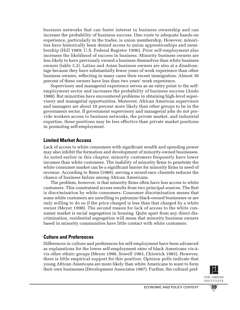business networks that can foster interest in business ownership and can increase the probability of business success. One route to adequate hands-on experience, particularly in the trades, is union membership. However, minorities have historically been denied access to union apprenticeships and membership (Hill 1989; U.S. Federal Register 1996). Prior self-employment also increases the likelihood of success in business. Minority business owners are less likely to have previously owned a business themselves than white business owners (table 3.2). Latino and Asian business owners are also at a disadvantage because they have substantially fewer years of work experience than other business owners, reflecting in many cases their recent immigration. Almost 30 percent of these owners have less than two years' work experience.

Supervisory and managerial experience serves as an entry point to the selfemployment sector and increases the probability of business success (Ando 1988). But minorities have encountered problems in obtaining high-level supervisory and managerial opportunities. Moreover, African American supervisors and managers are about 10 percent more likely than other groups to be in the government sector. If government supervisory and managerial jobs do not provide workers access to business networks, the private market, and industrial expertise, these positions may be less effective than private market positions in promoting self-employment.

## **Limited Market Access**

Lack of access to white consumers with significant wealth and spending power may also inhibit the formation and development of minority-owned businesses. As noted earlier in this chapter, minority customers frequently have lower incomes than white customers. The inability of minority firms to penetrate the white consumer market can be a significant barrier for minority firms in need of revenue. According to Bates (1989), serving a mixed-race clientele reduces the chance of business failure among African Americans.

The problem, however, is that minority firms often have less access to white customers. This constrained access results from two principal sources. The first is discrimination by white consumers. Consumer discrimination means that some white customers are unwilling to patronize black-owned businesses or are only willing to do so if the price charged is less than that charged by a white owner (Meyer 1990). The second reason for lack of access to the white consumer market is racial segregation in housing. Quite apart from any direct discrimination, residential segregation will mean that minority business owners based in minority communities have little contact with white customers.

### **Culture and Preferences**

Differences in culture and preferences for self-employment have been advanced as explanations for the lower self-employment rates of black Americans vis-àvis other ethnic groups (Meyer 1990, Sowell 1983, Chiswick 1983). However, there is little empirical support for this position. Opinion polls indicate that young African Americans are more likely than white Americans to want to form their own businesses (Development Associates 1987). Further, the cultural pref-

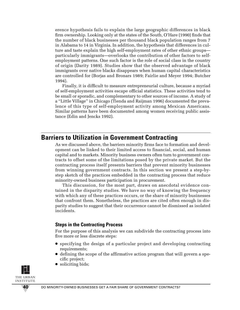erence hypothesis fails to explain the large geographic differences in black firm ownership. Looking only at the states of the South, O'Hare (1990) finds that the number of black businesses per thousand black population ranges from 7 in Alabama to 14 in Virginia. In addition, the hypothesis that differences in culture and taste explain the high self-employment rates of other ethnic groups particularly immigrants—overlooks the contribution of other factors to selfemployment patterns. One such factor is the role of social class in the country of origin (Darity 1989). Studies show that the observed advantage of black immigrants over native blacks disappears when human capital characteristics are controlled for (Borjas and Bronars 1989; Fairlie and Meyer 1994; Butcher 1994).

Finally, it is difficult to measure entrepreneurial culture, because a myriad of self-employment activities escape official statistics. These activities tend to be small or sporadic, and complementary to other sources of income. A study of a "Little Village" in Chicago (Tienda and Raijman 1996) documented the prevalence of this type of self-employment activity among Mexican Americans. Similar patterns have been documented among women receiving public assistance (Edin and Jencks 1992).

# **Barriers to Utilization in Government Contracting**

As we discussed above, the barriers minority firms face to formation and development can be linked to their limited access to financial, social, and human capital and to markets. Minority business owners often turn to government contracts to offset some of the limitations posed by the private market. But the contracting process itself presents barriers that prevent minority businesses from winning government contracts. In this section we present a step-bystep sketch of the practices embedded in the contracting process that reduce minority-owned business participation in procurement.

This discussion, for the most part, draws on anecdotal evidence contained in the disparity studies. We have no way of knowing the frequency with which any of these practices occurs, or the share of minority businesses that confront them. Nonetheless, the practices are cited often enough in disparity studies to suggest that their occurrence cannot be dismissed as isolated incidents.

### **Steps in the Contracting Process**

For the purpose of this analysis we can subdivide the contracting process into five more or less discrete steps:

- specifying the design of a particular project and developing contracting requirements;
- defining the scope of the affirmative action program that will govern a specific project;
- soliciting bids;

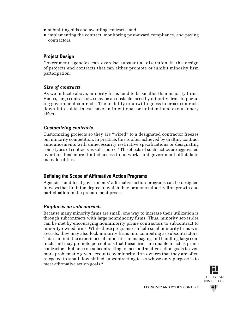- submitting bids and awarding contracts; and
- implementing the contract, monitoring post-award compliance, and paying contractors.

# **Project Design**

Government agencies can exercise substantial discretion in the design of projects and contracts that can either promote or inhibit minority firm participation.

# *Size of contracts*

As we indicate above, minority firms tend to be smaller than majority firms. Hence, large contract size may be an obstacle faced by minority firms in pursuing government contracts. The inability or unwillingness to break contracts down into subtasks can have an intentional or unintentional exclusionary effect.

# *Customizing contracts*

Customizing projects so they are "wired" to a designated contractor freezes out minority competition. In practice, this is often achieved by drafting contract announcements with unnecessarily restrictive specifications or designating some types of contracts as sole source.5 The effects of such tactics are aggravated by minorities' more limited access to networks and government officials in many localities.

# **Defining the Scope of Affirmative Action Programs**

Agencies' and local governments' affirmative action programs can be designed in ways that limit the degree to which they promote minority firm growth and participation in the procurement process.

# *Emphasis on subcontracts*

Because many minority firms are small, one way to increase their utilization is through subcontracts with large nonminority firms. Thus, minority set-asides can be met by encouraging nonminority prime contractors to subcontract to minority-owned firms. While these programs can help small minority firms win awards, they may also lock minority firms into competing as subcontractors. This can limit the experience of minorities in managing and handling large contracts and may promote perceptions that these firms are unable to act as prime contractors. Reliance on subcontracting to meet affirmative action goals is even more problematic given accounts by minority firm owners that they are often relegated to small, low-skilled subcontracting tasks whose only purpose is to meet affirmative action goals.<sup>6</sup>

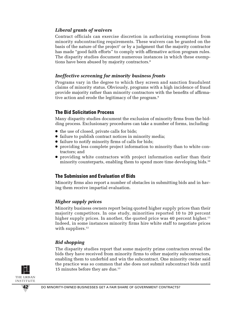## *Liberal grants of waivers*

Contract officials can exercise discretion in authorizing exemptions from minority subcontracting requirements. These waivers can be granted on the basis of the nature of the project<sup>7</sup> or by a judgment that the majority contractor has made "good faith efforts" to comply with affirmative action program rules. The disparity studies document numerous instances in which these exemptions have been abused by majority contractors.<sup>8</sup>

## *Ineffective screening for minority business fronts*

Programs vary in the degree to which they screen and sanction fraudulent claims of minority status. Obviously, programs with a high incidence of fraud provide majority rather than minority contractors with the benefits of affirmative action and erode the legitimacy of the program.<sup>9</sup>

# **The Bid Solicitation Process**

Many disparity studies document the exclusion of minority firms from the bidding process. Exclusionary procedures can take a number of forms, including:

- the use of closed, private calls for bids;
- failure to publish contract notices in minority media;
- failure to notify minority firms of calls for bids;
- providing less complete project information to minority than to white contractors; and
- providing white contractors with project information earlier than their minority counterparts, enabling them to spend more time developing bids.<sup>10</sup>

# **The Submission and Evaluation of Bids**

Minority firms also report a number of obstacles in submitting bids and in having them receive impartial evaluation.

# *Higher supply prices*

Minority business owners report being quoted higher supply prices than their majority competitors. In one study, minorities reported 10 to 20 percent higher supply prices. In another, the quoted price was 40 percent higher. 11 Indeed, in some instances minority firms hire white staff to negotiate prices with suppliers.<sup>12</sup>

# *Bid shopping*

The disparity studies report that some majority prime contractors reveal the bids they have received from minority firms to other majority subcontractors, enabling them to underbid and win the subcontract. One minority owner said the practice was so common that she does not submit subcontract bids until 15 minutes before they are due.<sup>13</sup>

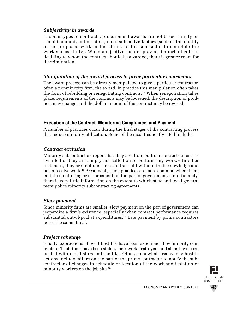### *Subjectivity in awards*

In some types of contracts, procurement awards are not based simply on the bid amount, but on other, more subjective factors (such as the quality of the proposed work or the ability of the contractor to complete the work successfully). When subjective factors play an important role in deciding to whom the contract should be awarded, there is greater room for discrimination.

## *Manipulation of the award process to favor particular contractors*

The award process can be directly manipulated to give a particular contractor, often a nonminority firm, the award. In practice this manipulation often takes the form of rebidding or renegotiating contracts.14 When renegotiation takes place, requirements of the contracts may be loosened, the description of products may change, and the dollar amount of the contract may be revised.

# **Execution of the Contract, Monitoring Compliance, and Payment**

A number of practices occur during the final stages of the contracting process that reduce minority utilization. Some of the most frequently cited include:

# *Contract exclusion*

Minority subcontractors report that they are dropped from contracts after it is awarded or they are simply not called on to perform any work.<sup>15</sup> In other instances, they are included in a contract bid without their knowledge and never receive work.16 Presumably, such practices are more common where there is little monitoring or enforcement on the part of government. Unfortunately, there is very little information on the extent to which state and local government police minority subcontracting agreements.

# *Slow payment*

Since minority firms are smaller, slow payment on the part of government can jeopardize a firm's existence, especially when contract performance requires substantial out-of-pocket expenditures.<sup>17</sup> Late payment by prime contractors poses the same threat.

# *Project sabotage*

Finally, expressions of overt hostility have been experienced by minority contractors. Their tools have been stolen, their work destroyed, and signs have been posted with racial slurs and the like. Other, somewhat less overtly hostile actions include failure on the part of the prime contractor to notify the subcontractor of changes in schedule or location of the work and isolation of minority workers on the job site.<sup>18</sup>

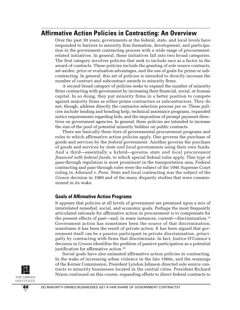# **Affirmative Action Policies in Contracting: An Overview**

Over the past 30 years, governments at the federal, state, and local levels have responded to barriers to minority firm formation, development, and participation in the government contracting process with a wide range of procurementrelated initiatives. In general, these initiatives fall into two broad categories. The first category involves policies that seek to include race as a factor in the award of contracts. These policies include the granting of sole source contracts, set-asides, price or evaluation advantages, and the use of goals for prime or subcontracting. In general, this set of policies is intended to directly increase the number of contract and subcontract awards to minority firms.

A second broad category of policies seeks to expand the number of minority firms contracting with government by increasing their financial, social, or human capital. In so doing, they put minority firms in a better position to compete against majority firms as either prime contractors or subcontractors. They do not, though, address directly the contractor selection process *per se.* These policies include lending and bonding help, technical assistance programs, expanded notice requirements regarding bids, and the imposition of prompt payment directives on government agencies. In general, these policies are intended to increase the size of the pool of potential minority bidders on public contracts.

There are basically three tiers of governmental procurement programs and rules to which affirmative action policies apply. One governs the purchase of goods and services by the *federal* government. Another governs the purchase of goods and services by *state and local* governments using their own funds. And a third—essentially a hybrid—governs *state and local procurement financed with federal funds,* to which special federal rules apply. This type of pass-through regulation is most prominent in the transportation area. Federal contracting and pass-through rules were the subject of the 1995 Supreme Court ruling in *Adarand v. Pena.* State and local contracting was the subject of the *Croson* decision in 1989 and of the many disparity studies that were commissioned in its wake.

#### **Goals of Affirmative Action Programs**

It appears that policies at all levels of government are premised upon a mix of interrelated remedial, social, and economic goals. Perhaps the most frequently articulated rationale for affirmative action in procurement is to compensate for the present effects of past—and, in some instances, current—discrimination.19 Government action has sometimes been the source of that discrimination; sometimes it has been the result of private action. It has been argued that government itself can be a passive participant in private discrimination, principally by contracting with firms that discriminate. In fact, Justice O'Connor's decision in *Croson* identifies the problem of passive participation as a potential justification for affirmative action.<sup>20</sup>

Social goals have also animated affirmative action policies in contracting. In the wake of increasing urban violence in the late 1960s, and the warnings of the Kerner Commission, President Lyndon Johnson directed sole source contracts to minority businesses located in the central cities. President Richard Nixon continued on this course, expanding efforts to direct federal contracts to

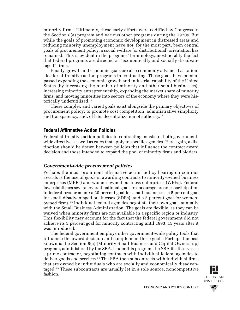minority firms. Ultimately, these early efforts were codified by Congress in the Section 8(a) program and various other programs during the 1970s. But while the goals of promoting economic development in distressed areas and reducing minority unemployment have *not,* for the most part, been central goals of procurement policy, a social welfare (or distributional) orientation has remained. This is evident in the programs' terminology, most notably the fact that federal programs are directed at "economically and socially disadvantaged" firms.

Finally, growth and economic goals are also commonly advanced as rationales for affirmative action programs in contracting. These goals have encompassed expanding the economic growth and industrial capability of the United States (by increasing the number of minority and other small businesses), increasing minority entrepreneurship, expanding the market share of minority firms, and moving minorities into sectors of the economy where they were historically underutilized.<sup>21</sup>

These complex and varied goals exist alongside the primary objectives of procurement policy: to promote cost competition, administrative simplicity and transparency, and, of late, decentralization of authority. 22

#### **Federal Affirmative Action Policies**

Federal affirmative action policies in contracting consist of both governmentwide directives as well as rules that apply to specific agencies. Here again, a distinction should be drawn between policies that influence the contract award decision and those intended to expand the pool of minority firms and bidders.

#### *Government-wide procurement policies*

Perhaps the most prominent affirmative action policy bearing on contract awards is the use of *goals* in awarding contracts to minority-owned business enterprises (MBEs) and women-owned business enterprises (WBEs). Federal law establishes several overall national goals to encourage broader participation in federal procurement: a 20 percent goal for small businesses; a 5 percent goal for small disadvantaged businesses (SDBs); and a 5 percent goal for womenowned firms.23 Individual federal agencies negotiate their own goals annually with the Small Business Administration. The goals are flexible, as they can be waived when minority firms are not available in a specific region or industry. This flexibility may account for the fact that the federal government did not achieve its 5 percent goal for minority contracting until 1993, 15 years after it was introduced.

The federal government employs other government-wide policy tools that influence the award decision and complement these goals. Perhaps the best known is the Section 8(a) (Minority Small Business and Capital Ownership) program, administered by the SBA. Under this program, the SBA itself serves as a prime contractor, negotiating contracts with individual federal agencies to deliver goods and services.<sup>24</sup> The SBA then subcontracts with individual firms that are owned by individuals who are socially and economically disadvantaged.25 These subcontracts are usually let in a sole source, noncompetitive fashion.

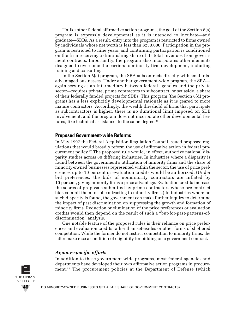Unlike other federal affirmative action programs, the goal of the Section 8(a) program is expressly developmental as it is intended to incubate—and graduate—SDBs. As a result, entry into the program is restricted to firms owned by individuals whose net worth is less than \$250,000. Participation in the program is restricted to nine years, and continuing participation is conditioned on the firm receiving a diminishing share of its total revenues from government contracts. Importantly, the program also incorporates other elements designed to overcome the barriers to minority firm development, including training and consulting.

In the Section 8(a) program, the SBA subcontracts directly with small disadvantaged businesses. Under another government-wide program, the SBA again serving as an intermediary between federal agencies and the private sector—requires private, prime contractors to subcontract, or set aside, a share of their federally funded projects for SDBs. This program (the Section 8(d) program) has a less explicitly developmental rationale as it is geared to more mature contractors. Accordingly, the wealth threshold of firms that participate as subcontractors is higher, there is no durational limit imposed on SDB involvement, and the program does not incorporate other developmental features, like technical assistance, to the same degree.<sup>26</sup>

#### **Proposed Government-wide Reforms**

In May 1997 the Federal Acquisition Regulation Council issued proposed regulations that would broadly reform the use of affirmative action in federal procurement policy. <sup>27</sup> The proposed rule would, in effect, authorize national disparity studies across 80 differing industries. In industries where a disparity is found between the government's utilization of minority firms and the share of minority-owned businesses represented within the sector, the use of price preferences up to 10 percent or evaluation credits would be authorized. (Under bid preferences, the bids of nonminority contractors are inflated by 10 percent, giving minority firms a price advantage. Evaluation credits increase the scores of proposals submitted by prime contractors whose pre-contract bids commit them to subcontracting to minority firms.) In industries where no such disparity is found, the government can make further inquiry to determine the impact of past discrimination on suppressing the growth and formation of minority firms. Reduction or elimination of the price preferences or evaluation credits would then depend on the result of such a "but-for-past-patterns-ofdiscrimination" analysis.

One notable feature of the proposed rules is their reliance on price preferences and evaluation credits rather than set-asides or other forms of sheltered competition. While the former do not restrict competition to minority firms, the latter make race a condition of eligibility for bidding on a government contract.

#### *Agency-specific efforts*

In addition to these government-wide programs, most federal agencies and departments have developed their own affirmative action programs in procurement.<sup>28</sup> The procurement policies at the Department of Defense (which

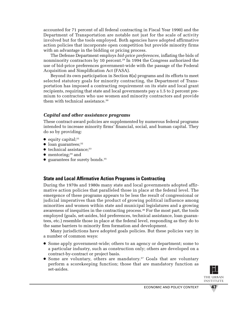accounted for 71 percent of all federal contracting in Fiscal Year 1990) and the Department of Transportation are notable not just for the scale of activity involved but for the tools employed. Both agencies have adopted affirmative action policies that incorporate open competition but provide minority firms with an advantage in the bidding or pricing process.

The Defense Department employs *bid-price preferences,* inflating the bids of nonminority contractors by 10 percent.29 In 1994 the Congress authorized the use of bid-price preferences government-wide with the passage of the Federal Acquisition and Simplification Act (FASA).

Beyond its own participation in Section 8(a) programs and its efforts to meet selected statutory goals for minority contracting, the Department of Transportation has imposed a contracting requirement on its state and local grant recipients, requiring that state and local governments pay a 1.5 to 2 percent premium to contractors who use women and minority contractors and provide them with technical assistance.<sup>30</sup>

#### *Capital and other assistance programs*

These contract-award policies are supplemented by numerous federal programs intended to increase minority firms' financial, social, and human capital. They do so by providing:

- $\bullet$  equity capital;<sup>31</sup>
- $\bullet$  loan guarantees;<sup>32</sup>
- $\bullet$  technical assistance;<sup>33</sup>
- $\bullet$  mentoring;<sup>34</sup> and
- guarantees for surety bonds.35

### **State and Local Affirmative Action Programs in Contracting**

During the 1970s and 1980s many state and local governments adopted affirmative action policies that paralleled those in place at the federal level. The emergence of these programs appears to be less the result of congressional or judicial imperatives than the product of growing political influence among minorities and women within state and municipal legislatures and a growing awareness of inequities in the contracting process.<sup>36</sup> For the most part, the tools employed (goals, set-asides, bid preferences, technical assistance, loan guarantees, etc.) resemble those in place at the federal level, responding as they do to the same barriers to minority firm formation and development.

Many jurisdictions have adopted goals policies. But these policies vary in a number of common ways:

- Some apply government-wide; others to an agency or department; some to a particular industry, such as construction only; others are developed on a contract-by-contract or project basis.
- Some are voluntary, others are mandatory.<sup>37</sup> Goals that are voluntary perform a scorekeeping function; those that are mandatory function as set-asides.

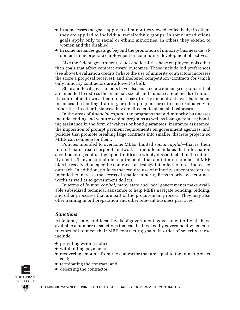- In some cases the goals apply to all minorities viewed collectively; in others they are applied to individual racial/ethnic groups. In some jurisdictions goals apply only to racial or ethnic minorities; in others they extend to women and the disabled.
- In some instances goals go beyond the promotion of minority business development to incorporate employment or community development objectives.

Like the federal government, states and localities have employed tools other than goals that affect contract award outcomes. These include bid preferences (see above); evaluation credits (where the use of minority contractors increases the score a proposal receives); and sheltered competition (contracts for which only minority contractors are allowed to bid).

State and local governments have also enacted a wide range of policies that are intended to redress the financial, social, and human capital needs of minority contractors in ways that do not bear directly on contract awards. In some instances the lending, training, or other programs are directed exclusively to minorities; in other instances they are directed to all small businesses.

In the areas of *financial capital,* the programs that aid minority businesses include lending and venture capital programs as well as loan guarantees; bonding assistance in the form of waivers or bond guarantees; insurance assistance; the imposition of prompt payment requirements on government agencies; and policies that promote breaking large contracts into smaller, discrete projects so MBEs can compete for them.

Policies intended to overcome MBEs' limited *social capital*—that is, their limited mainstream corporate networks—include mandates that information about pending contracting opportunities be widely disseminated in the minority media. They also include requirements that a minimum number of MBE bids be received on specific contracts, a strategy intended to force increased outreach. In addition, policies that require use of minority subcontractors are intended to increase the access of smaller minority firms to private-sector networks as well as to government dollars.

In terms of *human capital,* many state and local governments make available subsidized technical assistance to help MBEs navigate bonding, bidding, and other processes that are part of the procurement process. They may also offer training in bid preparation and other relevant business practices.

#### *Sanctions*

At federal, state, and local levels of government, government officials have available a number of sanctions that can be invoked by government when contractors fail to meet their MBE contracting goals. In order of severity, these include:

- providing written notice;
- withholding payments;
- recovering amounts from the contractor that are equal to the unmet project goal;
- terminating the contract; and
- debarring the contractor.

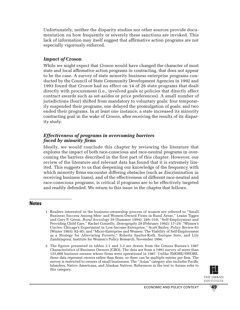Unfortunately, neither the disparity studies nor other sources provide documentation on how frequently or severely these sanctions are invoked. This lack of information may itself suggest that affirmative action programs are not especially vigorously enforced.

#### *Impact of* **Croson**

While we might expect that *Croson* would have changed the character of most state and local affirmative action programs in contracting, that does not appear to be the case. A survey of state minority business enterprise programs conducted by the Council of State Community Development Agencies in 1992 and 1993 found that *Croson* had no effect on 14 of 26 state programs that dealt directly with procurement (i.e., involved goals or policies that directly affect contract awards such as set-asides or price preferences). A small number of jurisdictions (four) shifted from mandatory to voluntary goals; four temporarily suspended their programs; one delayed the promulgation of goals; and two ended their programs. In at least one instance, a state increased its minority contracting goal in the wake of *Croson,* after receiving the results of its disparity study.

#### *Effectiveness of programs in overcoming barriers faced by minority firms*

Ideally, we would conclude this chapter by reviewing the literature that explores the impact of both race-conscious and race-neutral programs in overcoming the barriers described in the first part of this chapter. However, our review of the literature and relevant data has found that it is extremely limited. This suggests to us that deepening our knowledge of the frequency with which minority firms encounter differing obstacles (such as discrimination in receiving business loans), and of the effectiveness of different race-neutral and race-conscious programs, is critical if programs are to be effectively targeted and readily defended. We return to this issue in the chapter that follows.

#### **Notes**

- 1. Readers interested in the business-ownership process of women are referred to "Small Business Success Among Men- and Women-Owned Firms in Rural Areas," Leann Tigges and Gary P. Green, *Rural Sociology* 59 (Summer 1994): 289–310; "Self-Employment and Providing Child Care," Rachel Connelly, *Demography* 29 (February 1992): 17–29; "Winner's Circles: Chicago's Experiment in Low-Income Enterprise," Scott Bailey, *Policy Review* 63 (Winter 1993): 82–85; and "Micro-Enterprise and Women: The Viability of Self-Employment as a Strategy for Alleviating Poverty," Roberta Spalter-Roth, Enrique Soto, and Lily Zandniapour, Institute for Women's Policy Research, November 1994.
- 2. The figures presented in tables 3.1 and 3.2 are drawn from the Census Bureau's 1987 Characteristics of Business Owners (CBO). The data are from a 1991 survey of more than 125,000 business owners whose firms were operational in 1987. Unlike SMOBE/SWOBE, these data represent *owners* rather than firms, so there can be multiple entries per firm. The survey is restricted to owners of small businesses. The "Asian" category also includes Pacific Islanders, Native Americans, and Alaskan Natives. References in the text to Asians refer to this category.



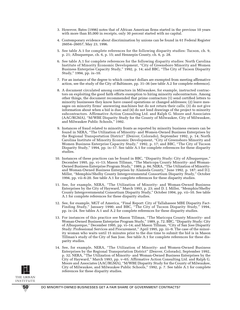- 3. However, Bates (1996) notes that of African American firms started in the previous 10 years with more than \$5,000 in receipts, only 30 percent started with no capital.
- 4. Contemporary evidence about discrimination by unions can be found in 61 Federal Register 26054–26057, May 23, 1996.
- 5. See table A.1 for complete references for the following disparity studies: Tucson, ch. 9, p. 21; Albuquerque, ch. 6, p. 15; and Hennepin County, ch. 6, p. 28.
- 6. See table A.1 for complete references for the following disparity studies: North Carolina Institute of Minority Economic Development, "City of Greensboro Minority and Women Business Enterprise Capacity Study," 1992, p. 14; and BBC, "The City of Tucson Disparity Study," 1994, pp. ix–10.
- 7. For an instance of the degree to which contract dollars are exempted from meeting affirmative action, see the study of the City of Baltimore, pp. 31–36 (see table A.2 for complete reference).
- 8. A document circulated among contractors in Milwaukee, for example, instructed contractors on exploiting the good faith efforts exemption to hiring minority subcontractors. Among other things, the document recommended that prime contractors (1) send certified letters to minority businesses they know have ceased operations or changed addresses; (2) leave messages on minority firms' answering machines but do not return their calls; (3) do not give information about when a bid is due; and (4) do not lend drawings of the project to minority subcontractors. Affirmative Action Consulting Ltd. and Ralph G. Moore and Associates (AAC/RGMA), "M/WBE Disparity Study for the County of Milwaukee, City of Milwaukee, and Milwaukee Public Schools," 1992.
- 9. Instances of fraud related to minority fronts as reported by minority business owners can be found in NERA, "The Utilization of Minority- and Women-Owned Business Enterprises by the Regional Transportation District" (Denver, Colorado), September 1992, p. 14; North Carolina Institute of Minority Economic Development, "City of Greensboro Minority and Women Business Enterprise Capacity Study," 1992, p. 17; and BBC, "The City of Tucson Disparity Study," 1994, pp. ix–17. See table A.1 for complete references for these disparity studies.
- 10. Instances of these practices can be found in BBC, "Disparity Study: City of Albuquerque," December 1995, pp. vi–13; Mason Tillman, "The Maricopa County Minority- and Woman-Owned Business Enterprise Program Study," 1989, p. 84; NERA, "The Utilization of Minorityand Woman-Owned Business Enterprises by Alameda County," June 1992, p. 187; and D.J. Miller, "Memphis/Shelby County Intergovernmental Consortium Disparity Study," October 1994, pp. vii–6-20. See table A.1 for complete references for these disparity studies.
- 11. See, for example, NERA, "The Utilization of Minority- and Woman-Owned Business Enterprises by the City of Hayward," March 1993, p. 23; and D. J. Miller, "Memphis/Shelby County Intergovernmental Consortium Disparity Study," October 1994, pp. vii–10. See table A.1 for complete references for these disparity studies.
- 12. See, for example, MGT of America, "Final Report: City of Tallahassee MBE Disparity Fact-Finding Study," January 1990; and BBC, "The City of Tucson Disparity Study," 1994, pp. ix–24. See tables A.1 and A.2 for complete references for these disparity studies.
- 13. For instances of this practice see Mason Tillman, "The Maricopa County Minority- and Woman-Owned Business Enterprise Program Study," 1989, p. 72; BBC, "Disparity Study: City of Albuquerque," December 1995, pp. vi–14; and Mason Tillman, "City of San Jose Disparity Study: Professional Services and Procurement," April 1995, pp. iii–9. The case of the minority woman who waits until 15 minutes prior to the due time to submit the bid is in Mason Tillman's study of the City of San Jose. See table A.1 for complete references for these disparity studies.
- 14. See, for example, NERA, "The Utilization of Minority- and Women-Owned Business Enterprises by the Regional Transportation District" (Denver, Colorado), September 1992, p. 32; NERA, "The Utilization of Minority- and Woman-Owned Business Enterprises by the City of Hayward," March 1993, pp. v–65; Affirmative Action Consulting Ltd. and Ralph G. Moore and Associates (AAC/RGMA), "M/WBE Disparity Study for the County of Milwaukee, City of Milwaukee, and Milwaukee Public Schools," 1992, p. 7. See table A.1 for complete references for these disparity studies.



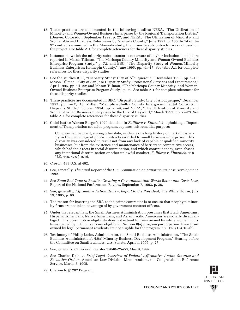- 15. These practices are documented in the following studies: NERA, "The Utilization of Minority- and Women-Owned Business Enterprises by the Regional Transportation District" (Denver, Colorado), September 1992, p. 27; and NERA, "The Utilization of Minority- and Woman-Owned Business Enterprises by Alameda County," June 1992, p. 180. In 14 of the 97 contracts examined in the Alameda study, the minority subcontractor was not used on the project. See table A.1 for complete references for these disparity studies.
- 16. Instances in which the minority subcontractor is not aware of his/her inclusion in a bid are reported in Mason Tillman, "The Maricopa County Minority and Woman-Owned Business Enterprise Program Study," p. 72, and BBC, "The Disparity Study of Women/Minority Business Enterprises: Hennepin County," June 1995, pp. vii–17. See table A.1 for complete references for these disparity studies.
- 17. See the studies BBC, "Disparity Study: City of Albuquerque," December 1995, pp. i–16; Mason Tillman, "City of San Jose Disparity Study: Professional Services and Procurement," April 1995, pp. iii–22; and Mason Tillman, "The Maricopa County Minority- and Woman-Owned Business Enterprise Program Study," p. 79. See table A.1 for complete references for these disparity studies.
- 18. These practices are documented in BBC, "Disparity Study: City of Albuquerque," December 1995, pp. i–27; D.J. Miller, "Memphis/Shelby County Intergovernmental Consortium Disparity Study," October 1994, pp. vii–9; and NERA, "The Utilization of Minority and Woman-Owned Business Enterprises by the City of Hayward," March 1993, pp. vi–23. See table A.1 for complete references for these disparity studies.
- 19. Chief Justice Warren Burger's 1979 decision in *Fullilove v. Klutznick,* upholding a Department of Transportation set-aside program, captures this remedial purpose:

Congress had before it, among other data, evidence of a long history of marked disparity in the percentage of public contracts awarded to small business enterprises. This disparity was considered to result not from any lack of capable or qualified minority businesses, but from the existence and maintenance of barriers to competitive access, which had their roots in racial discrimination, and which continue today, even absent any intentional discrimination or other unlawful conduct. *Fullilove v. Klutznick,* 448 U.S. 448, 478 (1979).

- 20. *Croson,* 488 U.S. at 492.
- 21. See, generally, *The Final Report of the U.S. Commission on Minority Business Development,* 1992.
- 22. See *From Red Tape to Results: Creating a Government that Works Better and Costs Less,* Report of the National Performance Review, September 7, 1993, p. 26.
- 23. See, generally, *Affirmative Action Review, Report to the President,* The White House, July 19, 1995, p. 60.
- 24. The reason for inserting the SBA as the prime contractor is to ensure that neophyte minority firms are not taken advantage of by government contract officers.
- 25. Under the relevant law, the Small Business Administration presumes that Black Americans, Hispanic Americans, Native Americans, and Asian Pacific Americans are socially disadvantaged. This presumptive eligibility does not extend to firms owned by white women. Only firms owned by U.S. citizens are eligible for Section 8(a) program participation. Even firms owned by legal permanent residents are not eligible for the program. 13 CFR §124.105(b).
- 26. Testimony of Philip Lader, Administrator, the Small Business Administration, "The Small Business Administration's §8(a) Minority Business Development Program," Hearing before the Committee on Small Business, U.S. Senate, April 4, 1995, p. 27.
- 27. See, generally, 62 Federal Register 25648–25453, May 9, 1997.
- 28. See Charles Dale, *A Brief Legal Overview of Federal Affirmative Action Statutes and Executive Orders,* American Law Division Memorandum, the Congressional Reference Service, March 8, 1995.
- 29. Citation to §1207 Program.

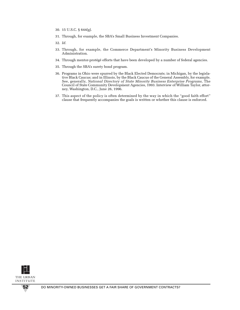- 30. 15 U.S.C. § 644(g).
- 31. Through, for example, the SBA's Small Business Investment Companies.
- 32. *Id.*
- 33. Through, for example, the Commerce Department's Minority Business Development Administration.
- 34. Through mentor-protégé efforts that have been developed by a number of federal agencies.
- 35. Through the SBA's surety bond program.
- 36. Programs in Ohio were spurred by the Black Elected Democrats; in Michigan, by the legislative Black Caucus; and in Illinois, by the Black Caucus of the General Assembly, for example. See, generally, *National Directory of State Minority Business Enterprise Programs,* The Council of State Community Development Agencies, 1993. Interview of William Taylor, attorney, Washington, D.C., June 26, 1996.
- 37. This aspect of the policy is often determined by the way in which the "good faith effort" clause that frequently accompanies the goals is written or whether this clause is enforced.

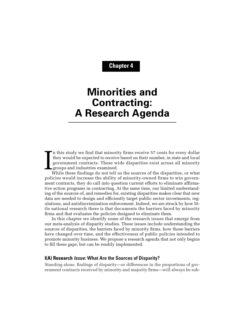**Chapter 4**

# **Minorities and Contracting: A Research Agenda**

I n this study we find that minority firms receive 57 cents for every dollar they would be expected to receive based on their number, in state and local government contracts. These wide disparities exist across all minority groups and industries examined.

While these findings do not tell us the sources of the disparities, or what policies would increase the ability of minority-owned firms to win government contracts, they do call into question current efforts to eliminate affirmative action programs in contracting. At the same time, our limited understanding of the sources of, and remedies for, existing disparities makes clear that new data are needed to design and efficiently target public sector investments, regulations, and antidiscrimination enforcement. Indeed, we are struck by how little national research there is that documents the barriers faced by minority firms and that evaluates the policies designed to eliminate them.

In this chapter we identify some of the research issues that emerge from our meta-analysis of disparity studies. These issues include understanding the sources of disparities, the barriers faced by minority firms, how those barriers have changed over time, and the effectiveness of public policies intended to promote minority business. We propose a research agenda that not only begins to fill these gaps, but can be readily implemented.

#### **I(A) Research Issue: What Are the Sources of Disparity?**

Standing alone, findings of disparity—or differences in the proportions of government contracts received by minority and majority firms—will always be sub-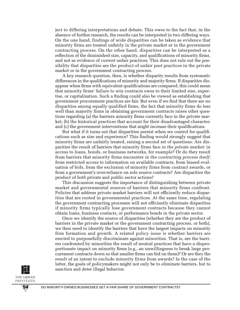ject to differing interpretations and debate. This owes to the fact that, in the absence of further research, the results can be interpreted in two differing ways. On the one hand, findings of wide disparities can be taken as evidence that minority firms are treated unfairly in the private market or in the government contracting process. On the other hand, disparities can be interpreted as a reflection of the diminished size, capacity, and qualifications of minority firms, and not as evidence of *current* unfair practices. This does not rule out the possibility that disparities are the product of unfair *past* practices in the private market or in the government contracting process.

A key research question, then, is whether disparity results from systematic differences in the qualifications of minority and majority firms. If disparities disappear when firms with equivalent qualifications are compared, this could mean that minority firms' failure to win contracts owes to their limited size, expertise, or capitalization. Such a finding could also be viewed as establishing that government procurement practices are fair. But even if we find that there are no disparities among equally qualified firms, the fact that minority firms do less well than majority firms in obtaining government contracts raises other questions regarding (a) the barriers minority firms currently face in the private market; (b) the historical practices that account for their disadvantaged character; and (c) the government interventions that might increase their qualifications.

But what if it turns out that disparities persist when we control for qualifications such as size and experience? This finding would strongly suggest that minority firms are unfairly treated, raising a second set of questions: Are disparities the result of barriers that minority firms face *in the private market:* in access to loans, bonds, or business networks, for example? Or do they result from barriers that minority firms encounter *in the contracting process itself:* from restricted access to information on available contracts, from biased evaluation of bids, from the exclusion of minority firms from contract awards, or from a government's over-reliance on sole source contracts? Are disparities the product of *both* private and public sector actions?

This discussion suggests the importance of distinguishing between private market and governmental sources of barriers that minority firms confront. Policies that address private market barriers will not efficiently reduce disparities that are rooted in governmental practices. At the same time, regulating the government contracting processes will not efficiently eliminate disparities if minority firms typically lose government contracts because they cannot obtain loans, business contacts, or performance bonds in the private sector.

Once we identify the source of disparities (whether they are the product of barriers in the private market or the government contracting process, or both), we then need to identify the barriers that have the largest impacts on minority firm formation and growth. A related policy issue is whether barriers are erected to purposefully discriminate against minorities. That is, are the barriers confronted by minorities the result of neutral practices that have a disproportionate impact on minority firms (e.g., an unwillingness to break large procurement contracts down so that smaller firms can bid on them)? Or are they the result of an intent to exclude minority firms from awards? In the case of the latter, the goals of policymakers might not only be to eliminate barriers, but to sanction and deter illegal behavior.

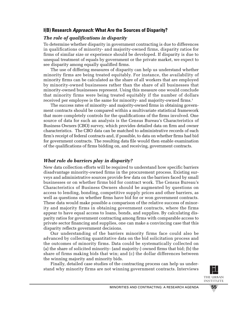# **I(B) Research Approach: What Are the Sources of Disparity?**

## *The role of qualifications in disparity*

To determine whether disparity in government contracting is due to differences in qualifications of minority- and majority-owned firms, disparity ratios for firms of similar size or experience should be developed. If disparity is due to unequal treatment of equals by government or the private market, we expect to see disparity among equally qualified firms.

The use of differing measures of disparity can help us understand whether minority firms are being treated equitably. For instance, the availability of minority firms can be calculated as the share of all workers that are employed by minority-owned businesses rather than the share of all businesses that minority-owned businesses represent. Using this measure one would conclude that minority firms were being treated equitably if the number of dollars received per employee is the same for minority- and majority-owned firms.<sup>1</sup>

The success rates of minority- and majority-owned firms in obtaining government contracts should be compared within a multivariate statistical framework that more completely controls for the qualifications of the firms involved. One source of data for such an analysis is the Census Bureau's Characteristics of Business Owners (CBO) survey, which provides detailed data on firm and owner characteristics. The CBO data can be matched to administrative records of each firm's receipt of federal contracts and, if possible, to data on whether firms had bid for government contracts. The resulting data file would then enable examination of the qualifications of firms bidding on, and receiving, government contracts.

### *What role do barriers play in disparity?*

New data collection efforts will be required to understand how specific barriers disadvantage minority-owned firms in the procurement process. Existing surveys and administrative sources provide few data on the barriers faced by small businesses or on whether firms bid for contract work. The Census Bureau's Characteristics of Business Owners should be augmented by questions on access to lending, bonding, competitive supply prices and other barriers, as well as questions on whether firms have bid for or won government contracts. These data would make possible a comparison of the relative success of minority and majority firms in obtaining government contracts, where the firms appear to have equal access to loans, bonds, and supplies. By calculating disparity ratios for government contracting among firms with comparable access to private sector financing and supplies, one can make a convincing case that this disparity reflects government decisions.

Our understanding of the barriers minority firms face could also be advanced by collecting quantitative data on the bid solicitation process and the outcomes of minority firms. Data could be systematically collected on (a) the share of solicited minority- (and majority-) owned firms that bid; (b) the share of firms making bids that win; and (c) the dollar differences between the winning majority and minority bids.

Finally, detailed case studies of the contracting process can help us understand why minority firms are not winning government contracts. Interviews

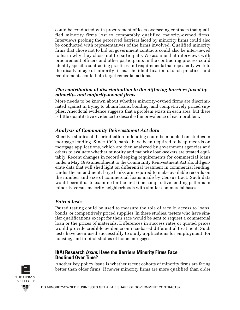could be conducted with procurement officers overseeing contracts that qualified minority firms lost to comparably qualified majority-owned firms. Interviews probing the perceived barriers faced by minority firms could also be conducted with representatives of the firms involved. Qualified minority firms that chose not to bid on government contracts could also be interviewed to learn why they chose not to participate. We assume that interviews with procurement officers and other participants in the contracting process could identify specific contracting practices and requirements that repeatedly work to the disadvantage of minority firms. The identification of such practices and requirements could help target remedial actions.

#### *The contribution of discrimination to the differing barriers faced by minority- and majority-owned firms*

More needs to be known about whether minority-owned firms are discriminated against in trying to obtain loans, bonding, and competitively priced supplies. Anecdotal evidence suggests that a problem exists in each area, but there is little quantitative evidence to describe the prevalence of each problem.

### *Analysis of Community Reinvestment Act data*

Effective studies of discrimination in lending could be modeled on studies in mortgage lending. Since 1990, banks have been required to keep records on mortgage applications, which are then analyzed by government agencies and others to evaluate whether minority and majority loan-seekers are treated equitably. Recent changes in record-keeping requirements for commercial loans under a May 1995 amendment to the Community Reinvestment Act should generate data that will shed light on differential treatment in commercial lending. Under the amendment, large banks are required to make available records on the number and size of commercial loans made by Census tract. Such data would permit us to examine for the first time comparative lending patterns in minority versus majority neighborhoods with similar commercial bases.

### *Paired tests*

Paired testing could be used to measure the role of race in access to loans, bonds, or competitively priced supplies. In these studies, testers who have similar qualifications except for their race would be sent to request a commercial loan or the prices of materials. Differences in success rates or quoted prices would provide credible evidence on race-based differential treatment. Such tests have been used successfully to study applications for employment, for housing, and in pilot studies of home mortgages.

#### **II(A) Research Issue: Have the Barriers Minority Firms Face Declined Over Time?**

Another key policy issue is whether recent cohorts of minority firms are faring better than older firms. If newer minority firms are more qualified than older

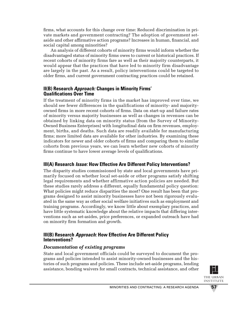firms, what accounts for this change over time: Reduced discrimination in private markets and government contracting? The adoption of government setaside and other affirmative action programs? Increases in human, financial, and social capital among minorities?

An analysis of different cohorts of minority firms would inform whether the disadvantaged status of minority firms owes to current or historical practices. If recent cohorts of minority firms fare as well as their majority counterparts, it would appear that the practices that have led to minority firm disadvantage are largely in the past. As a result, policy interventions could be targeted to older firms, and current government contracting practices could be retained.

### **II(B) Research Approach: Changes in Minority Firms' Qualifications Over Time**

If the treatment of minority firms in the market has improved over time, we should see fewer differences in the qualifications of minority- and majorityowned firms in more recent cohorts of firms. Data on start-up and failure rates of minority versus majority businesses as well as changes in revenues can be obtained by linking data on minority status (from the Survey of Minority-Owned Business Enterprises) with longitudinal data on firm revenues, employment, births, and deaths. Such data are readily available for manufacturing firms; more limited data are available for other industries. By examining these indicators for newer and older cohorts of firms and comparing them to similar cohorts from previous years, we can learn whether new cohorts of minority firms continue to have lower average levels of qualifications.

# **III(A) Research Issue: How Effective Are Different Policy Interventions?**

The disparity studies commissioned by state and local governments have primarily focused on whether local set-aside or other programs satisfy shifting legal requirements and whether affirmative action policies are needed. But these studies rarely address a different, equally fundamental policy question: What policies might reduce disparities the most? One result has been that programs designed to assist minority businesses have not been rigorously evaluated in the same way as other social welfare initiatives such as employment and training programs. Accordingly, we know little about exemplary practices, and have little systematic knowledge about the relative impacts that differing interventions such as set-asides, price preferences, or expanded outreach have had on minority firm formation and growth.

### **III(B) Research Approach: How Effective Are Different Policy Interventions?**

#### *Documentation of existing programs*

State and local government officials could be surveyed to document the programs and policies intended to assist minority-owned businesses and the histories of such programs and policies. These include set-aside programs, lending assistance, bonding waivers for small contracts, technical assistance, and other

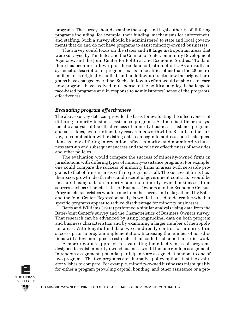programs. The survey should examine the scope and legal authority of differing programs including, for example, their funding, mechanisms for enforcement, and staffing. Such a survey should be administered to state and local governments that do and do not have programs to assist minority-owned businesses.

The survey could focus on the states and 28 large metropolitan areas that were surveyed by Tim Bates and the Council of State Community Development Agencies, and the Joint Center for Political and Economic Studies.2 To date, there has been no follow-up of these data collection efforts. As a result, no systematic description of programs exists in localities other than the 28 metropolitan areas originally studied, and no follow-up tracks how the original programs have changed over time. Such a follow-up effort would enable us to learn how programs have evolved in response to the political and legal challenge to race-based programs and in response to administrators' sense of the programs' effectiveness.

#### *Evaluating program effectiveness*

The above survey data can provide the basis for evaluating the effectiveness of differing minority-business assistance programs. As there is little or no systematic analysis of the effectiveness of minority-business assistance programs and set-asides, even rudimentary research is worthwhile. Results of the survey, in combination with existing data, can begin to address such basic questions as how differing interventions affect minority (and nonminority) business start-up and subsequent success and the relative effectiveness of set-asides and other policies.

The evaluation would compare the success of minority-owned firms in jurisdictions with differing types of minority-assistance programs. For example, one could compare the success of minority firms in areas with set-aside programs to that of firms in areas with no programs at all. The success of firms (i.e., their size, growth, death rates, and receipt of government contracts) would be measured using data on minority- and nonminority-owned businesses from sources such as Characteristics of Business Owners and the Economic Census. Program characteristics would come from the survey and data gathered by Bates and the Joint Center. Regression analysis would be used to determine whether specific programs appear to reduce disadvantage for minority businesses.

Bates and Williams (1993) performed a similar analysis using data from the Bates/Joint Center's survey and the Characteristics of Business Owners survey. That research can be advanced by using longitudinal data on both program and business characteristics and by examining a larger number of metropolitan areas. With longitudinal data, we can directly control for minority firm success prior to program implementation. Increasing the number of jurisdictions will allow more precise estimates than could be obtained in earlier work.

A more rigorous approach to evaluating the effectiveness of programs designed to assist minority-owned business would include random assignment. In random assignment, potential participants are assigned at random to one of two programs. The two programs are alternative policy options that the evaluator wishes to compare. For example, minority-owned businesses might qualify for either a program providing capital, bonding, and other assistance *or* a pro-

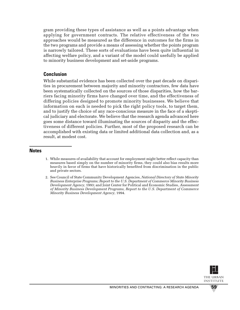gram providing these types of assistance as well as a points advantage when applying for government contracts. The relative effectiveness of the two approaches would be measured as the difference in outcomes for the firms in the two programs and provide a means of assessing whether the points program is narrowly tailored. These sorts of evaluations have been quite influential in affecting welfare policy, and a variant of the model could usefully be applied to minority business development and set-aside programs.

### **Conclusion**

While substantial evidence has been collected over the past decade on disparities in procurement between majority and minority contractors, few data have been systematically collected on the sources of those disparities, how the barriers facing minority firms have changed over time, and the effectiveness of differing policies designed to promote minority businesses. We believe that information on each is needed to pick the right policy tools, to target them, and to justify the choice of any race-conscious measure in the face of a skeptical judiciary and electorate. We believe that the research agenda advanced here goes some distance toward illuminating the sources of disparity and the effectiveness of different policies. Further, most of the proposed research can be accomplished with existing data or limited additional data collection and, as a result, at modest cost.

#### **Notes**

- 1. While measures of availability that account for employment might better reflect capacity than measures based simply on the number of minority firms, they could also bias results more heavily in favor of firms that have historically benefited from discrimination in the public and private sectors.
- 2. See Council of State Community Development Agencies, *National Directory of State Minority Business Enterprise Programs; Report to the U.S. Department of Commerce Minority Business Development Agency*, 1993; and Joint Center for Political and Economic Studies, *Assessment of Minority Business Development Programs, Report to the U.S. Department of Commerce Minority Business Development Agency*, 1994.

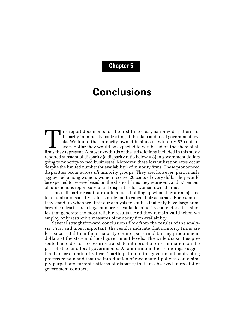## **Chapter 5**

# **Conclusions**

This report documents for the first time clear, nationwide patterns of disparity in minority contracting at the state and local government levels. We found that minority-owned businesses win only 57 cents of every dollar t disparity in minority contracting at the state and local government levels. We found that minority-owned businesses win only 57 cents of every dollar they would be expected to win based on the share of all reported substantial disparity (a disparity ratio below 0.8) in government dollars going to minority-owned businesses. Moreover, these low utilization rates occur despite the limited number (or availability) of minority firms. These pronounced disparities occur across *all* minority groups. They are, however, particularly aggravated among women: women receive 29 cents of every dollar they would be expected to receive based on the share of firms they represent, and 87 percent of jurisdictions report substantial disparities for women-owned firms.

These disparity results are quite robust, holding up when they are subjected to a number of sensitivity tests designed to gauge their accuracy. For example, they stand up when we limit our analysis to studies that only have large numbers of contracts and a large number of available minority contractors (i.e., studies that generate the most reliable results). And they remain valid when we employ only restrictive measures of minority firm availability.

Several straightforward conclusions flow from the results of the analysis. First and most important, the results indicate that minority firms are less successful than their majority counterparts in obtaining procurement dollars at the state and local government levels. The wide disparities presented here do not necessarily translate into proof of discrimination on the part of state and local governments. At a minimum, these findings suggest that barriers to minority firms' participation in the government contracting process remain and that the introduction of race-neutral policies could simply perpetuate current patterns of disparity that are observed in receipt of government contracts.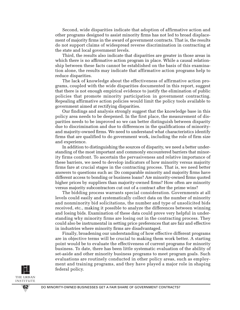Second, wide disparities indicate that adoption of affirmative action and other programs designed to assist minority firms has not led to broad displacement of majority firms in the award of government contracts. That is, the results do not support claims of widespread reverse discrimination in contracting at the state and local government levels.

Third, the results also indicate that disparities are greater in those areas in which there is no affirmative action program in place. While a causal relationship between these facts cannot be established on the basis of this examination alone, the results may indicate that affirmative action programs help to reduce disparities.

The lack of knowledge about the effectiveness of affirmative action programs, coupled with the wide disparities documented in this report, suggest that there is not enough empirical evidence to justify the elimination of public policies that promote minority participation in government contracting. Repealing affirmative action policies would limit the policy tools available to government aimed at rectifying disparities.

Our findings and analysis strongly suggest that the knowledge base in this policy area needs to be deepened. In the first place, the measurement of disparities needs to be improved so we can better distinguish between disparity due to discrimination and due to differences in the qualifications of minorityand majority-owned firms. We need to understand what characteristics identify firms that are qualified to do government work, including the role of firm size and experience.

In addition to distinguishing the sources of disparity, we need a better understanding of the most important and commonly encountered barriers that minority firms confront. To ascertain the pervasiveness and relative importance of these barriers, we need to develop indicators of how minority versus majority firms fare at crucial stages in the contracting process. That is, we need better answers to questions such as: Do comparable minority and majority firms have different access to bonding or business loans? Are minority-owned firms quoted higher prices by suppliers than majority-owned firms? How often are minority versus majority subcontractors cut out of a contract after the prime wins?

The bidding process warrants special consideration. Governments at all levels could easily and systematically collect data on the number of minority and nonminority bid solicitations, the number and type of unsolicited bids received, etc., making it possible to analyze the differences between winning and losing bids. Examination of these data could prove very helpful in understanding why minority firms are losing out in the contracting process. They could also be instrumental in setting price preferences that are fair and effective in industries where minority firms are disadvantaged.

Finally, broadening our understanding of how effective different programs are in objective terms will be crucial to making them work better. A starting point would be to evaluate the effectiveness of current programs for minority business. To date, there has been little systematic evaluation of the ability of set-aside and other minority business programs to meet program goals. Such evaluations are routinely conducted in other policy areas, such as employment and training programs, and they have played a major role in shaping federal policy.

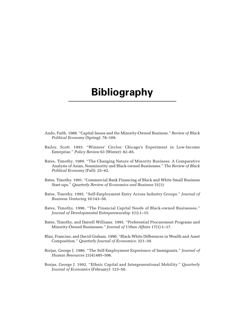# **Bibliography**

- Ando, Faith. 1988. "Capital Issues and the Minority-Owned Business." *Review of Black Political Economy* (Spring): 78–109.
- Bailey, Scott. 1993. "Winners' Circles: Chicago's Experiment in Low-Income Enterprise." *Policy Review* 63 (Winter): 82–85.
- Bates, Timothy. 1989. "The Changing Nature of Minority Business: A Comparative Analysis of Asian, Nonminority and Black-owned Businesses." *The Review of Black Political Economy* (Fall): 25–42.
- Bates, Timothy. 1991. "Commercial Bank Financing of Black and White Small Business Start-ups." *Quarterly Review of Economics and Business* 31(1):
- Bates, Timothy. 1995. "Self-Employment Entry Across Industry Groups." *Journal of Business Venturing* 10:143–56.
- Bates, Timothy. 1996. "The Financial Capital Needs of Black-owned Businesses." *Journal of Developmental Entrepreneurship* 1(1):1–15.
- Bates, Timothy, and Darrell Williams. 1995. "Preferential Procurement Programs and Minority-Owned Businesses." *Journal of Urban Affairs* 17(1):1–17.
- Blau, Francine, and David Graham. 1990. "Black-White Differences in Wealth and Asset Composition." *Quarterly Journal of Economics*: 321–39.
- Borjas, George J. 1986. "The Self-Employment Experience of Immigrants." *Journal of Human Resources* 21(4):485–506.
- Borjas, George J. 1992. "Ethnic Capital and Intergenerational Mobility." *Quarterly Journal of Economics* (February): 123–50.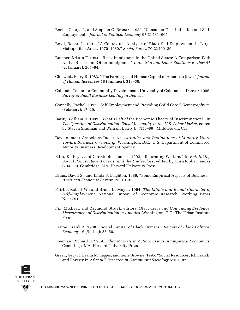- Borjas, George J., and Stephen G. Bronars. 1989. "Consumer Discrimination and Self-Employment." *Journal of Political Economy* 97(3):581–605.
- Boyd, Robert L. 1991. "A Contextual Analysis of Black Self-Employment in Large Metropolitan Areas, 1970–1980." *Social Forces* 70(2):409–29.
- Butcher, Kristin F. 1994. "Black Immigrants in the United States: A Comparison With Native Blacks and Other Immigrants." *Industrial and Labor Relations Review* 47 (2, January): 265–84.
- Chiswick, Barry R. 1983. "The Earnings and Human Capital of American Jews." *Journal of Human Resources* 18 (Summer): 313–36.
- Colorado Center for Community Development, University of Colorado at Denver. 1996. *Survey of Small Business Lending in Denver*.
- Connelly, Rachel. 1992. "Self-Employment and Providing Child Care." *Demography* 29 (February): 17–29.
- Darity, William Jr. 1989. "What's Left of the Economic Theory of Discrimination?" In *The Question of Discrimination: Racial Inequality in the U.S. Labor Market*, edited by Steven Shulman and William Darity Jr. (153–89). Middletown, CT.
- Development Associates Inc. 1987. *Attitudes and Inclinations of Minority Youth Toward Business Ownership*. Washington, D.C.: U.S. Department of Commerce, Minority Business Development Agency.
- Edin, Kathryn, and Christopher Jencks. 1992. "Reforming Welfare." In *Rethinking Social Policy: Race, Poverty, and the Underclass*, edited by Christopher Jencks (204–36). Cambridge, MA: Harvard University Press.
- Evans, David S., and Linda S. Leighton. 1989. "Some Empirical Aspects of Business." *American Economic Review* 79:519–35.
- Fairlie, Robert W., and Bruce D. Meyer. 1994. *The Ethnic and Racial Character of Self-Employment*. National Bureau of Economic Research, Working Paper No. 4791.
- Fix, Michael, and Raymond Struyk, editors. 1993. *Clear and Convincing Evidence: Measurement of Discrimination in America*. Washington, D.C.: The Urban Institute Press.
- Fratoe, Frank A. 1988. "Social Capital of Black Owners." *Review of Black Political Economy* 16 (Spring): 33–50.
- Freeman, Richard B. 1989. *Labor Markets in Action: Essays in Empirical Economics*. Cambridge, MA: Harvard University Press.
- Green, Gary P., Leann M. Tigges, and Irene Browne. 1995. "Social Resources, Job Search, and Poverty in Atlanta." *Research in Community Sociology* 5:161–82.

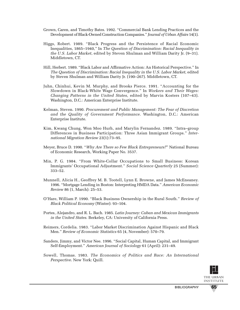- Grown, Caren, and Timothy Bates. 1992. "Commercial Bank Lending Practices and the Development of Black-Owned Construction Companies." *Journal of Urban Affairs* 14(1).
- Higgs, Robert. 1989. "Black Progress and the Persistence of Racial Economic Inequalities, 1865–1940," In *The Question of Discrimination: Racial Inequality in the U.S. Labor Market*, edited by Steven Shulman and William Darity Jr. (9–31). Middletown, CT.
- Hill, Herbert. 1989. "Black Labor and Affirmative Action: An Historical Perspective." In *The Question of Discrimination: Racial Inequality in the U.S. Labor Market*, edited by Steven Shulman and William Darity Jr. (190–267). Middletown, CT.
- Juhn, Chinhui, Kevin M. Murphy, and Brooks Pierce. 1991. "Accounting for the Slowdown in Black-White Wage Convergence." In *Workers and Their Wages: Changing Patterns in the United States*, edited by Marvin Kosters (107–43). Washington, D.C.: American Enterprise Institute.
- Kelman, Steven. 1990. *Procurement and Public Management: The Fear of Discretion and the Quality of Government Performance*. Washington, D.C.: American Enterprise Institute.
- Kim, Kwang Chung, Won Moo Hurh, and Marylin Fernandez. 1989. "Intra–group Differences in Business Participation: Three Asian Immigrant Groups." *International Migration Review* 23(1):73–95.
- Meyer, Bruce D. 1990. "*Why Are There so Few Black Entrepreneurs?*" National Bureau of Economic Research, Working Paper No. 3537.
- Min, P. G. 1984. "From White-Collar Occupations to Small Business: Korean Immigrants' Occupational Adjustment." *Social Science Quarterly* 25 (Summer): 333–52.
- Munnell, Alicia H., Geoffrey M. B. Tootell, Lynn E. Browne, and James McEneaney. 1996. "Mortgage Lending in Boston: Interpreting HMDA Data." *American Economic Review* 86 (1, March): 25–53.
- O'Hare, William P. 1990. "Black Business Ownership in the Rural South." *Review of Black Political Economy* (Winter): 93–104.
- Portes, Alejandro, and R. L. Bach. 1985. *Latin Journey: Cuban and Mexican Immigrants in the United States*. Berkeley, CA: University of California Press.
- Reimers, Cordelia. 1983. "Labor Market Discrimination Against Hispanic and Black Men." *Review of Economic Statistics* 65 (4, November): 570–79.
- Sanders, Jimmy, and Victor Nee. 1996. "Social Capital, Human Capital, and Immigrant Self-Employment." *American Journal of Sociology* 61 (April): 231–49.
- Sowell, Thomas. 1983. *The Economics of Politics and Race: An International Perspective*. New York: Quill.

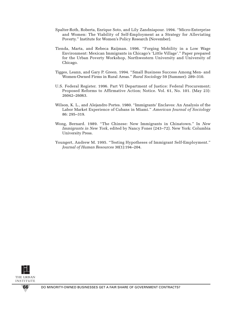- Spalter-Roth, Roberta, Enrique Soto, and Lily Zandniapour. 1994. "Micro-Enterprise and Women: The Viability of Self-Employment as a Strategy for Alleviating Poverty." Institute for Women's Policy Research (November).
- Tienda, Marta, and Rebeca Raijman. 1996. "Forging Mobility in a Low Wage Environment: Mexican Immigrants in Chicago's 'Little Village'." Paper prepared for the Urban Poverty Workshop, Northwestern University and University of Chicago.
- Tigges, Leann, and Gary P. Green. 1994. "Small Business Success Among Men- and Women-Owned Firms in Rural Areas." *Rural Sociology* 59 (Summer): 289–310.
- U.S. Federal Register. 1996. Part VI Department of Justice: Federal Procurement; Proposed Reforms to Affirmative Action; Notice. Vol. 61, No. 101. (May 23): 26042–26063.
- Wilson, K. L., and Alejandro Portes. 1980. "Immigrants' Enclaves: An Analysis of the Labor Market Experience of Cubans in Miami." *American Journal of Sociology* 86: 295–319.
- Wong, Bernard. 1989. "The Chinese: New Immigrants in Chinatown." In *New Immigrants in New York*, edited by Nancy Foner (243–72). New York: Columbia University Press.
- Youngert, Andrew M. 1995. "Testing Hypotheses of Immigrant Self-Employment." *Journal of Human Resources* 30(1):194–204.

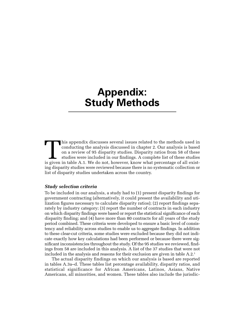# **Appendix: Study Methods**

This appendix discusses several issues related to the methods used in conducting the analysis discussed in chapter 2. Our analysis is based on a review of 95 disparity studies. Disparity ratios from 58 of these studies is conducting the analysis discussed in chapter 2. Our analysis is based on a review of 95 disparity studies. Disparity ratios from 58 of these studies were included in our findings. A complete list of these studies ing disparity studies were reviewed because there is no systematic collection or list of disparity studies undertaken across the country.

#### *Study selection criteria*

To be included in our analysis, a study had to (1) present disparity findings for government contracting (alternatively, it could present the availability and utilization figures necessary to calculate disparity ratios); (2) report findings separately by industry category; (3) report the number of contracts in each industry on which disparity findings were based or report the statistical significance of each disparity finding; and (4) have more than 80 contracts for all years of the study period combined. These criteria were developed to ensure a basic level of consistency and reliability across studies to enable us to aggregate findings. In addition to these clear-cut criteria, some studies were excluded because they did not indicate exactly how key calculations had been performed or because there were significant inconsistencies throughout the study. Of the 95 studies we reviewed, findings from 58 are included in this analysis. A list of the 37 studies that were not included in the analysis and reasons for their exclusion are given in table A.2.1

The actual disparity findings on which our analysis is based are reported in tables A.3a–d. These tables list percentage availability, disparity ratios, and statistical significance for African Americans, Latinos, Asians, Native Americans, all minorities, and women. These tables also include the jurisdic-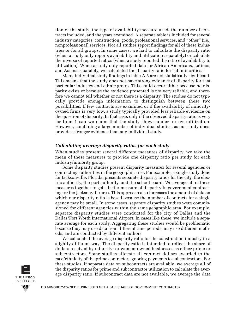tion of the study, the type of availability measure used, the number of contracts included, and the years examined. A separate table is included for several industry categories: construction, goods, professional services, and "other" (i.e., nonprofessional) services. Not all studies report findings for all of these industries or for all groups. In some cases, we had to calculate the disparity ratio (when a study only reports availability and utilization separately) or calculate the inverse of reported ratios (when a study reported the ratio of availability to utilization). When a study only reported data for African Americans, Latinos, and Asians separately, we calculated the disparity ratio for "all minorities."

Many individual study findings in table A.3 are not statistically significant. This means that the study does not have strong evidence of disparity for that particular industry and ethnic group. This could occur either because no disparity exists or because the evidence presented is not very reliable, and therefore we cannot tell whether or not there is a disparity. The studies do not typically provide enough information to distinguish between these two possibilities. If few contracts are examined or if the availability of minorityowned firms is very low, a study typically provided less reliable evidence on the question of disparity. In that case, only if the observed disparity ratio is very far from 1 can we claim that the study shows under- or overutilization. However, combining a large number of individual studies, as our study does, provides stronger evidence than any individual study.

#### *Calculating average disparity ratios for each study*

When studies present several different measures of disparity, we take the mean of these measures to provide one disparity ratio per study for each industry/minority group.

Some disparity studies present disparity measures for several agencies or contracting authorities in the geographic area. For example, a single study done for Jacksonville, Florida, presents separate disparity ratios for the city, the electric authority, the port authority, and the school board. We average all of these measures together to get a better measure of disparity in government contracting for the Jacksonville area. This approach also increases the amount of data on which our disparity ratio is based because the number of contracts for a single agency may be small. In some cases, separate disparity studies were commissioned for different agencies within the same geographic area. For example, separate disparity studies were conducted for the city of Dallas and the Dallas/Fort Worth International Airport. In cases like these, we include a separate average for each study. Aggregating these studies would be problematic because they may use data from different time periods, may use different methods, and are conducted by different authors.

We calculated the average disparity ratio for the construction industry in a slightly different way. The disparity ratio is intended to reflect the share of dollars received by minority- or women-owned businesses as either prime or subcontractors. Some studies allocate all contract dollars awarded to the race/ethnicity of the prime contractor, ignoring payments to subcontractors. For these studies, if separate data on subcontracts are available, we average all of the disparity ratios for prime and subcontractor utilization to calculate the average disparity ratio. If subcontract data are not available, we average the data

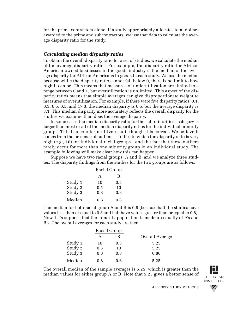for the prime contractors alone. If a study appropriately allocates total dollars awarded to the prime and subcontractors, we use that data to calculate the average disparity ratio for the study.

### *Calculating median disparity ratios*

To obtain the overall disparity ratio for a set of studies, we calculate the median of the average disparity ratios. For example, the disparity ratio for African American-owned businesses in the goods industry is the median of the average disparity for African Americans in goods in each study. We use the median because while the disparity ratio cannot fall below 0, there is no limit to how high it can be. This means that measures of underutilization are limited to a range between 0 and 1, but overutilization is unlimited. This aspect of the disparity ratios means that simple averages can give disproportionate weight to measures of overutilization. For example, if there were five disparity ratios, 0.1, 0.3, 0.5, 0.5, and 17.3, the median disparity is 0.5, but the average disparity is 3.1. This median disparity more accurately reflects the overall disparity for the studies we examine than does the average disparity.

In some cases the median disparity ratio for the "all minorities" category is larger than most or all of the median disparity ratios for the individual minority groups. This is a counterintuitive result, though it is correct. We believe it comes from the presence of outliers—studies in which the disparity ratio is very high (e.g., 10) for individual racial groups—and the fact that these outliers rarely occur for more than one minority group in an individual study. The example following will make clear how this can happen.

Suppose we have two racial groups, A and B, and we analyze three studies. The disparity findings from the studies for the two groups are as follows:

|         | Racial Group |     |
|---------|--------------|-----|
|         | A            | B   |
| Study 1 | 10           | 0.5 |
| Study 2 | 0.5          | 10  |
| Study 3 | 0.8          | 0.8 |
| Median  | 0.8          | 0.8 |

The median for both racial group A and B is 0.8 (because half the studies have values less than or equal to 0.8 and half have values greater than or equal to 0.8). Now, let's suppose that the minority population is made up equally of A's and B's. The overall averages for each study are then

|         | Racial Group |     |                 |
|---------|--------------|-----|-----------------|
|         |              | В   | Overall Average |
| Study 1 | 10           | 0.5 | 5.25            |
| Study 2 | 0.5          | 10  | 5.25            |
| Study 3 | 0.8          | 0.8 | 0.80            |
| Median  | 0.8          | 0.8 | 5.25            |

The overall median of the sample averages is 5.25, which is greater than the median values for either group A or B. Note that 5.25 gives a better sense of



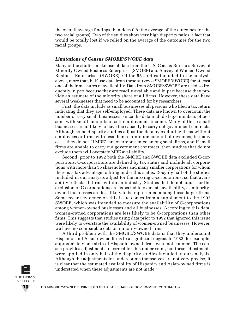the overall average findings than does 0.8 (the average of the outcomes for the two racial groups). Two of the studies show very high disparity ratios, a fact that would be totally lost if we relied on the average of the outcomes for the two racial groups.

#### *Limitations of Census SMOBE/SWOBE data*

Many of the studies make use of data from the U.S. Census Bureau's Survey of Minority-Owned Business Enterprises (SMOBE) and Survey of Women-Owned Business Enterprises (SWOBE). Of the 58 studies included in the analysis above, more than half use data from these surveys (SMOBE/SWOBE) for at least one of their measures of availability. Data from SMOBE/SWOBE are used so frequently in part because they are readily available and in part because they provide an estimate of the minority share of all firms. However, these data have several weaknesses that need to be accounted for by researchers.

First, the data include as small businesses all persons who filed a tax return indicating that they are self-employed. These data are known to overcount the number of very small businesses, since the data include large numbers of persons with small amounts of self-employment income. Many of these small businesses are unlikely to have the capacity to carry out government contracts. Although some disparity studies adjust the data by excluding firms without employees or firms with less than a minimum amount of revenues, in many cases they do not. If MBE's are overrepresented among small firms, and if small firms are unable to carry out government contracts, then studies that do not exclude them will overstate MBE availability.

Second, prior to 1992 both the SMOBE and SWOBE data excluded C-corporations. C-corporations are defined by tax status and include all corporations with more than 35 shareholders and many smaller corporations for whom there is a tax advantage to filing under this status. Roughly half of the studies included in our analysis adjust for the missing C-corporations, so that availability reflects all firms within an industry. Studies that do not adjust for the exclusion of C-corporations are expected to overstate availability, as minorityowned businesses are less likely to be represented among these larger firms. Some recent evidence on this issue comes from a supplement to the 1992 SWOBE, which was intended to measure the availability of C-corporations among women-owned businesses and all businesses. According to this data, women-owned corporations are less likely to be C-corporations than other firms. This suggests that studies using data prior to 1992 that ignored this issue were likely to overstate the availability of women-owned businesses. However, we have no comparable data on minority-owned firms.

A third problem with the SMOBE/SWOBE data is that they undercount Hispanic- and Asian-owned firms to a significant degree. In 1982, for example, approximately one-sixth of Hispanic-owned firms were not counted. The census provides adjustments to correct for this undercount, but these adjustments were applied in only half of the disparity studies included in our analysis. Although the adjustments for undercounts themselves are not very precise, it is clear that the estimated availability of Hispanic- and Asian-owned firms is understated when these adjustments are not made.<sup>2</sup>

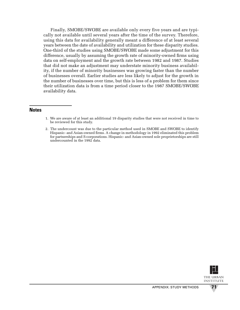Finally, SMOBE/SWOBE are available only every five years and are typically not available until several years after the time of the survey. Therefore, using this data for availability generally meant a difference of at least several years between the date of availability and utilization for these disparity studies. One-third of the studies using SMOBE/SWOBE made some adjustment for this difference, usually by assuming the growth rate of minority-owned firms using data on self-employment and the growth rate between 1982 and 1987. Studies that did not make an adjustment may understate minority business availability, if the number of minority businesses was growing faster than the number of businesses overall. Earlier studies are less likely to adjust for the growth in the number of businesses over time, but this is less of a problem for them since their utilization data is from a time period closer to the 1987 SMOBE/SWOBE availability data.

#### **Notes**

- 1. We are aware of at least an additional 19 disparity studies that were not received in time to be reviewed for this study.
- 2. The undercount was due to the particular method used in SMOBE and SWOBE to identify Hispanic- and Asian-owned firms. A change in methodology in 1992 eliminated this problem for partnerships and S-corporations. Hispanic- and Asian-owned sole proprietorships are still undercounted in the 1992 data.

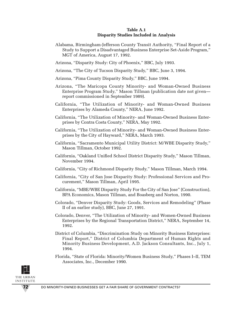#### **Table A.1 Disparity Studies Included in Analysis**

- Alabama, Birmingham-Jefferson County Transit Authority, "Final Report of a Study to Support a Disadvantaged Business Enterprise Set-Aside Program," MGT of America, August 17, 1992.
- Arizona, "Disparity Study: City of Phoenix," BBC, July 1993.
- Arizona, "The City of Tucson Disparity Study," BBC, June 3, 1994.
- Arizona, "Pima County Disparity Study," BBC, June 1994.
- Arizona, "The Maricopa County Minority- and Woman-Owned Business Enterprise Program Study," Mason Tillman (publication date not given report commissioned in September 1989).
- California, "The Utilization of Minority- and Woman-Owned Business Enterprises by Alameda County," NERA, June 1992.
- California, "The Utilization of Minority- and Woman-Owned Business Enterprises by Contra Costa County," NERA, May 1992.
- California, "The Utilization of Minority- and Woman-Owned Business Enterprises by the City of Hayward," NERA, March 1993.
- California, "Sacramento Municipal Utility District: M/WBE Disparity Study," Mason Tillman, October 1992.
- California, "Oakland Unified School District Disparity Study," Mason Tillman, November 1994.
- California, "City of Richmond Disparity Study," Mason Tillman, March 1994.
- California, "City of San Jose Disparity Study: Professional Services and Procurement," Mason Tillman, April 1995.
- California, "MBE/WBE Disparity Study For the City of San Jose" (Construction), BPA Economics, Mason Tillman, and Boasberg and Norton, 1990.
- Colorado, "Denver Disparity Study: Goods, Services and Remodeling" (Phase II of an earlier study), BBC, June 27, 1991.
- Colorado, Denver, "The Utilization of Minority- and Women-Owned Business Enterprises by the Regional Transportation District," NERA, September 14, 1992.
- District of Columbia, "Discrimination Study on Minority Business Enterprises: Final Report," District of Columbia Department of Human Rights and Minority Business Development, A.D. Jackson Consultants, Inc., July 1, 1994.
- Florida, "State of Florida: Minority/Women Business Study," Phases I–II, TEM Associates, Inc., December 1990.

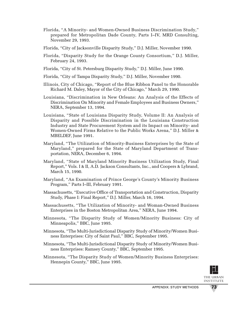- Florida, "A Minority- and Women-Owned Business Discrimination Study," prepared for Metropolitan Dade County, Parts I–IV, MRD Consulting, November 29, 1993.
- Florida, "City of Jacksonville Disparity Study," D.J. Miller, November 1990.
- Florida, "Disparity Study for the Orange County Consortium," D.J. Miller, February 24, 1993.
- Florida, "City of St. Petersburg Disparity Study," D.J. Miller, June 1990.
- Florida, "City of Tampa Disparity Study," D.J. Miller, November 1990.
- Illinois, City of Chicago, "Report of the Blue Ribbon Panel to the Honorable Richard M. Daley, Mayor of the City of Chicago," March 29, 1990.
- Louisiana, "Discrimination in New Orleans: An Analysis of the Effects of Discrimination On Minority and Female Employees and Business Owners," NERA, September 13, 1994.
- Louisiana, "State of Louisiana Disparity Study, Volume II: An Analysis of Disparity and Possible Discrimination in the Louisiana Construction Industry and State Procurement System and its Impact on Minority- and Women-Owned Firms Relative to the Public Works Arena," D.J. Miller & MBELDEF, June 1991.
- Maryland, "The Utilization of Minority-Business Enterprises by the State of Maryland," prepared for the State of Maryland Department of Transportation, NERA, December 6, 1994.
- Maryland, "State of Maryland Minority Business Utilization Study, Final Report," Vols. I & II, A.D. Jackson Consultants, Inc., and Coopers & Lybrand, March 15, 1990.
- Maryland, "An Examination of Prince George's County's Minority Business Program," Parts I–III, February 1991.
- Massachusetts, "Executive Office of Transportation and Construction, Disparity Study, Phase I: Final Report," D.J. Miller, March 16, 1994.
- Massachusetts, "The Utilization of Minority- and Woman-Owned Business Enterprises in the Boston Metropolitan Area," NERA, June 1994.
- Minnesota, "The Disparity Study of Women/Minority Business: City of Minneapolis," BBC, June 1995.
- Minnesota, "The Multi-Jurisdictional Disparity Study of Minority/Women Business Enterprises: City of Saint Paul," BBC, September 1995.
- Minnesota, "The Multi-Jurisdictional Disparity Study of Minority/Women Business Enterprises: Ramsey County," BBC, September 1995.
- Minnesota, "The Disparity Study of Women/Minority Business Enterprises: Hennepin County," BBC, June 1995.

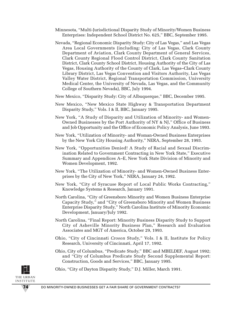- Minnesota, "Multi-Jurisdictional Disparity Study of Minority/Women Business Enterprises: Independent School District No. 625," BBC, September 1995.
- Nevada, "Regional Economic Disparity Study: City of Las Vegas," and Las Vegas Area Local Governments (including: City of Las Vegas, Clark County Department of Aviation, Clark County Department of General Services, Clark County Regional Flood Control District, Clark County Sanitation District, Clark County School District, Housing Authority of the City of Las Vegas, Housing Authority of the County of Clark, Las Vegas–Clark County Library District, Las Vegas Convention and Visitors Authority, Las Vegas Valley Water District, Regional Transportation Commission, University Medical Center, the University of Nevada, Las Vegas, and the Community College of Southern Nevada), BBC, July 1994.

New Mexico, "Disparity Study: City of Albuquerque," BBC, December 1995.

- New Mexico, "New Mexico State Highway & Transportation Department Disparity Study," Vols. I & II, BBC, January 1995.
- New York, "A Study of Disparity and Utilization of Minority- and Women-Owned Businesses by the Port Authority of NY & NJ," Office of Business and Job Opportunity and the Office of Economic Policy Analysis, June 1993.
- New York, "Utilization of Minority- and Woman-Owned Business Enterprises by the New York City Housing Authority," NERA, September 28, 1993.
- New York, "Opportunities Denied! A Study of Racial and Sexual Discrimination Related to Government Contracting in New York State," Executive Summary and Appendices A–E, New York State Division of Minority and Women Development, 1992.
- New York, "The Utilization of Minority- and Women-Owned Business Enterprises by the City of New York," NERA, January 24, 1992.
- New York, "City of Syracuse Report of Local Public Works Contracting," Knowledge Systems & Research, January 1991.
- North Carolina, "City of Greensboro Minority and Women Business Enterprise Capacity Study," and "City of Greensboro Minority and Women Business Enterprise Disparity Study," North Carolina Institute of Minority Economic Development, January/July 1992.
- North Carolina, "Final Report: Minority Business Disparity Study to Support City of Asheville Minority Business Plan," Research and Evaluation Associates and MGT of America, October 29, 1993.
- Ohio, "City of Cincinnati *Croson* Study," Vols. I & II, Institute for Policy Research, University of Cincinnati, April 17, 1992.
- Ohio, City of Columbus, "Predicate Study," BBC and MBELDEF, August 1992; and "City of Columbus Predicate Study Second Supplemental Report: Construction, Goods and Services," BBC, January 1995.

Ohio, "City of Dayton Disparity Study," D.J. Miller, March 1991.

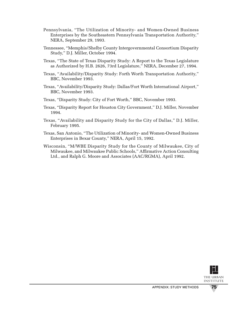- Pennsylvania, "The Utilization of Minority- and Women-Owned Business Enterprises by the Southeastern Pennsylvania Transportation Authority," NERA, September 29, 1993.
- Tennessee, "Memphis/Shelby County Intergovernmental Consortium Disparity Study," D.J. Miller, October 1994.
- Texas, "The State of Texas Disparity Study: A Report to the Texas Legislature as Authorized by H.B. 2626, 73rd Legislature," NERA, December 27, 1994.
- Texas, "Availability/Disparity Study: Forth Worth Transportation Authority," BBC, November 1993.
- Texas, "Availability/Disparity Study: Dallas/Fort Worth International Airport," BBC, November 1993.
- Texas, "Disparity Study: City of Fort Worth," BBC, November 1993.
- Texas, "Disparity Report for Houston City Government," D.J. Miller, November 1994.
- Texas, "Availability and Disparity Study for the City of Dallas," D.J. Miller, February 1995.
- Texas, San Antonio, "The Utilization of Minority- and Women-Owned Business Enterprises in Bexar County," NERA, April 15, 1992.
- Wisconsin, "M/WBE Disparity Study for the County of Milwaukee, City of Milwaukee, and Milwaukee Public Schools," Affirmative Action Consulting Ltd., and Ralph G. Moore and Associates (AAC/RGMA), April 1992.

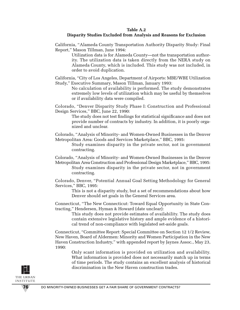#### **Table A.2**

### **Disparity Studies Excluded from Analysis and Reasons for Exclusion**

California, "Alameda County Transportation Authority Disparity Study: Final Report," Mason Tillman, June 1994:

> Utilization data is for Alameda County—not the transportation authority. The utilization data is taken directly from the NERA study on Alameda County, which is included. This study was not included, in order to avoid duplication.

California, "City of Los Angeles, Department of Airports: MBE/WBE Utilization Study," Executive Summary, Mason Tillman, January 1993:

> No calculation of availability is performed. The study demonstrates extremely low levels of utilization which may be useful by themselves or if availability data were compiled.

Colorado, "Denver Disparity Study Phase I: Construction and Professional Design Services," BBC, June 22, 1990:

The study does not test findings for statistical significance and does not provide number of contracts by industry. In addition, it is poorly organized and unclear.

Colorado, "Analysis of Minority- and Women-Owned Businesses in the Denver Metropolitan Area: Goods and Services Marketplace," BBC, 1995:

Study examines disparity in the private sector, not in government contracting.

Colorado, "Analysis of Minority- and Women-Owned Businesses in the Denver Metropolitan Area Construction and Professional Design Marketplace," BBC, 1995: Study examines disparity in the private sector, not in government contracting.

Colorado, Denver, "Potential Annual Goal Setting Methodology for General Services," BBC, 1995:

This is not a disparity study, but a set of recommendations about how Denver should set goals in the General Services area.

Connecticut, "The New Connecticut: Toward Equal Opportunity in State Contracting," Hendersen, Hyman & Howard (date unclear):

> This study does not provide estimates of availability. The study does contain extensive legislative history and ample evidence of a historical trend of non-compliance with legislated set-aside goals.

Connecticut, "Committee Report: Special Committee on Section 12 1/2 Review, New Haven, Board of Aldermen: Minority and Women Participation in the New Haven Construction Industry," with appended report by Jaynes Assoc., May 23, 1990:

> Only scant information is provided on utilization and availability. What information is provided does not necessarily match up in terms of time periods. The study contains an excellent analysis of historical discrimination in the New Haven construction trades.

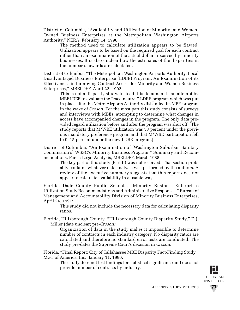District of Columbia, "Availability and Utilization of Minority- and Women-Owned Business Enterprises at the Metropolitan Washington Airports Authority," NERA, February 14, 1990:

The method used to calculate utilization appears to be flawed. Utilization appears to be based on the required goal for each contract rather than an examination of the actual dollars received by minority businesses. It is also unclear how the estimates of the disparities in the number of awards are calculated.

District of Columbia, "The Metropolitan Washington Airports Authority, Local Disadvantaged Business Enterprise (LDBE) Program: An Examination of its Effectiveness in Improving Contract Access for Minority and Women Business Enterprises," MBELDEF, April 22, 1992:

> This is not a disparity study. Instead this document is an attempt by MBELDEF to evaluate the "race-neutral" LDBE program which was put in place after the Metro Airports Authority disbanded its MBE program in the wake of *Croson.* For the most part this study consists of surveys and interviews with MBEs, attempting to determine what changes in access have accompanied changes in the program. The only data provided regard utilization before and after the program was shut off. [The study reports that M/WBE utilization was 33 percent under the previous mandatory preference program and that M/WBE participation fell to 9–15 percent under the new LDBE program.]

District of Columbia, "An Examination of [Washington Suburban Sanitary Commission's] WSSC's Minority Business Program," Summary and Recommendations, Part I: Legal Analysis, MBELDEF, March 1988:

> The key part of this study (Part II) was not received. That section probably contains whatever data analysis was performed by the authors. A review of the executive summary suggests that this report does not appear to calculate availability in a usable way.

Florida, Dade County Public Schools, "Minority Business Enterprises Utilization Study Recommendations and Administrative Responses," Bureau of Management and Accountability Division of Minority Business Enterprises, April 24, 1991:

This study did not include the necessary data for calculating disparity ratios.

Florida, Hillsborough County, "Hillsborough County Disparity Study," D.J. Miller (date unclear; pre-*Croson)*:

> Organization of data in the study makes it impossible to determine number of contracts in each industry category. No disparity ratios are calculated and therefore no standard error tests are conducted. The study pre-dates the Supreme Court's decision in *Croson.*

Florida, "Final Report: City of Tallahassee MBE Disparity Fact-Finding Study," MGT of America, Inc., January 11, 1990:

The study does not test findings for statistical significance and does not provide number of contracts by industry.

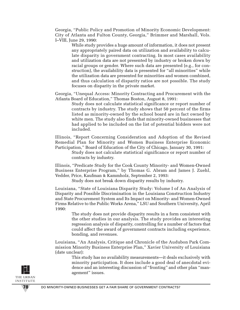Georgia, "Public Policy and Promotion of Minority Economic Development: City of Atlanta and Fulton County, Georgia," Brimmer and Marshall, Vols. I–VIII, June 29, 1990:

> While study provides a huge amount of information, it does not present any appropriately paired data on utilization and availability to calculate disparity in government contracting. In most cases availability and utilization data are not presented by industry or broken down by racial groups or gender. Where such data are presented (e.g., for construction), the availability data is presented for "all minorities" while the utilization data are presented for minorities and women combined, and thus calculation of disparity ratios are not possible. The study focuses on disparity in the private market.

Georgia, "Unequal Access: Minority Contracting and Procurement with the Atlanta Board of Education," Thomas Boston, August 8, 1991:

Study does not calculate statistical significance or report number of contracts by industry. The study shows that 50 percent of the firms listed as minority-owned by the school board are in fact owned by white men. The study also finds that minority-owned businesses that had applied to be included on the list of potential bidders were not included.

Illinois, "Report Concerning Consideration and Adoption of the Revised Remedial Plan for Minority and Women Business Enterprise Economic Participation," Board of Education of the City of Chicago, January 30, 1991:

Study does not calculate statistical significance or report number of contracts by industry.

Illinois, "Predicate Study for the Cook County Minority- and Women-Owned Business Enterprise Program," by Thomas G. Abram and James J. Zuehl, Vedder, Price, Kaufman & Kammholz, September 2, 1993:

Study does not break down disparity results by industry.

Louisiana, "State of Louisiana Disparity Study: Volume I of An Analysis of Disparity and Possible Discrimination in the Louisiana Construction Industry and State Procurement System and Its Impact on Minority- and Women-Owned Firms Relative to the Public Works Arena," LSU and Southern University, April 1990:

> The study does not provide disparity results in a form consistent with the other studies in our analysis. The study provides an interesting regression analysis of disparity, controlling for a number of factors that could affect the award of government contracts including experience, bonding, and revenues.

Louisiana, "An Analysis, Critique and Chronicle of the Audubon Park Commission Minority Business Enterprise Plan," Xavier University of Louisiana (date unclear):

> This study has no availability measurements—it deals exclusively with minority participation. It does include a good deal of anecdotal evidence and an interesting discussion of "fronting" and other plan "management" issues.

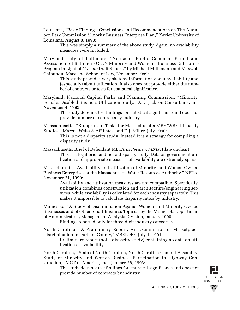Louisiana, "Basic Findings, Conclusions and Recommendations on The Audubon Park Commission Minority Business Enterprise Plan," Xavier University of Louisiana, August 8, 1990:

> This was simply a summary of the above study. Again, no availability measures were included.

Maryland, City of Baltimore, "Notice of Public Comment Period and Assessment of Baltimore City's Minority and Women's Business Enterprise Program in Light of *Croson:* Draft Report," by Michael Millemann and Maxwell Chibundu, Maryland School of Law, November 1989:

> This study provides very sketchy information about availability and (especially) about utilization. It also does not provide either the number of contracts or tests for statistical significance.

Maryland, National Capital Parks and Planning Commission, "Minority, Female, Disabled Business Utilization Study," A.D. Jackson Consultants, Inc. November 4, 1992:

The study does not test findings for statistical significance and does not provide number of contracts by industry.

Massachusetts, "Blueprint of Tasks for Massachusetts MBE/WBE Disparity Studies," Marcus Weiss & Affiliates, and D.J. Miller, July 1990:

This is not a disparity study. Instead it is a strategy for compiling a disparity study.

Massachusetts, Brief of Defendant MBTA in *Perini v. MBTA* (date unclear): This is a legal brief and not a disparity study. Data on government utilization and appropriate measures of availability are extremely sparse.

Massachusetts, "Availability and Utilization of Minority- and Women-Owned Business Enterprises at the Massachusetts Water Resources Authority," NERA, November 21, 1990:

> Availability and utilization measures are not compatible. Specifically, utilization combines construction and architecture/engineering services, while availability is calculated for each industry separately. This makes it impossible to calculate disparity ratios by industry.

Minnesota, "A Study of Discrimination Against Women- and Minority-Owned Businesses and of Other Small-Business Topics," by the Minnesota Department of Administration, Management Analysis Division, January 1990:

Findings reported only for three-digit industry categories.

North Carolina, "A Preliminary Report: An Examination of Marketplace Discrimination in Durham County," MBELDEF, July 1, 1991:

> Preliminary report (not a disparity study) containing no data on utilization or availability.

North Carolina, "State of North Carolina, North Carolina General Assembly: Study of Minority and Women Business Participation in Highway Construction," MGT of America, Inc., January 26, 1993:

The study does not test findings for statistical significance and does not provide number of contracts by industry.

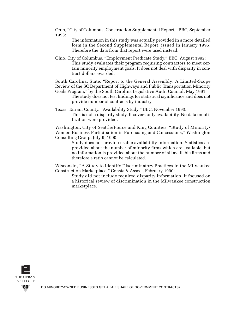Ohio, "City of Columbus, Construction Supplemental Report," BBC, September 1993:

> The information in this study was actually provided in a more detailed form in the Second Supplemental Report, issued in January 1995. Therefore the data from that report were used instead.

Ohio, City of Columbus, "Employment Predicate Study," BBC, August 1992: This study evaluates their program requiring contractors to meet certain minority employment goals. It does not deal with disparity in contract dollars awarded.

South Carolina, State, "Report to the General Assembly: A Limited-Scope Review of the SC Department of Highways and Public Transportation Minority Goals Program," by the South Carolina Legislative Audit Council, May 1991:

The study does not test findings for statistical significance and does not provide number of contracts by industry.

Texas, Tarrant County, "Availability Study," BBC, November 1993: This is not a disparity study. It covers only availability. No data on utilization were provided.

Washington, City of Seattle/Pierce and King Counties, "Study of Minority/ Women Business Participation in Purchasing and Concessions," Washington Consulting Group, July 9, 1990:

> Study does not provide usable availability information. Statistics are provided about the number of minority firms which are available, but no information is provided about the number of all available firms and therefore a ratio cannot be calculated.

Wisconsin, "A Study to Identify Discriminatory Practices in the Milwaukee Construction Marketplace," Consta & Assoc., February 1990:

Study did not include required disparity information. It focused on a historical review of discrimination in the Milwaukee construction marketplace.

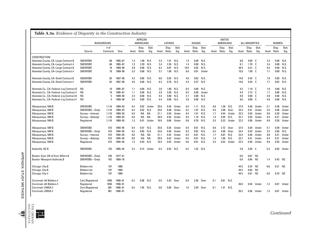|                                         |                     | <b>BACKGROUND</b> |         |              | AFRICAN<br>AMERICANS |               |      | <b>LATINOS</b>        |               |        | <b>ASIANS</b>  |               |              | <b>NATIVE</b><br><b>AMERICANS</b> |               |      | <b>ALL MINORITIES</b> |               |     | <b>WOMEN</b>          |               |
|-----------------------------------------|---------------------|-------------------|---------|--------------|----------------------|---------------|------|-----------------------|---------------|--------|----------------|---------------|--------------|-----------------------------------|---------------|------|-----------------------|---------------|-----|-----------------------|---------------|
|                                         | Source              | # of<br>Contracts | Year    | Avail. Ratio | Disp.                | Stat.<br>Sig. |      | Disp.<br>Avail. Ratio | Stat.<br>Sig. | Avail. | Disp.<br>Ratio | Stat.<br>Sig. | Avail. Ratio | Disp.                             | Stat.<br>Sig. |      | Disp.<br>Avail. Ratio | Stat.<br>Sig. |     | Disp.<br>Avail. Ratio | Stat.<br>Sig. |
| <b>CONSTRUCTION</b>                     |                     |                   |         |              |                      |               |      |                       |               |        |                |               |              |                                   |               |      |                       |               |     |                       |               |
| Alameda County, CA-Large Contract \$    | SM/W0BE             | 66                | 1985-87 | 1.3          | 1.90                 | N.S.          | 3.2  | 1.01                  | N.S.          | 1.5    | 0.00           | N.S.          |              |                                   |               | 6.0  | 0.95                  | - C           | 2.3 | 0.00                  | N.S.          |
| Alameda County, CA-Large Contract #     | SM/W0BE             | 66                | 1985-87 | 1.3          | 2.20                 | N.S.          | 3.4  | 2.20                  | N.S.          | 1.4    | 0.00           | N.S.          |              |                                   |               | 6.1  | 1.70                  | - C           | 2.4 | 0.00                  | N.S.          |
| Alameda County, CA-Large Contract \$    | SM/W0BE             | 18                | 1989-90 | 3.8          | 0.00                 | N.S.          | 6.2  | 0.67                  | N.S.          | 10.5   | 0.02           | N.S.          |              |                                   |               | 20.5 | 0.21                  | C.            | 9.3 | 0.00                  | N.S.          |
| Alameda County, CA-Large Contract #     | SM/WOBE             | 18                | 1989-90 | 3.3          | 0.00                 | N.S.          | 5.7  |                       | 1.90 N.S.     | 6.0    | 0.91           | Under         |              |                                   |               | 15.0 | 1.09 <sub>C</sub>     |               | 7.1 | 0.00                  | N.S.          |
| Alameda County, CA-Small Contract \$    | SM/W0BE             | 62                | 1987-90 | 4.2          | 0.00                 | N.S.          | 6.6  | 0.92                  | N.S.          | 4.0    | 0.02           | N.S.          |              |                                   |               | 14.8 | $0.42\quad C$         |               | 7.0 | 0.95                  | N.S.          |
| Alameda County, CA-Small Contract #     | SM/W0BE             | 62                | 1987-90 | 4.0          | 0.00                 | N.S.          | 6.3  |                       | 0.76 N.S.     | 4.3    | 0.37           | N.S.          |              |                                   |               | 14.6 | 0.44 <sub>C</sub>     |               | 7.7 | 0.62                  | N.S.          |
| Alameda Co., CA-Federal-Lrq Contract \$ | <b>NS</b>           | 10 <sup>10</sup>  | 1985-87 | 1.1          | 0.00                 | N.S.          | 2.8  | 1.80                  | N.S.          | 0.4    | 0.00           | N.S.          |              |                                   |               | 4.2  | 1.19 <sub>C</sub>     |               | 1.6 | 0.00                  | N.S.          |
| Alameda Co., CA-Federal-Lrq Contract #  | <b>NS</b>           | 10                | 1985-87 | 1.1          | 0.00                 | N.S.          | 2.9  | 3.30                  | N.S.          | 0.5    | 0.00           | Under         |              |                                   |               | 4.5  | 2.13 <sub>C</sub>     |               | 1.7 | 0.00                  | N.S.          |
| Alameda Co., CA-Federal-Lrg Contract \$ | <b>NS</b>           | 5                 | 1989-90 | 2.4          | 0.00                 | N.S.          | 4.4  |                       | 0.00 N.S.     | 3.1    | 0.00           | N.S.          |              |                                   |               | 9.9  | 0.00 C                |               | 4.9 | 0.00                  | N.S.          |
| Alameda Co., CA-Federal-Lrg Contract #  | <b>NS</b>           | 5                 | 1989-90 | 2.4          | 0.00                 | N.S.          | 4.4  | 0.00                  | N.S.          | 2.8    | $0.00\,$       | N.S.          |              |                                   |               | 9.6  | 0.00 C                |               | 4.8 | 0.00                  | N.S.          |
| Albuquerque, NM \$                      | SM/W0BE             | 1,116             | 1989-93 | 0.4          | 0.02                 | Under         | 25.6 | 0.44                  | Under         | 0.4    | 1.11           | N.S.          | 0.6          | 1.38                              | N.S.          | 27.0 | 0.46                  | Under         | 5.1 | 0.38                  | Under         |
| Albuquerque, NM \$                      | SM/WOBE-Empl.       | 1.116             | 1989-93 | 0.3          | 0.02                 | N.S.          | 23.6 | 0.48                  | Under         | 0.2    | 1.97           | N.S.          | 0.4          | 2.08                              | Over          | 24.4 | 0.51                  | Under         | 3.5 | 0.56                  | Under         |
| Albuquerque, NM \$                      | Survey-Interest     | 1.116             | 1989-93 | 0.0          | NA                   | <b>NA</b>     | 21.1 | 0.53                  | Under         | 0.4    | 1.01           | N.S.          | 1.7          | 0.44                              | Under         | 23.3 | 0.53                  | Under         | 9.8 | 0.20                  | Under         |
| Albuquerque, NM \$                      | Survey-Attempt      | 1,116             | 1989-93 | 0.0          | NA                   | <b>NA</b>     | 20.9 | 0.54                  | Under         | 0.4    | 1.10           | N.S.          | 1.4          | 0.55                              | N.S.          | 22.7 | 0.55                  | Under         | 9.4 | 0.21                  | Under         |
| Albuquerque, NM \$                      | Registered          | 1,116             | 1989-93 | 1.3          | 0.01                 | Under         | 16.9 | 0.66                  | Under         | 0.6    | 0.78           | N.S.          | 3.5          | 0.22                              | Under         | 22.3 | 0.56                  | Under         | 9.9 | 0.20                  | Under         |
| Albuquerque, NM \$                      | SM/W0BE             | 473               | 1994-95 | 0.4          | 0.57                 | N.S.          | 25.6 | 0.35                  | Under         | 0.4    | 0.01           | N.S.          | 0.6          | 2.72                              | Over          | 27.0 | 0.39                  | Under         | 5.1 | 0.39                  | Under         |
| Albuquerque, NM \$                      | SM/WOBE-Empl.       | 473               | 1994-95 | 0.3          | 0.85                 | N.S.          | 23.6 | 0.38                  | Under         | 0.2    | 0.02           | N.S.          | 0.4          | 4.09                              | Over          | 24.4 | 0.43                  | Under         | 3.5 | 0.58                  | N.S.          |
| Albuquerque, NM \$                      | Survey-Interest     | 473               | 1994-95 | 0.0          | NA.                  | NA            | 21.1 | 0.42                  | Under         | 0.4    | 0.01           | N.S.          | 1.7          | 0.87                              | N.S.          | 23.3 | 0.46                  | Under         | 9.8 | 0.21                  | Under         |
| Albuquerque, NM \$                      | Survey-Attempt      | 473               | 1994-95 | 0.0          | NA.                  | NA            | 20.9 | 0.42                  | Under         | 0.4    | 0.01           | N.S.          | 1.4          | 1.09                              | N.S.          | 22.7 | 0.47                  | Under         | 9.4 | 0.21                  | Under         |
| Albuquerque, NM \$                      | Registered          | 473               | 1994-95 | 1.3          | 0.20                 | N.S.          | 16.9 | 0.53                  | Under         | 0.6    | 0.01           | N.S.          | 3.5          | 0.42                              | Under         | 22.3 | 0.48                  | Under         | 9.9 | 0.20                  | Under         |
| Asheville, NC \$                        | SM/W0BE             | 153               | 1985-92 | 2.3          | 0.15                 | Under         | 0.3  | 0.53                  | N.S.          | 0.2    | 1.52 N.S.      |               |              |                                   |               | 2.8  | $0.28$ $C$            |               | 5.2 | 0.03                  | Under         |
| Boston-Exec Off of Envir Affairs \$     | SM/WOBE-Empl.       | 226               | 1977-81 |              |                      |               |      |                       |               |        |                |               |              |                                   |               | 0.6  | 0.67                  | NC            |     |                       |               |
| <b>Boston-Massport Authority \$</b>     | SM/WOBE-Empl.       | NS.               | 1969-78 |              |                      |               |      |                       |               |        |                |               |              |                                   |               | 0.6  | 0.04                  | NC            | 1.4 | 0.43                  | NC.           |
| Chicago-City \$                         | <b>Bidders list</b> | 197               | 1989    |              |                      |               |      |                       |               |        |                |               |              |                                   |               | 44.5 | 0.24                  | <b>NC</b>     | 6.6 | 0.21 NC               |               |
| Chicago-City \$                         | <b>Bidders list</b> | 197               | 1989    |              |                      |               |      |                       |               |        |                |               |              |                                   |               | 44.5 | 0.64                  | <b>NC</b>     |     |                       |               |
| Chicago-City #                          | <b>Bidders list</b> | 197               | 1989    |              |                      |               |      |                       |               |        |                |               |              |                                   |               | 44.5 | 0.81 NC               |               | 6.6 | 0.70 NC               |               |
| Cincinnati-All Bidders #                | Cert./Registered    | 1058              | 1990-91 | 6.2          | 0.98                 | N.S.          | 0.9  | 4.43                  | Over          | 0.9    | 2.38           | Over          | 0.1          | 0.81                              | N.S.          |      |                       |               |     |                       |               |
| Cincinnati-All Bidders #                | Registered          | 1058              | 1990-91 |              |                      |               |      |                       |               |        |                |               |              |                                   |               | 26.0 | 0.54                  | Under         | 1.3 | 0.07                  | Under         |
| Cincinnati-CMSA#                        | Cert./Registered    | 881               | 1990-91 | 6.4          | 1.04 N.S.            |               | 0.8  | 5.80                  | Over          | 1.0    | 2.39           | Over          | 0.1          | 1.41 N.S.                         |               |      |                       |               |     |                       |               |
| Cincinnati-CMSA #                       | Registered          | 881               | 1990-91 |              |                      |               |      |                       |               |        |                |               |              |                                   |               | 26.2 | 0.56                  | Under         | 1.2 | 0.07                  | Under         |



I

*Continued*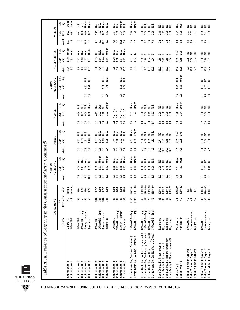| Table A.3a. Evidence of Disparity in the Construction Industry (Continued)                                                                                               |                                                                            |                                 |                                                                  |                                                |                              |                                           |                                        |                                           |                            |                                                        |                              |                               |                             |                            |                |                                                                      |                                     |                                               |                                                           |                                            |                                 |
|--------------------------------------------------------------------------------------------------------------------------------------------------------------------------|----------------------------------------------------------------------------|---------------------------------|------------------------------------------------------------------|------------------------------------------------|------------------------------|-------------------------------------------|----------------------------------------|-------------------------------------------|----------------------------|--------------------------------------------------------|------------------------------|-------------------------------|-----------------------------|----------------------------|----------------|----------------------------------------------------------------------|-------------------------------------|-----------------------------------------------|-----------------------------------------------------------|--------------------------------------------|---------------------------------|
|                                                                                                                                                                          | BACKGROUND                                                                 |                                 |                                                                  |                                                | AMERICANS<br>AFRICAN         |                                           |                                        | <b>LATINOS</b>                            |                            |                                                        | ASIANS                       |                               |                             | AMERICANS<br><b>NATIVE</b> |                |                                                                      | ALL MINORITIES                      |                                               |                                                           | <b>WOMEN</b>                               |                                 |
|                                                                                                                                                                          | Source                                                                     | Contracts<br>$#$ of             | Year                                                             | Avail.                                         | Disp.<br>Ratio               | Stat.<br>Sig.                             | Avail.                                 | Disp.<br>Ratio                            | Stat.<br>.<br>Si           | Avail.                                                 | Ratio<br>Disp.               | Stat.<br>Sig.                 | Avail.                      | Ratio<br>Disp.             | Stat.<br>Sig.  | Avail.                                                               | Disp.<br>Ratio                      | Stat.<br>ຮຶ                                   | Avail.                                                    | Ratio<br>Disp.                             | Stat.<br>Sig.                   |
| Columbus, OH \$<br>Columbus, OH \$                                                                                                                                       | Mailing list<br><b>SM/WOBE</b>                                             | S<br>SN                         | $1990 - 91$<br>1990-91                                           |                                                |                              |                                           |                                        |                                           |                            |                                                        |                              |                               |                             |                            |                | 3.0<br>23.7                                                          | 0.30<br>2.33                        | Under<br>Over                                 | 10.9<br>4.8                                               | 0.52<br>0.52                               | Under<br>Under                  |
| Columbus, OH \$<br>Columbus, OH\$<br>Columbus, OH\$<br>Columbus, OH\$                                                                                                    | SM/WOBE-Empl<br>Survey-Interest<br>Registered<br><b>SM/WOBE</b>            | 155<br>ង ឆ្ន<br>155             | 1991<br>1991<br>1991<br><b>1991</b>                              | $3.8$<br>$2.5$<br>$1.2$<br>2.3                 | 3.79<br>4.08<br>0.83<br>2.47 | <b>Over</b><br>er<br>گ<br>ev<br>م<br>N.S. | جما<br>0.6<br>$\frac{3}{5}$            | 0.48<br>0.59<br>1,31<br>0.67              | sisisisi<br>Sisisisi       | $\circ$<br>$\frac{3}{2}$<br>$\mathbf{c}_3$<br>0.4<br>က | 0.00<br>0.00<br>0.54<br>0.51 | Under<br>Ν.S.<br>si<br>Nisi   | 5.<br>2. J                  | 0.33<br>0.20               | si<br>Si<br>Si | $\begin{array}{c} 3.5 \\ 0.0 \end{array}$<br>4.7<br>$\overline{3}$   | 2.10<br>2.77<br>3.17<br>0.61        | Under<br><b>Over</b><br>ð<br>S<br><b>Over</b> | 4.5<br>5.0<br>11.3<br>6.0                                 | 0.16<br>0.36<br>0.31<br>0.41               | Under<br>Under<br>si<br>Nisi    |
| Columbus, OH\$<br>Columbus, OH\$<br>Columbus, OH\$<br>Columbus, OH\$                                                                                                     | SM/WOBE-Empl.<br>Survey-Interest<br>Registered<br><b>SM/WOBE</b>           | 384<br>384<br>384<br>384        | 1992<br>1992<br><b>1992</b><br>1992                              | $2.5$<br>11.2<br>2.3<br>3.8                    | 0.13<br>0.37<br>0.57<br>0.62 | Under<br>Under<br>N.S.<br>Ν.S.            | 5<br>0.6<br>0.3<br>$\overline{0}$<br>ö | 0.06<br>0.13<br>0.05<br>0.07              | si<br>Sis<br>$rac{2}{5}$   | $\overline{0}$<br>S<br>3.0<br>ö                        | 3.92<br>0.16<br>0.02<br>4.11 | Under<br>Över<br>Over<br>N.S. | 5.<br>3. J                  | 2.38<br>1.45               | si<br>Si       | $\begin{array}{c} 3.5 \\ 16.0 \end{array}$<br>4.7<br>$\overline{31}$ | 0.85<br>0.56<br>0.74<br>0.16        | Under<br>ΝS.<br>s.<br>N<br>s.                 | 4.5<br>5.0<br>$\begin{array}{c} 1.3 \\ 6.0 \end{array}$   | 1.33<br>0.59<br>1.49<br>1.12               | Under<br>Tex<br>O<br>N.S.<br>s. |
| Columbus, OH\$<br>Columbus, OH\$<br>Columbus, OH\$<br>Columbus, OH\$                                                                                                     | SM/WOBE-Empl.<br>Survey-Interest<br>Registered<br>SM/WOBE                  | $\frac{80}{20}$<br>108<br>108   | 1993<br>1993<br>1993<br>1993                                     | 23 85 21<br>23 85 21                           | 0.56<br>0.12<br>0.60<br>0.37 | Under<br>N.S.<br>si<br>Sisi               | 50<br><b>0.6</b><br>$\mathbf{C}$<br>G) | 2.83<br><b>1.28</b><br>1.03<br>1.44       | S.<br>si<br>Nisi<br>s.     | 0.3<br>0.3<br>0.4<br>3.0                               | 5555<br>2222                 |                               | <b>8.5</b><br>0.7           | 0.00<br>0.00               | si<br>Si       | $\begin{array}{c} 3.5 \\ 0.0 \end{array}$<br>47<br>$\overline{31}$   | 0.46<br>0.13<br>0.70<br>0.61        | Under<br>N.S.<br>si<br>Sisi                   | $4.5$<br>5.0<br>$\begin{array}{c} 1.3 \\ 6.0 \end{array}$ | 0.24<br>0.55<br>0.46<br>0.61               | Under<br>N.S.<br>š.<br>s.       |
| Contra Costa Co., CA–Small Contract \$<br>Contra Costa Co., CA–Small Contract #                                                                                          | SM/WOBE-Empl.<br>SM/WOBE-Empl                                              | 1235<br>1235                    | 1987-88<br>1987-88                                               | $\frac{1}{4}$ $\frac{1}{2}$                    | 0.14<br>$\overline{0.11}$    | Under<br>Under                            | 27<br>$\Xi$                            | 0.29<br>0.51                              | Under<br>Under             | 2.3<br>3.5                                             | 0.23<br>0.42                 | Under<br>Under                |                             |                            |                | 7.3                                                                  | ں ں<br>0.22<br>0.41                 |                                               | $4.9$<br>5.2                                              | $\frac{8}{18}$<br>0.29                     | Under<br>Under                  |
| Contra Costa Co., CA-Fed-Lrg Contract \$<br>Contra Costa Co., CA-Fed-Lrg Contract #<br>Contra Costa Co., CA-Nonfed-Lrg Cont \$<br>Contra Costa Co., CA-Nonfed-Lrg Cont # | -Empl.<br>SM/WOBE-Empl.<br>SM/WOBE-Empl.<br>-Empl.<br>SM/WOBE-<br>SM/WOBE- | 48<br>$\frac{8}{4}$<br>76<br>76 | 1989-90<br>1989-90<br>1989-90<br>$1989 - 90$                     | $2.5$<br>$2.4$<br>$\frac{16}{17}$              | 0.00<br>0.00<br>0.00<br>C.OO | Σ.<br>Ν.S.<br>Ν.S.<br>s.                  | 2.9<br>5.2<br>4.6<br>41                | 1.96<br>0.05<br>4.05<br>122               | si<br>Si<br>Si<br>si<br>Si | $5.9$<br>$3.7$<br>$\frac{10}{21}$                      | 1.19<br>0.00<br>0.00<br>1.52 | si<br>Si<br>Si<br>si<br>Si    |                             |                            |                | 13.6<br>5.5<br>8.0<br>10.6                                           | د<br>$1.02$<br>$2.10$<br>$34$ $-12$ |                                               | 5.8<br>$84$<br>7.4<br>$\mathcal{L}$                       | 0.00<br>0.00<br><b>C.O</b><br>0.00         | N.S.<br>s.<br>s.<br>Š           |
| Dade County, FL-Nonprocurement #<br>Dade County, FL-Nonprocurement \$<br>Dade County, FL-Procurement \$<br>Dade County, FL-Procurement #                                 | Registered<br>Registered<br>Registered<br>Registered                       | ន ន<br>$48$<br>48               | $18 - 989 - 91$<br>$1889 - 91$<br>$18 - 989 - 91$<br>$1889 - 91$ | 13.0<br>$\frac{3.0}{2}$<br>$\frac{13.0}{13.0}$ | 4.83<br>0.48<br>2.08<br>0.02 | š<br>$\tilde{z}$<br>$\tilde{z}$<br>š      | 24.0<br>24.0<br>24.0<br>24.0           | 1.48<br>0.21<br>0.53<br>$\overline{0.71}$ | 2222                       | $\frac{10}{10}$<br>$\frac{10}{10}$                     | 0.00<br>0.00<br>0.00<br>0.00 | s a<br>55                     |                             |                            |                | 38.0<br>38.0<br>38.0<br>38.0                                         | $\frac{1.16}{.79}$<br>1.10<br>0.34  |                                               | 3.2<br>9.2<br>$9.2$<br>$9.2$                              | 0.18<br>0.00<br>0.00<br>$\overline{0}$ .11 | 55<br>s s                       |
| Dallas-PMSA\$<br>Dallas-City \$                                                                                                                                          | Vendors list<br>Vendors list                                               | ŠΝ<br>š                         | 1990-93<br>1990-93                                               | 9. 5<br>6. 5                                   | $143$<br>1.60                | Jer<br>Over<br>0 <sub>ver</sub>           | S<br>21<br>$\vec{a}$                   | 2.62<br>2.05                              | 0 <sub>ver</sub><br>Over   | $\frac{8}{14}$                                         | 0.78<br>0.34                 | Under<br>Under                | $\frac{2}{5}$ $\frac{8}{5}$ | 0.75<br>0.36               | Under<br>N.S.  | 14.2<br>13.1                                                         | 1.55<br>1.55                        | <b>Over</b><br>0 <sub>ver</sub>               | $\frac{9}{3}$ $\frac{3}{3}$                               | 2.91<br>1.76                               | 0 ver<br>Over                   |
| Dallas/Fort Worth Airport \$<br>Dallas/Fort Worth Airport \$<br>Dallas/Fort Worth Airport \$                                                                             | Survey-Interest<br>Mailing list<br><b>SM/WOBE</b>                          | S &<br>š                        | 1987<br>1861<br>2861                                             |                                                |                              |                                           |                                        |                                           |                            |                                                        |                              |                               |                             |                            |                | $\mathbb{S}^3$<br>$12.4$<br>$22.5$                                   | 0.08<br>0.06<br>0.03                | š<br>52                                       | 13.8<br>5.4<br>$\overline{5}$                             | <u>ខ្លួ</u><br>0.01<br>0.07                | <b>SAS</b>                      |
| Dallas/Fort Worth Airport \$<br>Dallas/Fort Worth Airport \$<br>Dallas/Fort Worth Airport \$                                                                             | Survey-Interest<br><b>SM/WOBE</b><br>Mailing list                          | 106<br>106<br>106               | $1986 - 87$<br>1986-87<br>$1986 - 87$                            | $1.9$<br>10.6<br>22                            | $2.05$<br>$2.50$<br>0.44     | š<br>$rac{c}{z}$                          | 5.5<br>6.5 N                           | 0.00<br>$\frac{8}{100}$                   | <b>SAS</b>                 | 0.8<br>CO <sub>1</sub>                                 | 0.00<br>0.00<br>0.00         | sas                           |                             | 0.00<br>$\frac{8}{100}$    | s s s          | 83<br>125<br>225                                                     | 0.58<br>0.39<br>0.21                | ssa                                           | $\begin{array}{c} 13.8 \\ 9.1 \end{array}$<br>5.4         | 1.05<br>0.41                               | ssa                             |
|                                                                                                                                                                          |                                                                            |                                 |                                                                  |                                                |                              |                                           |                                        |                                           |                            |                                                        |                              |                               |                             |                            |                |                                                                      |                                     |                                               |                                                           |                                            |                                 |

<u>p</u> THE URBAN INSTITUTE

82 DO MINORITY-OWNED BUSINESSES GET A FAIR SHARE OF GOVERNMENT CONTRACTS?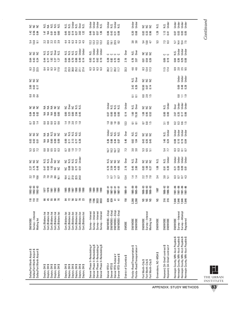| Dallas/Fort Worth Airport \$<br>Dallas/Fort Worth Airport \$<br>Dallas/Fort Worth Airport \$                                                                | Survey-Interest<br>Mailing list<br><b>SM/WOBE</b>                                                                               | 110<br>$\Xi$<br>$\frac{1}{10}$   | $1992 - 93$<br>$1992 - 93$<br>$1992 - 93$                                          | $23 - 96$            | 2.77<br>2.75<br>0.48                                                                | 222                     | 5.5<br>5.5<br>5.7                    | ខ្លួខ្លួ                | 222                                  | 284                                                                   | <b>B</b> B B                     | 222                               | <b>0001</b><br>0010 | 3.82                  | s s s                     | 8.3<br>2.4<br>2.5                              | 222<br>8<br>8<br>8<br>8<br>8<br>8<br>8      |                                     | <b>ដ</b> នី ខ            | 222<br>$142$ 56 85                            |                                   |
|-------------------------------------------------------------------------------------------------------------------------------------------------------------|---------------------------------------------------------------------------------------------------------------------------------|----------------------------------|------------------------------------------------------------------------------------|----------------------|-------------------------------------------------------------------------------------|-------------------------|--------------------------------------|-------------------------|--------------------------------------|-----------------------------------------------------------------------|----------------------------------|-----------------------------------|---------------------|-----------------------|---------------------------|------------------------------------------------|---------------------------------------------|-------------------------------------|--------------------------|-----------------------------------------------|-----------------------------------|
| ↮<br>Dayton, OH \$<br>Dayton, OH \$<br>Dayton, OH \$<br>Dayton, OH \$<br>Dayton, OH                                                                         | Cert./Bidders list<br>Cert./Bidders list<br>Cert./Bidders list<br>Cert./Bidders list<br>Cert./Bidders list                      | 45<br>5880<br>8                  | 1978<br>1981<br>1982<br>1984                                                       | 7.8.861<br>7.8.861   | $\frac{1}{2}$ $\frac{1}{2}$ $\frac{1}{2}$ $\frac{1}{2}$ $\frac{1}{2}$ $\frac{1}{2}$ | sisi<br>Sisipalisi      | 88888                                | 2222                    | ggggg                                | 88888                                                                 | 55500                            | <b>SESSS</b>                      |                     |                       |                           | 22 23 24 25 26 26 27 27                        | cicici și<br>Singui<br>35872                |                                     | 20253                    | ci<br>Sing ci ci ci<br>Sing ci ci ci<br>74588 |                                   |
| Dayton, OH \$<br>Dayton, OH \$<br>Dayton, OH \$<br>Dayton, OH \$<br>↮<br>Dayton, OH \$<br>Dayton, OH                                                        | Cert./Bidders list<br>Cert/Bidders list<br>Cert./Bidders list<br>Cert./Bidders list<br>Cert./Bidders list<br>Cert./Bidders list | 33 7 58 69 79 79                 |                                                                                    | <b>25582</b><br>2522 | <b>PESS</b>                                                                         |                         | 59222                                | 85358<br>85358          | considera<br>Distribution            | 1. 1. 1. 1. 1.                                                        | 83888                            | ខេត្ត<br>កំពូង និង                |                     |                       |                           | 5.388574                                       | 358887                                      | sisisisid<br>Sisisisid<br>Sisisisid | 446454<br>446454         | 5355837                                       | siste<br>Sistema<br>Sistema       |
| Denver Phase II-Remodeling#<br>Denver Phase II-Remodeling \$<br>Denver Phase II-Remodeling#<br>Denver Phase II-Remodeling \$                                | Survey-Interest<br>Survey-Interest<br>Survey-Interest<br>Survey-Interest                                                        | 1786<br>3033<br>3033<br>1786     | 88<br>088<br>088<br>098                                                            |                      |                                                                                     |                         |                                      |                         |                                      |                                                                       |                                  |                                   |                     |                       |                           | 8<br>8<br>8<br>8<br>8<br>8<br>8<br>8<br>8<br>8 | 83 7 8 9<br>0 0 0 0                         | N.S.<br>Under<br>Under<br>Under     | 12 12 12<br>12 12 12 13  | 85<br>155<br>156<br>156                       | der<br>Stade<br>Stade<br>Stade    |
| #<br>↔<br>Denver RTD-Federal<br>Denver RTD-Federal<br>Denver RTD #<br>Denver RTD \$                                                                         | SM/WOBE-Empl<br>SM/WOBE-Empl<br>SM/WOBE-Empl<br>SM/WOBE-Empl                                                                    | នី និ<br>$\pm$ $\pm$             | $\begin{array}{c} 1987 - 91 \\ 1987 - 91 \\ 1987 - 91 \end{array}$<br>1987-91      | 7525                 | <b>N</b><br>0 3 3 4 5<br>0 3 4 4                                                    | sigge                   | $16.7$<br>$16.7$<br>$16.2$<br>$16.2$ | 0.000<br>0.000<br>0.000 | a<br>Trini<br>Trini<br>Trini         | $\frac{8}{1}$ $\frac{8}{1}$ $\frac{8}{1}$ $\frac{8}{1}$ $\frac{8}{1}$ | <b>B</b> 8 8 8<br><b>B</b> 8 8 8 | មិន<br>ការ និង<br>ការ និង         |                     |                       |                           |                                                | <b>0000</b><br><b>88258</b><br>0.825        |                                     | 23.5<br>23.5<br>23.0     | 88358                                         | der<br>Sistes<br>Sistes<br>Sistes |
| District of Columbia \$                                                                                                                                     | SMOBE                                                                                                                           | 158                              | 1989-91                                                                            | 13.4                 | 2.16                                                                                | Over                    | 7.3                                  | 5.40                    | Over                                 | 12.3                                                                  | 0.14                             | Under                             |                     |                       |                           | 33.3                                           | 2.19                                        | <b>Over</b>                         |                          |                                               |                                   |
| Florida-Road/Transportation \$<br>$_{\rm \#}$<br>Florida-Road/Transportation                                                                                | SM/WDBE<br>SM/WDBE                                                                                                              | 3,268<br>3,268                   | 1985-89<br>1985-89                                                                 | $\frac{4}{4}$        | 0.45<br>2.80                                                                        | s.<br>Der               | 3.0                                  | $0.82$<br>1.04          | si<br>Si<br>Si                       | $\overline{5}$ $\overline{5}$                                         | 1.60<br>15.30                    | N.S.<br>Over                      | 55                  | 3.42<br>8.26          | N.S.<br>Over              | $4.6$<br>$4.6$                                 | $rac{3}{2}$<br>0.78                         |                                     | 3.8<br>3.8               | $0.20$<br>$0.68$                              | Under<br>Under                    |
| Fort Worth-City \$<br>Fort Worth-City \$<br>Fort Worth-City \$                                                                                              | Survey-Interest<br>Mailing list<br>SM/WDBE                                                                                      | S S<br>S                         | $\begin{array}{c} 1988 - 93 \\ 86 - 938 \\ 1988 - 93 \\ \end{array}$               | $2.9$<br>$7.9$       | 88<br>1.00<br>1.27                                                                  | 555                     | 5.5<br>5.5                           | 0.45<br>0.55<br>0.45    | 222                                  | <b>585</b>                                                            | <u>ា</u><br>១៩<br>១៩             | 222                               |                     | 10.50<br>0.07<br>0.14 | <b>SSS</b>                | $334$<br>$123$                                 | <b>SSS</b><br>ត្ត <del>ភ</del> ្នួ<br>០ ១ ១ |                                     | 5.3<br>5.8<br>4.7        | 222<br>83<br>0.33<br>0.96                     |                                   |
| Greensboro, NC-MSA \$                                                                                                                                       | SM/WOBE                                                                                                                         | SN                               | 1987                                                                               | 3.4                  | 1.08                                                                                | Ν.S.                    |                                      |                         |                                      |                                                                       |                                  |                                   |                     |                       |                           |                                                |                                             |                                     | $5.3\,$                  | 1.28                                          | ΝŚ.                               |
| Hayward, CA-Small contract \$<br>Hayward, CA-Small contract#                                                                                                | SM/WOBE<br>SM/WOBE                                                                                                              | 316<br>316                       | 1986-92<br>1986-92                                                                 | $\frac{5}{20}$       | <u>ច</u><br>0.30                                                                    | N.S.<br>Under           | $\frac{5.4}{7.7}$                    | $1.40$<br>0.24          | N.S.<br>Under                        | $3.1$<br>4.6                                                          | es<br>Bio                        | N.S.<br>Under                     |                     |                       |                           | $\frac{1.5}{1.4}$                              | ں ں<br>0.89<br>0.19                         |                                     | 7.3<br>8.3               | $1.13$<br>0.41                                | N.S.<br>Under                     |
| Hennepin County, MN-Acct Payable \$<br>မာ မာ မာ<br>Hennepin County, MN-Acct Payable<br>Hennepin County, MN-Acct Payable<br>Hennepin County, MN-Acct Payable | Survey—Attempt<br>Survey—Interest<br>Registered<br>SM/WOBE                                                                      | 7,646<br>7,646<br>7,646<br>7,646 | $\begin{array}{r} 1981 - 86 \\ 1981 - 86 \\ 1981 - 86 \\ 1981 - 86 \\ \end{array}$ | 3553                 | ន្ទីខ្ទីទី                                                                          | under<br>Under<br>Under | 3355                                 |                         | der<br>Derbert<br>Derbert<br>Derbert | 2355                                                                  | 2.67<br>0.35<br>0.06             | ber<br>Britan<br>Britan<br>Britan | 37.9                | 0.69<br>0.48<br>0.28  | breater<br>Under<br>Under | 8 8 8 8<br>8 8 8 9                             | <b>3538</b><br>0028                         | N.S.<br>Under<br>Under              | 514<br>514<br>515<br>515 | <b>DE 2019</b>                                | ber<br>Under<br>Under<br>Under    |
|                                                                                                                                                             |                                                                                                                                 |                                  |                                                                                    |                      |                                                                                     |                         |                                      |                         |                                      |                                                                       |                                  |                                   |                     |                       |                           |                                                |                                             |                                     |                          |                                               |                                   |

THE URBAN INSTITUTE

APPENDIX: STUDY METHODS

Continued *Continued*



L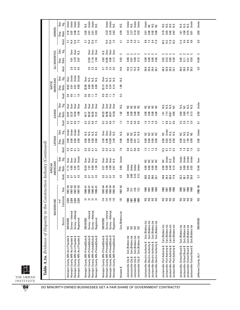|                                                      |                    | BACKGROUND        |            |                   | AMERICANS<br>AFRICAN |              |                  | <b>LATINOS</b>               |                   |                                          | ASIANS                        |               |                         | AMERICANS<br>NATIVE       |                  | ALL MINORITIES |                |                     | WOMEN            |                      |
|------------------------------------------------------|--------------------|-------------------|------------|-------------------|----------------------|--------------|------------------|------------------------------|-------------------|------------------------------------------|-------------------------------|---------------|-------------------------|---------------------------|------------------|----------------|----------------|---------------------|------------------|----------------------|
|                                                      | Source             | Contracts<br># of | Year       | Avail             | Ratio<br>Disp.       | Stat.<br>ះទី | Avail            | Ratio<br>Disp.               | Stat.<br>.<br>Sig | Avail.                                   | Disp.<br>Ratio                | Stat.<br>Sig. | Ratio<br>Disp.<br>Avail | <b>Stat</b><br>Sig.       | Avail.           | Ratio<br>Disp. | Stat.<br>Sig.  | Avail.              | Ratio<br>Disp.   | Stat.<br>Sig.        |
| ↮<br>Hennepin County, MN-Acct Payable                | <b>SM/WOBE</b>     | 3,034             | 1987-93    |                   | 11.14                | <b>Over</b>  |                  |                              | Under             | $\approx$                                | Over<br>24.81                 |               | 10.62<br>$\mathbf{c}$   | <b>Over</b>               |                  |                |                | 57                  |                  | Under                |
| Hennepin County, MN-Acct Payable \$                  | Survey-Interest    | 3,034             | $987 - 93$ | $\frac{3}{5}$     | 4.85                 | Over         | 3<br>0.3         | 8.8<br>0.00                  | Under             | نن<br>6                                  | Over<br>22.37                 |               | $\frac{8}{2}$           | Under<br>0.01             |                  | 4.61<br>e      | Over           | 14.4                | $0.18$<br>0.07   | Under                |
| Hennepin County, MN-Acct Payable \$                  | Survey-Attempt     | 3,034             | $987 - 93$ | $\overline{0}$    | 4.87                 | Over         | $\overline{a}$   | 0.00                         | Under             | 6.6                                      | Over<br>10.53                 |               | $\Box$                  | Under<br>0.01             | 2.               | 3.70<br>E.     | Over           | 13.4                | 0.08             | Under                |
| Hennepin County, MN-Acct Payable \$                  | Registered         | 3,034             | $987 - 93$ | 4.3               | 0.79                 | Under        | $\overline{0}$   | 0.00                         | Under             | $\overline{15}$                          | J<br>Over<br>4.00             |               | $\ddot{ }$ .9           | Under<br>0.00             | 5.6              | 0.97           | N.S.           | 7.5                 | 0.14             | Under                |
| Hennepin County, MN-Primes&Subs \$                   | <b>SM/WOBE</b>     |                   | $990 - 91$ | $\mathbf{C}$      | 18.29                | ð<br>Ö       |                  | 0.00                         |                   |                                          | Over<br>94.71                 |               | 32.06                   | Jer<br>Over               |                  |                |                | 57                  |                  | N.S.                 |
| Hennepin County, MN-Primes&Subs \$                   | Survey-Interest    | ನ ನ               | $990 - 91$ | $\overline{0}$    | 7.97                 | Over         | 3<br>0.3         | sisisisi<br>Sisisisi<br>0.00 |                   | $\mathbf{0}3$                            | Over<br>85.52                 |               | 0.8                     | $\frac{8}{2}$             | 2.0              | 13.93          | Over           | 14.4                | 0.01<br>0.01     | Under                |
| Hennepin County, MN-Primes&Subs \$                   | Survey-Attempt     | . គ គ             | $990 - 91$ | $\overline{0}$    | 8.00                 | Over         | $\overline{a}$   | 0.00                         |                   | $\begin{array}{c} 0.5 \\ -5 \end{array}$ | Over<br>40.24                 |               | $\Box$                  | sisisi<br>Nisi<br>0.00    | 2.5<br>0.5       | 11.16          | Over           | $13.4$<br>7.5       | 0.01             | Under                |
| Hennepin County, MN-Primes&Subs \$                   | Registered         |                   | $990 - 91$ | 4.3               | 1.30                 | N.S.         | $\overline{0}$   | 0.00                         |                   |                                          | Over<br>15.31                 |               | $\frac{5}{2}$           | 0.00                      |                  | 2.94           | Over           |                     | 0.02             | Ν.S.                 |
| Hennepin County, MN-Primes&Subs \$                   | <b>SM/WOBE</b>     | 114               | $992 - 94$ |                   | 9.37                 | Jev<br>D     |                  | 5.50                         | 0ver              |                                          | Over<br>64.23                 |               | 0.9                     | 23.15                     | 57               | 0.83           | Χ.S            |                     |                  |                      |
| Hennepin County, MN-Primes&Subs \$                   | Survey-Interest    | 114               | $992 - 94$ | 3<br>5<br>0<br>7  | 4.08                 | Over         |                  | 6.96                         | 0 <sub>ver</sub>  | 0.3                                      | Over<br>56.98                 |               | $\approx$               | 0.34                      | 2.0              | 10.06          | Over           | 14.4                | 0.33             | Under                |
| Hennepin County, MN-Primes&Subs \$                   | Survey-Attempt     | 114               | $992 - 94$ | $\overline{0}$    | 4.09                 | Over         | 3355             | 13.09                        | Over              | $\begin{array}{c} 0.5 \\ -5 \end{array}$ | Over<br>26.81                 |               | Ξ                       | g<br>2009<br>2019<br>0.24 | $2.5$<br>9.5     | 8.06           | Over           | $13.4$<br>7.5       | 0.35             |                      |
| Hennepin County, MN-Primes&Subs \$                   | Registered         | 114               | $992 - 94$ | 43                | 0.67                 | N.S.         |                  | Ν.S.<br>2.49                 |                   |                                          | Over<br>10.20                 |               | $\frac{5}{2}$           | 0.14                      |                  | 2.12           | Over           |                     | 0.62             | Under<br>N.S.        |
| Houston \$                                           | Cert./Bidders list | 137               | $987 - 93$ | 53                | 0.60                 | Under        | 7.8              | s.u<br>0.96                  |                   | $\ddot{ }$                               | Ν.S.<br>1.82                  |               | $\sim$                  | Ν.S.<br>1.96              | 14.6             | 0.92           | د              | 41                  | 0.95             | Ν.S.                 |
| Cert./Bidders list<br>Jacksonville-City \$           |                    | 1986              | 16.8       | 0.07              | Under                |              |                  | š<br>0.00                    |                   | $\overline{1}$                           | 0.00                          |               |                         |                           | 18.6             | 0.06           |                | 53                  |                  | Under                |
| Cert./Bidders list<br>Jacksonville-City \$           |                    | 1987              | 15.7       | 0.08              | Under                |              | 0.8              | $\tilde{z}$<br>0.00          |                   | $\overline{0}$ .                         | s a<br>0.00                   |               |                         |                           | 17.3             | 0.07           |                | 4.9                 | $0.23$<br>$2.27$ | N.S.                 |
| Cert./Bidders list<br>Jacksonville-City \$           | និន្តនិ            | 1988              | 13.8       | $\frac{10}{0.13}$ | Under                |              | <b>8.6</b>       | $rac{3}{2}$<br>0.01          |                   | $\overline{0.8}$                         | $rac{c}{x}$<br>0.00           |               |                         |                           | 15.2             | 0.09           | <u>ပ ပ ပ ပ</u> | 43                  | 0.16             | Under                |
| Cert./Bidders list<br>Jacksonville-City \$           |                    | 1989              | 13.2       |                   | Jnder                |              |                  | 0.17                         |                   | 0.8                                      | 0.00                          |               |                         |                           | 14.6             | 0.12           |                | $\overline{41}$     | 0.02             | Under                |
| Jacksonville-Electric Authority \$                   | Cert./Bidders list | SN                | 1986       | 28.0              | 0.00                 |              | $\ddot{.}3$      | $\tilde{z}$<br>0.00          |                   | $\ddot{.}6$                              | 0.00                          |               |                         |                           | 30.9             | 0.00           | ں              | $8.8\,$             | 0.01             | Under                |
| Jacksonville-Electric Authority \$                   | Cert./Bidders list | S                 | 1987       | 23.4              | 0.00                 |              | $\Box$           | <b>0.00</b>                  |                   | 14                                       | 0.00                          |               |                         |                           | 25.9             | 0.00           |                | 7.3                 | 0.00             | $\tilde{z}$          |
| Jacksonville-Electric Authority \$                   | Cert./Bidders list | S &               | 1988       | 26.6<br>35.1      | 0.00                 | 222          | $12$             | ggg<br>0.00                  |                   | $1.6$<br>2.0                             | 2222<br>0.00                  |               |                         |                           | 29.4<br>38.7     | 0.00           | <u>ပ</u> ပ ပ   | 8.4                 | 0.93             | ≌ ≋                  |
| Jacksonville-Electric Authority \$                   | Cert./Bidders list |                   | 1989       |                   | 0.00                 |              | $\frac{6}{1}$    | $\frac{8}{2}$                |                   |                                          | 0.00                          |               |                         |                           |                  | $\frac{8}{2}$  |                | 11.0                | $\frac{8}{2}$    |                      |
| Cert./Bidders list<br>Jacksonville-Port Authority \$ |                    |                   | 1986       | 34.8              | 0.00                 | ă            | 12.4             | š<br>0.00                    |                   | Ξ                                        | 1.01                          |               |                         |                           | 48.3             | 0.02           |                | 20.2                |                  |                      |
| Cert./Bidders list<br>Jacksonville-Port Authority \$ |                    |                   | 1987       | 24.4              | 0.08                 | <b>Jnder</b> | 8.7              | <b>0.03</b>                  | Under             | 0.8                                      | 7.14                          |               |                         |                           | 33.9             | 0.23           |                | 14.2                | $\frac{9}{0.29}$ |                      |
| Cert./Bidders list<br>Jacksonville-Port Authority \$ |                    | <b>SSSS</b>       | 1988       | 20.4<br>17.8      | 0.48                 | N.S.         | $7.\overline{3}$ | si<br>Nisi<br>0.59<br>0.59   |                   | $0.7$<br>0.6                             | sisisisi<br>Sisisisi<br>16.67 |               |                         |                           | 28.3<br>24.7     | 0.85<br>0.26   | <u>ပ</u> ပ ပ ပ | $\frac{11.8}{10.3}$ | 0.48             | sisisisi<br>Sisisisi |
| Cert./Bidders list<br>Jacksonville-Port Authority \$ |                    |                   | 1989       |                   | 0.15                 | Jnder        |                  |                              |                   |                                          | 0.00                          |               |                         |                           |                  |                |                |                     | 0.43             |                      |
| Cert./Bidders list<br>Jacksonville-School Board \$   |                    |                   | 1986       | 32.2              | 0.01                 | <b>Under</b> | 1.8              | š<br>0.00                    |                   | 5<br>نہ                                  | s.<br>Si<br>0.58              |               |                         |                           | 36.5             | 0.05           | ت              | 11.5                | 1.61             |                      |
| Cert./Bidders list<br>Jacksonville-School Board \$   |                    | S S               | 1987       | 26.1              | 0.08                 | Jnder        | 1.4              | S.<br>0.91                   |                   |                                          | š<br>0.00                     |               |                         |                           | 29.5             | 0.11           |                | 9.4                 | 2.08             |                      |
| Cert./Bidders list<br>Jacksonville-School Board \$   |                    | ន ន               | 1988       | 16.8<br>26.8      | 0.04                 | Jnder        | 3.5              | ≌ ≋<br>1.05                  |                   | $2.0$<br>$1.3$<br>$2.0$                  | $rac{2}{5}$<br>1.79           |               |                         |                           | 19.0             | 0.21           | - - - -        | 6.0<br>9.6          | 0.70             | sisisi<br>Sisisi     |
| Cert./Bidders list<br>Jacksonville-School Board \$   |                    |                   | 1989       |                   | 0.02                 | Jnder        |                  | 0.00                         |                   |                                          | 0.13                          |               |                         |                           | 30.3             | 0.03           |                |                     | $\overline{0}$ . | Under                |
| Jefferson County, AL#                                | SM/WOBE            | S                 | 1986-90    | 57                | 15.46                | Over         | 0.2              | 0.00                         | Under             | $\overline{a}$                           | Under<br>0.00                 |               |                         |                           | $\overline{6.0}$ | 14.68          | ں              | 6.0                 | 0.00             | Under                |

THE URBAN INSTITUTE

**IL**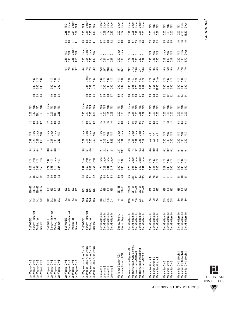|                                                                                    |                                                                                  | Under<br>Under<br>N.S.<br>N.S.                                                   | si<br>Sider<br>Sider<br>Sider                                                                                                | Under<br>Under<br>Under<br>Jnder                                                     | Under<br>Under                                 | Under<br>Under<br>Under<br>Under<br>Under                                                                                                                                                                                                                                                                                   | sisisi<br>Sisisi                                               | sisisi<br>Sisisi                                               | si<br>Sida<br>Sida                                                            |
|------------------------------------------------------------------------------------|----------------------------------------------------------------------------------|----------------------------------------------------------------------------------|------------------------------------------------------------------------------------------------------------------------------|--------------------------------------------------------------------------------------|------------------------------------------------|-----------------------------------------------------------------------------------------------------------------------------------------------------------------------------------------------------------------------------------------------------------------------------------------------------------------------------|----------------------------------------------------------------|----------------------------------------------------------------|-------------------------------------------------------------------------------|
|                                                                                    |                                                                                  | 0.55<br>0.24<br>$0.24$<br>$0.84$                                                 | $0.90$<br>$1.43$<br>$0.93$<br>$0.41$                                                                                         | <b>3852</b><br>0.57                                                                  |                                                | 0.05<br>$\begin{array}{c} 0.71 \\ 0.21 \end{array}$<br>0.06<br>0.11                                                                                                                                                                                                                                                         | ខី ទី <u>ឆ្ន</u>                                               | 888<br>888                                                     | 0.00<br>50.38<br>53.39                                                        |
|                                                                                    |                                                                                  | $4.8$<br>10.8<br>$\overline{3}$                                                  | 4 0 4 5<br>4 0 4 5                                                                                                           |                                                                                      | $\begin{array}{c} 10.3 \\ 10.3 \end{array}$    | 95<br>1515<br>130                                                                                                                                                                                                                                                                                                           | 23<br>23<br>23                                                 | 444<br>444                                                     | $1.6$ $1.6$                                                                   |
|                                                                                    |                                                                                  | Under<br>N.S.<br>si<br>Si<br>Si                                                  | Under<br>Under<br>Under<br>N.S.                                                                                              | <u>ပ ပ ပ ပ</u>                                                                       | Under<br>Under                                 | 00000                                                                                                                                                                                                                                                                                                                       | sisisi<br>Sisisi                                               | Under<br>si<br>Si                                              | si<br>Sida<br>Sida                                                            |
|                                                                                    |                                                                                  | 0.57<br>0.46<br>0.38<br>$\frac{2}{11}$                                           | <b>85582</b><br>0556                                                                                                         | 23 28 29<br>23 29 29                                                                 | 8<br>0.03                                      | ង មន្ត និ និ<br>ភូមិ និ និ និ                                                                                                                                                                                                                                                                                               |                                                                | $0.12$<br>$1.02$<br>$0.17$                                     | 0.80<br>0.80<br>2.70                                                          |
|                                                                                    |                                                                                  |                                                                                  | 6.12<br>6.15<br>6.15                                                                                                         | ន<br><b>និ</b> និ និ និ                                                              | 35.7<br>35.7                                   | 23.2<br>37.2<br>29.0<br>27.7<br>30.6                                                                                                                                                                                                                                                                                        | ភ្នំ គឺ                                                        | 16.9<br>16.9<br>16.9                                           | $\frac{17.0}{17.0}$                                                           |
| sisisi<br>Nisi                                                                     | sisisi<br>Sisisi                                                                 |                                                                                  | Under<br>si<br>Si                                                                                                            | sisisisi<br>Sisisisi                                                                 | sisi<br>Sisi                                   | 8 8 8 8 8 8<br>8 8 8 8 8 8                                                                                                                                                                                                                                                                                                  | sisi<br>Sisisi                                                 | sisisi<br>Sisisi                                               | sisisi<br>Nisi                                                                |
| 0.00<br>0.00<br>$\mathbf{0.00}$                                                    | 0.00                                                                             |                                                                                  | 0.05<br>0.09<br>$\overline{0}$ .                                                                                             | 2888                                                                                 | 8<br>0.02                                      | 88.00<br>$2.78$<br>$1.47$<br>$1.47$                                                                                                                                                                                                                                                                                         | ខី ឆ្នួ<br>ខី ខ្លួ                                             | 888<br>888                                                     | 888<br>000                                                                    |
| 234                                                                                | 2.34                                                                             |                                                                                  | 2.53                                                                                                                         | 25800                                                                                | 5.5<br>5.9                                     | <b>SESSS</b>                                                                                                                                                                                                                                                                                                                | 333                                                            | 223                                                            | $\frac{4}{5}$ $\frac{4}{5}$ $\frac{4}{5}$                                     |
| $\begin{array}{c}\n 25 \\  25 \\  36 \\  47\n \end{array}$                         | 들<br>그 그 그 그<br>그 그 그 그                                                          |                                                                                  | មិន<br>ការស្រុក<br>គ្មួន ក្នុង                                                                                               | si si si si<br>Si Si Si Si                                                           | si<br>Si<br>Si                                 | មិន និង និង<br>កំពុក និង និង                                                                                                                                                                                                                                                                                                | sisisi<br>Sisisi                                               | sisisi<br>Sisisi                                               | sisisi<br>Sisisi                                                              |
| 0.08<br>9.63                                                                       |                                                                                  |                                                                                  | <b>22322</b>                                                                                                                 | <b>B</b><br><b>B</b><br><b>B</b><br><b>B</b><br><b>B</b><br><b>B</b><br><b>B</b>     | 8<br>0.00                                      | 0.52                                                                                                                                                                                                                                                                                                                        | 8 8 8                                                          | 888<br>888                                                     | 888<br>000                                                                    |
| 2333                                                                               | 2992                                                                             |                                                                                  | 2323                                                                                                                         | <u>្អ ូ ូ ូ ូ</u>                                                                    | 8<br>0.8                                       | 238863                                                                                                                                                                                                                                                                                                                      | 333                                                            | $\ddot{u}$ $\ddot{u}$ $\ddot{u}$                               | $\frac{4}{5}$ $\frac{4}{5}$ $\frac{4}{5}$                                     |
| Under<br>N.S.<br>Under<br>N.S.                                                     | Under<br>Under<br>Under<br>s.<br>N                                               |                                                                                  | Under<br>N.S.<br>Under<br>Under                                                                                              | Under<br>sisisi<br>Sisisi                                                            | Under<br>Under                                 | Under<br>Under<br>Under<br>Under<br>Jnder                                                                                                                                                                                                                                                                                   | 552                                                            | sisisi<br>Sisisi                                               | sisisi<br>Sisisi                                                              |
| 88825                                                                              |                                                                                  |                                                                                  | <b>21528</b>                                                                                                                 | <b>0.05</b><br>0.12<br>1.25                                                          | 8 g<br>0.04                                    | $\frac{2}{0.07}$<br>582<br>02                                                                                                                                                                                                                                                                                               | ≨≨≨                                                            | 888<br>888                                                     | $\frac{8}{9}$ $\frac{8}{9}$ $\frac{8}{9}$                                     |
| 31<br>31<br>501<br>51                                                              | 31<br>31<br>501<br>51                                                            |                                                                                  | 3<br>3<br>5<br>4<br>4<br>7<br>4                                                                                              | 22<br>22<br>23<br>23                                                                 | 23.7<br>23.7                                   | <b>4 7 5 9 4 5</b><br>4 7 5 9 4                                                                                                                                                                                                                                                                                             | 888                                                            | 223                                                            | 음 음 음                                                                         |
| $258$<br>$258$<br>$258$                                                            | $\begin{array}{c}\n 25 \\  25 \\  36 \\  47\n \end{array}$                       |                                                                                  | <b>Designa</b><br>Over                                                                                                       | Under<br>Under<br>Under<br><b>Jnder</b>                                              | si<br>Si Si                                    | Under<br>Under<br>Under<br><b>Under</b><br>Jnder                                                                                                                                                                                                                                                                            | sisisi<br>Sisisi                                               | sisisi<br>Sisisi                                               | sisisi<br>Sisisi                                                              |
| 23 35<br>23 35 32                                                                  |                                                                                  |                                                                                  | 25<br>55<br>14<br>25<br>25                                                                                                   | 8855                                                                                 | 8<br>0.00                                      | ន្ល<br>ខ្លួនខ្លួន                                                                                                                                                                                                                                                                                                           | <b>B</b> <del>G</del><br>95<br>95<br>95                        | ភ្នំ ខ្ញុំ ខ្ញុំ                                               | 888<br>000                                                                    |
| $1.4$ 6 $3.2$                                                                      | 1832                                                                             |                                                                                  | 14872                                                                                                                        | 20.5<br>16.4<br>18.2<br>15.8                                                         | 5.6<br>5.0                                     | 15.5<br>24.8<br>19.7<br>18.2<br>20.5                                                                                                                                                                                                                                                                                        | 7.8<br>7.8                                                     | EEE                                                            | $\frac{8}{13}$ $\frac{8}{13}$ $\frac{8}{13}$                                  |
| $\begin{array}{r} 1988 - 92 \\ 1988 - 92 \\ 1988 - 92 \\ 1988 - 92 \\ \end{array}$ | 1993<br>1993<br><b>SE SE</b>                                                     | <b>SE SE SE</b>                                                                  | <b>SSSS</b>                                                                                                                  | 0661<br>0861<br>0861                                                                 | $88 - 89$<br>88-188                            | $\begin{array}{cccc} 5 & 5 & 5 & 5 & 5 \\ 6 & 5 & 5 & 5 & 5 \\ 6 & 5 & 5 & 5 & 5 \\ 6 & 5 & 5 & 5 & 5 \\ 7 & 6 & 5 & 5 & 5 \\ 8 & 5 & 5 & 5 & 5 \\ 9 & 10 & 5 & 5 & 5 \\ 10 & 5 & 5 & 5 & 5 \\ 11 & 5 & 5 & 5 & 5 \\ 12 & 5 & 5 & 5 & 5 \\ 13 & 5 & 5 & 5 & 5 \\ 14 & 5 & 5 & 5 & 5 \\ 15 & 5 & 5 & 5 & 5 \\ 16 & 5 & 5 & $ | <b>ESS</b><br>1992<br>1992                                     | 88 SR 92                                                       | <b>1986</b><br>1981                                                           |
| 142<br>$142$<br>$142$                                                              | <b>38 38 38</b><br>38 38 38                                                      | 2222                                                                             | <b>88888</b>                                                                                                                 | <b>166224</b>                                                                        | 45<br>61                                       | $\frac{25}{25}$ ឆ្កី $\overline{12}$<br>$1126$<br>56                                                                                                                                                                                                                                                                        | <b>222</b>                                                     | ភក្ត<br>ភក្ត                                                   | ន ន ន                                                                         |
| Survey-Interest<br>Mailing list<br><b>SM/WOBE</b><br>License                       | Survey-Interest<br><b>SM/WOBE</b><br>Mailing list<br>License                     | Survey-Interest<br>SM/WOBE<br>Mailing list<br>License                            | Survey-Interest<br>SM/WOBE<br>Mailing list<br>License                                                                        | Cert./Bidders list<br>Cert./Bidders list<br>Cert./Bidders list<br>Cert./Bidders list | Direcs,/Regist.<br>Direcs./Regist.             | Cert./Bidders list<br>Cert./Bidders list<br>Cert./Bidders list<br>Cert./Bidders list<br>Cert./Bidders list                                                                                                                                                                                                                  | Cert,/Bidders list<br>Cert./Bidders list<br>Cert,/Bidders list | Cert./Bidders list<br>Cert./Bidders list<br>Cert./Bidders list | Cert./Bidders list<br>Cert./Bidders list<br>Cert./Bidders list                |
| Las Vegas-City \$<br>↮<br>Las Vegas-City \$<br>Las Vegas-City \$<br>Las Vegas-City | Las Vegas-City \$<br>Las Vegas-City \$<br>Las Vegas-City \$<br>Las Vegas-City \$ | Las Vegas-City \$<br>Las Vegas-City \$<br>Las Vegas-City \$<br>Las Vegas-City \$ | Las Vegas–Local Area Gvts \$<br>Las Vegas–Local Area Gvts \$<br>Las Vegas-Local Area Gvts \$<br>Las Vegas-Local Area Gvts \$ | Louisiana \$<br>Louisiana \$<br>Louisiana \$<br>Louisiana \$                         | Maricopa County, AZ\$<br>Maricopa County, AZ\$ | Massachusetts-Aero Comm \$<br>Massachusetts-Massport \$<br>Massachusetts-Highway \$<br>Massachusetts-MBTA \$<br>Massachusetts-MTA\$                                                                                                                                                                                         | Memphis-Airport \$<br>Memphis-Airport \$<br>Memphis-Airport \$ | Memphis-City \$<br>Memphis-City \$<br>Memphis-City \$          | Memphis-City Schools \$<br>Memphis-City Schools \$<br>Memphis-City Schools \$ |

 $\overline{a}$ 

**Continued** *Continued*

APPENDIX: STUDY METHODS

THE URBAN INSTITUTE **85**

L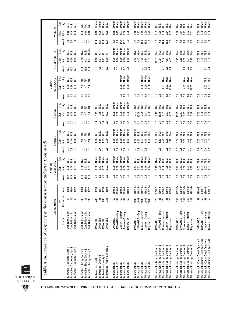|                                                                      |                                          |                                           |                            |                                           | AFRICAN              |                          |                               |                   |                                  |               |                             |                      |                | NATIVE           |                   |                       |                                             |                  |                          |                                      |                |
|----------------------------------------------------------------------|------------------------------------------|-------------------------------------------|----------------------------|-------------------------------------------|----------------------|--------------------------|-------------------------------|-------------------|----------------------------------|---------------|-----------------------------|----------------------|----------------|------------------|-------------------|-----------------------|---------------------------------------------|------------------|--------------------------|--------------------------------------|----------------|
|                                                                      |                                          | BACKGROUND                                |                            |                                           | AMERICANS            |                          |                               | <b>LATINOS</b>    |                                  |               | ASIANS                      |                      |                | AMERICANS        |                   | ALL MINORITIES        |                                             |                  |                          | WOMEN                                |                |
|                                                                      | Source                                   | Contracts<br>$*$ of                       | Year                       | Avail                                     | Ratio<br>Disp.       | Stat.<br>Sig.            | Avail                         | Ratio<br>Disp.    | Stat.<br>.<br>Sig                | Avail.        | Ratio<br>Disp.              | Stat.<br>Sig.        | Avail.         | Ratio<br>Disp.   | Stat<br>.<br>Sig. | Disp.<br>Avail.       | Ratio                                       | Stat.<br>Sig.    | Ratio<br>Disp.<br>Avail. |                                      | Stat.<br>Sig.  |
| Memphis-Gas, Water, Light \$                                         | Cert./Bidders list                       | 46                                        | 1988                       |                                           | 8.00                 |                          |                               | $\frac{8}{1}$     |                                  |               | <b>0.00</b>                 |                      | ö              | 0.00             |                   | 17.6                  | <b>0.00</b>                                 |                  |                          | 8.00                                 |                |
| Memphis-Gas, Water, Light \$<br>Memphis-Gas, Water, Light \$         | Cert./Bidders list<br>Cert./Bidders list | 46                                        | 1990<br>1992               | $\overline{11}$<br>$\overline{11}$        | 0.20<br>្រុ          | sisisi<br>Sisisi         | 333<br>00                     | 11.10<br>0.00     | sisisi<br>Sisisi                 | 555<br>55     | 0.00<br>0.00                | sisisi<br>Sisisi     | 5.5<br>0.5     | 0.36<br>0.02     | sisisi<br>Sisisi  | 17.6                  | 0.55<br>0.36                                | sisisi<br>Sisisi | <u>ង ។ ។</u>             | sisisi<br>Sisisi<br>0.19<br>0.00     |                |
| ↮<br>Memphis-Shelby County                                           | Cert,/Bidders list                       | 136                                       |                            |                                           | 4.50                 |                          |                               |                   |                                  |               |                             |                      |                |                  |                   |                       |                                             | Over             |                          | 0.00                                 |                |
| Memphis-Shelby County \$                                             | Cert./Bidders list                       |                                           |                            | $\frac{1}{2}$ $\frac{1}{2}$ $\frac{1}{2}$ | 0.17                 |                          | 888                           | ≨≨                | <b>SSS</b>                       | 888           | <b>SES</b>                  | ≨≨≨                  | <b>ខខ</b> ទ    | <b>SSS</b>       | <b>JSS</b>        | គ្នុ គ្នួ គ្ន         | 4.50<br>0.21                                | Ν.S.             | 888                      | ≨≨≨                                  |                |
| Memphis-Shelby County \$                                             | Cert./Bidders list                       | $\begin{array}{c} 126 \\ 126 \end{array}$ | 88<br>1990<br>1991         |                                           | 0.01                 | a si si<br>Tangg         |                               | $\frac{4}{2}$     |                                  |               |                             |                      |                |                  |                   |                       | 0.67                                        | Jnder            |                          | $\frac{8}{9}$ $\frac{8}{9}$          |                |
| Milwaukee-City \$                                                    | <b>SM/WOBE</b>                           | 406                                       | 1990                       |                                           | 0.00                 | <b>J</b> nder            | 0.6                           | 0.00              |                                  | 0.4           | 1.13                        |                      |                |                  |                   |                       |                                             |                  | 10.4                     | 0.10                                 | Under          |
|                                                                      | <b>SM/WOBE</b>                           |                                           | 1987                       |                                           | 0.13                 | Under                    | G                             | 0.66              |                                  | 0.4           | 1.19                        |                      |                |                  |                   |                       | $\begin{array}{c} 0.10 \\ 0.31 \end{array}$ |                  |                          | 0.09                                 | Under          |
| Milwaukee-County \$<br>Milwaukee-County \$                           | SM/WOBE<br>SM/WOBE                       | <b>FE &amp; HE</b>                        | 1990                       | 9<br>2 9 9 9<br>2 9 2 9                   | 0.02                 | Jnder<br>N.S.            | 0.6<br>0.6                    | 0.65<br>2.30      | sisisisi<br>Sisisisi             | 0.4           | 0.93<br>0.03                | sisisisi<br>Sisisisi |                |                  |                   | on ciono<br>ciercio   | ០.<br>១<br>០.ខ                              |                  | $\frac{4}{104}$          | $0.07$<br>$0.20$                     | Under<br>N.S.  |
| Milwaukee-Public Schools \$                                          |                                          |                                           | <b>1990</b>                |                                           |                      |                          |                               |                   |                                  |               |                             |                      |                |                  |                   |                       |                                             |                  |                          |                                      |                |
|                                                                      | <b>SM/WOBE</b>                           |                                           | $16 - 066$                 |                                           |                      | Under                    |                               |                   | Jnder                            |               |                             | Under                |                |                  |                   |                       |                                             | Under            |                          |                                      | Jnder          |
| Minneapolis \$<br>Minneapolis \$                                     | SM/WOBE-Empl.                            | <b>169</b>                                | $18 - 066$                 | 33583                                     |                      | Jnder                    | 323                           | 8.80              | <b>Jnder</b>                     | $\frac{2}{5}$ | 8.00                        | Jnder                |                |                  |                   | <b>99984</b><br>09284 | 8<br>0.00                                   | Jnder            | 5.7                      | $0.18$<br>$0.15$                     | Under          |
| Minneapolis \$                                                       | Survey-Interest                          | 169                                       | 1990-91                    |                                           | 0.00                 | Under                    |                               | 0.00              | Under                            | <b>3</b> 8 5  | 0.00                        | Under                | $\frac{8}{10}$ | 0.00             | Jnder             |                       | 0.00                                        | Under            | $14.5$ 3.7               | 0.07                                 | Under          |
| Minneapolis \$                                                       | Survey-Attempt                           | 169                                       | $19 - 060$                 |                                           | 0.00                 | Under                    | $\frac{1}{2}$ 3               | 0.00              | Under                            |               | 0.00                        | Under                | Ξ              | 0.00             | Under<br>Under    |                       | 0.00                                        | Jnder            |                          | 0.08                                 | Under          |
| Minneapolis \$                                                       | Registered                               | 169                                       | $18 - 060$                 |                                           | 0.00                 | <b>Under</b>             |                               | 0.00              | Under                            |               | 0.00                        | <b>Under</b>         | $\mathbf{c}$   | 0.00             |                   |                       | 0.00                                        | <b>Under</b>     |                          | 0.28                                 | <b>Jnder</b>   |
| Minneapolis \$                                                       | SM/WOBE                                  | 2,089                                     | 1992-94                    |                                           |                      |                          |                               |                   | Under                            |               |                             | Over                 |                |                  |                   |                       | 2.82                                        | J<br>Over        | 57                       |                                      | Under          |
| Minneapolis \$                                                       | SM/WOBE--Empl                            | 2,089                                     | 1992-94                    |                                           | 0.44                 | sis<br>NS                | 333                           | $\frac{18}{0.30}$ |                                  |               | 7.97<br>13.58               | Over                 | 3 9 8          |                  |                   |                       | 447                                         | Over             |                          | 0.48<br>0.37                         | Under          |
| Minneapolis \$                                                       | Survey-Interest                          | 2,089                                     | 1992-94                    | 33583                                     | 0.19                 | Under                    |                               | 0.23              | sisisisi<br>Sisisisi             | 25395         | 7.25                        | Over                 |                | $\frac{8}{2}$    | Under             | 2.6<br>2.4            | 1.24                                        | sisisi<br>Sisisi | 14.4                     | 0.19                                 | Under          |
| Minneapolis \$<br>Minneapolis \$                                     | Survey-Attempt                           | 2,089                                     | 1992-94                    |                                           | 0.16                 | Under                    | $\overline{5}$ $\overline{2}$ | 0.43<br>0.28      |                                  |               | $3.41$<br>$2.66$            | Over                 | $\Xi$ $\Xi$    | $\frac{80}{100}$ | Under<br>Under    |                       | 0.94                                        |                  | $13.5$<br>$3.7$          | $0.20$<br>$0.73$                     | Under<br>Under |
|                                                                      | Registered                               | 2,089                                     | 1992-94                    |                                           | 0.14                 | <b>Jnder</b>             |                               |                   |                                  |               |                             | Over                 |                |                  |                   |                       | 1.03                                        |                  |                          |                                      |                |
| Minneapolis-Large Contract \$                                        | <b>SM/WOBE</b>                           | <b>125</b>                                | $1990 - 91$                |                                           | 5.43<br>7.70         | 0 ver                    |                               | 3.36<br>5.63      | x.s<br>Over                      |               | 38.43<br>65.45              | Dver                 | $^{0.9}$       |                  |                   |                       | $13.59$<br>$21.51$                          | Over             | 5. Z<br>7. Z             | <u>្អ ន</u>                          |                |
| Minneapolis-Large Contract \$                                        | SM/WOBE-Empl.                            |                                           | $1990 - 91$                | 33533                                     |                      | <b>Over</b>              | 33353                         |                   |                                  | 25355         |                             | Over                 | 0.6            |                  |                   |                       |                                             | Over             |                          | sisisisi<br>Sisisisi                 |                |
| Minneapolis-Large Contract \$                                        | Survey-Interest                          | 125                                       | $1990 - 91$                |                                           | 2.38                 | sisisi<br>Sisisi         |                               | 4.28              | N.S.<br>Over                     |               | 8.01                        | Over                 | 0.8            | 8.97             | Dver              | 2.6<br>2.4            | 5.94                                        | Over             | 14.4                     | 0.60                                 |                |
| Minneapolis-Large Contract \$<br>Minneapolis-Large Contract \$       | Survey-Attempt                           | 125                                       | $19 - 066$                 |                                           | $\frac{9}{1.79}$     |                          |                               | 8.05              |                                  |               | 3.77                        | over<br>N.S.         | Ξ              | $6.32$<br>21.44  | Over<br>Over      |                       | 4.51                                        | Over             | 13.5                     | 0.64                                 |                |
|                                                                      | Registered                               | 125                                       | $990 - 91$                 |                                           |                      |                          |                               | 5.12              | <b>Over</b>                      |               | 2.95                        |                      | $\mathbf{c}$   |                  |                   |                       | 4.95                                        | Over             |                          | Over<br>2.35                         |                |
| Minneapolis-Large Contract \$                                        | <b>SM/WOBE</b>                           |                                           | $992 - 94$                 |                                           |                      |                          |                               |                   |                                  |               |                             | Over                 |                |                  |                   |                       | 5.75                                        | 0ver             | 57                       |                                      |                |
| Minneapolis-Large Contract \$                                        | SM/WOBE-Empl                             | 249<br>249                                | $1992 - 94$                | 335                                       | 2.82<br>2.82<br>1.83 |                          | 333                           | 합<br>0.06         |                                  |               | 15.95<br>27.17              | Over                 | ី ទី           |                  |                   |                       | 9.10                                        | Over             | 7.2                      | o<br>o<br>o<br>o<br>$1.56$<br>$1.57$ |                |
| Minneapolis-Large Contract \$                                        | Survey-Interest                          | 249                                       | $1992 - 94$                |                                           |                      | s s s s s s<br>s s s s s |                               | 0.05              | si si si si si<br>Si si si si si | <b>SESSS</b>  | 1.32                        | sisisi<br>Sisisi     | 0.8            | 4.40             | Over              |                       | 2.52                                        | Over             | 14.4                     | $2.56$<br>$2.56$                     |                |
| Minneapolis-Large Contract \$<br>Minneapolis-Large Contract \$       | Survey-Attempt                           | 249<br>249                                | $180 - 34$<br>992-94       | <u>ី ខ</u>                                | <u>ត្ត ន</u>         |                          | $\overline{5}$ $\overline{2}$ | <b>es</b> 0.06    |                                  |               | $0.62$<br>0.48              |                      | $\frac{11}{2}$ | $3.10$<br>10.50  | Over<br>Over      | 2.6<br>2.4            | $\frac{5}{2}$ .10                           | Over             | $\frac{13.5}{3.7}$       | $\frac{82}{3.01}$                    |                |
|                                                                      | Registered                               |                                           |                            |                                           |                      |                          |                               |                   |                                  |               |                             |                      |                |                  |                   |                       |                                             | Over             |                          |                                      |                |
| Minneapolis Comm Devel Agency \$                                     | <b>SM/WOBE</b>                           |                                           | $1990 - 91$                |                                           | 88<br>0.00           |                          |                               | 0.00              |                                  |               | 8.00                        |                      | 0.3<br>0.6     |                  |                   |                       | 8.80                                        |                  | 57                       |                                      | N.S.<br>Under  |
| Minneapolis Comm Devel Agency \$                                     | SM/WOBE-Empl                             |                                           | $1990 - 91$                |                                           |                      |                          |                               | <b>0.00</b>       |                                  |               |                             |                      |                |                  |                   |                       |                                             |                  |                          |                                      |                |
| Minneapolis Comm Devel Agency \$<br>Minneapolis Comm Devel Agency \$ | Survey-Interest                          | ន ន ន ន                                   | $1990 - 91$<br>$1990 - 91$ | 3333                                      | $\frac{8}{9}$ 8      | sisisisi<br>Sisisisi     | 3333                          | $\frac{8}{9}$ 8   | sisisisi<br>Sisisisi             | 2235          | $\frac{8}{9}$ $\frac{8}{9}$ | sisisisi<br>Sisisisi | $\frac{8}{10}$ | 8.8<br>0.00      | sisi<br>Zizi      | $2.\overline{8}$      | sisisisi<br>Sisisisi<br>$\frac{8}{100}$     |                  |                          | 8888                                 | Under<br>Under |
|                                                                      | Survey-Attempt                           |                                           |                            |                                           |                      |                          |                               |                   |                                  |               |                             |                      | $\Xi$          |                  |                   |                       |                                             |                  |                          |                                      |                |
|                                                                      |                                          |                                           |                            |                                           |                      |                          |                               |                   |                                  |               |                             |                      |                |                  |                   |                       |                                             |                  |                          |                                      |                |

 $\overline{\phantom{a}}$ THE URBAN INSTITUTE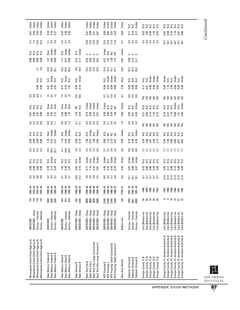| Minneapolis Comm Devel Agency \$<br>Minneapolis Comm Devel Agency \$<br>Minneapolis Comm Devel Agency \$<br>Minneapolis Comm Devel Agency \$                                                                                                                   | SM/WOBE-Empl<br>Survey-Interest<br>Survey-Attempt<br><b>SM/WOBE</b>                                                              | 119<br>119<br>119<br>119              | ಕ್ಷ ಕ್ಷ ಕ್ಷ<br>೧೯೧೬ ಕ್ಷ<br>೧೯೧೨ ಕ್ಷ                                                                      | 3333                   | 8888                               | sisisisi<br>Sisisisi                 | 3333                  | 8888                             | sisisisi<br>Sisisisi          | 2238                          | 5858                       | sisisisi<br>Sisisisi             | <b>8881</b>                               | 8.80                                                  | sis<br>Nisi                                 | $2.\overline{8}$     | 8888                                   | sisisisi<br>Sisisisi   | 5.12<br>5.12<br>5.13<br>5.14         | <b>B</b> 888         | ber<br>Dender<br>Dender              |
|----------------------------------------------------------------------------------------------------------------------------------------------------------------------------------------------------------------------------------------------------------------|----------------------------------------------------------------------------------------------------------------------------------|---------------------------------------|----------------------------------------------------------------------------------------------------------|------------------------|------------------------------------|--------------------------------------|-----------------------|----------------------------------|-------------------------------|-------------------------------|----------------------------|----------------------------------|-------------------------------------------|-------------------------------------------------------|---------------------------------------------|----------------------|----------------------------------------|------------------------|--------------------------------------|----------------------|--------------------------------------|
| New Mexico-Federal \$<br>New Mexico-Federal \$<br>New Mexico-Federal \$                                                                                                                                                                                        | Survey-Interest<br>Survey-Attempt<br><b>SM/WOBE</b>                                                                              | 1630<br>1630<br>1630                  | $190 - 94$<br>1900-94<br>1900-94                                                                         | ននទ                    | 8<br>0.13<br>0.53                  | <b>N.S.</b><br>Under<br>N.S.         | 9.5<br>20.4<br>22.7   | <u>ង</u> ចិន                     | Under<br>Under<br><b>Over</b> | 음 음 <u>근</u>                  | 2.67<br>4.32<br>2.12       | ទី ទី ទី<br>០០០                  | 1.5 22 1.2                                | គ្គ <b>និ</b><br>ខេត្ត                                | N.S.<br>Under<br>N.S.                       | 12.5<br>24.5<br>25.1 | <b>127</b><br>0.62<br>0.60             | Jnder<br>Under<br>Dver | <b>538</b>                           | 0.16<br>0.16<br>0.27 | Under<br>Under                       |
| New Mexico-State \$<br>New Mexico-State \$<br>New Mexico-State \$                                                                                                                                                                                              | Survey-Interest<br>Survey-Attempt<br><b>SM/WDBE</b>                                                                              | 814<br>814<br>814                     | $190 - 94$<br>$+9 - 066$<br>$+9 - 066$                                                                   | 585                    | $183$<br>0.38 $7$                  | sisisi<br>Sisisi                     | <u>ន ច</u><br>20      | $1.16$<br>0.45                   | N.S.<br>Under<br>Under        | <b>3 g 2</b>                  | $2.36$<br>$7.74$           | Dver<br>Over<br>Dver             | $\frac{4}{3}$ $\frac{3}{2}$ $\frac{5}{2}$ |                                                       | <b>N.S.</b><br>Under<br>N.S.                | 10.5<br>23.3<br>24.3 | ិ ឆ្នូ និ                              | N.S.<br>Under<br>Under | 5.7 3.4                              | នី ខ្ញុំ និ          | Under<br>Under<br>Under              |
| New Orleans \$<br>New Orleans \$                                                                                                                                                                                                                               | SM/WOBE-Empl<br>SM/WOBE-Empl                                                                                                     | 342<br>1,285                          | 1986-89<br>1989-92                                                                                       | 10.4                   | $\frac{02}{0.10}$                  | N.S.<br>Under                        | $2.0$<br>$2.2$        | 0.10                             | si<br>Si<br>Si                | 55                            | $1.52$<br>0.14             | s si                             | 12.5                                      | $\frac{23}{20}$                                       | N.S.<br>Under                               | $9.6$<br>16.4        | 0.77                                   | N.S.<br>Under          |                                      |                      |                                      |
| New York City-Large Contracts \$<br>New York City-Large Contracts #<br>New York City \$<br>New York City #                                                                                                                                                     | SM/WOBE-Empl<br>SM/WOBE-Empl<br>SM/WOBE-Empl<br>SM/WOBE-Empl                                                                     | 2868<br>2868<br>2090<br>2090          | $\begin{array}{r} 1989 - 90 \\ - 90 \\ - 989 - 90 \\ 0 \\ 0 \\ - 989 - 90 \\ 0 \\ 0 \\ 0 \\ \end{array}$ | a ra ra ra<br>ca ra ra | $1.16$<br>$1.16$<br>$0.5$<br>$0.5$ | Under<br>Under<br>Under<br>Over      | 23434                 | 85<br>185<br>185                 | Under<br>N.S.<br>Under<br>Σ.  | 8 8 8 8 9<br>8 8 9 8 9        | $14840$<br>0.500           | Under<br>Under<br>Under<br>Under |                                           |                                                       |                                             | 15.85.89             |                                        | 0000                   | <b>230</b><br>230<br>230             | <b><u>Sasa</u></b>   | der<br>Derbert<br>Derbert<br>Derbert |
| NYC Housing-Small Contracts #<br>NYC Housing-Small Contracts \$<br>NYC Housing \$<br>NYC Housing #                                                                                                                                                             | SM/WOBE-Empl<br>SM/WOBE-Empl<br>SM/WOBE-Empl<br>SM/WOBE-Empl                                                                     | 2,540<br>1,640<br>2,540<br><b>GRS</b> | $\begin{array}{r} 1988 - 92 \\ 1988 - 92 \\ 1988 - 92 \\ 1988 - 92 \\ \end{array}$                       | 0 0 1 0<br>0 0 1 0 0   |                                    | der<br>Sistema<br>Sistema<br>Sistema | 5.7<br>5.8 5.4<br>5.7 | <b>BE225</b>                     | si si si si                   | 0 - 0 0<br>0 - 0 0<br>0 - 0 0 | 83<br>03<br>05<br>05<br>07 | <b>Under</b><br>sisisi<br>Sisisi | 5533                                      | <b>SSSS</b>                                           | Jnder<br>Jnder<br>Under<br>ν.s              | 53<br>153<br>167     | <b>1</b><br>1<br>1<br>1<br>1<br>1<br>2 | មិន<br>កូន កិច្ច       | $12.0$<br>$12.0$<br>$12.0$<br>$12.0$ | ន ន ន ន ន            | Under<br>Under<br>Jnder<br>Under     |
| New York State \$                                                                                                                                                                                                                                              | <b>Bidders</b> list                                                                                                              | S                                     | FY90-91                                                                                                  | $6.8\,$                | 0.49                               | Under                                | 3.6                   | 0.46                             | Under                         | $\ddot{ }$ .                  | 0.59                       | Under                            | CO                                        | 2.46                                                  | Over                                        | 13.0                 | 0.61                                   | Under                  | 5 <sub>0</sub>                       | 0.39                 | Under                                |
| Oakland-Schools \$<br>Oakland-Schools \$<br>Oakland-Schools \$                                                                                                                                                                                                 | Survey-Interest<br>Survey-Interest<br>Survey-Interest                                                                            | 4565<br>1904<br>2661                  | $\begin{array}{c} 1991 - 92 \\ 1992 - 93 \\ 1992 - 93 \\ \end{array}$                                    | ទី ទី ទី               | 585<br>0.00                        | Under<br>Under<br>Under              | 80 80 80<br>80 80 80  | ិ ខេ<br>០ ១ ឃុំ<br>០ ១ ឃុំ       | s.<br>23<br>23<br>5           | 444<br>444                    |                            | x.s.<br>N.s.<br>Under            | 888                                       | $\begin{array}{c} 8 & 8 & 8 \\ 6 & 6 & 8 \end{array}$ | sisisi<br>Sisisi                            |                      | <b>ن</b> ن ن<br>8855                   |                        | 323<br>933                           | 5.15<br>0.15<br>0.17 | s<br>2 si<br>2 si                    |
| Orange County, FL \$<br>Orange County, FL \$<br>Orange County, FL \$<br>Orange County, FL \$<br>Orange County, FL \$                                                                                                                                           | Cert./Bidders list<br>Cert./Bidders list<br>Cert./Bidders list<br>Cert./Bidders list<br>Cert./Bidders list                       | <b>35883</b>                          | 88<br>1995<br>1992<br>1988                                                                               | <b>222222</b><br>22222 | 288888                             | sisisisisi<br>Sisisisisi             | ននននន                 | ន្ត<br>និង និង ដូ                | sisisisisi<br>Sisisisisi      | 88888                         | <b>SSSSS</b>               | sisisisisi<br>Sisisisisi         | 88888                                     | 758888                                                | x.s.<br>2. 2. 5<br>2. 5. 5. 5. 5            |                      |                                        |                        | 44444                                |                      | sisisisisi<br>Sisisisisi             |
| Orange County, FL-Aviation Authority \$<br>Orange County, FL-Aviation Authority \$<br>Orange County, FL-Aviation Authority \$<br>Orange County, FL-Aviation Authority \$<br>Orange County, FL-Aviation Authority \$<br>Drange County, FL-Aviation Authority \$ | Cert./Bidders list<br>Cert./Bidders list<br>Cert./Bidders list<br>Cert./Bidders list<br>Cert./Bidders list<br>Cert./Bidders list | ၜ<br>$\overline{5}$ ដ<br>ಕ ಜ          | 87<br>1988<br>1990<br>1991<br>1992                                                                       | ១១១១១១<br>ភគតិនិត      |                                    | sisisisisisi<br>Nisisisisi           | <b><i>LU1111</i></b>  | 3 3 4 5 5 5 5 6<br>3 7 8 5 5 5 6 | s s s s s s s<br>s s s s s s  | 999999                        | <b>e</b> 5 n 8 n 6 9       |                                  | <b>SSSSSS</b>                             | 0.58800                                               | der<br>Sister<br>Sister<br>Sister<br>Sister |                      |                                        |                        | 2020<br>2020                         |                      | sisisisisisi<br>Sisisisisisi         |

L THE URBAN INSTITUTE

APPENDIX: STUDY METHODS

Continued *Continued*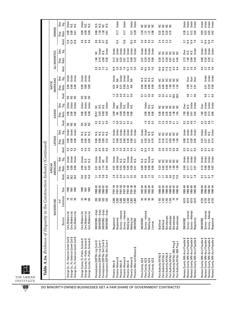|                                              |                      | Stat<br>Sig.      | Under<br>$\frac{2}{5}$ $\frac{2}{5}$                                                                                 | Under<br>$rac{3}{2}$ $rac{3}{2}$                                                                                  | sis<br>Nisi<br>s.<br>N<br>ξ                                                                                                                    | Under<br>Under<br>Under<br>Under                                                                                                           | 2222                                                                                 | 2222                                                                                                                                                                          | Under<br>Jinder<br>Jnder<br>Jnder                                                                                                                  | Under<br>Under<br>Under<br>Under                                                                                                                 |
|----------------------------------------------|----------------------|-------------------|----------------------------------------------------------------------------------------------------------------------|-------------------------------------------------------------------------------------------------------------------|------------------------------------------------------------------------------------------------------------------------------------------------|--------------------------------------------------------------------------------------------------------------------------------------------|--------------------------------------------------------------------------------------|-------------------------------------------------------------------------------------------------------------------------------------------------------------------------------|----------------------------------------------------------------------------------------------------------------------------------------------------|--------------------------------------------------------------------------------------------------------------------------------------------------|
|                                              | WOMEN                | Ratio<br>Disp.    | 0.00<br>6.61<br><b>S</b> .0                                                                                          | 0.00<br>0.09<br>0.00                                                                                              | <u>ក្មី ឆ្ន</u><br>88<br>1.30                                                                                                                  | 0.17<br>0.17<br>$\begin{array}{c} 0.21 \\ 0.39 \end{array}$                                                                                | 2.28<br>$1.27$<br>$2.86$<br>121                                                      |                                                                                                                                                                               | 0.28<br>$\overline{0}$ .11<br>0.12<br>0.20                                                                                                         | ទី<br>ទី ដូ ដូ អូ<br>ទី ទី ទី                                                                                                                    |
|                                              |                      | Avail             | 12.8<br>12.8                                                                                                         | 8<br>8<br>6<br>8<br>8                                                                                             | $_{\rm 8.8}$<br>10.0<br>ഒ<br>57                                                                                                                | 12.4<br>12.6<br>$\frac{2}{5}$ .6                                                                                                           | 9.5<br>$\div$<br>ه.<br>တ                                                             | 2.3<br>2.3<br>2.3                                                                                                                                                             | 14.4<br>13.4<br>57                                                                                                                                 | 13.4<br>14.4<br>5                                                                                                                                |
|                                              |                      | Stat.<br>Sig.     |                                                                                                                      |                                                                                                                   | <b>Jnder</b><br>Under<br>N.S.                                                                                                                  | Under<br>Under<br>Under<br>Under<br>Under<br>Jnder<br>Jnder                                                                                | Under<br>Under<br>Jnder<br>Jnder                                                     | š<br>222<br>ă<br>š                                                                                                                                                            | Jnder<br>Over<br>sisi                                                                                                                              | breate<br>Under<br>Under<br>Under                                                                                                                |
|                                              | ALL MINORITIES       | Ratio<br>Disp.    |                                                                                                                      |                                                                                                                   | 0.16<br>0.90<br>0.38<br>1.66                                                                                                                   | 0.12<br>0.13<br>0.32<br>$\overline{5}$<br>0.32<br>0.01                                                                                     | $0.37$<br>$0.24$<br>0.35<br>0.60                                                     | 83<br>0.38<br>0.9<br>ន<br>ចិន<br>ខេ                                                                                                                                           | 2.73<br>1.09<br>0.90<br>0.49                                                                                                                       | ទី ខ្នង់<br>ខិតខ្នង់<br>$\overline{5}$                                                                                                           |
|                                              |                      | Avail.            |                                                                                                                      |                                                                                                                   | 3. 0. 12<br>3. 0. 12<br>3. 13                                                                                                                  | 5.92.95<br>5.22.95<br>$12.9$<br>$2.0$                                                                                                      | 9. 8<br>5. 8<br>9.5<br>14.5                                                          | 14.0<br>14.0<br>$\frac{18}{11}$<br>64                                                                                                                                         | $2.\overline{8}$<br>4.8<br>$0.9$<br>$2.2$                                                                                                          | 0<br>0 2 3 4<br>0 2 4 4                                                                                                                          |
|                                              |                      | Stat.<br>Sig.     | Under<br>Jnder<br>Jnder                                                                                              | Under<br>Under<br>Jnder                                                                                           |                                                                                                                                                | Jnder<br>Jnder<br>JS S<br>Under<br>NA                                                                                                      | sisisisi<br>Sisisisi                                                                 | 222222                                                                                                                                                                        | Ter<br>Der<br>Dver<br>Dver                                                                                                                         | der<br>Under<br>Under                                                                                                                            |
|                                              | NATIVE<br>AMERICANS  | Ratio<br>Disp.    | 0.00<br>0.00<br>0.00                                                                                                 | 888<br>000                                                                                                        |                                                                                                                                                | 22222<br>22                                                                                                                                | 8888                                                                                 | <b>B</b> a a a a a a a a                                                                                                                                                      | $2.98$<br>$7.91$<br>$2.91$                                                                                                                         | <u>ក្ដុង</u><br>ក្ដុង<br>0.41                                                                                                                    |
|                                              |                      | Avai              | និនន                                                                                                                 | <b>SSS</b>                                                                                                        |                                                                                                                                                | 3 d<br>$\frac{5}{20}$                                                                                                                      | $\mathbf{C}$<br>$\overline{0}$<br>$\overline{0}$                                     | $\overline{0.2}$<br>$\overline{a}$<br>29.5<br>29.5<br>$\overline{0}$                                                                                                          | 0.6<br>Ξ                                                                                                                                           | $\frac{8}{10}$<br>$\overline{a}$ is                                                                                                              |
|                                              |                      | Stat.<br>Sig.     | Under<br>Under<br>Jnder                                                                                              | <b>J</b><br>Dinder<br>Under                                                                                       | Under<br>Σ.<br>s a                                                                                                                             | Under<br>Under<br>Under<br>N.S.<br>¥<br>s.                                                                                                 | der<br>No.s.<br>No.s.                                                                | $\frac{1}{2}$ $\frac{1}{2}$<br>2222                                                                                                                                           | <b>J</b> nder<br>Jnder<br>Over<br>N.S.                                                                                                             | Under<br>Jnder<br><b>Jnder</b><br><b>Over</b>                                                                                                    |
|                                              | ASIANS               | Ratio<br>Disp.    | 0.00<br><b>0.00</b><br>0.00                                                                                          | 8<br>0.00<br>0.00                                                                                                 | <b>C.OD</b><br>$\overline{0}$<br>25.57<br>0.92                                                                                                 | $\leq$<br>0.00<br>0.00<br>$\frac{8}{100}$<br>$\mathbf{5}$                                                                                  | 0.00<br>$\frac{8}{100}$                                                              | <b>0.35</b><br>០.១ ស្<br>0.45<br>$\frac{88}{15}$ ២                                                                                                                            | 7.99<br>0.99<br>0.47<br>0.20                                                                                                                       | 1.88<br>0.31<br>0.016                                                                                                                            |
|                                              |                      | Avail             | <b>SSS</b>                                                                                                           | <b>SSS</b>                                                                                                        | $\overline{0}$<br>$\frac{8}{3}$                                                                                                                | ំ<br>$\approx$<br><b>55</b><br>55<br>$\overline{a}$                                                                                        | 280                                                                                  | 55888<br>2523<br>4.1<br>$\overline{4}$                                                                                                                                        | $\frac{6}{13}$<br>2<br>0.3                                                                                                                         | 2352                                                                                                                                             |
|                                              |                      | Stat.<br>Sig.     | Under<br>Under<br>Under                                                                                              | sisisi<br>Sisisi                                                                                                  | sisisisi<br>Sisisisi                                                                                                                           | Under<br>Jnder<br>Jinder<br><b>Under</b><br><b>Under</b><br>Jnder<br><u>Jnder</u>                                                          | Under<br>Under<br>si<br>Si<br>Si                                                     | 222229                                                                                                                                                                        | Jnder<br>Jnder<br>Jnder<br>Jnder                                                                                                                   | Under<br>Under<br>N.S.<br>Under                                                                                                                  |
|                                              | <b>LATINOS</b>       | Disp.<br>Ratio    | 0.00<br>0.00<br>8.00                                                                                                 | <b>8.80</b><br>0.05                                                                                               | 0.00<br>0.23<br>$\overline{0}$<br>$\mathbf{5}$                                                                                                 | 0.26<br>0.15<br>0.25<br>$\overline{0}$<br>$\overline{a}$<br>0.21                                                                           | 0.28<br>$0.47$<br>$0.70$<br>0.41                                                     | 0.13<br>0.76<br>0.93<br>$\frac{18}{15}$<br>0.10                                                                                                                               | 0.10<br>0.20<br><u>្ញ</u><br>0.08                                                                                                                  |                                                                                                                                                  |
|                                              |                      | Avail             | က<br>െ<br>တ<br>တ                                                                                                     |                                                                                                                   | $\frac{8}{2}$<br>$\frac{8}{2}$                                                                                                                 | $3.5\,$<br><b>es</b><br>$3\frac{4}{9}$<br>$\overline{41}$                                                                                  | 12.4<br>7.4<br>5.0<br>$\frac{4}{3}$                                                  | ဇာ ဇာ<br>ب به<br>ოო<br><u>പ്പ് ക്</u> ക                                                                                                                                       | $\overline{0.3}$<br>្ងឺ<br>$\overline{a}$                                                                                                          | $\frac{1}{2}$ 5<br>3<br>3<br>3                                                                                                                   |
|                                              |                      | Stat.<br>Sig.     | Jnder<br>Jnder<br><b>Jndei</b>                                                                                       | Under<br>si<br>Si<br>Si                                                                                           | Under<br>Under<br>Under<br>ă                                                                                                                   | Under<br>Under<br>Under<br>Under<br>$\frac{0}{2}$<br>N.S.<br>Σ.                                                                            | Under<br>si<br>Si Si<br>Σ.                                                           | $rac{c}{z}$<br>2222                                                                                                                                                           | Under<br><b>J</b> nder<br>Jnder<br>Under                                                                                                           | Jnder<br>Jnder<br>Jnder<br><b>Jnder</b>                                                                                                          |
|                                              | AMERICANS<br>AFRICAN | Ratio<br>Disp.    | 0.00<br>0.00<br><b>0.00</b>                                                                                          | 0.00<br>0.02<br>$\overline{5}$                                                                                    | 1.14<br>0.44<br>$\overline{5}$<br>្ត                                                                                                           | <u>ធ្ងន</u><br>0.05<br>0.00<br>0.00<br>$\overline{a}$                                                                                      | 0.00<br>0.00                                                                         | 1.05<br>$\frac{88}{18}$                                                                                                                                                       | 0.17<br>0.17<br>0.07                                                                                                                               | <b>E</b> 8 8 8<br>0 0 0 0                                                                                                                        |
|                                              |                      | Avail             | 26.2<br>26.28                                                                                                        | 14.0<br>$\frac{14.0}{2}$                                                                                          | 4.0<br>5.8<br>6.5<br>$\overline{31}$                                                                                                           | 2.8<br>0.3<br>35235                                                                                                                        | 0.4<br>$1.2$ 0.2                                                                     | 5.7<br>2.7<br>6.0<br>$\overline{2}$<br>17.0                                                                                                                                   | $\frac{3}{5}$<br>$\overline{0}$<br>$\frac{8}{1}$                                                                                                   | 3.552                                                                                                                                            |
| struction Industry (Continued)               |                      | Year              | 1992<br>1990<br>1991                                                                                                 | $\frac{6}{5}$ $\frac{6}{5}$ $\frac{6}{5}$                                                                         | $188 - 32$<br>$1988 - 380$<br>988-92<br>$988 - 92$                                                                                             | FY87-93<br>FY87-93<br>FY87-93<br>FY87-93<br>FY87-93<br>FY87-93<br>FY87-93                                                                  | 1992-94<br>$992 - 94$<br>$1992 - 94$<br>1992-94                                      | 1990–92<br>1990–92<br>1988-92<br>1988-92<br>1988-92<br>1988-92                                                                                                                | 1985-89<br>1985-89<br>1985–89<br>1985–89                                                                                                           | 1990–94<br>1990–94<br>1990–94<br>1990–94                                                                                                         |
|                                              | BACKGROUND           | Contracts<br># of | <b>223</b>                                                                                                           | 103<br><b>23</b><br>28                                                                                            | <b>8888</b>                                                                                                                                    | 2,302<br>2,302<br>2,302<br>2,302<br>2,302<br>2,302<br>2,302                                                                                | <b>មិ</b> មិ<br><b>ន</b> ន                                                           | $\frac{1}{2}$<br>1,192<br>1,192<br>1,192<br>1,192                                                                                                                             | 4,515<br>4,515<br>4,515<br>4,515                                                                                                                   | 4,733<br>4,733<br>4,733<br>4,733                                                                                                                 |
|                                              |                      | Source            | Cert/Bidders list<br>Cert./Bidders list<br>Cert./Bidders list                                                        | Cert./Bidders list<br>Cert,/Bidders list<br>Cert./Bidders list                                                    | SM/WOBE-Empl<br>SM/WOBE-Empl<br>SM/WOBE-Empl<br>SM/WOBE-Empl                                                                                   | Survey-Interest<br>Survey-Interest<br>Mailing list<br>Mailing list<br>Registered<br>Registered<br><b>SM/WOBE</b>                           | Survey-Interest<br>Mailing list<br><b>SM/WOBE</b><br>License                         | <b>Bid attempts</b><br><b>Bid attempts</b><br><b>Bid attempts</b><br><b>Bid attempts</b><br><b>Bid/Vend</b><br>Bid/Vend                                                       | Survey-Interest<br>Survey-Attempt<br><b>SM/WOBE</b><br>Registered                                                                                  | Survey-Interest<br>Survey-Attempt<br>SM/WOBE<br>Registered                                                                                       |
| Table A.3a. Evidence of Disparity in the Cor |                      |                   | urange Co., FL-Valencia Comm Coll \$<br>Orange Co., FL-Valencia Comm Coll \$<br>Orange Co., FL-Valencia Comm Coll \$ | Orange County, FL-Public Schools \$<br>Orange County, FL-Public Schools \$<br>Orange County, FL-Public Schools \$ | Pennsylvania (SEPTA)-Sml Contr \$<br>Pennsylvania (SEPTA)-Sml Contr #<br>Pennsylvania (SEPTA)-Lrg Contr \$<br>Pennsylvania (SEPTA)-Lrg Contr # | Phoenix-Men and Women \$<br>Phoenix-Women \$<br>Phoenix-Women \$<br>Phoenix-Women \$<br>Phoenix-Men \$<br>Phoenix-Men \$<br>Phoenix-Men \$ | Pima County, AZ \$<br>Pima County, AZ \$<br>Pima County, AZ \$<br>Pima County, AZ \$ | Port Authority NY/NJ-SBE Prog \$<br>Port Authority NY/NJ-SBE Prog #<br>Port Authority NY/NJ \$<br>Port Authority NY/NJ \$<br>Port Authority NY/NJ #<br>Port Authority NY/NJ # | Ramsey County, MN-Acct Payable \$<br>Ramsey County, MN-Acct Payable \$<br>Ramsey County, MN-Acct Payable \$<br>↔<br>Ramsey County, MN-Acct Payable | Ramsey County, MN–Acct Payable \$<br>Ramsey County, MN–Acct Payable \$<br>Ramsey County, MN-Acct Payable \$<br>Ramsey County, MN-Acct Payable \$ |

 $\overline{\phantom{a}}$ THE URBAN INSTITUTE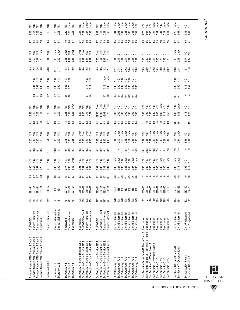L THE URBAN INSTITUTE

**89**

APPENDIX: STUDY METHODS

Continued *Continued*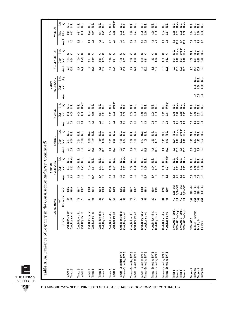| ż<br>0.19<br>0.56<br>0.23<br>0.06<br>0.03<br>1.10<br>0.28<br>0.16<br>1.20<br>0.68<br>0.54<br>0.89<br>0.24<br>0.14<br>0.34<br>0.99<br>0.76<br>0.69<br>8.8<br>0.02<br>0.77<br>0.51<br>0.58<br>1.14<br>0.81<br>0.41<br>0.31<br>0.61<br>Ratio<br>Disp.<br>Avail.<br>$3.6$<br>4.6<br>ത. ശ<br>7.3<br>4.3<br>7.6<br>$4.3$<br>7.6<br>3.6<br>4.6<br>3.<br>5.6<br>73<br>4.3<br>7.6<br>4.3<br>9.9<br>$7.9$<br>4.2<br>4.1<br>7.6<br>5.6<br>10.5<br>$\frac{5.7}{10.5}$<br>53<br>41<br>က် ဟ<br>Under<br>Under<br>Under<br>Stat.<br>Sig.<br>Ν.S.<br>Ν.S.<br>s.<br>$rac{3}{2}$<br>ں ں<br>ں ں<br>ں ں<br>ں ں<br>ں ں<br>ပ ပ<br>ں ں<br>ပ ပ<br>ں ں<br>ں ں<br>1.79<br>0.79<br>0.88<br>0.35<br>1.28<br>1.15<br>0.33<br>2.18<br>0.96<br>2.38<br>1.63<br>0.64<br>0.80<br>0.32<br>0.16<br>Ratio<br>1.14<br>0.34<br>0.80<br>0.18<br>0.96<br>2.07<br>1.08<br>1.76<br>0.51<br>0.91<br>0.21<br>0.21<br>$\overline{0.71}$<br>Disp.<br>Avail.<br>7.6<br>16.4<br>7.7<br>7.4<br>9.7<br>25.5<br>$_{\rm 8.3}$<br>25.5<br>$_{\rm 8.3}$<br>9.9<br>23.8<br>9.5<br>14.5<br>20.7<br>$\approx$<br>7.6<br>16.4<br>$\mathbb{S}^3$<br>20.8<br>10.3<br>24.0<br>58<br>17.4<br>9.7<br>10.7<br>20.7<br>77<br>20.7<br>Stat.<br>Sig.<br>sisisi<br>Sisisi<br>Ratio<br>0.39<br>0.59<br>0.36<br>Disp.<br>Avail<br>0.9<br>$\overline{a}$<br>G<br>Under<br>Under<br>Under<br>Under<br>Under<br>Stat.<br>Sig.<br>Ν.S.<br>N.S.<br>Ν.S.<br>N.S.<br>si<br>Nisi<br>N.S.<br>si<br>NSI<br>si<br>NSI<br>N.S.<br>N.S.<br>S.N<br>Ν.S.<br>s.<br>N<br>si<br>Na<br>is.<br>$rac{3}{2}$<br>s.<br>s.n<br>0.06<br>0.19<br>0.00<br>0.00<br>0.16<br>0.00<br>0.00<br>0.46<br>0.20<br>0.00<br>0.00<br>0.48<br>0.26<br>Ratio<br>0.00<br>$\overline{a}$<br>0.00<br>0.00<br>0.66<br>0.40<br>0.00<br>0.37<br>0.17<br>$\overline{0}$ .11<br>0.23<br>0.93<br>0.31<br>0.31<br>131<br>Disp.<br>Avail.<br>6.6<br>G<br>ၜ<br>$\Xi$<br>$\overline{0}$<br>1.6<br>50<br>ំ<br>0.6<br>1.6<br>5.9<br>0.9<br>5.9<br>0.9<br>$\mathbf{C}$<br>$\overline{1.0}$<br>$\Box$<br>$\overline{1.0}$<br>0.2<br>$\overline{10}$<br>$\frac{2}{5}$ $\frac{2}{5}$<br>$\overline{C}$<br>$\overline{c}$<br>$\overline{21}$<br>$\overline{21}$<br>$\Xi$<br>Ξ<br>ö<br>0<br>Under<br>Under<br>Under<br>Stat.<br>္တင္ဘ<br>Dver<br>Over<br>si<br>Nisi<br>sisi<br>Zizi<br>N.S.<br>ΝŚ.<br>si<br>Nisi<br>Ν.S.<br>Σ.<br>S.<br>s.<br>s.<br>si<br>Na<br>si<br>Si<br>S.<br>ΝS.<br>Ν.S.<br>Ν.S.<br>$rac{3}{2}$ $rac{3}{2}$<br>1.85<br>1.15<br>0.75<br>2.38<br>1.03<br>3.03<br>1.10<br>1.59<br>0.68<br>1.85<br>2.78<br>1.19<br>1.28<br>2.63<br>0.95<br>0.43<br>Ratio<br>0.60<br>0.64<br>3.57<br>0.24<br>0.17<br>1.23<br>0.22<br>1.13<br>1.92<br>2.17<br>0.17<br>$\overline{0}$<br>Disp.<br>Avail.<br>2.9<br>6.7<br>2.8<br>6.2<br>4.0<br>11.2<br>11.0<br>2.8<br>2.9<br>6.7<br>11.0<br>6.2<br>4.0<br>11.2<br>11.0<br>20.3<br>5.0<br>$\overline{41}$<br>11.0<br>82<br>8.4<br>20.5<br>12.4<br>$\frac{1}{4}$<br>$\frac{1}{4}$<br>$\frac{1}{4}$<br>8.4<br>77<br>Under<br>Under<br>Under<br>Under<br>Under<br>Stat.<br>ຮູ້<br>Över<br>N.S.<br>N.S.<br>s.<br>Ν.S.<br>si<br>Nisi<br>si<br>Si<br>Si<br>Ν.S.<br>si<br>Sisi<br>si<br>Si<br>Si<br>si<br>Sisi<br>s.<br>si<br>Na<br>Ν.S.<br>is.<br>si<br>Na<br>0.12<br>0.80<br>0.34<br>0.93<br>2.08<br>0.90<br>1.69<br>0.66<br>0.74<br>0.50<br>0.03<br>Ratio<br>1.64<br>1.54<br>0.17<br>0.17<br>0.40<br>0.19<br>0.07<br>$\overline{0}$ .11<br>0.23<br>0.38<br>1.06<br>Disp.<br>0.67<br>$\overline{0}$<br>0.31<br>0.21<br>0.01<br><b>0.61</b><br>Avail.<br>$4.\overline{3}$<br>9.6<br>$\frac{8}{8}$ $\frac{1}{8}$<br>5.0<br>12.7<br>3.7<br>8.8<br>$3.7$ 8.8<br>$3.8\,$<br>9.6<br>$3.7$<br>$8.8$<br>$1.5$<br>2.5<br>$1.6$<br>2.5<br>0.3<br>0.2<br>4.2<br>$5.0\,$<br>$3.7$ 8.8<br>$\frac{4}{9}$ d<br>12.7<br>$\overline{8}$<br>$9/91 - 8/93$<br>$9/91 - 8/93$<br>$9/88 - 8/91$<br>$16/8 - 8/8$<br>1991-94<br>$1991 - 94$<br>1991-94<br>$1991 - 94$<br>Year<br>1988<br>1989<br>1989<br>1990<br>1990<br>1986<br>1986<br>1988<br>1988<br>1986<br>1986<br>1988<br>1989<br>1990<br>1990<br>1987<br>1987<br>1987<br>1987<br>1989<br>Contracts<br><b>PR</b><br><b>88</b><br>22<br><b>78</b><br><b>SSSS</b><br>4 A<br>8 සි<br>ಜ ಜ<br>ಡ ಡ<br>ສ ສ<br>ត ត<br>ន្ត ន្ត ន្ត<br>$#$ of<br>SM/WOBE-Empl<br>SM/WOBE-Empl<br>SM/WOBE-Empl<br>SM/WOBE--Empl<br>Survey-Interest<br>Cert./Bidders list<br>Cert./Bidders list<br>Cert./Bidders list<br>Cert./Bidders list<br>Cert./Bidders list<br>Cert./Bidders list<br>Cert./Bidders list<br>Cert./Bidders list<br>Cert./Registered<br>Cert./Bidders list<br>Cert./Bidders list<br>Cert./Registered<br>Cert./Registered<br>Cert./Registered<br>Cert./Registered<br>Cert./Registered<br>Cert./Registered<br>Cert./Registered<br>Cert./Registered<br>Cert./Registered<br>Source<br>Mailing list<br><b>SM/WDBE</b><br>License<br>Tampa–Excluding EPA \$<br>Tampa–Excluding EPA \$<br>Tampa-Excluding EPA \$<br>Tampa-Excluding EPA \$<br>Tampa-Excluding EPA \$<br>Tampa-Excluding EPA \$<br>Tampa-Excluding EPA \$<br>Tampa-Excluding EPA \$<br>Tampa-Excluding EPA \$<br>Tampa-Excluding EPA \$<br>Tucson \$<br>Tucson \$<br>Tucson \$<br>Tucson \$<br>Tampa \$<br>Tampa \$<br>Tampa\$<br>Tampa \$<br>Tampa \$<br>Tampa \$<br>Tampa \$<br>Tampa\$<br>Tampa\$<br>Tampa\$<br>Texas \$<br>Texas $#$<br>Texas \$<br>Texas $#$ |  | BACKGROUND |  | AMERICANS<br>AFRICAN |  | <b>LATINOS</b> |  | ASIANS |  | AMERICANS<br><b>NATIVE</b> |  | ALL MINORITIES |  | WOMEN |                                |
|------------------------------------------------------------------------------------------------------------------------------------------------------------------------------------------------------------------------------------------------------------------------------------------------------------------------------------------------------------------------------------------------------------------------------------------------------------------------------------------------------------------------------------------------------------------------------------------------------------------------------------------------------------------------------------------------------------------------------------------------------------------------------------------------------------------------------------------------------------------------------------------------------------------------------------------------------------------------------------------------------------------------------------------------------------------------------------------------------------------------------------------------------------------------------------------------------------------------------------------------------------------------------------------------------------------------------------------------------------------------------------------------------------------------------------------------------------------------------------------------------------------------------------------------------------------------------------------------------------------------------------------------------------------------------------------------------------------------------------------------------------------------------------------------------------------------------------------------------------------------------------------------------------------------------------------------------------------------------------------------------------------------------------------------------------------------------------------------------------------------------------------------------------------------------------------------------------------------------------------------------------------------------------------------------------------------------------------------------------------------------------------------------------------------------------------------------------------------------------------------------------------------------------------------------------------------------------------------------------------------------------------------------------------------------------------------------------------------------------------------------------------------------------------------------------------------------------------------------------------------------------------------------------------------------------------------------------------------------------------------------------------------------------------------------------------------------------------------------------------------------------------------------------------------------------------------------------------------------------------------------------------------------------------------------------------------------------------------------------------------------------------------------------------------------------------------------------------------------------------------------------------------------------------------------------------------------------------------------------------------------------------------------------------------------------------------------------------------------------------------------------------------------------------------------------------------------------------------------------------------------------------------------------------------------------------------------------------------------------------------------------------------------------------------------------------------------------------------------------------------------------------------------------------------------------------------------------------------------------------------------------------------------------------------------------------------------------------------------------------------------------------------------------------------------------------------------------------------------------------------------------------------------------------------------------------------------------------------------------------------------------------------------------------------------------------------------------------------------------------------------------------------------------------------------------------------------------------------------------------------------------------------------------------------------------------------------------------------------------------------------------------------------------------------------------------------------------------------------------------------------------------------------------------------------------------------------------------------------------------------------|--|------------|--|----------------------|--|----------------|--|--------|--|----------------------------|--|----------------|--|-------|--------------------------------|
| sisi<br>Zizi<br>si<br>Nisi                                                                                                                                                                                                                                                                                                                                                                                                                                                                                                                                                                                                                                                                                                                                                                                                                                                                                                                                                                                                                                                                                                                                                                                                                                                                                                                                                                                                                                                                                                                                                                                                                                                                                                                                                                                                                                                                                                                                                                                                                                                                                                                                                                                                                                                                                                                                                                                                                                                                                                                                                                                                                                                                                                                                                                                                                                                                                                                                                                                                                                                                                                                                                                                                                                                                                                                                                                                                                                                                                                                                                                                                                                                                                                                                                                                                                                                                                                                                                                                                                                                                                                                                                                                                                                                                                                                                                                                                                                                                                                                                                                                                                                                                                                                                                                                                                                                                                                                                                                                                                                                                                                                                                                                                                           |  |            |  |                      |  |                |  |        |  |                            |  |                |  |       | Stat.<br>Sig.                  |
|                                                                                                                                                                                                                                                                                                                                                                                                                                                                                                                                                                                                                                                                                                                                                                                                                                                                                                                                                                                                                                                                                                                                                                                                                                                                                                                                                                                                                                                                                                                                                                                                                                                                                                                                                                                                                                                                                                                                                                                                                                                                                                                                                                                                                                                                                                                                                                                                                                                                                                                                                                                                                                                                                                                                                                                                                                                                                                                                                                                                                                                                                                                                                                                                                                                                                                                                                                                                                                                                                                                                                                                                                                                                                                                                                                                                                                                                                                                                                                                                                                                                                                                                                                                                                                                                                                                                                                                                                                                                                                                                                                                                                                                                                                                                                                                                                                                                                                                                                                                                                                                                                                                                                                                                                                                      |  |            |  |                      |  |                |  |        |  |                            |  |                |  |       |                                |
|                                                                                                                                                                                                                                                                                                                                                                                                                                                                                                                                                                                                                                                                                                                                                                                                                                                                                                                                                                                                                                                                                                                                                                                                                                                                                                                                                                                                                                                                                                                                                                                                                                                                                                                                                                                                                                                                                                                                                                                                                                                                                                                                                                                                                                                                                                                                                                                                                                                                                                                                                                                                                                                                                                                                                                                                                                                                                                                                                                                                                                                                                                                                                                                                                                                                                                                                                                                                                                                                                                                                                                                                                                                                                                                                                                                                                                                                                                                                                                                                                                                                                                                                                                                                                                                                                                                                                                                                                                                                                                                                                                                                                                                                                                                                                                                                                                                                                                                                                                                                                                                                                                                                                                                                                                                      |  |            |  |                      |  |                |  |        |  |                            |  |                |  |       |                                |
| ui                                                                                                                                                                                                                                                                                                                                                                                                                                                                                                                                                                                                                                                                                                                                                                                                                                                                                                                                                                                                                                                                                                                                                                                                                                                                                                                                                                                                                                                                                                                                                                                                                                                                                                                                                                                                                                                                                                                                                                                                                                                                                                                                                                                                                                                                                                                                                                                                                                                                                                                                                                                                                                                                                                                                                                                                                                                                                                                                                                                                                                                                                                                                                                                                                                                                                                                                                                                                                                                                                                                                                                                                                                                                                                                                                                                                                                                                                                                                                                                                                                                                                                                                                                                                                                                                                                                                                                                                                                                                                                                                                                                                                                                                                                                                                                                                                                                                                                                                                                                                                                                                                                                                                                                                                                                   |  |            |  |                      |  |                |  |        |  |                            |  |                |  |       | si<br>Si<br>Si                 |
| si<br>Si<br>si<br>Si<br>Si<br>si<br>Si                                                                                                                                                                                                                                                                                                                                                                                                                                                                                                                                                                                                                                                                                                                                                                                                                                                                                                                                                                                                                                                                                                                                                                                                                                                                                                                                                                                                                                                                                                                                                                                                                                                                                                                                                                                                                                                                                                                                                                                                                                                                                                                                                                                                                                                                                                                                                                                                                                                                                                                                                                                                                                                                                                                                                                                                                                                                                                                                                                                                                                                                                                                                                                                                                                                                                                                                                                                                                                                                                                                                                                                                                                                                                                                                                                                                                                                                                                                                                                                                                                                                                                                                                                                                                                                                                                                                                                                                                                                                                                                                                                                                                                                                                                                                                                                                                                                                                                                                                                                                                                                                                                                                                                                                               |  |            |  |                      |  |                |  |        |  |                            |  |                |  |       | si<br>Si<br>Si                 |
|                                                                                                                                                                                                                                                                                                                                                                                                                                                                                                                                                                                                                                                                                                                                                                                                                                                                                                                                                                                                                                                                                                                                                                                                                                                                                                                                                                                                                                                                                                                                                                                                                                                                                                                                                                                                                                                                                                                                                                                                                                                                                                                                                                                                                                                                                                                                                                                                                                                                                                                                                                                                                                                                                                                                                                                                                                                                                                                                                                                                                                                                                                                                                                                                                                                                                                                                                                                                                                                                                                                                                                                                                                                                                                                                                                                                                                                                                                                                                                                                                                                                                                                                                                                                                                                                                                                                                                                                                                                                                                                                                                                                                                                                                                                                                                                                                                                                                                                                                                                                                                                                                                                                                                                                                                                      |  |            |  |                      |  |                |  |        |  |                            |  |                |  |       | Under<br>N.S.                  |
|                                                                                                                                                                                                                                                                                                                                                                                                                                                                                                                                                                                                                                                                                                                                                                                                                                                                                                                                                                                                                                                                                                                                                                                                                                                                                                                                                                                                                                                                                                                                                                                                                                                                                                                                                                                                                                                                                                                                                                                                                                                                                                                                                                                                                                                                                                                                                                                                                                                                                                                                                                                                                                                                                                                                                                                                                                                                                                                                                                                                                                                                                                                                                                                                                                                                                                                                                                                                                                                                                                                                                                                                                                                                                                                                                                                                                                                                                                                                                                                                                                                                                                                                                                                                                                                                                                                                                                                                                                                                                                                                                                                                                                                                                                                                                                                                                                                                                                                                                                                                                                                                                                                                                                                                                                                      |  |            |  |                      |  |                |  |        |  |                            |  |                |  |       | sisi<br>Sisi                   |
|                                                                                                                                                                                                                                                                                                                                                                                                                                                                                                                                                                                                                                                                                                                                                                                                                                                                                                                                                                                                                                                                                                                                                                                                                                                                                                                                                                                                                                                                                                                                                                                                                                                                                                                                                                                                                                                                                                                                                                                                                                                                                                                                                                                                                                                                                                                                                                                                                                                                                                                                                                                                                                                                                                                                                                                                                                                                                                                                                                                                                                                                                                                                                                                                                                                                                                                                                                                                                                                                                                                                                                                                                                                                                                                                                                                                                                                                                                                                                                                                                                                                                                                                                                                                                                                                                                                                                                                                                                                                                                                                                                                                                                                                                                                                                                                                                                                                                                                                                                                                                                                                                                                                                                                                                                                      |  |            |  |                      |  |                |  |        |  |                            |  |                |  |       | N.S.<br>š                      |
|                                                                                                                                                                                                                                                                                                                                                                                                                                                                                                                                                                                                                                                                                                                                                                                                                                                                                                                                                                                                                                                                                                                                                                                                                                                                                                                                                                                                                                                                                                                                                                                                                                                                                                                                                                                                                                                                                                                                                                                                                                                                                                                                                                                                                                                                                                                                                                                                                                                                                                                                                                                                                                                                                                                                                                                                                                                                                                                                                                                                                                                                                                                                                                                                                                                                                                                                                                                                                                                                                                                                                                                                                                                                                                                                                                                                                                                                                                                                                                                                                                                                                                                                                                                                                                                                                                                                                                                                                                                                                                                                                                                                                                                                                                                                                                                                                                                                                                                                                                                                                                                                                                                                                                                                                                                      |  |            |  |                      |  |                |  |        |  |                            |  |                |  |       |                                |
|                                                                                                                                                                                                                                                                                                                                                                                                                                                                                                                                                                                                                                                                                                                                                                                                                                                                                                                                                                                                                                                                                                                                                                                                                                                                                                                                                                                                                                                                                                                                                                                                                                                                                                                                                                                                                                                                                                                                                                                                                                                                                                                                                                                                                                                                                                                                                                                                                                                                                                                                                                                                                                                                                                                                                                                                                                                                                                                                                                                                                                                                                                                                                                                                                                                                                                                                                                                                                                                                                                                                                                                                                                                                                                                                                                                                                                                                                                                                                                                                                                                                                                                                                                                                                                                                                                                                                                                                                                                                                                                                                                                                                                                                                                                                                                                                                                                                                                                                                                                                                                                                                                                                                                                                                                                      |  |            |  |                      |  |                |  |        |  |                            |  |                |  |       |                                |
|                                                                                                                                                                                                                                                                                                                                                                                                                                                                                                                                                                                                                                                                                                                                                                                                                                                                                                                                                                                                                                                                                                                                                                                                                                                                                                                                                                                                                                                                                                                                                                                                                                                                                                                                                                                                                                                                                                                                                                                                                                                                                                                                                                                                                                                                                                                                                                                                                                                                                                                                                                                                                                                                                                                                                                                                                                                                                                                                                                                                                                                                                                                                                                                                                                                                                                                                                                                                                                                                                                                                                                                                                                                                                                                                                                                                                                                                                                                                                                                                                                                                                                                                                                                                                                                                                                                                                                                                                                                                                                                                                                                                                                                                                                                                                                                                                                                                                                                                                                                                                                                                                                                                                                                                                                                      |  |            |  |                      |  |                |  |        |  |                            |  |                |  |       |                                |
|                                                                                                                                                                                                                                                                                                                                                                                                                                                                                                                                                                                                                                                                                                                                                                                                                                                                                                                                                                                                                                                                                                                                                                                                                                                                                                                                                                                                                                                                                                                                                                                                                                                                                                                                                                                                                                                                                                                                                                                                                                                                                                                                                                                                                                                                                                                                                                                                                                                                                                                                                                                                                                                                                                                                                                                                                                                                                                                                                                                                                                                                                                                                                                                                                                                                                                                                                                                                                                                                                                                                                                                                                                                                                                                                                                                                                                                                                                                                                                                                                                                                                                                                                                                                                                                                                                                                                                                                                                                                                                                                                                                                                                                                                                                                                                                                                                                                                                                                                                                                                                                                                                                                                                                                                                                      |  |            |  |                      |  |                |  |        |  |                            |  |                |  |       | Under<br>Under<br>N.S.<br>Ν.S. |
|                                                                                                                                                                                                                                                                                                                                                                                                                                                                                                                                                                                                                                                                                                                                                                                                                                                                                                                                                                                                                                                                                                                                                                                                                                                                                                                                                                                                                                                                                                                                                                                                                                                                                                                                                                                                                                                                                                                                                                                                                                                                                                                                                                                                                                                                                                                                                                                                                                                                                                                                                                                                                                                                                                                                                                                                                                                                                                                                                                                                                                                                                                                                                                                                                                                                                                                                                                                                                                                                                                                                                                                                                                                                                                                                                                                                                                                                                                                                                                                                                                                                                                                                                                                                                                                                                                                                                                                                                                                                                                                                                                                                                                                                                                                                                                                                                                                                                                                                                                                                                                                                                                                                                                                                                                                      |  |            |  |                      |  |                |  |        |  |                            |  |                |  |       | s.<br>$rac{3}{2}$ $rac{3}{2}$  |

L THE URBAN INSTITUTE

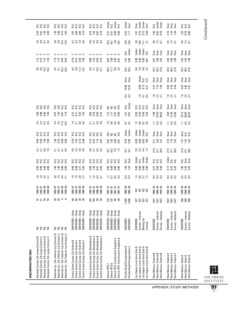| Alameda County, CA-Large Contract \$<br>Alameda County, CA-Large Contract #<br>Alameda County, CA-Large Contract \$<br>Alameda County, CA-Large Contract #               | <b>SSS</b><br>S                                                          | <b>ត</b> ត ឌ ឌ                 | $1985 - 87$<br>$06 - 6861$<br>$1989 - 300$<br>$186 - 87$ | <b>1922</b><br>1924                     | 0.8<br>0.4<br>0.80<br>$\mathbf{5}$          | sisisisi<br>Sisisisi             | $47800$<br>$7400$                    |                                                 | sisisisi<br>Sisisisi            | 2 4 5 5<br>2 4 5 5 5                                                                                                          | 788001                               | sisisisi<br>Sisisisi             |                         |                      |                      | <b>9.32</b><br>9.52<br>တ          | <u>ပ ပ ပ ပ</u><br>15<br>25<br>25<br>25<br>28          |                                 | 3.9<br>$4.0$<br>8.7<br>9.2                                                     | 358028                         | sisisisi<br>Sisisisi            |
|--------------------------------------------------------------------------------------------------------------------------------------------------------------------------|--------------------------------------------------------------------------|--------------------------------|----------------------------------------------------------|-----------------------------------------|---------------------------------------------|----------------------------------|--------------------------------------|-------------------------------------------------|---------------------------------|-------------------------------------------------------------------------------------------------------------------------------|--------------------------------------|----------------------------------|-------------------------|----------------------|----------------------|-----------------------------------|-------------------------------------------------------|---------------------------------|--------------------------------------------------------------------------------|--------------------------------|---------------------------------|
| Alameda Co., CA-Federal-Lrg Contract \$<br>Alameda Co., CA-Federal-Lrg Contract #<br>Alameda Co., CA-Federal-Lrg Contract \$<br>Alameda Co., CA-Federal-Lrg Contract #   | ន៍ និ<br>S S                                                             | <b>28</b><br>$\infty$ $\infty$ | $1985 - 87$<br>$08 - 9881$<br>$08 - 3881$<br>1985-87     | $29.47$<br>$79.47$                      | 68880                                       | sisisisi<br>Sisisisi             | 5.754<br>5.458                       | 78888                                           | sisisisi<br>Sisisisi            | $2.5$ $\frac{3}{10}$ $\frac{3}{10}$ $\frac{5}{10}$                                                                            | $0.75$<br>$1.49$<br>$0.91$<br>$1.18$ | sisisisi<br>Sisisisi             |                         |                      |                      | ង = ដូ ដូ<br>ទី = ដូ ដូ           | <u>ပ ပ ပ ပ</u><br>1.588                               |                                 | 4322<br>4322                                                                   | $7.86$<br>$4.56$<br>$1.8$      | sisisisi<br>Sisisisi            |
| Contra Costa County, CA-Federal \$<br>Contra Costa County, CA-Federal \$<br>Contra Costa County, CA-Federal #<br>Contra Costa County, CA-Federal #                       | SM/WOBE-Empl<br>SM/WOBE-Empl<br>SM/WOBE-Empl<br>SM/WOBE-Empl             | ឌ ឌ ឌ ឌ                        | $1985 - 87$<br>$08 - 9881$<br>$08 - 3881$<br>$1985 - 87$ | $1.8$<br>$- 0.6$<br>$- 0.7$             |                                             | sisisisi<br>Sisisisi             | 4445<br>4445                         | 202023                                          | a a a a<br>S S S S              |                                                                                                                               | 25.88                                | sisisisi<br>Sisisisi             |                         |                      |                      | ব: ০<br>$\frac{13}{13.2}$<br>∞ံ∞  | <b>cccc</b>                                           |                                 | 44780                                                                          | 187<br>1978<br>1978            | sisisisi<br>Sisisisi            |
| ↮<br>$\#$<br>↮<br>Contra Costa County, CA-Nonfederal #<br>Contra Costa County, CA-Nonfederal<br>Contra Costa County, CA-Nonfederal<br>Contra Costa County, CA-Nonfederal | .<br>Empl.<br>SM/WOBE-Empl<br>SM/WOBE-Empl<br>SM/WOBE-Empl<br>$SM/WOBE-$ | គ្ន ឌន<br>ੋੜ                   | $1985 - 87$<br>1989–90<br>1989–90<br>1985-87             | 7.533                                   |                                             | sisisisi<br>Sisisisi             | 4.6<br>$\frac{1}{4}$ 6 $\frac{1}{4}$ | 27728                                           | sisisisi<br>Sisisisi            | 2.1.5.6<br>2.1.5.4                                                                                                            | 3.8<br>2.8<br>0.75                   | sisisisi<br>Sisisisi             |                         |                      |                      | $8737$<br>$4737$                  | <u>ပ</u> ပ ပ ပ<br>ទី ដូ ឆ្លូ <u>ន</u><br>ខុ ដូ ឆ្លូ ន |                                 | 4.6<br>$409$<br>$809$                                                          | <b>ARBE</b>                    | sisisisi<br>Sisisisi            |
| Denver RTD-Construction Supplies #<br>Denver RTD-Construction Supplies \$<br>Denver RTD #<br>Denver RTD \$                                                               | -Empl.<br>SM/WOBE-Empl<br>SM/WOBE-Empl<br>SM/WOBE-Empl<br>SM/WOBE-       | 125<br>E 88                    | $187 - 91$<br>1987–91<br>1987–91<br>1987-91              | 1523                                    | 8888<br>0888                                | sisisisi<br>Sisisisi             | $10.3$<br>$0.3$<br>$1.2$<br>16.7     | <u>ទ្ធ ន្ទ</u><br>ទី ទី ទី ១                    | si<br>Si Si Si Si               | $\frac{8}{1}$ $\frac{8}{1}$ $\frac{8}{1}$ $\frac{8}{1}$ $\frac{8}{1}$ $\frac{8}{1}$ $\frac{8}{1}$ $\frac{8}{1}$ $\frac{8}{1}$ | $1.57$<br>$2.58$<br>$0.6$            | ខ្ពុ ខ្ពុ ខ្ពុ<br>ខ្ពុ ខ្ពុ ខ្ពុ |                         |                      |                      | $20.2$<br>$1.7$<br>$0.8$<br>$2.5$ | <u>ပ ပ ပ ပ</u><br>658800                              |                                 | 23 1<br>23 4 10 2<br>24 10 2                                                   | <b>SE 88</b><br>SE 88          | a<br>sistes<br>sistes<br>sistes |
| Florida Road/Transportation \$<br>Florida Road/Transportation #                                                                                                          | <b>SM/WOBE</b><br><b>SM/WOBE</b>                                         | 7,450<br>7,450                 | $1985 - 89$<br>1985-89                                   | 6.3<br>6.3                              | $\begin{array}{c} 1.52 \\ 1.52 \end{array}$ | x.s<br>Over                      | $\frac{1}{6}$ $\frac{1}{16}$         | 0.50<br>0.50                                    | Under<br>Under                  | $\frac{2}{10}$                                                                                                                | $\frac{5}{0.67}$                     | Under<br>Ν.S.                    | 3<br>0.3                | 14.86<br>13.32       | Over<br><b>Over</b>  | 23.5<br>23.5                      | $\frac{5}{0}$ 86                                      | Under<br>Ν.S.                   | 13.9                                                                           | $0.42$<br>1.11                 | Under<br>Over                   |
| Las Vegas-Local Area Gvts \$<br>Las Vegas-Local Area Gvts \$<br>Las Vegas-Local Area Gvts \$<br>Las Vegas-Local Area Gvts \$                                             | Survey-Interest<br>Mailing list<br>SM/WOBE<br>License                    | 527<br>52<br>25                | 3999                                                     | $1.4$ 8 $\frac{1}{2}$ 8 $\frac{1}{2}$ 7 | 8888                                        | Under<br>N.S.<br>Under<br>Jinder |                                      | 8<br>0.23<br>0.5<br>0.9<br>1.09                 | Under<br>Jnder<br>Under<br>N.S. | 2952                                                                                                                          | $0.49$<br>$2.30$<br>$0.38$<br>$0.42$ | sisisisi<br>Sisisisi             | 253                     | 0.09<br>0.12<br>0.21 | der<br>Sisi<br>Sisi  | 628<br>6282                       | និង<br>ទី និង ខិ                                      | Under<br>Under<br>Under<br>N.S. | $\begin{array}{c} 4.8 \\ 4.8 \\ \underline{\phantom{0}} \\ 2.1 \\ \end{array}$ | $1.67$<br>0.74<br>0.72<br>2.58 | Under<br>Under<br>Over<br>Over  |
| ↮<br>New Mexico-Federal \$<br>New Mexico-Federal \$<br>New Mexico-Federal                                                                                                | Survey—Interest<br>Survey-Attempt<br>SM/WOBE                             | 1427<br>1427<br>1427           | 1990-94<br>1990-94<br>1990-94                            | 333                                     |                                             | sisisi<br>Sisisi                 | 21.0<br>27.1<br>28.3                 | $\frac{2}{1}$ is $\frac{1}{1}$ is $\frac{1}{1}$ | Der<br>Over<br>Over             | <b>ESS</b>                                                                                                                    | 7.98<br>27.62<br>28.62               | Dver<br>Deer<br>Over             | $1.8$<br>$2.5$<br>$2.7$ | 2.47<br>1.72<br>1.59 | Over<br>Over<br>Dver | 3<br>3 3 5<br>3 5                 | $2.37$<br>$1.82$<br>$1.82$                            | ā<br>Babā                       | $4.4$ 6.7<br>6.7                                                               | $1.02$<br>0.63<br>0.70         | N.S.<br>Under<br><b>Jnder</b>   |
| New Mexico-Federal #<br>#<br>$^{\ast}$<br>New Mexico-Federal<br>New Mexico-Federal                                                                                       | Survey-Interest<br>Survey-Attempt<br>SM/WOBE                             | 1427<br>1427<br>1427           | $190 - 94$<br>1990-94<br>1990-94                         | 333                                     | 0.22<br>$\overline{0.17}$                   | Under<br>si<br>Si<br>Si          | 21.0<br>27.1<br>28.3                 | $2,19$<br>$1,76$<br>$1,63$                      | Over<br>Deer<br>Over            | $\Xi$ $\Xi$ $\Xi$                                                                                                             | 3.60<br>$12.45$<br>12.90             | Der<br>Der<br>Over               | $1.8$<br>$2.5$<br>$2.7$ | 3.86<br>2.79<br>2.49 | Over<br>Over<br>Dver | 3<br>3 3 5<br>3 5                 | $2, 38$<br>$7, 80$<br>$1, 80$                         | Deer<br>Over<br>Dver            | $4.6$<br>7.4<br>6.7                                                            | 2.16<br>$1.34$<br>$1.49$       | Over<br>Over<br>Over            |
| New Mexico-State \$<br>New Mexico-State \$<br>New Mexico-State \$                                                                                                        | Survey-Interest<br>Survey-Attempt<br><b>SM/WOBE</b>                      | នី នី នី                       | $190 - 94$<br>$1900 - 94$<br>$40 - 961$                  | 333                                     | 121<br>221<br>23                            | si<br>Sida<br>Sida               | 21.0<br>27.1<br>28.3                 | 12<br>10<br>10                                  | gian<br>Sizizi                  | <b>ESS</b>                                                                                                                    | 10.13<br>35.63<br>36.32              | ទី ទី ទី<br>០០០                  | $18$<br>$2.5$<br>$2.7$  | ន ម<br>2. អ<br>2. អ  | Dver<br>Deer<br>Over | 3<br>3 3 5<br>3 5 5               | <u>ន</u><br>អូ ឆ្នេ ឌ្ម                               | a<br>B<br>B<br>B<br>B<br>B      | $4.6$<br>7.4<br>6.7                                                            | $1.25$<br>0.86<br>0.86         | sisisi<br>Sisisi                |
|                                                                                                                                                                          |                                                                          |                                |                                                          |                                         |                                             |                                  |                                      |                                                 |                                 |                                                                                                                               |                                      |                                  |                         |                      |                      |                                   |                                                       |                                 |                                                                                |                                |                                 |

**SUBCONTRACTORS ONLY**

SUBCONTRACTORS ONLY

THE URBAN INSTITUTE

**91**

APPENDIX: STUDY METHODS



Continued *Continued*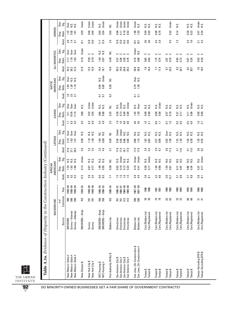|                                                     | Stat.<br>Sig.     | Over<br>sisi<br>Nisi                                                 | Under          | Under<br>Under                      | Under<br>N.S.                    | š                       | Under<br>Under<br>Under<br>Under                                                       | Under<br>N.S.                                               | sisi<br>Nisi                           | sisi<br>Sisi                           | Under                                  | Ν.S.                                   | sisi<br>Sisi                           | Under<br>Ν.S.                                    |
|-----------------------------------------------------|-------------------|----------------------------------------------------------------------|----------------|-------------------------------------|----------------------------------|-------------------------|----------------------------------------------------------------------------------------|-------------------------------------------------------------|----------------------------------------|----------------------------------------|----------------------------------------|----------------------------------------|----------------------------------------|--------------------------------------------------|
| WOMEN                                               | Ratio<br>Disp.    | 0.92<br>1.01<br>L 1                                                  | 0.29           | 0.45<br>0.40                        | ០.54<br>០.54                     | 0.33                    | 0.18<br>0.06<br>0.52<br>$\overline{0}$ .11                                             | 1.90<br>1.02                                                | 0.04<br>0.03                           | 0.96<br>0.76                           | 0.32                                   | 0.14                                   | 0.39<br>0.22                           | 0.34<br>0.47                                     |
|                                                     | Avail.            | 74<br>6.7<br>ڝ<br>4                                                  | 15.1           | 12.8<br>13.0                        | 12.4<br>11.7                     | 2.4                     | 14.3<br>12.9<br>12.0<br>12.6                                                           | 10.7<br><u>ron</u>                                          | 3.6<br>4.6                             | ن ق<br>⇉<br>က                          | 4.5                                    | 7.3                                    | $4.3$<br>7.6                           | 4.3<br>$\overline{3.1}$                          |
|                                                     | Stat.<br>Sig.     | Over<br><b>Over</b><br><b>Over</b>                                   | Under          | ں ں                                 | si<br>NS                         | š                       | د<br>ပ ပ<br>$\epsilon$                                                                 | Under<br>N.S.                                               | ت<br>د                                 | ں ں                                    | ں ں                                    | ں ں                                    | ں ں                                    | ပ ပ                                              |
| ALL MINORITIES                                      | Ratio<br>Disp.    | 1.70<br>1.62<br>2.11                                                 | 0.10           | 0.59<br>0.70                        | 1.04<br>0.87                     | 0.48                    | 0.59<br>0.75<br>0.31<br>0.50                                                           | 0.75<br>0.98                                                | 0.85<br>0.40                           | 1.75<br>0.74                           | 0.79<br>2.07                           | 0.84<br>0.73                           | 0.87<br>0.35                           | 0.63<br>0.29                                     |
|                                                     | Avail.            | 3<br>3 3 5<br>3 5                                                    | 21.8           | 12.5<br>15.9                        | 14.4<br>16.1                     | 14.0                    | 20.6<br>20.3<br>19.9<br>20.2                                                           | 28.8<br>28.8                                                | 7.6<br>16.4                            | 17.4<br>77                             | $9.7$<br>$25.5$                        | $\mathbbm{3}$<br>20.7                  | $82$<br>20.7                           | 7.6<br>16.4                                      |
|                                                     | Stat.<br>Sig.     | J<br>Over<br>sisi<br>Nisi                                            |                |                                     | Under<br>N.S.                    | š                       |                                                                                        | <b>Over</b><br>N.S.                                         |                                        |                                        |                                        |                                        |                                        |                                                  |
| AMERICANS<br><b>NATIVE</b>                          | Ratio<br>Disp.    | 1.18<br>1.28<br>1.83                                                 |                |                                     | 0.00<br>0.00                     | 0.30                    |                                                                                        | 4.70<br>1.30                                                |                                        |                                        |                                        |                                        |                                        |                                                  |
|                                                     | Avail.            | $2.5$<br>$2.7$<br>$\frac{8}{10}$                                     |                |                                     | $\overline{0}$<br>$\overline{c}$ | 0.2                     |                                                                                        | $\overline{a}$<br>5                                         |                                        |                                        |                                        |                                        |                                        |                                                  |
|                                                     | Stat.<br>Sig.     | <b>Over</b><br><b>Over</b><br><b>Over</b>                            | Σ.             | Under<br>Under                      | si<br>Sisi                       | ں<br>ح                  | Under<br>Under<br>si<br>N<br>N.S.                                                      | Over<br>N.S.                                                | si<br>Si<br>Si                         | Under<br>N.S.                          | sisi<br>Sisi                           | sisi<br>Nisi                           | N.S.<br>Under                          | si<br>Nisi                                       |
| <b>ASIANS</b>                                       | Ratio<br>Disp.    | 11.15<br>10.76<br>3.11                                               | 0.00           | 0.34<br>0.34                        | 0.66<br>0.88                     | 0.25                    | 0.13<br>0.00<br>0.30<br>0.00                                                           | 1.02<br>1.30                                                | 0.00<br>0.00                           | 0.00<br>0.00                           | 0.16<br>0.37                           | 0.31<br>0.17                           | 0.06<br>0.11                           | 8.00                                             |
|                                                     | Avail             | $\mathbf{C}$<br>$\mathbf{c}^3$                                       | 0.5            | نت نب<br>نت<br>نت                   | 4.3<br>4.9                       | 2.5                     | ු<br>$\mathbf{c}$<br>$\overline{10}$<br>$\overline{1.0}$                               | 4.6                                                         | $1.0$<br>2.1                           | 90<br>Ξ                                | $\frac{6}{1}$<br>CO                    | S.O<br>$\mathbf{c}_3$                  | <b>5.8</b>                             | $1.0$<br>2.1                                     |
|                                                     | Stat.<br>Sig.     | <b>Over</b><br>Over<br>J<br>Over                                     | Ν.S.           | si<br>Sisi                          | N.S.<br>ئ                        | š                       | Under<br>Under<br>si<br>Si<br>Si                                                       | si<br>Si<br>Si                                              | si<br>Nisi                             | sisi<br>Nisi                           | Over<br>Σ.N                            | N.S.<br>s.                             | sisi<br>Nisi                           | $\frac{3}{2}$ $\frac{3}{2}$                      |
| <b>LATINOS</b>                                      | Ratio<br>Disp.    | 1.63<br>2.10<br>1.57                                                 | 0.00           | 1.18<br>1.30                        | 1.85<br>0.89                     | 0.85                    | 0.83<br>0.34<br>0.55<br>0.66                                                           | 0.88<br>1.10                                                | 1.82<br>0.83                           | 2.27<br>0.99                           | 3.03<br>1.09                           | 1.52<br>1.30                           | 0.38<br>1.02                           | $1.20$<br>0.55                                   |
|                                                     | Avail             | 28.3<br>21.0<br>27.1                                                 | 3.8            | 2.3<br>2.5                          | 3.3<br>4.0                       | 3.7                     | 17.8<br>17.4<br>17.8<br>18.1                                                           | 17.9<br>17.9                                                | 2.8<br>62                              | 2.9<br>6.7                             | 4.0<br>11.2                            | 11.0<br>$\frac{4}{1}$                  | 11.0<br>$\overline{41}$                | 2.8<br>6.2                                       |
|                                                     | Stat.<br>.g       | 2.N<br>s.<br>ی<br>ا                                                  | Under          | si<br>Sisi                          | $\frac{0}{2}$ $\frac{0}{2}$      | š                       | Under<br>N.S.<br><b>Si</b><br>23                                                       | Under<br>Under                                              | Under<br>Ν.S.                          | sisi<br>Sisi                           | sisi<br>Sisi                           | sisi<br>Nisi                           | sisi<br>Nisi                           | Under<br>N.S.                                    |
| AMERICANS<br>AFRICAN                                | Ratio<br>Disp.    | $\ddot{a}$<br>1.62<br>1.68                                           | 0.13           | 0.67<br>$\overline{0}$              | 0.95<br>1.00                     | 0.38                    | 0.18<br>0.12<br>0.32<br>0.02                                                           | $\frac{1}{2}$<br>0.41                                       | 0.36<br>0.17                           | 1.64<br>0.66                           | 1.54<br>0.61                           | 0.17<br>0.07                           | 0.34                                   | $0.37$<br>0.17                                   |
|                                                     | Avail.            | $\mathbf{C}$<br>نى<br>4<br>0<br>ö                                    | 17.5           | 3.5<br>5.5                          | 6.0<br>G.5                       | 7.7                     | <b>is is is</b>                                                                        | $\frac{9}{4}$ $\frac{9}{4}$                                 | $3.8\,$<br>$\overline{\infty}$         | $4.2$ 9.6                              | 5.0<br>12.7                            | 8.8<br>57                              | $3.\overline{3}$<br>$8.\overline{8}$   | $\frac{3}{8}$ $\frac{1}{8}$                      |
| struction Industry (Continued)                      | Year              | 1990-94<br>$1990 - 94$<br>$1990 - 94$                                | 1989-92        | 1989-90<br>1989-90                  | 1988-92<br>1988-92               | 1988-92                 | 1989-90<br>1986-87<br>1986-87<br>1989-90                                               | 1987-89<br>1987-89                                          | 1986<br>1986                           | 1861<br>2861                           | 1988<br>1988                           | 1989<br>1989                           | 1990<br>990                            | 1986<br>1986                                     |
|                                                     | Contracts<br># of | នី នី នី                                                             | S              | 197<br>797                          | 769<br>769                       | S                       | 412<br>412<br>761<br>761                                                               | <u>ទី ទី</u>                                                | ೫ ೫                                    | <b>PR</b>                              | <b>33</b>                              | 22                                     | 8<br>8<br>8                            | គ គ                                              |
| BACKGROUND                                          | Source            | Survey-Attempt<br>Survey-Interest<br><b>SM/WDBE</b>                  | SM/WOBE-Empl   | Survey<br>Survey                    | SM/WOBE-Empl<br>SM/WOBE-Empl     | <b>Bidders</b> list     | Directories<br>Directories<br><b>Directories</b><br><b>Directories</b>                 | <b>Bidders</b> list<br><b>Bidders</b> list                  | Cert./Bidders list<br>Cert./Registered | Cert,/Bidders list<br>Cert./Registered | Cert./Bidders list<br>Cert./Registered | Cert./Bidders list<br>Cert./Registered | Cert./Bidders list<br>Cert./Registered | Cert./Bidders list<br>Cert./Registered           |
| <b>Table A.3a.</b> Evidence of Disparity in the Con |                   | #<br>#<br>New Mexico-State #<br>New Mexico-State<br>New Mexico-State | New Orleans \$ | New York City \$<br>New York City # | NYC Housing \$<br>NYC Housing #  | Port Authority NY/NJ \$ | San Antonio-City \$<br>San Antonio-City #<br>San Antonio-City \$<br>San Antonio-City # | San Jose, CA-Construction \$<br>San Jose, CA-Construction # | Tampa \$<br>Tampa \$                   | Tampa \$<br>Tampa \$                   | Tampa \$<br>Tampa \$                   | Tampa\$<br>Tampa \$                    | Tampa \$<br>Tampa \$                   | Tampa–Excluding EPA \$<br>Tampa–Excluding EPA \$ |

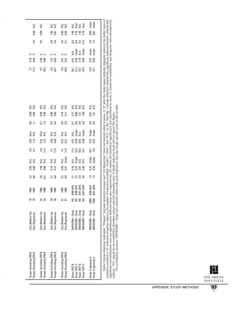| Tampa-Excluding EPA \$                                                                                                                                                                             | Cert./Bidders list |         | 1987           | $4.2$ 9.6                            |                      |                        | $2.9$<br>$6.7$     |                           |                             | $\frac{6}{11}$    | 88<br>0.00                  |                      | <b>7.7</b><br>17.4           |                                            | ں ں                                                                                                                                                                                                                                                                                                                                                                                                                                      |            |                             |                    |
|----------------------------------------------------------------------------------------------------------------------------------------------------------------------------------------------------|--------------------|---------|----------------|--------------------------------------|----------------------|------------------------|--------------------|---------------------------|-----------------------------|-------------------|-----------------------------|----------------------|------------------------------|--------------------------------------------|------------------------------------------------------------------------------------------------------------------------------------------------------------------------------------------------------------------------------------------------------------------------------------------------------------------------------------------------------------------------------------------------------------------------------------------|------------|-----------------------------|--------------------|
| Tampa-Excluding EPA \$                                                                                                                                                                             | Cert./Registered   |         | <b>1987</b>    |                                      | $2.04$<br>0.90       | sisi<br>Sisi           |                    | 2.63<br>1.12              | es<br>Sis                   |                   |                             | sisi<br>Sisi         |                              | $\begin{array}{c} 2.8 \\ 0.93 \end{array}$ |                                                                                                                                                                                                                                                                                                                                                                                                                                          | 4.5        | 0.06                        | s.<br>N            |
| Tampa-Excluding EPA \$                                                                                                                                                                             | Cert./Bidders list |         | 1988           |                                      |                      |                        |                    |                           |                             |                   |                             |                      |                              |                                            |                                                                                                                                                                                                                                                                                                                                                                                                                                          | 4.6        | 0.04                        | Ν.S.               |
| Tampa-Excluding EPA \$                                                                                                                                                                             | Cert./Registered   |         | 1988           | 5.0<br>12.7                          | 1.66<br>0.66         | si<br>22               | $\frac{4.0}{11.2}$ | 3.57<br>1.27              | e<br>S si                   | $\frac{1.6}{1.6}$ | 0.46<br>0.20                | sisi<br>Sisi         | $9.7$<br>25.5                | ក្តុ<br>កូន<br><b>០</b> .១                 | ں ں                                                                                                                                                                                                                                                                                                                                                                                                                                      |            |                             |                    |
| Tampa-Excluding EPA \$                                                                                                                                                                             | Cert./Bidders list | ສ       | $\frac{98}{2}$ | $3.\overline{3}$<br>$8.\overline{8}$ | 0.31                 | si<br>Si<br>Si         | $\frac{4.1}{11.0}$ | 2.50<br>0.93              | si<br>Si Si                 | 5.9<br>0.9        | 8<br>0.00                   | sisi<br>Sisi         | 8.3<br>20.7                  |                                            | ں ں                                                                                                                                                                                                                                                                                                                                                                                                                                      | თ.<br>თ. ნ | $\frac{3}{5}$ $\frac{5}{5}$ | si<br>Si<br>Si     |
| Tampa-Excluding EPA \$                                                                                                                                                                             | Cert./Registered   |         | 1989           |                                      |                      |                        |                    |                           |                             |                   |                             |                      |                              | 1.57<br>0.62                               |                                                                                                                                                                                                                                                                                                                                                                                                                                          |            |                             |                    |
| Tampa-Excluding EPA \$                                                                                                                                                                             | Cert./Bidders list |         | 990            |                                      |                      |                        |                    | <u>ចិ ភ្ន</u>             | si<br>Si Si                 | 5.9<br>0.9        |                             | si<br>Si<br>Si       | $8.3$<br>20.8                | <u>ត</u><br>១.21                           | ں ں                                                                                                                                                                                                                                                                                                                                                                                                                                      | 4.5        |                             |                    |
| Tampa-Excluding EPA \$                                                                                                                                                                             | Cert./Registered   |         | $\frac{99}{2}$ | $3.\overline{3}$<br>$8.\overline{8}$ | 0.50<br>0.21         | N.S.<br>Under          | $\frac{4.1}{11.0}$ |                           |                             |                   | $\frac{9}{0.11}$            |                      |                              |                                            |                                                                                                                                                                                                                                                                                                                                                                                                                                          |            | 0.38<br>0.28                | sisi<br>Nisi       |
| Texas-DOT\$                                                                                                                                                                                        | SM/WOBE-Empl       | ર્      | $16/8 - 8/6$   |                                      |                      |                        |                    |                           |                             |                   |                             |                      |                              |                                            |                                                                                                                                                                                                                                                                                                                                                                                                                                          |            |                             |                    |
| Texas-DOT $#$                                                                                                                                                                                      | SM/WOBE-Empl       |         | $9/88 - 8/91$  |                                      |                      |                        |                    |                           |                             |                   |                             |                      |                              |                                            |                                                                                                                                                                                                                                                                                                                                                                                                                                          |            |                             |                    |
| Texas-DOT \$                                                                                                                                                                                       | SM/WOBE-Empl       |         | $9/91 - 8/93$  | 2. 2. 4<br>2. 2. 4<br>2. 6           | <b>1623</b><br>02358 | si<br>Sidisi<br>Sidisi | 74<br>183<br>15.1  | <b>33</b><br>0.31<br>0.31 | N.S.<br>Under<br>U.S. Under | 5333              | $2.158$<br>$1.36$<br>$1.36$ | sisisisi<br>Sisisisi | 20.1<br>21.2<br>19.5<br>18.5 | 5358                                       | $\begin{array}{c}\n 1.5 \\  \times 5 \\  \hline\n 1.6 \\  \hline\n 1.6 \\  \hline\n 1.6 \\  \hline\n 1.6 \\  \hline\n 1.6 \\  \hline\n 1.6 \\  \hline\n 1.6 \\  \hline\n 1.6 \\  \hline\n 1.6 \\  \hline\n 1.6 \\  \hline\n 1.6 \\  \hline\n 1.6 \\  \hline\n 1.6 \\  \hline\n 1.6 \\  \hline\n 1.6 \\  \hline\n 1.6 \\  \hline\n 1.6 \\  \hline\n 1.6 \\  \hline\n 1.6 \\  \hline\n 1.6 \\  \hline\n 1.6 \\  \hline\n 1.6 \\  \hline\n$ |            | 1.69<br>2.1.69<br>2.1.9     | si<br>Sida<br>Sida |
| Texas-DOT $#$                                                                                                                                                                                      | SM/WOBE-Empl.      | S       | $9/91 - 8/93$  |                                      |                      |                        |                    |                           |                             |                   |                             |                      |                              |                                            |                                                                                                                                                                                                                                                                                                                                                                                                                                          |            |                             |                    |
| Texas-5 agencies #                                                                                                                                                                                 | SM/WOBE-Empl.      | $-2300$ | $16/8 - 8/6$   | $\frac{15}{4}$                       | <u>ក្នុ</u><br>ខ្លួ  | Under<br>Under         | $0.7$<br>$0.9$     | 0.37<br>0.37              | Under<br>Under              | 0.8<br>0.8        | 0.37<br>1.21                | sisi<br>Sisi         | $13.0$<br>$12.1$             | $0.27$<br>$0.42$                           | Under<br>Under                                                                                                                                                                                                                                                                                                                                                                                                                           | 7.5<br>7.5 | 0.59<br>0.67                | Under<br>Under     |
| Texas-5 agencies #                                                                                                                                                                                 | SM/WOBE-Empl.      | $-1500$ | $9/91 - 8/93$  |                                      |                      |                        |                    |                           |                             |                   |                             |                      |                              |                                            |                                                                                                                                                                                                                                                                                                                                                                                                                                          |            |                             |                    |
|                                                                                                                                                                                                    |                    |         |                |                                      |                      |                        |                    |                           |                             |                   |                             |                      |                              |                                            |                                                                                                                                                                                                                                                                                                                                                                                                                                          |            |                             |                    |
| Notes: Unless otherwise indicated "Women" includes minority women and "All Minorities" does not include white women A "\$" after the during anne indicates distantiv refers to the dollar value of |                    |         |                |                                      |                      |                        |                    |                           |                             |                   |                             |                      |                              |                                            |                                                                                                                                                                                                                                                                                                                                                                                                                                          |            |                             |                    |

*Notes:* Unless otherwise matcated, "Women" mcludes minority women and "All Minorities" does not include winte women. A "\$" atter the study name indicates disparity reters to the oular value of contact and with one of cont *Notes:* Unless otherwise indicated, "Women" includes minority women and "All Minorities" does not include white women. A "\$" after the study name indicates disparity refers to the dollar value of contracts awarded; a "#" indicates disparity refers to the number of contracts awarded. "Under", and "N.S." in the "Stat Sig." column indicates statistically significant underutilization, statistically significant overutilization, and not significantly different from one, respectively. NC stands for stands in study. C stands for availability and disparity ratio calculated by authors. "NA" stands for no availability, therefore cannot calculate disparity ratio. A blank indicates study did not report this figure.

The availability measure "SM/WOBE"—Empl only includes firms with paid employees. See also study–specific notes at end of table.



 $\overline{\phantom{a}}$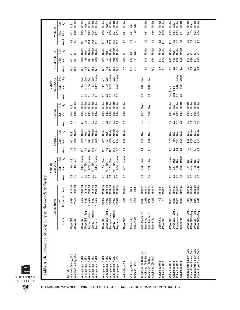| Under<br>Over<br>N.S.<br>N.S.<br>S S<br>0.29<br>0.29<br>0.22<br>0.20<br>1.19<br>0.26<br>0.30<br>0.39<br>0.62<br>1.20<br>0.57<br>0.80<br>0.26<br>$\frac{3}{2}$<br>0.98<br>0.29<br>0.37<br>1.24<br>0.27<br>0.13<br>1.15<br>0.81<br>0.41<br>0.24<br>0.22<br>0.30<br>Ratio<br>Disp.<br>Avail.<br>3.<br>3.<br>3.<br>$13.5$<br>$3.2$<br>13.4<br>14.8<br>10.3<br>$13.5$<br>$3.2$<br>13.4<br>9.6<br>5.3<br>5.3<br>1.6<br>$\frac{8}{16}$<br>$6.3$<br>$4.5$<br><b>9.5</b><br>14.8<br>10.3<br>15.9<br>13.8<br>C3<br>Ξ<br>G.7<br>డ<br>Under<br>Under<br>Under<br>Under<br><b>J</b> nder<br>Under<br><b>Under</b><br>Under<br>Under<br><b>J</b> nder<br><b>J</b> nder<br><b>Jnder</b><br><b>Jnder</b><br>Under<br>Jnder<br>Over<br>Stat.<br>Over<br><b>Over</b><br>Sig.<br>š<br>š<br>ں<br>ں ں<br>ပ ပ<br>ں ں<br>0.76<br>0.50<br>0.68<br>4.05<br>0.68<br>1.86<br>0.47<br>0.54<br>$0.59$<br>$1.74$<br>0.44<br>0.56<br>0.09<br>0.84<br>0.17<br>0.20<br>Ratio<br>0.63<br>0.60<br>1.01<br>0.54<br>0.42<br>$\begin{array}{c} 2 \\ 0.90 \end{array}$<br>0.65<br>0.27<br>0.27<br>0.17<br>Disp.<br>Avail.<br>4.8<br>19.0<br>16.5<br>4.8<br>19.0<br>14.0<br>14.8<br>14.0<br>16.5<br>14.8<br>3.0<br>21.5<br>21.5<br>$\overline{8.0}$<br>10.0<br>8.7<br>2.8<br>2.8<br>0.3<br>1.8<br>$\frac{10.6}{8.3}$<br>$\frac{101}{101}$<br>$7.2$<br>5.7<br>Under<br><b>J</b> nder<br>Under<br>Under<br><b>Jnder</b><br>Over<br>Over<br>Over<br>Stat.<br>Over<br><b>Over</b><br><b>Over</b><br><b>Over</b><br>Sig.<br>er<br>ک<br>N.S.<br>10.83<br>0.00<br>0.00<br>1.14<br>1.83<br>1.65<br>18.18<br>0.62<br>0.73<br>0.40<br>8.63<br>Ratio<br>11.70<br>1.17<br>Disp.<br>jo:<br>See Asian<br>See Asian<br>Avail.<br>$0.5\,$<br>1.5<br>$\overline{1.0}$<br>2.8<br>$\frac{0}{1}$<br>$\frac{5}{2}$<br>2.8<br>$\overline{a}$<br>$\overline{a}$<br>$\Xi$<br>$\overline{a}$<br>$\overline{a}$<br>$\overline{a}$<br>Under<br>Under<br><b>Jnder</b><br>Under<br>Under<br>Under<br>N.S.<br>Under<br>Jnder<br>Jinder<br><b>Jnder</b><br>Jnder<br><b>Jnder</b><br><b>J</b> nder<br><b>Jnder</b><br>Under<br>Under<br>Under<br><b>Under</b><br>Under<br>Stat.<br>Over<br><b>Over</b><br>$\overline{\text{Sig}}$<br>$\sum_{i=1}^{n}$<br>0.00<br>9.40<br>0.05<br>0.06<br>0.03<br>0.06<br>0.05<br>0.05<br>0.05<br>8.42<br>0.05<br>Ratio<br>0.47<br>0.04<br>0.52<br>0.52<br>0.04<br>0.02<br>₹<br>0.03<br>0.02<br>0.41<br>0.26<br>Disp.<br>Avail.<br>8.3<br>7.5<br>0.9<br>0.8<br>$\overline{1.0}$<br>$\mathbf{c}$<br>0.8<br>1.2<br>$\overline{1.0}$<br>$\mathbf{0}3$<br>$\overline{0.2}$<br>$\mathbf{C}$<br>$\overline{0}$<br><b>8.6</b><br>$5.8$<br>4.2<br>64<br>$\overline{a}$<br>$\overline{a}$<br>$\overline{12}$<br>8.7<br>G<br>Under<br>Under<br><b>Jnder</b><br>Under<br>Under<br>Jnder<br><b>J</b> nder<br>Jnder<br>Jnder<br><b>J</b> nder<br><b>Jnder</b><br>Under<br>Stat.<br>Over<br>Over<br>Sig.<br><b>Over</b><br>Over<br>Over<br>Je<br>S<br>N.S.<br>N.S.<br>N.S.<br>$\leq$<br>Σ.<br>0.00<br>3.26<br>$0.23$<br>$0.06$<br>0.46<br>0.36<br>3.55<br>1.59<br>0.59<br>1.48<br>0.41<br>0.73<br>0.41<br>0.64<br>3.41<br>0.76<br>0.36<br>Ratio<br>0.52<br>1.31<br>₹<br>0.08<br>0.11<br>0.47<br>Disp.<br>Avail.<br>4.6<br>16.5<br>$14.6$<br>9.3<br>4.6<br>16.5<br>$\ddot{ }$<br>1.4<br>11.5<br>$\frac{5}{11}$<br>14.6<br>33<br>$\sim$<br>$\approx$<br>3<br>co<br>$\overline{a}$<br><b>SO</b><br>$\overline{a}$<br>0.11 Under<br>$0.05$ Under<br>0.19 Under<br>0.05 Under<br>Under<br>0.76 Under<br>Under<br>Stat.<br>Over<br>Over<br>Sig.<br>Over<br>7.25 Over<br>Over<br><b>Over</b><br>0 <sub>ver</sub><br>Jever<br>S.<br>25<br>$\tilde{z}$<br>ΟÜ<br>NA NA<br>NA NA<br>NA NA<br>NA NA<br>1.95<br>2.10<br>2.40<br>1.80<br>1.46<br>0.42<br>2.51<br>0.16<br>1.44<br>6.44<br>Ratio<br>1.90<br>4.98<br>Disp.<br>Avail.<br>$\overline{0}$ .<br>$\overline{0}$ .<br>$\begin{smallmatrix} 5 & 0 \\ 0 & 0 \end{smallmatrix}$<br>$\overline{0.5}$<br>1.3<br>$0.8$<br>1.2<br>$\overline{a}$<br>$\overline{a}$<br>$\overline{0}$<br>$\mathbf{r}$<br>2.5<br>$\frac{8}{10}$<br><b>354</b><br>555<br>ំ<br>$\Xi$<br>ΓJ<br>1994-95<br>1994-95<br>1987-90<br>1989-93<br>1989-93<br>989-93<br>1989-93<br>$994 - 95$<br>1994-95<br>1994-95<br>1987-90<br>1989-93<br>1988-92<br>$1991 - 93$<br>1987-88<br>1987-88<br>$1989 - 90$<br>$-90$<br>$1991 - 93$<br>$1991 - 93$<br>$1991 - 93$<br>$19 - 060$<br>$1990 - 91$<br>$18 - 066$<br>$1983 - 91$<br>$1990 - 91$<br>1983-91<br>1989<br>1989<br>Year<br>Contracts<br>7076<br>12619<br>12619<br>8243<br>S S<br>7076<br>8070<br>8070<br>115,487<br>115,487<br>37,092<br>37,092<br>37,092<br>37,092<br>1,264<br>1,264<br>8243<br>10550<br>115,487<br>115,487<br>37,092<br>1,438<br>10550<br>10550<br>22,531<br>22,531<br>10550<br>115,487<br># of<br>SM/WOBE-Empl<br>SM/WOBE-Empl<br>SM/WOBE-Empl<br>SM/WOBE-Empl<br>SM/WOBE-Empl<br>SM/WOBE-Empl<br>SM/WOBE-Empl<br>Survey-Attempt<br>Survey-Attempt<br>Survey-Interest<br>Survey-Interest<br>Survey—Interest<br>Cert./Registered<br>Cert/Registered<br>Registered<br><b>SM/WOBE</b><br>SM/WOBE<br>Registered<br><b>Bidders</b> list<br>Bidders list<br>Mailing list<br><b>SM/WOBE</b><br>Registered<br>Source<br>SM/WOBE<br>Registered<br>SM/WOBE<br><b>SM/WDBE</b><br><b>SM/WOBE</b><br>Registered<br>Contra Costa County, CA \$<br>Contra Costa County, CA #<br>Contra Costa County, CA \$<br>Contra Costa County, CA #<br>$\#$<br>Cincinnati-All Bidders #<br>Cincinnati-All Bidders<br>Alameda County, CA \$<br>Alameda County, CA #<br>Albuquerque, NM \$<br>Albuquerque, NM \$<br>Albuquerque, NM \$<br>Albuquerque, NM \$<br>Albuquerque, NM \$<br>Albuquerque, NM \$<br>Albuquerque, NM \$<br>Albuquerque, NM \$<br>Albuquerque, NM \$<br>Albuquerque, NM \$<br>Cincinnati-CMSA #<br>Cincinnati-CMSA #<br>Columbus, OH \$<br>Columbus, OH \$<br>Columbus, OH \$<br>Columbus, OH \$<br>Columbus, OH \$<br>Columbus, OH \$<br>Asheville, NC \$<br>Chicago-City \$<br>Chicago-City $#$<br>GOODS |  | BACKGROUND |  | AMERICANS<br>AFRICAN |  | <b>LATINOS</b> |  | ASIANS |  | AMERICANS<br><b>NATIVE</b> | ALL MINORITIES |  | WOMEN |                                                        |
|-------------------------------------------------------------------------------------------------------------------------------------------------------------------------------------------------------------------------------------------------------------------------------------------------------------------------------------------------------------------------------------------------------------------------------------------------------------------------------------------------------------------------------------------------------------------------------------------------------------------------------------------------------------------------------------------------------------------------------------------------------------------------------------------------------------------------------------------------------------------------------------------------------------------------------------------------------------------------------------------------------------------------------------------------------------------------------------------------------------------------------------------------------------------------------------------------------------------------------------------------------------------------------------------------------------------------------------------------------------------------------------------------------------------------------------------------------------------------------------------------------------------------------------------------------------------------------------------------------------------------------------------------------------------------------------------------------------------------------------------------------------------------------------------------------------------------------------------------------------------------------------------------------------------------------------------------------------------------------------------------------------------------------------------------------------------------------------------------------------------------------------------------------------------------------------------------------------------------------------------------------------------------------------------------------------------------------------------------------------------------------------------------------------------------------------------------------------------------------------------------------------------------------------------------------------------------------------------------------------------------------------------------------------------------------------------------------------------------------------------------------------------------------------------------------------------------------------------------------------------------------------------------------------------------------------------------------------------------------------------------------------------------------------------------------------------------------------------------------------------------------------------------------------------------------------------------------------------------------------------------------------------------------------------------------------------------------------------------------------------------------------------------------------------------------------------------------------------------------------------------------------------------------------------------------------------------------------------------------------------------------------------------------------------------------------------------------------------------------------------------------------------------------------------------------------------------------------------------------------------------------------------------------------------------------------------------------------------------------------------------------------------------------------------------------------------------------------------------------------------------------------------------------------------------------------------------------------------------------------------------------------------------------------------------------------------------------------------------------------------------------------------------------------------------------------------------------------------------------------------------------------------------------------------------------------------------------------------------------------------------------------------------------------------------------------------------------------------------------------------------------------------------------------------------------------------------------------------------------------------------------------------------------------------------------------------------------------------------------------------------------------------------------------------------------------------------------------------------------------------------------------------------------------------------------------------------------------------------------------------------------------------------------------------------------------------------------------------------------------------------------------------------------------------------------------------------------------------------------------------------------------------------------------------------------------------------------------------------------------------------------------------------------------------------------------------------------------------------------------------------------------------------------------------------------------------------------------------------------------------------------------------------------------------------|--|------------|--|----------------------|--|----------------|--|--------|--|----------------------------|----------------|--|-------|--------------------------------------------------------|
|                                                                                                                                                                                                                                                                                                                                                                                                                                                                                                                                                                                                                                                                                                                                                                                                                                                                                                                                                                                                                                                                                                                                                                                                                                                                                                                                                                                                                                                                                                                                                                                                                                                                                                                                                                                                                                                                                                                                                                                                                                                                                                                                                                                                                                                                                                                                                                                                                                                                                                                                                                                                                                                                                                                                                                                                                                                                                                                                                                                                                                                                                                                                                                                                                                                                                                                                                                                                                                                                                                                                                                                                                                                                                                                                                                                                                                                                                                                                                                                                                                                                                                                                                                                                                                                                                                                                                                                                                                                                                                                                                                                                                                                                                                                                                                                                                                                                                                                                                                                                                                                                                                                                                                                                                                                                                                                                                                                                                                                                                                                                                                                                                                                                                                                                                                                                                                                                                                                         |  |            |  |                      |  |                |  |        |  |                            |                |  |       | Stat.<br>Sig.                                          |
|                                                                                                                                                                                                                                                                                                                                                                                                                                                                                                                                                                                                                                                                                                                                                                                                                                                                                                                                                                                                                                                                                                                                                                                                                                                                                                                                                                                                                                                                                                                                                                                                                                                                                                                                                                                                                                                                                                                                                                                                                                                                                                                                                                                                                                                                                                                                                                                                                                                                                                                                                                                                                                                                                                                                                                                                                                                                                                                                                                                                                                                                                                                                                                                                                                                                                                                                                                                                                                                                                                                                                                                                                                                                                                                                                                                                                                                                                                                                                                                                                                                                                                                                                                                                                                                                                                                                                                                                                                                                                                                                                                                                                                                                                                                                                                                                                                                                                                                                                                                                                                                                                                                                                                                                                                                                                                                                                                                                                                                                                                                                                                                                                                                                                                                                                                                                                                                                                                                         |  |            |  |                      |  |                |  |        |  |                            |                |  |       | <b>J</b> nder                                          |
|                                                                                                                                                                                                                                                                                                                                                                                                                                                                                                                                                                                                                                                                                                                                                                                                                                                                                                                                                                                                                                                                                                                                                                                                                                                                                                                                                                                                                                                                                                                                                                                                                                                                                                                                                                                                                                                                                                                                                                                                                                                                                                                                                                                                                                                                                                                                                                                                                                                                                                                                                                                                                                                                                                                                                                                                                                                                                                                                                                                                                                                                                                                                                                                                                                                                                                                                                                                                                                                                                                                                                                                                                                                                                                                                                                                                                                                                                                                                                                                                                                                                                                                                                                                                                                                                                                                                                                                                                                                                                                                                                                                                                                                                                                                                                                                                                                                                                                                                                                                                                                                                                                                                                                                                                                                                                                                                                                                                                                                                                                                                                                                                                                                                                                                                                                                                                                                                                                                         |  |            |  |                      |  |                |  |        |  |                            |                |  |       | Under<br>Under<br>Under<br>Under<br>Over               |
|                                                                                                                                                                                                                                                                                                                                                                                                                                                                                                                                                                                                                                                                                                                                                                                                                                                                                                                                                                                                                                                                                                                                                                                                                                                                                                                                                                                                                                                                                                                                                                                                                                                                                                                                                                                                                                                                                                                                                                                                                                                                                                                                                                                                                                                                                                                                                                                                                                                                                                                                                                                                                                                                                                                                                                                                                                                                                                                                                                                                                                                                                                                                                                                                                                                                                                                                                                                                                                                                                                                                                                                                                                                                                                                                                                                                                                                                                                                                                                                                                                                                                                                                                                                                                                                                                                                                                                                                                                                                                                                                                                                                                                                                                                                                                                                                                                                                                                                                                                                                                                                                                                                                                                                                                                                                                                                                                                                                                                                                                                                                                                                                                                                                                                                                                                                                                                                                                                                         |  |            |  |                      |  |                |  |        |  |                            |                |  |       | Under<br>Under<br>Under<br><b>Under</b><br><b>Over</b> |
|                                                                                                                                                                                                                                                                                                                                                                                                                                                                                                                                                                                                                                                                                                                                                                                                                                                                                                                                                                                                                                                                                                                                                                                                                                                                                                                                                                                                                                                                                                                                                                                                                                                                                                                                                                                                                                                                                                                                                                                                                                                                                                                                                                                                                                                                                                                                                                                                                                                                                                                                                                                                                                                                                                                                                                                                                                                                                                                                                                                                                                                                                                                                                                                                                                                                                                                                                                                                                                                                                                                                                                                                                                                                                                                                                                                                                                                                                                                                                                                                                                                                                                                                                                                                                                                                                                                                                                                                                                                                                                                                                                                                                                                                                                                                                                                                                                                                                                                                                                                                                                                                                                                                                                                                                                                                                                                                                                                                                                                                                                                                                                                                                                                                                                                                                                                                                                                                                                                         |  |            |  |                      |  |                |  |        |  |                            |                |  |       | Under                                                  |
|                                                                                                                                                                                                                                                                                                                                                                                                                                                                                                                                                                                                                                                                                                                                                                                                                                                                                                                                                                                                                                                                                                                                                                                                                                                                                                                                                                                                                                                                                                                                                                                                                                                                                                                                                                                                                                                                                                                                                                                                                                                                                                                                                                                                                                                                                                                                                                                                                                                                                                                                                                                                                                                                                                                                                                                                                                                                                                                                                                                                                                                                                                                                                                                                                                                                                                                                                                                                                                                                                                                                                                                                                                                                                                                                                                                                                                                                                                                                                                                                                                                                                                                                                                                                                                                                                                                                                                                                                                                                                                                                                                                                                                                                                                                                                                                                                                                                                                                                                                                                                                                                                                                                                                                                                                                                                                                                                                                                                                                                                                                                                                                                                                                                                                                                                                                                                                                                                                                         |  |            |  |                      |  |                |  |        |  |                            |                |  |       |                                                        |
|                                                                                                                                                                                                                                                                                                                                                                                                                                                                                                                                                                                                                                                                                                                                                                                                                                                                                                                                                                                                                                                                                                                                                                                                                                                                                                                                                                                                                                                                                                                                                                                                                                                                                                                                                                                                                                                                                                                                                                                                                                                                                                                                                                                                                                                                                                                                                                                                                                                                                                                                                                                                                                                                                                                                                                                                                                                                                                                                                                                                                                                                                                                                                                                                                                                                                                                                                                                                                                                                                                                                                                                                                                                                                                                                                                                                                                                                                                                                                                                                                                                                                                                                                                                                                                                                                                                                                                                                                                                                                                                                                                                                                                                                                                                                                                                                                                                                                                                                                                                                                                                                                                                                                                                                                                                                                                                                                                                                                                                                                                                                                                                                                                                                                                                                                                                                                                                                                                                         |  |            |  |                      |  |                |  |        |  |                            |                |  |       | Under                                                  |
|                                                                                                                                                                                                                                                                                                                                                                                                                                                                                                                                                                                                                                                                                                                                                                                                                                                                                                                                                                                                                                                                                                                                                                                                                                                                                                                                                                                                                                                                                                                                                                                                                                                                                                                                                                                                                                                                                                                                                                                                                                                                                                                                                                                                                                                                                                                                                                                                                                                                                                                                                                                                                                                                                                                                                                                                                                                                                                                                                                                                                                                                                                                                                                                                                                                                                                                                                                                                                                                                                                                                                                                                                                                                                                                                                                                                                                                                                                                                                                                                                                                                                                                                                                                                                                                                                                                                                                                                                                                                                                                                                                                                                                                                                                                                                                                                                                                                                                                                                                                                                                                                                                                                                                                                                                                                                                                                                                                                                                                                                                                                                                                                                                                                                                                                                                                                                                                                                                                         |  |            |  |                      |  |                |  |        |  |                            |                |  |       | Under<br>Under                                         |
|                                                                                                                                                                                                                                                                                                                                                                                                                                                                                                                                                                                                                                                                                                                                                                                                                                                                                                                                                                                                                                                                                                                                                                                                                                                                                                                                                                                                                                                                                                                                                                                                                                                                                                                                                                                                                                                                                                                                                                                                                                                                                                                                                                                                                                                                                                                                                                                                                                                                                                                                                                                                                                                                                                                                                                                                                                                                                                                                                                                                                                                                                                                                                                                                                                                                                                                                                                                                                                                                                                                                                                                                                                                                                                                                                                                                                                                                                                                                                                                                                                                                                                                                                                                                                                                                                                                                                                                                                                                                                                                                                                                                                                                                                                                                                                                                                                                                                                                                                                                                                                                                                                                                                                                                                                                                                                                                                                                                                                                                                                                                                                                                                                                                                                                                                                                                                                                                                                                         |  |            |  |                      |  |                |  |        |  |                            |                |  |       | Under<br>Under<br>Under                                |
|                                                                                                                                                                                                                                                                                                                                                                                                                                                                                                                                                                                                                                                                                                                                                                                                                                                                                                                                                                                                                                                                                                                                                                                                                                                                                                                                                                                                                                                                                                                                                                                                                                                                                                                                                                                                                                                                                                                                                                                                                                                                                                                                                                                                                                                                                                                                                                                                                                                                                                                                                                                                                                                                                                                                                                                                                                                                                                                                                                                                                                                                                                                                                                                                                                                                                                                                                                                                                                                                                                                                                                                                                                                                                                                                                                                                                                                                                                                                                                                                                                                                                                                                                                                                                                                                                                                                                                                                                                                                                                                                                                                                                                                                                                                                                                                                                                                                                                                                                                                                                                                                                                                                                                                                                                                                                                                                                                                                                                                                                                                                                                                                                                                                                                                                                                                                                                                                                                                         |  |            |  |                      |  |                |  |        |  |                            |                |  |       | Under<br>Under<br>Under                                |

 $\overline{\phantom{a}}$ THE URBAN INSTITUTE

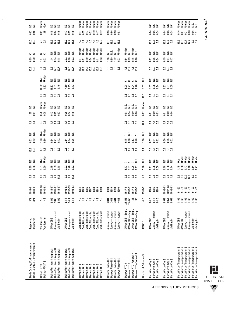| S S                                                             | Under<br>Over                                | <b>SSS</b>                                                                                                                                                                                                                                                                                                    | <b>SSS</b>                                                                                   | Under<br>Under<br>Under<br>Under<br>Under<br>Under<br>Jnder                                                                                            | Under<br>Under<br>Under<br>Under                                                   |                                                                                |                         | <b>SSS</b>                                                     | <b>SSS</b>                                                     | Under<br>Under<br>Under<br>Under<br>$\frac{0}{2}$ $\frac{0}{2}$                                                                                                                           |
|-----------------------------------------------------------------|----------------------------------------------|---------------------------------------------------------------------------------------------------------------------------------------------------------------------------------------------------------------------------------------------------------------------------------------------------------------|----------------------------------------------------------------------------------------------|--------------------------------------------------------------------------------------------------------------------------------------------------------|------------------------------------------------------------------------------------|--------------------------------------------------------------------------------|-------------------------|----------------------------------------------------------------|----------------------------------------------------------------|-------------------------------------------------------------------------------------------------------------------------------------------------------------------------------------------|
| <b>ទី</b><br>១.ទី                                               | <u>ត្ត</u><br>1.05                           | 0.19<br>$0.18$<br>$0.24$                                                                                                                                                                                                                                                                                      | 0.19<br>$0.17$<br>$0.23$                                                                     | 0.19<br>$\frac{17}{0.25}$<br>0.22<br>0.17<br>0.17<br>0.12                                                                                              | <b>88888</b>                                                                       |                                                                                |                         | ន្ធ ឌូ<br>ទី ទី ទី                                             | <u>ក្ខី ខ្ញុំ</u><br>ក្នុង                                     | <b>ី</b> 2<br>១ 2 2<br>0.28<br>0.86<br>Ξ                                                                                                                                                  |
| $\frac{11.0}{11.0}$                                             | $2.\overline{6}$<br>$2.\overline{4}$         | 15.6<br>$16.9$<br>$12.7$                                                                                                                                                                                                                                                                                      | $16.9$<br>$21.5$<br>$15.6$                                                                   | 0 2 3 4 4 4<br>4 4 4 4 4<br>4.5<br>12.2                                                                                                                | <b>185</b><br>185<br>185<br>185                                                    |                                                                                |                         | 16.9<br>12.7<br>2.2                                            | $16.9$<br>$2.7$<br>$2.2$                                       | 16.9<br>16.9<br>12.7<br>$\begin{array}{c} 3.2 \\ 3.2 \end{array}$                                                                                                                         |
| ں ں                                                             | ں ں                                          | <b>SSS</b>                                                                                                                                                                                                                                                                                                    | S S<br>š                                                                                     | Under<br>Under<br>Under<br>Under<br>Under<br>Jnder<br>Under                                                                                            | J <sub>ndel</sub><br>sisisi<br>Sisisi                                              | Under<br>N.S.<br>Under<br>N.S.                                                 |                         | s s s                                                          | <b>SSS</b>                                                     |                                                                                                                                                                                           |
| 0.30<br>0.30                                                    | $\frac{17}{20}$                              | 0.18<br>$\frac{14}{1.34}$                                                                                                                                                                                                                                                                                     | $2.02$<br>$0.60$<br>0.32                                                                     | 0.19<br>0.16<br>0.24<br>$\begin{array}{c} 0.11 \\ 0.21 \end{array}$<br>$\overline{0}$ .11<br>0.13                                                      | 158<br>082<br>122                                                                  | 0.64<br>0.83<br>$0.15$<br>$0.20$                                               |                         | ន្ទ ឌ<br>ខ ខ ឌ                                                 | 5<br>3<br>5<br>5<br>5<br>5                                     |                                                                                                                                                                                           |
| 20.8<br>20.8                                                    | $6.7$<br>$5.2$                               | $3.6$<br>12.0<br>2.7                                                                                                                                                                                                                                                                                          | $3.6$<br>$12.0$<br>$22.7$                                                                    | $11.8$<br>12.9<br>14.2<br>15.8<br>16.9<br>16.5                                                                                                         | 3<br>6<br>6<br>6<br>6<br>6<br>6<br>6                                               | $4.3$ $4.3$ $4.5$                                                              |                         | 3.0<br>2.0<br>3.2                                              | $3.50$<br>$2.32$                                               |                                                                                                                                                                                           |
|                                                                 | Under<br>Over                                | <b>SSS</b>                                                                                                                                                                                                                                                                                                    | <b>SSS</b>                                                                                   |                                                                                                                                                        |                                                                                    | <u>ပ ပ ပ ပ</u>                                                                 | s.                      | <b>SSS</b>                                                     | <b>SSS</b>                                                     |                                                                                                                                                                                           |
|                                                                 | $\begin{array}{c} 10.02 \\ 0.93 \end{array}$ | 0.46<br><u>ទេ និ</u><br>០.51                                                                                                                                                                                                                                                                                  | $4.50$<br>0.15<br>0.13                                                                       |                                                                                                                                                        |                                                                                    | <b>8524</b><br>0524<br>09                                                      | 157                     | 0.024<br>1.67                                                  | ន្លួ ខ្លួ                                                      |                                                                                                                                                                                           |
|                                                                 | $\frac{0}{2}$                                | $\frac{1}{2}$ $\frac{3}{2}$<br>2.1                                                                                                                                                                                                                                                                            | $\frac{1}{2}$ $\frac{9}{2}$ $\frac{1}{2}$                                                    |                                                                                                                                                        |                                                                                    | 85885                                                                          | 18.6                    | $\frac{9}{2}$ $\frac{4}{9}$<br>$\overline{\omega}$             | 5.23                                                           |                                                                                                                                                                                           |
| S S                                                             | Under<br>Under                               | <b>SSS</b>                                                                                                                                                                                                                                                                                                    | SSS                                                                                          |                                                                                                                                                        |                                                                                    | sisisisisi<br>Sisisisisi                                                       | Under                   | s s s                                                          | <b>SSS</b>                                                     |                                                                                                                                                                                           |
| $\begin{array}{c} 1.55 \\ 0.91 \end{array}$                     | 0.78                                         | $\begin{array}{c} 0.13 \\ 0.05 \end{array}$<br>0.07                                                                                                                                                                                                                                                           | 85 H B<br>0.19                                                                               |                                                                                                                                                        |                                                                                    | <b>88 35 86</b>                                                                | 0.02                    | 588<br>00                                                      | 588<br>000                                                     |                                                                                                                                                                                           |
| コロ                                                              | <b>9.8</b>                                   | $74.2$<br>$4.2$                                                                                                                                                                                                                                                                                               | $\frac{1}{4} \frac{4}{3}$                                                                    |                                                                                                                                                        |                                                                                    | <b>3333</b>                                                                    | 127                     | 74.3                                                           | $\frac{1}{4}$ 3                                                |                                                                                                                                                                                           |
| S S                                                             | Under<br>0 <sub>ver</sub>                    | <b>SSS</b>                                                                                                                                                                                                                                                                                                    | <b>SSS</b>                                                                                   |                                                                                                                                                        |                                                                                    | $\frac{a}{5}$ $\sim$ $\sim$<br>$\sim$                                          | S.                      | s s s                                                          | <b>SSS</b>                                                     |                                                                                                                                                                                           |
| $0.53$<br>$0.12$                                                | $1.63$<br>0.80                               | 0.12<br>០.21<br>០.21                                                                                                                                                                                                                                                                                          |                                                                                              |                                                                                                                                                        |                                                                                    | 5.8<br>0.83<br>0.48                                                            | 1.00                    | $0.14$<br>$0.62$<br>0.57                                       | ន ខ<br>ខី ខី ខ្ពី                                              |                                                                                                                                                                                           |
| $\begin{array}{c} 13.3 \\ 13.3 \end{array}$                     | $\begin{array}{c} 1.5 \\ -3. \end{array}$    | 8338                                                                                                                                                                                                                                                                                                          | 8<br>0 3 9<br>0 9 9                                                                          |                                                                                                                                                        |                                                                                    | 3232                                                                           | 1.4                     | 8338                                                           | 8338                                                           |                                                                                                                                                                                           |
| ≌ a                                                             | <b>Jnder</b><br>Over                         | <b>SSS</b>                                                                                                                                                                                                                                                                                                    | <b>SSS</b>                                                                                   |                                                                                                                                                        |                                                                                    | s.<br>$\sim$ $\sim$ $\sim$                                                     | s.n                     | s s s                                                          | s s s                                                          | Under<br>Under<br>Under<br>Under<br>Under<br>Jer<br>Over                                                                                                                                  |
| $0.75$<br>$0.56$                                                | $\frac{5}{1.70}$                             | $\begin{array}{c} 2.15 \\ 0.93 \end{array}$<br>0.18                                                                                                                                                                                                                                                           | $3.92$<br>1.70<br>0.32                                                                       |                                                                                                                                                        |                                                                                    | $\frac{1}{9}$ , $\frac{3}{9}$<br>5<br>5<br>5<br>17<br>5.13                     | 5.96                    | 0.11<br>0.08<br>0.08                                           | 8<br>0.8<br>0.1                                                | 145<br>0.63<br>145<br>0.18<br>$0.64$<br>$0.27$                                                                                                                                            |
| 64                                                              | $4.3$<br>$2.9$                               | $\frac{3}{2}$ $\frac{1}{2}$<br>11.3                                                                                                                                                                                                                                                                           | $\frac{3}{2}$ 7<br>$\frac{13}{2}$                                                            |                                                                                                                                                        |                                                                                    | 2323                                                                           | 45                      | <b>352</b>                                                     | <b>352</b>                                                     | 35 00 12<br>36 12 13<br>$\frac{6}{8}$ 0                                                                                                                                                   |
| 1989-91<br>1989-91                                              | 1990-93<br>1990-93                           | $\begin{array}{l} 4.986 \\ 1.80 \\ 2.90 \\ 1.80 \\ 2.90 \\ 2.90 \\ 2.90 \\ 2.90 \\ 2.90 \\ 2.90 \\ 2.90 \\ 2.90 \\ 2.90 \\ 2.90 \\ 2.90 \\ 2.90 \\ 2.90 \\ 2.90 \\ 2.90 \\ 2.90 \\ 2.90 \\ 2.90 \\ 2.90 \\ 2.90 \\ 2.90 \\ 2.90 \\ 2.90 \\ 2.90 \\ 2.90 \\ 2.90 \\ 2.90 \\ 2.90 \\ 2.90 \\ 2.90 \\ 2.90 \\ 2$ | $1992 - 93$<br>$1992 - 93$<br>$1992 - 93$                                                    | 1984<br>1985<br>0661<br>8861<br>8861<br>1986                                                                                                           | 88<br>08<br>08<br>08<br>08<br>1989                                                 | $1987 - 91$<br>1987–91<br>1987–91<br>$16 - 286$                                | $989 - 91$              | 1986<br>1986<br>1986                                           | $1992 - 93$<br>1992–93<br>1992–93                              | အို အို အို<br>5 5 5 5<br>$91 - 93$<br>$91 - 93$<br>$91 - 93$                                                                                                                             |
| $\frac{2}{3}$                                                   | S S                                          | 2,869<br>2,869<br>2,869                                                                                                                                                                                                                                                                                       | 2,414<br>2,414<br>2,414                                                                      | 8888888                                                                                                                                                | 4631<br>3031<br>3031<br>4631                                                       | 25,455<br>138<br>138<br>25,455                                                 | 415                     | 3,416<br>3,416<br>3,416                                        | 554<br>5555<br>5354                                            | 88<br>-- 88<br>-- 768<br>-- 769<br>1,169<br>1,169                                                                                                                                         |
| Registered<br>Registered                                        | Vendors list<br>Vendors list                 | Survey-Interest<br><b>SM/WOBE</b><br>Mailing list                                                                                                                                                                                                                                                             | Survey-Interest<br>Mailing list<br><b>SM/WOBE</b>                                            | Cert./Bidders list<br>Cert./Bidders list<br>Cert./Bidders list<br>Cert./Bidders list<br>Cert./Bidders list<br>Cert./Bidders list<br>Cert./Bidders list | Survey—Interest<br>-Interest<br>Survey-Interest<br>-Interest<br>Survey-<br>Survey- | SM/WOBE-Empl<br>SM/WOBE-Empl<br>-Empl.<br>SM/WOBE-Empl<br>SM/WOBE-             | SMOBE                   | Survey-Interest<br><b>SM/WDBE</b><br>Mailing list              | Survey-Interest<br><b>SM/WOBE</b><br>Mailing list              | Survey-Interest<br>Survey-Interest<br>Mailing list<br>SM/WOBE<br><b>SM/WOBE</b><br>Mailing list                                                                                           |
| Dade County, FL-Procurement \$<br>Dade County, FL-Procurement # | Dallas-PMSA\$<br>Dallas-City \$              | Dallas/Fort Worth Airport \$<br>Dallas/Fort Worth Airport \$<br>Dallas/Fort Worth Airport \$                                                                                                                                                                                                                  | Dallas/Fort Worth Airport \$<br>Dallas/Fort Worth Airport \$<br>Dallas/Fort Worth Airport \$ | Dayton, OH \$<br>Dayton, OH \$<br>Dayton, OH \$<br>Dayton, OH \$<br>Dayton, OH \$<br>Dayton, OH \$<br>Dayton, OH \$                                    | Denver Phase II \$<br>Denver Phase II #<br>Denver Phase II \$<br>Denver Phase II # | Denver RTD-Federal #<br>Denver RTD-Federal \$<br>Denver RTD \$<br>Denver RTD # | District of Columbia \$ | Fort Worth-City \$<br>Fort Worth-City \$<br>Fort Worth-City \$ | Fort Worth-City \$<br>Fort Worth-City \$<br>Fort Worth-City \$ | Fort Worth-Transportation \$<br>Fort Worth-Transportation #<br>Fort Worth-Transportation \$<br>Fort Worth-Transportation #<br>Fort Worth-Transportation \$<br>Fort Worth-Transportation # |

APPENDIX: STUDY METHODS

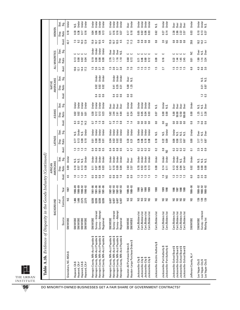|                                                                     | Stat.<br>Sig.     | Under                 | Under<br>Under<br>Under<br>Ν.S.                              | Under<br>Under<br>Under<br>Under                                                                                                                         | Under<br>Under<br>Under<br>Under                                                                                                                               | Under<br><b>Over</b>                                               | Under<br>Under<br>Under<br>Under                                                             | N.S.                               | Under<br>Under                                                  | Over<br>Over<br>Jex<br>0<br>Over                                                                                             | Under                  | Under<br>Under<br>N.S.                                      |
|---------------------------------------------------------------------|-------------------|-----------------------|--------------------------------------------------------------|----------------------------------------------------------------------------------------------------------------------------------------------------------|----------------------------------------------------------------------------------------------------------------------------------------------------------------|--------------------------------------------------------------------|----------------------------------------------------------------------------------------------|------------------------------------|-----------------------------------------------------------------|------------------------------------------------------------------------------------------------------------------------------|------------------------|-------------------------------------------------------------|
| WOMEN                                                               | Ratio<br>Disp.    | 0.18                  | 0.16<br>0.36<br>0.17<br>0.33                                 | 0.06<br>0.06<br>0.13<br>0.04                                                                                                                             | 0.16<br>0.16<br>0.11<br>0.37                                                                                                                                   | 0.18<br>0.17                                                       | 0.06<br>0.03<br>0.05<br>0.02                                                                 | 0.62                               | 0.14<br>0.27                                                    | 2.86<br>2.22<br>2.38<br>3.57                                                                                                 | 0.03                   | 0.10<br>$\frac{13}{0.37}$                                   |
|                                                                     | Avail.            | 42.7                  | $10.3$<br>$12.9$<br>7.3<br>9.2                               | 4.5<br>10.5<br>15.9<br>10.7                                                                                                                              | 15.9<br>$10.5$<br>4.5<br>10.7                                                                                                                                  | $\frac{23}{11}$                                                    | 8888                                                                                         | $_{0.8}^\circ$                     | <b>2.0</b><br>NS                                                | $\begin{smallmatrix} 8 & 8 \\ 0 & 8 \end{smallmatrix}$<br>$\begin{smallmatrix} 8 \\ 0.8 \end{smallmatrix}$                   | 29.8                   | 18.2<br>$14.2$<br>5.1                                       |
|                                                                     | Stat.<br>Sig.     |                       | ల<br>د                                                       | Under<br>Under<br>Under<br>Under                                                                                                                         | Over<br>Over<br>0ver<br>ΣŐ                                                                                                                                     | ں ں                                                                | د<br>ں ں                                                                                     | ت                                  | د                                                               | ပ ပ<br>ں ں                                                                                                                   | $\tilde{z}$            | <b>Over</b><br>N.S.<br>Over                                 |
| ALL MINORITIES                                                      | Ratio<br>Disp.    |                       | 0.13<br>0.08<br>0.02                                         | 0.08<br>0.19<br>0.08<br>0.08                                                                                                                             | 1.16<br>2.76<br>1.10<br>1.17                                                                                                                                   | 0.68<br>0.72                                                       | 0.69<br>0.46<br>0.12<br>0.71                                                                 | 0.09                               | 0.16                                                            | 1.45<br>2.45<br>0.22<br>1.44                                                                                                 | 0.01                   | 1.99<br>$1.14$<br>3.24                                      |
|                                                                     | Avail.            |                       | 14.4<br>10.6<br>17.2<br>12.1                                 | $\ddot{5}$<br>3.6<br>$3.\overline{7}$<br>$3.\overline{8}$                                                                                                | $\frac{5}{1}$<br>3.6<br>$\begin{array}{c} 3.7 \\ 3.8 \end{array}$                                                                                              | 7.0                                                                | ភ្នំភ្នំភ្ន                                                                                  | $\overline{1.5}$                   | 27                                                              | <u>ក្នុ ក្នុ ក្នុ</u>                                                                                                        | $^{\rm 63}$            | 4.9<br>8.6<br>3.0                                           |
|                                                                     | Stat<br>Sig.      |                       |                                                              | Under<br>Under<br>Under                                                                                                                                  | Under<br>Under<br>Under                                                                                                                                        | <b>Over</b><br>Š.                                                  |                                                                                              |                                    |                                                                 |                                                                                                                              |                        | sisi<br>Nisi                                                |
| AMERICANS<br><b>NATIVE</b>                                          | Ratio<br>Disp.    |                       |                                                              | 0.02<br>0.02<br>0.02                                                                                                                                     | 0.35<br>0.41<br>0.31                                                                                                                                           | 5.00<br>1.25                                                       |                                                                                              |                                    |                                                                 |                                                                                                                              |                        | $\frac{0.21}{0.87}$                                         |
|                                                                     | Avail.            |                       |                                                              | 0.5<br>٩<br>0.4<br>c                                                                                                                                     | ော ထ<br>0.4<br>$\mathbf{c}$<br>$\mathbf{c}$                                                                                                                    | <b>3</b> 8                                                         |                                                                                              |                                    |                                                                 |                                                                                                                              |                        | $\frac{2}{13}$                                              |
|                                                                     | Stat.<br>Sig.     |                       | Jnder<br><b>Jnder</b><br><b>J</b> nder<br>Jnder              | Under<br>Under<br>Under<br>Under                                                                                                                         | Over<br>0 <sub>ver</sub><br>Over<br>Over                                                                                                                       | Under<br>Under                                                     | Under<br>Under<br>Under<br>Under                                                             | N.S.                               | Under<br>N.S.                                                   | Over<br>Over<br>Over<br><b>Over</b>                                                                                          | Under                  | sis<br>Siste<br>Siste                                       |
| ASIANS                                                              | Ratio<br>Disp.    |                       | 0.02<br>0.02<br>0.01<br>0.01                                 | 0.13<br>0.30<br>0.12<br>0.23                                                                                                                             | 5.82<br>2.44<br>4.64<br>2.61                                                                                                                                   | $0.51$<br>$0.24$                                                   | 0.03<br>0.05<br>0.03<br>0.04                                                                 | 0.07                               | 0.00<br>0.00                                                    | 5.00<br>50.00<br>12.50<br>100.00                                                                                             | 0.00                   | 3.28<br>1.25<br>$\overline{3.11}$                           |
|                                                                     | Avail.            |                       | 11.3<br>33<br>9.5                                            | 1.6<br>$1.5$ 8.8<br>$\overline{0}$                                                                                                                       | $\begin{array}{c} 1.5 \\ 0.8 \end{array}$<br>1.6<br>$\overline{0}$                                                                                             | 14<br>$\overline{14}$                                              | $\mathsf{C}^0$<br><b>ូ</b> ខ<br>$\mathbf{0.0}$                                               | $\mathbf{S}$                       | <sup>0.0</sup><br>ខ                                             | $\overline{0}$<br>co<br>3<br>$\overline{0.0}$                                                                                | $\frac{8}{10}$         | <b>998</b>                                                  |
|                                                                     | Stat.<br>.<br>Sig |                       | Under<br>Jnder<br>N.S.<br>s.<br>N                            | Under<br>Under<br>Under<br>Under                                                                                                                         | Under<br>Under<br>Under<br>Under                                                                                                                               | Under<br>Under                                                     | Under<br>Under<br>Under<br>Under                                                             | Ν.S.                               | Under<br>N.S.                                                   | Under<br>Ν.S.<br><b>N.S.</b><br>N.S.                                                                                         | Under                  | 0 ver<br>N.S.<br>Over                                       |
| <b>LATINOS</b>                                                      | Ratio<br>Disp.    |                       | 0.08<br>0.10<br>0.13<br>$\overline{C}$                       | 0.00<br>0.00<br>0.01<br>0.01                                                                                                                             | 0.02<br>0.02<br><b>0.03</b><br>0.04                                                                                                                            | <b>33</b><br>0.31                                                  | 0.06<br>0.18<br>0.08<br>0.36                                                                 | 0.18                               | $0.22$<br>$0.09$                                                | 0.08<br>0.58<br>3.13<br>0.67                                                                                                 | 0.00                   | $\frac{17}{387}$<br>3.17                                    |
|                                                                     | Avail.            |                       | $\begin{array}{c} 12 \\ 12 \\ 15 \end{array}$<br>نى          | 0.5<br>ာ<br>0.4<br>ö                                                                                                                                     | 0.5<br>0.4<br>ၜ<br>ö                                                                                                                                           | 47<br>47                                                           | 0.2<br>$\overline{0}$<br>$\frac{2}{5}$ $\frac{2}{5}$                                         | $\approx$                          | $\frac{5}{80}$                                                  | $\approx$<br>$\mathbf{C}$<br>$\frac{2}{5}$ $\frac{2}{5}$                                                                     | $\overline{a}$         | 2.5<br>4.9                                                  |
|                                                                     | Stat.<br>Sig.     | Under                 | Under<br>N.S.<br>Ν.S.<br>s.n                                 | <b>Under</b><br>Under<br>Under<br>Under                                                                                                                  | Under<br>Under<br>Under<br>Under                                                                                                                               | Over<br><b>Over</b>                                                | Under<br>Under<br>Under<br>Under                                                             | Under                              | Under<br>Under                                                  | Under<br>Under<br>Under<br>N.S.                                                                                              | Under                  | sisisi<br>Sisisi                                            |
| AMERICANS<br>AFRICAN                                                | Ratio<br>Disp.    | 0.69                  | 0.18<br>0.13<br>0.30<br>0.57                                 | 0.06<br>0.03<br>$\overline{0.11}$<br>0.07                                                                                                                | 0.09<br>0.10<br>0.17<br>0.04                                                                                                                                   | 2.63<br>3.57                                                       | 0.78<br>0.53<br>0.78<br>0.13                                                                 | 0.08                               | 0.14<br>$\overline{0}$ .11                                      | 0.13<br>0.45<br>0.94<br>0.47                                                                                                 | 0.02                   | 0.00<br>0.00<br>0.00                                        |
|                                                                     | Avail.            | 4.5                   | $\overline{1}$ .0<br>$\frac{12}{14}$<br>Ξ                    | cu,<br>$\frac{8}{10}$<br>0.8<br>ö                                                                                                                        | 0.5<br>0.8<br>0.8                                                                                                                                              | <b>83</b><br>0.9                                                   | ភ្នង ភ                                                                                       | $\frac{3}{2}$                      | 29                                                              | ឆ្នួ ឆ្ន<br>$\frac{13}{13}$                                                                                                  | 6.0                    | $\overline{0}$<br>$\frac{5}{2.8}$                           |
|                                                                     | Year              | 1987                  | 1986-89<br>1986-89<br>1990–92<br>1990–92                     | 1981-86<br>1981-86<br>1981-86<br>1981-86                                                                                                                 | 1987-93<br>1987-93<br>1987-93<br>1987-93                                                                                                                       | 1989-93<br>1989-93                                                 | 1986<br>1988<br>1989<br>1987                                                                 | 1988                               | 1989<br>1990                                                    | 1986<br>1987<br>1988<br>1989                                                                                                 | 1986-90                | 1988-92<br>1988-92<br>1988-92                               |
| BACKGROUND                                                          | Contracts<br># of | SN                    | 2,575<br>1,486<br>2,575<br>1,486                             | 8,836<br>8,836<br>8,836<br>8,836                                                                                                                         | 6,407<br>6,407<br>6,407<br>6,407                                                                                                                               | S S                                                                | <b>SSSS</b>                                                                                  | S                                  | S S                                                             | S.N<br>$\frac{2}{5}$<br>S                                                                                                    | S                      | 139<br>139<br>139                                           |
|                                                                     | Source            | <b>SM/WOBE</b>        | SM/WOBE<br>SM/WOBE<br><b>SM/WOBE</b><br><b>SM/WOBE</b>       | Survey-Interest<br>Survey-Attempt<br><b>SM/WOBE</b><br>Registered                                                                                        | Survey-Interest<br>Survey-Attempt<br><b>SM/WOBE</b><br>Registered                                                                                              | SM/WOBE<br>SM/WOBE                                                 | Cert./Bidders list<br>Cert./Bidders list<br>Cert./Bidders list<br>Cert./Bidders list         | Cert./Bidders list                 | Cert./Bidders list<br>Cert./Bidders list                        | Cert./Bidders list<br>Cert./Bidders list<br>Cert./Bidders list<br>Cert./Bidders list                                         | <b>SM/WDBE</b>         | Survey-Interest<br><b>SM/WOBE</b><br>Mailing list           |
| Table A.3b. Evidence of Disparity in the Goods Industry (Continued) |                   | Greensboro, NC-MSA \$ | Hayward, CAS<br>Hayward, CAS<br>Hayward, CA#<br>Hayward, CA# | Hennepin County, MN-Acct Payable \$<br>Hennepin County, MN-Acct Payable \$<br>Hennepin County, MN-Acct Payable \$<br>Hennepin County, MN-Acct Payable \$ | Hennepin County, MN-Acct Payable \$<br>↮<br>↔<br>↮<br>Hennepin County, MN-Acct Payable<br>Hennepin County, MN-Acct Payable<br>Hennepin County, MN-Acct Payable | Houston-Large Purchase Orders \$<br>Houston-All Purchase Orders \$ | Jacksonville-City \$<br>Jacksonville-City \$<br>Jacksonville-City \$<br>Jacksonville-City \$ | Jacksonville-Electric Authority \$ | ocksonville-Port Authority \$<br>Jacksonville-Port Authority \$ | Jacksonville-School Board \$<br>Jacksonville-School Board \$<br>Jacksonville-School Board \$<br>Jacksonville-School Board \$ | Jefferson County, AL # | Las Vegas-City \$<br>Las Vegas-City \$<br>Las Vegas-City \$ |

 $\overline{\mathbb{I}}$ THE URBAN INSTITUTE

**96** DO MINORITY-OWNED BUSINESSES GET A FAIR SHARE OF GOVERNMENT CONTRACTS?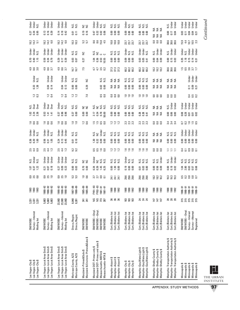| Under<br>Under<br>N.S.                                        | Under<br>Under<br>Under                                                                      | Under<br>Under<br>Under                                                                      | si<br>Si<br>Si                                  | S S                                                           | Under<br>$\begin{array}{c}\n\frac{1}{2} & \frac{1}{2} & \frac{1}{2} \\ \frac{1}{2} & \frac{1}{2} & \frac{1}{2}\n\end{array}$ | sisisi<br>Sisisi                                               | មិន និង<br>ក្នុង និង                                           | sisisi<br>Sisisi                                                                             | ≨≨≨                                                                              | N.S.<br>Under<br>Under                                                                                            | Under<br>Under<br>Under<br>Under<br>Under                                                         |
|---------------------------------------------------------------|----------------------------------------------------------------------------------------------|----------------------------------------------------------------------------------------------|-------------------------------------------------|---------------------------------------------------------------|------------------------------------------------------------------------------------------------------------------------------|----------------------------------------------------------------|----------------------------------------------------------------|----------------------------------------------------------------------------------------------|----------------------------------------------------------------------------------|-------------------------------------------------------------------------------------------------------------------|---------------------------------------------------------------------------------------------------|
| ក្នុ ង<br><b>ខ</b> ំ ទី                                       | 0.39<br>$\begin{array}{c} 0.13 \\ 0.16 \end{array}$                                          | 0.14<br>0.18<br>0.42                                                                         | $\overline{0}$<br>$\overline{5}$                | $0.19$<br>$0.16$                                              | $0.47$<br>$0.32$<br>0.02<br><b>0.06</b>                                                                                      | 0.00<br><b>C.OO</b><br>0.00                                    | 0.00<br>0.00<br>0.00                                           | 888<br>888                                                                                   | <b>SES</b>                                                                       | 0.00<br>0.04<br>0.17                                                                                              | ខ្លួ = ខ្ញុំ ខ្ញុំ<br>ខ្ញុំ = ខ្ញុំ ខ្ញុំ                                                         |
| $18.2$<br>$14.2$<br>$5.1$                                     | $18.2$<br>$14.2$<br>ය                                                                        | $18.2$<br>14.2<br>G.O                                                                        | $\begin{array}{c} 10.3 \\ 10.3 \end{array}$     | 5.7                                                           |                                                                                                                              | $\begin{array}{c} 10.8 \\ 10.8 \end{array}$<br>10.8            | 23.7<br>23.7<br>23.7                                           | 23.7<br>23.7<br>23.7                                                                         | 888                                                                              | 6<br>88 88 98                                                                                                     |                                                                                                   |
| Under<br>Under<br>N.S.                                        | Under<br>Under                                                                               | Under<br>Under<br>Under                                                                      | sisi<br>Nisi                                    | Ξ                                                             | cia<br>2200                                                                                                                  | sisisi<br>Sisisi                                               | មិន និង<br>ក្នុង និង                                           | Under<br>Under<br>s.<br>N                                                                    | N.S.<br>Under<br>Under                                                           | N.S.<br>Under<br>Under                                                                                            | Under<br>N.S.<br>Under<br>Jnder<br>Under                                                          |
| <b>P. 8 5 5</b><br>0 5 5 9                                    |                                                                                              | 0.39<br>0.750                                                                                | 0.03<br>0.07                                    | 0.27                                                          | ិ<br>បី<br>ភូមិ<br>ក្នុង<br>1.04                                                                                             | 888<br>888                                                     | 888<br>000                                                     | ខ្លី ម៉ូ អ៊ូ<br>ខ្លី ម៉ូ                                                                     | 8 ชี 8<br>0 0 0                                                                  | 858<br>858                                                                                                        | 1853<br>0.35                                                                                      |
| 4.9<br>8.0<br>3.0                                             |                                                                                              | 4.9<br>8.6                                                                                   | 16.7<br>16.7                                    | 7.5                                                           | $3.5\,$<br>47                                                                                                                | 37 37 37<br>27 37 38                                           | 60.2<br>60.2<br>60.2                                           | 60.2<br>60.2<br>60.2                                                                         | 18.2<br>18.2<br>18.2                                                             | 6<br>88 88<br>88 98                                                                                               | 1.5 8 9 7<br>1.5 8 9 7<br>1.5 8 9 7                                                               |
| Under<br>N.S.                                                 | Under<br>Under                                                                               | Under<br>Under                                                                               | si<br>Si<br>Si                                  | š                                                             | si<br>Si<br>Si                                                                                                               | <b>ZZZ</b>                                                     | sisisi<br>Sisisi                                               | sisisi<br>Sisisi                                                                             | <b>ZZZ</b>                                                                       | ≨≨≨                                                                                                               | Under<br>Under<br><b>J</b> nder                                                                   |
| <b>83</b><br>1.38                                             | 0.14<br>0.04                                                                                 | 0.13<br>0.04                                                                                 | $\overline{0.00}$<br>0.00                       | 0.29                                                          | 0.02<br>C.OO                                                                                                                 | ≨≨≨                                                            | 8 8<br>0.00<br>$\overline{5}$                                  | 888<br>000                                                                                   | ≨≨≨                                                                              | ≨ ≨ ≨                                                                                                             | 0.21<br>$\overline{5}$                                                                            |
| $\frac{2}{13}$                                                | $1.2$ 0.4                                                                                    | $\frac{2}{1}$ $\frac{4}{1}$                                                                  | $\frac{2}{12}$                                  | 7.0                                                           | 5.0<br>0.0                                                                                                                   | 888                                                            | 222                                                            | 222                                                                                          | 888                                                                              | 888                                                                                                               | <b>353</b>                                                                                        |
| Dver<br>s.<br>Se                                              | Under<br><b>Over</b><br>Over                                                                 | Under<br>si si                                                                               | si<br>Si<br>Si                                  | S S                                                           | si<br>Si<br>si<br>Si                                                                                                         | sisisi<br>Sisisi                                               | sisisi<br>Sisisi                                               | sisisi<br>Sisisi                                                                             | <b>SSS</b>                                                                       | N.S.<br>Under<br>Jnder                                                                                            | Under<br><b>J</b> nder<br>Under<br>ber<br>Under                                                   |
| 12<br>23<br>23                                                | $0.53$<br>1.41<br>$\overline{141}$                                                           | 0.96<br>0.96<br>0.37                                                                         | 0.37<br>0.00                                    | 8.00                                                          | 0.78<br>$2.17$<br>0.34<br>50.00                                                                                              | 0.00<br>0.00<br>0.00                                           | 8.00<br>0.00                                                   | 83<br>0.33<br>0.41                                                                           | ≸ ≨ ≨                                                                            | 888<br>000                                                                                                        | <b>88558</b>                                                                                      |
| 1660                                                          | 1660                                                                                         | 1660                                                                                         | $\frac{10}{10}$                                 | $\frac{1}{2}$ 6                                               | <b>1558</b>                                                                                                                  | 222                                                            | 23<br>23<br>23                                                 | 23<br>23<br>23                                                                               | 888                                                                              | 4 4 4<br>ന ന ന                                                                                                    | 53555                                                                                             |
| Under<br>Under<br>N.S.                                        | Under<br>N.S.<br>Under                                                                       | Under<br>Under<br>Under                                                                      | si<br>Si<br>Si                                  |                                                               | Under<br>N.S.<br>si<br>Si                                                                                                    | sisisi<br>Sisisi                                               | sisisi<br>Sisisi                                               | sisisi<br>Sisisi                                                                             | <b>SSS</b>                                                                       | sisisi<br>Sisisi                                                                                                  | Under<br>Under<br>Under<br>Under<br>Jnder                                                         |
| ន្ទី <u>ខ្ញ</u><br>ខ្ញុំ ខ្ញុំ                                | 1.05<br>0.56<br>0.31                                                                         | 0.24<br>0.13<br>0.45                                                                         | $\frac{5}{0.10}$                                |                                                               | $\frac{5}{2}$ $\frac{2}{2}$ $\frac{2}{2}$ $\frac{2}{2}$<br>$\overline{0}$                                                    | 0.00<br>0.00<br>$\overline{0}$                                 | 8<br>0.00<br>0.00                                              | 888<br>888                                                                                   | ≨≨≨                                                                              | 8.80<br>0.00                                                                                                      | 888<br>000<br>$\frac{8}{100}$                                                                     |
| 2140<br>2140                                                  | 214 13<br>214 13                                                                             | 2.4 m<br>2.4 m                                                                               | 3.2 <sub>0</sub>                                |                                                               | 5525                                                                                                                         | <b>222</b>                                                     | $1.6$ $1.6$                                                    | $1.6$ $1.6$                                                                                  | 888                                                                              | コココ                                                                                                               | 35885                                                                                             |
| N.S.<br>Under<br>N.S.                                         | Under<br>Under<br>Jnder                                                                      | Jnder<br>Under<br>Under                                                                      | si<br>Si<br>Si                                  | S S                                                           | Under<br>si<br>Sisi<br>ξ                                                                                                     | sisisi<br>Sisisi                                               | Under<br>sisi<br>Sisi                                          | sisisi<br>Sisisi                                                                             | Under<br>si<br>Si<br>Si                                                          | x.s.<br>Under<br>Jnder                                                                                            | os os os os<br>N N N N N N                                                                        |
| <b>is 2</b><br>is 2                                           | 0.18<br>0.21                                                                                 | <u>ក្ខខ្លួ</u>                                                                               | 8<br>0.03                                       | 0.70                                                          |                                                                                                                              | 8.88<br>0.98                                                   | <b>P.</b> 8<br>0<br>0<br>0<br>0<br>0                           | <u>ក្ខ</u> ្លួន<br>ខ្លួន                                                                     | ខ្លួ ឌូ<br><b>ខ</b> ្ញុំ ខ្ញុំ                                                   | 8 = 8<br>0 = 8                                                                                                    | $\begin{array}{cccccc}\n3 & 8 & 8 & 5 & 8 \\ - & 8 & 8 & 5 & 8 \\ - & 8 & 8 & 5 & 8\n\end{array}$ |
| <b>9558</b>                                                   | <b>9.500</b><br>0.51 0                                                                       | <b>9.500</b><br>0.51 0                                                                       | 5.3<br>5.3                                      | $\frac{0}{10}$                                                | 2235                                                                                                                         | 24.1<br>24.1                                                   | 29.6<br>29.6<br>29.6                                           | 29.6<br>29.6<br>29.6                                                                         | 18.2<br>18.2<br>18.2                                                             |                                                                                                                   | 53885                                                                                             |
| <b>SE SE SE</b>                                               | $388 - 92$<br>$-986 - 92$<br>$-986 - 92$                                                     | $990 - 93$<br>$990 - 93$<br>$990 - 93$                                                       | $80 - 88$<br>$-88 - 88$                         | 985-89<br>985-89                                              | FY91-93<br>FY92-93<br>$16 - 186$<br>$-81$                                                                                    | 1988<br>es is                                                  | 88<br>08<br>08<br>08<br>08                                     |                                                                                              | 1990<br>1992                                                                     | 88<br>1992<br>1992                                                                                                | ត ត ត ត<br>១ ទី ទី ទី<br>ទី ទី ទី ទី ទី                                                           |
| គ្គ<br>ភី ឆ្កួ ឆ្កួ                                           | 5,683<br>5,683<br>5,683                                                                      | 23,983<br>23,983<br>23,983                                                                   | 8,048<br>8,281                                  | 241                                                           | S S<br>773<br>287                                                                                                            | <b>35 88</b>                                                   | $\frac{22}{182}$<br>183                                        | <u>ನ ನ ನ</u>                                                                                 | 147<br>147<br>$\overline{47}$                                                    | <b>ಜ ಜ ಜ</b>                                                                                                      | <b>315</b><br>315<br>$\frac{15}{315}$                                                             |
| Survey-Interest<br>Mailing list<br>SM/WOBE                    | Survey-Interest<br>Mailing list<br><b>SM/WOBE</b>                                            | Survey-Interest<br>Mailing list<br><b>SM/WOBE</b>                                            | Direcs./Regist.<br>Direcs./Regist.              | SM/WOBE<br>SM/WOBE                                            | -Empl.<br>.<br>Empl.<br>SM/WOBE-<br>SM/WOBE-<br>SM/WOBE<br>SM/WOBE                                                           | Cert./Bidders list<br>Cert./Bidders list<br>Cert./Bidders list | Cert./Bidders list<br>Cert./Bidders list<br>Cert./Bidders list | Cert./Bidders list<br>Cert./Bidders list<br>Cert./Bidders list                               | Cert./Bidders list<br>Cert/Bidders list<br>Cert./Bidders list                    | Cert./Bidders list<br>Cert/Bidders list<br>Cert./Bidders list                                                     | -Empl.<br>Survey-Interest<br>Survey-Attempt<br>SM/WOBE-<br>Registered<br><b>SM/WOBE</b>           |
| ↮<br>Las Vegas-City \$<br>Las Vegas-City \$<br>Las Vegas-City | Las Vegas-Local Area Gvts \$<br>Las Vegas-Local Area Gvts \$<br>Las Vegas-Local Area Gvts \$ | Las Vegas-Local Area Gvts \$<br>Las Vegas-Local Area Gvts \$<br>Las Vegas-Local Area Gvts \$ | Maricopa County, AZ \$<br>Maricopa County, AZ\$ | Maryland–Primes&Subs \$<br>Maryland & Environs–Primes&Subs \$ | ↮<br>Maryland D0T–Primes only \$<br>Maryland D0T–Primes and subs :<br>Massachusetts-MBTA \$<br>Massachusetts-MTA\$           | Memphis-Airport \$<br>Memphis-Airport \$<br>Memphis-Airport \$ | Memphis-City \$<br>Memphis-City \$<br>Memphis-City \$          | Memphis-Gas, Water, Light \$<br>Memphis-Gas, Water, Light \$<br>Memphis-Gas, Water, Light \$ | Memphis-Shelby County \$<br>Memphis-Shelby County \$<br>Memphis-Shelby County \$ | Memphis-Transportation Authority \$<br>Memphis-Transportation Authority \$<br>Memphis-Transportation Authority \$ | Minneapolis \$<br>Minneapolis \$<br>Minneapolis \$<br>Minneapolis \$<br>Minneapolis \$            |

APPENDIX: STUDY METHODS



**97**

Continued *Continued*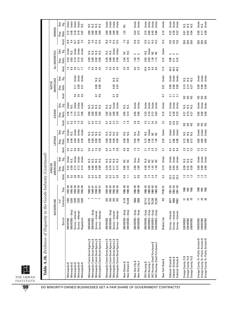|                                                     |                      | Stat.<br>Sig.     | Under<br>Under<br>Under                            | Under<br>Σ.                               | sisisisi<br>Sisisisi                                                                                                                         | Under<br>Under<br>Under<br>Under                                                                                                             | š                                | Under<br>Under                      | Under<br>Under<br>Under<br>Under                                                                   | Under               | Under<br>Under<br>Under                                      | sisisi<br>Sisisi                                                     | Under<br>N.S.<br>Under                                                                                            |
|-----------------------------------------------------|----------------------|-------------------|----------------------------------------------------|-------------------------------------------|----------------------------------------------------------------------------------------------------------------------------------------------|----------------------------------------------------------------------------------------------------------------------------------------------|----------------------------------|-------------------------------------|----------------------------------------------------------------------------------------------------|---------------------|--------------------------------------------------------------|----------------------------------------------------------------------|-------------------------------------------------------------------------------------------------------------------|
|                                                     | WOMEN                | Ratio<br>Disp.    | 0.45<br>0.18<br>0.12                               | 0.19<br>0.87                              | 0.00<br>0.00                                                                                                                                 | 0.00<br>0.00<br>$\frac{8}{2}$<br>0.00                                                                                                        | 1.23                             | 0.34<br>0.72                        | 0.18<br>0.68<br>0.45<br>0.66                                                                       | 0.10                | 0.38<br>0.32<br>0.22                                         | 0.02<br>0.04<br>0.01                                                 | 0.17<br>0.00                                                                                                      |
|                                                     |                      | Avail.            | 4.4<br>10.7<br>ட்                                  | 10.5<br>2.3                               | 15.9<br>12.5<br>4.5                                                                                                                          | 15.9<br>4.5<br>12.4<br>12.5                                                                                                                  | $7.3$<br>10.3                    | 12.8<br>12.9                        | 14.3<br>14.3<br>12.0<br>127                                                                        | 14.3                | 12.6<br>12.6                                                 | នី នី នី                                                             | នី នី នី                                                                                                          |
|                                                     |                      | Stat.<br>Sig.     | <b>Under</b><br>Under<br>N.S.                      | <b>J</b> nder<br><b>Jnder</b>             | si<br>Si Si<br>sisi<br>Nisi                                                                                                                  | Under<br>Under<br>N.S.<br>s.                                                                                                                 | N.S.<br>š                        | ں ں                                 | Under<br>N.S.<br>S F                                                                               | Under               | ں ں ں                                                        |                                                                      |                                                                                                                   |
|                                                     | ALL MINORITIES       | Disp.<br>Ratio    | 0.10<br>$0.24$<br>$0.83$                           | 0.10<br>0.22                              | $\frac{8}{100}$<br>0.00<br>$\overline{0}$ .00                                                                                                | 0.09<br>0.26<br>0.86<br>0.09                                                                                                                 | 2.94<br>0.76                     | 1.35                                | 0.65<br>0.93<br>113<br>1.26                                                                        | 0.14                | 0.08<br>0.10<br>$\overline{5}$                               |                                                                      |                                                                                                                   |
|                                                     |                      | Avail.            | $\frac{15}{2}$<br>3.6                              | 3.7<br>$\Box$                             | 1566<br>1564                                                                                                                                 | $\overline{1.5}$<br>0.5<br>$4.6$<br>$4.6$                                                                                                    | 3.8<br>3.3                       | $\mathsf{6.0}$<br>ာ<br>ம்           | 10.4<br>$\mathbf{6.9}$<br><b>9.5</b><br>8.8                                                        | 11.0                | 45.5<br>45.5<br>45.5                                         |                                                                      |                                                                                                                   |
|                                                     |                      | Stat.<br>Sig.     | Under                                              | Under<br>Under                            | si<br>Nisi                                                                                                                                   | si<br>Sisi                                                                                                                                   |                                  |                                     |                                                                                                    | Under               | Under<br><b>Under</b><br>Under                               | sisisi<br>Sisisi                                                     | Under<br>Under<br><b>Jnder</b>                                                                                    |
|                                                     | AMERICANS<br>NATIVE  | Ratio<br>Disp.    | $\overline{0}$ .11                                 | 0.09<br>0.21                              | 0.00<br>0.00                                                                                                                                 | 0.28<br>0.24                                                                                                                                 |                                  |                                     |                                                                                                    | 0.01                | 0.00<br>0.00<br>0.00                                         | $0.19$<br>$0.14$<br>0.27                                             | 0.00<br>$\begin{array}{c} 0.00 \\ 0.00 \end{array}$                                                               |
|                                                     |                      | Avail.            | 0.4                                                | 0.5<br>$\overline{0}$                     | $\frac{8}{5}$<br>CO                                                                                                                          | $\frac{8}{1}$<br>$\overline{0}$                                                                                                              |                                  |                                     |                                                                                                    | G                   | 21<br>21<br>21                                               | ន៍ និ                                                                | ន៍ និ                                                                                                             |
|                                                     |                      | Stat.<br>Sig.     | <b>J</b> nder<br>Under<br>N.S.                     | <b>J</b> nder<br><b>J</b> nder            | sisisisi<br>Sisisisi                                                                                                                         | Under<br>Under<br>si<br>Sisi                                                                                                                 | sis<br>Na                        | Under<br>Under                      | Under<br>Under<br>Under<br><b>Under</b>                                                            | Under               | Under<br>Under<br>Under                                      | sisisi<br>Sisisi                                                     | Under<br>Under<br>Under                                                                                           |
|                                                     | ASIANS               | Ratio<br>Disp.    | 1.14<br>0.12<br>0.34                               | 0.13<br>0.36                              | 8.00<br>0.00<br>0.00                                                                                                                         | 0.26<br>0.00<br>0.00<br>0.87                                                                                                                 | 0.05<br>0.14                     | 0.65<br>0.90                        | 0.74<br>0.33<br>0.72<br>0.63                                                                       | 0.16                | 0.13<br>0.28<br>0.23                                         | 0.19<br>0.27<br>0.27                                                 | 0.00<br>0.00<br>0.00                                                                                              |
|                                                     |                      | Avail.            | $\frac{6}{1}$<br>$\sim$<br>CO <sub>1</sub>         | $\begin{array}{c} 1.5 \\ 0.5 \end{array}$ | 0.3<br>0.3<br>2.3<br>$\overline{0}$                                                                                                          | 0.2<br>2.3<br>2.3<br>$\overline{0}$                                                                                                          | $\frac{2}{1}$ $\frac{9}{1}$      | $3.8\,$<br>$\infty$<br>က            | 3244<br>324                                                                                        | 23                  | 12.9<br>12.9<br>12.9                                         | និន្ត                                                                | និនន                                                                                                              |
|                                                     |                      | Stat.<br>Sig.     | Under<br>Under<br>ΣŐ                               | Under<br><b>J</b> nder                    | sisisisi<br>Sisisisi                                                                                                                         | ΝS.<br>sisisi<br>Nisi                                                                                                                        | si<br>Na                         | Over<br>N.S.                        | Under<br>N.S.<br>a a                                                                               | Under               | Under<br>Under<br>Under                                      | sisisi<br>Sisisi                                                     | Under<br>Under<br>Under                                                                                           |
|                                                     | <b>LATINOS</b>       | Ratio<br>Disp.    | 0.04<br>0.46<br>0.09                               | 0.04<br>0.28                              | 0.00<br>0.00<br>0.00<br>0.00                                                                                                                 | 0.00<br>0.00<br>0.00<br>0.00                                                                                                                 | 0.09<br>0.00                     | 0.55<br>1.80                        | 0.86<br>2.10<br>0.72<br>1.94                                                                       | 0.23                | 0.06<br>0.08<br>$\overline{0}$ .11                           | 0.13<br>0.09<br>0.13                                                 | 0.00<br>0.00<br>0.00                                                                                              |
|                                                     |                      | Avail             | $\overline{0.9}$<br>$\overline{a}$<br>0            | 0.8<br>$\overline{a}$                     | $\frac{0.8}{0.8}$<br>$\overline{0.4}$<br>$\overline{a}$                                                                                      | $\overline{1.0}$<br>$\frac{8}{10}$<br>$\overline{a}$<br>$\overline{a}$                                                                       | 0.8                              | $\frac{15}{13}$                     | $1.6$<br>2.5<br>2.2<br>21                                                                          | 27                  | $84$<br>$84$<br>8.4                                          | 23<br>23<br>23                                                       | $2.\overline{3}$<br>2.3                                                                                           |
|                                                     |                      | Stat.<br>Sig.     | Under<br><b>Under</b><br>N.S.                      | Under<br><b>Jnder</b>                     | si<br>Si Si<br>si<br>Si                                                                                                                      | sisisisi<br>Sisisisi                                                                                                                         | S S                              | Over<br>Over                        | si<br>≌ ≌<br>S 5                                                                                   | Under               | Under<br>Under<br>Under                                      | sisisi<br>Sisisi                                                     | Under<br>Under<br>Under                                                                                           |
|                                                     | AMERICANS<br>AFRICAN | Disp.<br>Ratio    | 0.13<br>$0.22$<br>$0.59$                           | 0.12<br>0.14                              | 0.00<br>$\frac{8}{100}$<br>0.00                                                                                                              | 0.25<br>0.70<br>0.17<br>0.15                                                                                                                 | 9.85<br>2.32                     | 4.00<br>2.80                        | 14.39<br>0.48<br>34                                                                                | 0.10                | 0.04<br>0.04<br>0.04                                         | 0.38<br>0.23<br>0.38                                                 | 0.00<br>0.00<br>0.00                                                                                              |
|                                                     |                      | Avail.            | 533                                                | 0.8<br>$\overline{0}$                     | 5278<br>o                                                                                                                                    | 5.0<br>0.2<br>$\overline{0}$<br>$\frac{8}{10}$                                                                                               | $\mathbf{c}$<br>$\overline{1}$   | 0.8<br>CO                           | 3.3<br>$2.4$<br>1.9                                                                                | 53                  | 22.2<br>22.2<br>22                                           | <u>ជ ដ ដ</u>                                                         | <b>222</b>                                                                                                        |
| ds Industry (Continued)                             |                      |                   |                                                    |                                           |                                                                                                                                              |                                                                                                                                              |                                  |                                     |                                                                                                    |                     |                                                              |                                                                      |                                                                                                                   |
|                                                     |                      | Year              | 1992-94<br>1992-94<br>1992-94                      | 1992-94<br>1992-94                        | $1990 - 91$<br>$1990 - 91$<br>$1990 - 91$<br>$1990 - 91$                                                                                     | 1992-94<br>1992-94<br>1992-94<br>1992-94                                                                                                     | 1986-89<br>1989-92               | 1989-90<br>1989-90                  | 1988-92<br>1988-92<br>1988-92<br>1988-92                                                           | FY90-91             | 1992-93<br>$1991 - 93$<br>$1991 - 92$                        | 1990<br>1992<br>1991                                                 | <b>SE 55 25</b>                                                                                                   |
|                                                     | BACKGROUND           | Conrtacts<br># of | 7,635<br>7,635<br>7,635                            | 7,635<br>7,635                            | $\overline{\phantom{a}}$<br>$\overline{ }$                                                                                                   | 253<br>253<br>253<br>253                                                                                                                     | 3,178<br>14,428                  | 2868<br>2868                        | 22,713<br>22,713<br>75,230<br>75,230                                                               | SN                  | 9984<br>8077<br>18061                                        | គ ឌ ឝ                                                                | $= 8.8$                                                                                                           |
|                                                     |                      | Source            | SM/WOBE-Empl<br>Survey-Interest<br><b>SM/WDBE</b>  | Survey-Attempt<br>Registered              | SM/WOBE-Empl<br>Survey-Attempt<br>Survey-Interest<br><b>SM/WOBE</b>                                                                          | SM/WOBE-Empl<br>Survey-Attempt<br>Survey-Interest<br>SM/WOBE                                                                                 | SM/WOBE-Empl<br>SM/WOBE-Empl     | SM/WOBE-Empl<br>SM/WOBE-Empl        | SM/WOBE-Empl<br>SM/WOBE-Empl<br>SM/WOBE-Empl<br>SM/WOBE-Empl                                       | <b>Bidders</b> list | Survey-Interest<br>Survey-Interest<br>Survey-Interest        | SM/WOBE<br>SM/WOBE<br>SM/WOBE                                        | SM/WDBE<br><b>SM/WDBE</b><br><b>SM/WDBE</b>                                                                       |
| <b>Table A.3b.</b> Evidence of Disparity in the Goo |                      |                   | Minneapolis \$<br>Minneapolis \$<br>Minneapolis \$ | Minneapolis \$<br>Minneapolis \$          | Minneapolis Comm Devel Agency \$<br>Minneapolis Comm Devel Agency \$<br>Minneapolis Comm Devel Agency \$<br>Minneapolis Comm Devel Agency \$ | Minneapolis Comm Devel Agency \$<br>Minneapolis Comm Devel Agency \$<br>Minneapolis Comm Devel Agency \$<br>Minneapolis Comm Devel Agency \$ | New Orleans \$<br>New Orleans \$ | New York City \$<br>New York City # | NYC Housing-Small Purchases \$<br>NYC Housing-Small Purchases #<br>NYC Housing \$<br>NYC Housing # | New York State \$   | Oakland-Schools \$<br>Oakland-Schools\$<br>Oakland-Schools\$ | Drange County, FL \$<br>Orange County, FL \$<br>Orange County, FL \$ | Orange County, FL-Public Schools \$<br>Orange County, FL-Public Schools \$<br>Orange County, FL-Public Schools \$ |

 $\overline{\phantom{a}}$ THE URBAN INSTITUTE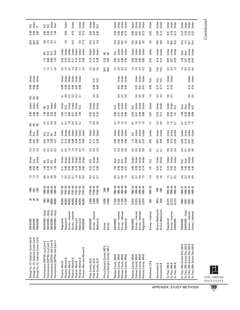| Orange Co., FL-Valencia Comm Coll \$<br>Orange Co., FL-Valencia Comm Coll \$<br>Orange Co., FL-Valencia Comm Coll \$                           | <b>SM/WDBE</b><br><b>SM/WOBE</b><br><b>SM/WDBE</b>                                                               | 888                                                                          | <b>SE SE SE</b>                                                                                                                                                                                                                                                                   | ឆ ឆ ឆ              | 888                                                           | dhë<br>N.S.<br>Unë                                                                                                                                                 | 23<br>23<br>23                                          | $\frac{8}{5}$ $\frac{5}{5}$ $\frac{8}{5}$ | under<br>N.S.<br>Under                                                                                                                                  | sss                                       | $\frac{8}{5}$ $\frac{8}{5}$ $\frac{8}{5}$                             | Jnder<br>Jnder<br>Jnder                                       | ggg                              |                          | <b>J</b><br>Dinder<br>Under                           |                                           |                                                                                 | <u>ខ្លួន</u><br>ខ្លួន       |                                                                | 5.88                    | N.S.<br>Under<br>??                |
|------------------------------------------------------------------------------------------------------------------------------------------------|------------------------------------------------------------------------------------------------------------------|------------------------------------------------------------------------------|-----------------------------------------------------------------------------------------------------------------------------------------------------------------------------------------------------------------------------------------------------------------------------------|--------------------|---------------------------------------------------------------|--------------------------------------------------------------------------------------------------------------------------------------------------------------------|---------------------------------------------------------|-------------------------------------------|---------------------------------------------------------------------------------------------------------------------------------------------------------|-------------------------------------------|-----------------------------------------------------------------------|---------------------------------------------------------------|----------------------------------|--------------------------|-------------------------------------------------------|-------------------------------------------|---------------------------------------------------------------------------------|-----------------------------|----------------------------------------------------------------|-------------------------|------------------------------------|
| Pennsylvania (SEPTA)-Sml Contr \$<br>Pennsylvania (SEPTA)-Sml Contr #<br>Pennsylvania (SEPTA)-Lrg Contr \$<br>Pennsylvania (SEPTA)-Lrg Contr#  | SM/WOBE-Empl<br>SM/WOBE-Empl<br>SM/WOBE-Empl<br>SM/WOBE-Empl                                                     | 1883<br>1883<br>68530<br>68530                                               | $\begin{array}{l} 92 \\ 86 \\ 88 \\ 88 \\ 88 \\ 88 \\ 98 \\ 98 \\ 98 \\ 98 \\ 98 \\ \end{array}$                                                                                                                                                                                  | 8588               | 28252                                                         | e si e a<br>E si e a                                                                                                                                               | 2323                                                    | 8 3 8 5<br>1 8 9 5                        | sisi<br>Sisipilisid<br>Sisipilisid                                                                                                                      | 5588                                      | <b>ESS</b>                                                            |                                                               |                                  |                          |                                                       | <b>1918</b>                               | u si si si<br>Si si si si<br>1.8882                                             | 8505                        |                                                                | 23.58                   |                                    |
| Phoenix-Men and Women \$<br>↮<br>↮<br>Phoenix-Women \$<br>Phoenix-Women<br>Phoenix-Women<br>Phoenix-Men \$<br>Phoenix-Men \$<br>Phoenix-Men \$ | Survey-Interest<br>Survey-Interest<br>Mailing list<br>Mailing list<br>Registered<br>Registered<br><b>SM/WDBE</b> | 40,959<br>40,959<br>40,959<br>40,959<br>40,959<br>40,959<br>40,959           | $\begin{array}{l} \text{FF} \text{87--93} \\ \text{FF} \text{87--93} \\ \text{FF} \text{87--93} \\ \text{FF} \text{87--93} \\ \text{FF} \text{87--93} \\ \text{FF} \text{87--93} \\ \text{FF} \text{87--93} \\ \text{FF} \text{87--93} \\ \text{FF} \text{87--93} \\ \end{array}$ | essess             | 758882888                                                     | der de de desenvoltes<br>Listes de desenvoltes<br>Listes de desenvoltes de la propieta<br>Listes de de la propieta de la propieta de la propieta de la propieta de | a greede                                                | 27.28888288                               | dhere<br>Dhere dhere<br>Dhere dhere<br>Dhere dhere<br>Dhere dhere dhere dhere dhere dhere dhere dhere dhere dhere dhere dhe dhere dhere dhere dhere dhe | 552335                                    | 89.28882                                                              | dei<br>N.S. de de de la S.<br>De de de S.<br>De S. S.<br>N.S. | 588885                           | <b>8888888</b>           | der<br>Danger<br>Danger<br>Danger<br>Danger<br>Danger | 3.02399753                                | de te de la de<br>La de la de la de la<br>La de la de la de la                  | 5.6<br>14.4<br>6.6<br>I 7.9 | 0.15<br>0.32<br>0.38                                           | Under<br>Jnder<br>Jnder | Under                              |
| Prince George's County, MD \$<br>Pima County, AZ \$<br>Pima County, AZ \$<br>Pima County, AZ \$                                                | Survey-Interest<br>Mailing list<br><b>SM/WOBE</b><br>Survey                                                      | 3,856<br>3,856<br>3,856<br>12200                                             | FY90-93<br>FY90-93<br>FY90-93                                                                                                                                                                                                                                                     | 3.500              | ន្ទ = ខ្ញ<br><b>o</b> = ខ                                     | N.S.<br>Under<br>Under                                                                                                                                             | 3<br>6 5 3<br>6 2                                       | 27.58                                     | der<br>Juder<br>Juder                                                                                                                                   | $\frac{0}{1}$ $\frac{0}{0}$ $\frac{0}{0}$ | 380.58                                                                | ander<br>En Engel<br>En Engel                                 | $0.5$<br>0.4                     | ន.<br>១.ខ<br>០.ខ         | us.<br>N.S.                                           | F894                                      | der<br>Under<br>Under<br><b>15</b><br>0.13<br>0.28                              | $15.2$ 6.3                  | $\frac{5}{9}$ $\frac{4}{9}$ $\frac{8}{9}$                      |                         | Jnder<br>Jnder<br>N.S.             |
| Prince George's County, MD #<br>Ramsey County, MN \$<br>Ramsey County, MN \$<br>Ramsey County, MN \$<br>Ramsey County, MN \$                   | Survey-Interest<br>Survey-Attempt<br>Registered<br><b>SM/WDBE</b><br>Survey                                      | $\begin{array}{c} 11,526 \\ 11,526 \\ 11,526 \end{array}$<br>12200<br>11,526 | $\begin{array}{r} 1985 - 89 \\ 1985 - 89 \\ 1985 - 89 \\ 1985 - 89 \\ \end{array}$<br>1988<br>1988                                                                                                                                                                                | 5 2 3 4<br>5 3 5 5 | 1.548047                                                      | a<br>Sisis<br>Sisis<br>Sisis                                                                                                                                       | $\frac{4}{9}$ $\frac{8}{9}$ $\frac{8}{9}$ $\frac{6}{9}$ | 8338                                      | ata<br>Ender<br>Ender                                                                                                                                   | 5 ≌ ≌ 2                                   | 0.448                                                                 | N.S.<br>Jnder<br>Jnder                                        | d 5<br>0 0 0                     | <b>b</b> 8<br>B 8<br>B 8 | ਮਰੇ ਦੂ<br>ਮਾਰੀ<br>ਮੁਲਾ                                | នី ខ្ល                                    | N.S.<br>Under<br>Under<br>پ يا<br>0.28<br><b>គ.</b> និង<br>ទី ខ្ញុំ ខ្ញុំ ខ្ញុំ |                             |                                                                | 3882                    | der<br>Jader<br>Joder<br>Joder     |
| Ramsey County, MN \$<br>Ramsey County, MN \$<br>Ramsey County, MN \$<br>Ramsey County, MN \$                                                   | Survey-Interest<br>Survey-Attempt<br>Registered<br><b>SM/WOBE</b>                                                | 13,674<br>13,674<br>13,674<br>13,674                                         | 1990–94<br>1990–94<br>1990–94<br>1990–94                                                                                                                                                                                                                                          | 5285               | 45 82 52<br>0 0 0 0 0                                         | Jnder<br>Jnder<br>Jnder                                                                                                                                            | d 8 8 6<br>d 8 8 6                                      | 1.2855                                    | N.S.<br>Under<br>Under                                                                                                                                  | <b>5 9 9 9</b>                            | 3.448                                                                 | v.s.<br>Under<br>Under                                        | <b>4 5 8</b><br>0 8 0            | ទី ទី ទី                 | nder<br>En der<br>En Else                             | 1. 9. 0. 0.<br>1. 9. 0. 0.<br>1. 9. 0. 0. | nder<br>Johann<br>Johann<br>Johann                                              |                             | 0.05<br>0.07<br>0.07                                           |                         | Under<br>Under<br>Under            |
| Richmond, CA\$<br>Sacramento \$<br>Sacramento \$                                                                                               | Direcs,/Mailing list<br>Direcs./Mailing list<br>Survey-Interest                                                  | 5874<br>7634<br>1681                                                         | 1990-92<br>1990<br>1991                                                                                                                                                                                                                                                           | 7.9<br>2.6<br>2.6  | $\begin{array}{c} 0.02 \\ 0.10 \end{array}$<br>$\overline{5}$ | Under<br>Under<br>Σ.                                                                                                                                               | 84<br><u>ត</u> ឆ                                        | 0.02<br>5.00                              | Under<br>Under<br>Under                                                                                                                                 | 4.8<br>11                                 | 0.17<br>0.07                                                          | Under<br>Under<br>Under                                       | $\frac{3}{2}$<br>$\frac{4}{9}$ 4 | 0.00<br>171<br>171       | ΝS.<br>sisi                                           | 24.8<br>$\frac{0}{4}$ 0                   | Under<br>Jnder<br>Jnder<br>0.35<br>$0.14$<br>$0.14$                             | 6.9<br>$\frac{0.9}{8.9}$    | 0.03<br>0.26                                                   |                         | <b>Under</b><br>Under<br>Under     |
| St. Paul, MN \$<br>St. Paul, MN \$<br>St. Paul, MN \$                                                                                          | Survey-Interest<br>Registered<br>SM/WDBE                                                                         | 22,272<br>22,272<br>22,272                                                   | $1990 - 94$<br>1990–94<br>1990–94                                                                                                                                                                                                                                                 | <b>1555</b>        | 0.16<br>0.32<br>0.52                                          | Under<br>Under<br>Under                                                                                                                                            | <b>993</b>                                              | 22<br>23<br>23<br>23                      | Under<br>Under<br>Under                                                                                                                                 | 2.50                                      | $\frac{2}{3}$ $\frac{8}{3}$ $\frac{5}{1}$                             | Under<br>Under<br>N.S.                                        | 0.4                              | $\frac{15}{23}$          | Under<br>Under                                        | 23<br>23 15<br>23 15                      | Under<br>Under<br>Under<br>125<br>127<br>1.70                                   | ි<br>10.6                   | $\frac{18}{212}$<br>0.31                                       |                         | under<br>Under<br>Under            |
| St. Paul, MN-School Dist. 625 \$<br>St. Paul, MN-School Dist. 625 \$<br>St. Paul, MN-School Dist. 625 \$<br>St. Paul, MN-School Dist. 625 \$   | SM/WOBE-Empl<br>Survey-Interest<br>Survey-Attempt<br>SM/WOBE                                                     | 10901<br>10901<br>10901<br>10901                                             | 988 – 91<br>1988 – 91<br>1988 – 91<br>1988 – 91<br>1988 – 91                                                                                                                                                                                                                      | 5388               | <b>962589</b><br>0.2559                                       | N.S.<br>Over<br>Jnder<br>Jnder                                                                                                                                     | 3538                                                    | 00<br>000<br>000<br>000                   | der<br>Derbert<br>Derbert<br>Derbert                                                                                                                    | 5355                                      | $\frac{5}{6}$ $\frac{3}{6}$ $\frac{8}{6}$ $\frac{8}{6}$ $\frac{8}{6}$ |                                                               | 0.5                              | $\frac{12}{0.10}$        | Under<br>Under                                        |                                           | bur<br>Burder<br>Burder<br>$1.8$<br>$4.5$ $4.4$<br>$5.45$                       | 54004                       | $\frac{1}{10}$ $\frac{10}{10}$ $\frac{10}{10}$ $\frac{10}{10}$ |                         | de a<br>Britan<br>Britan<br>Britan |

L THE URBAN INSTITUTE

Continued *Continued*

**99**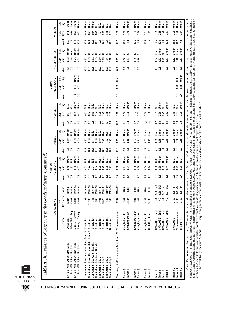|                                                                      |                                          | BACKGROUND          |                    |                                         | AMERICANS<br>AFRICAN |                       |                                    | <b>LATINOS</b>         |                      |                             | ASIANS         |                           |                  | AMERICANS<br><b>NATIVE</b> |                  |                      | ALL MINORITIES |                       |                 | WOMEN              |                        |
|----------------------------------------------------------------------|------------------------------------------|---------------------|--------------------|-----------------------------------------|----------------------|-----------------------|------------------------------------|------------------------|----------------------|-----------------------------|----------------|---------------------------|------------------|----------------------------|------------------|----------------------|----------------|-----------------------|-----------------|--------------------|------------------------|
|                                                                      | Source                                   | Contracts<br>$#$ of | Year               | Avail.                                  | Ratio<br>Disp.       | Stat.<br>Sig.         | Avail.                             | Ratio<br>Disp.         | Stat.<br>Sig.        | Avail.                      | Ratio<br>Disp. | Stat.<br>Sig.             | Avail            | Ratio<br>Disp.             | Stat<br>.<br>Sig | Avail.               | Ratio<br>Disp. | Stat.<br>នី           | Avail.          | Ratio<br>Disp.     | Stat.<br>Sig.          |
| St. Paul, MN-School Dist. 625 \$<br>St. Paul, MN-School Dist. 625    | SM/WOBE-Empl<br><b>SM/WOBE</b>           | 13007<br>13007      | 1992-94<br>1992-94 | $\begin{array}{c} 5 \\ 0.2 \end{array}$ | 0.49<br>1.32         | <b>J</b> nder<br>N.S. | $\overline{0.4}$<br>$\overline{a}$ | 0.19<br>$\overline{5}$ | <b>Jnder</b><br>v.S. | $\sim$<br>2                 | 3.07<br>0.91   | <b>Dver</b><br>s.<br>N.S. |                  |                            |                  | ្ជ                   | 2.16<br>0.63   | <b>J</b> nder<br>Över | 5.3<br>4.4      | 0.15<br>0.54       | Under<br><b>J</b> nder |
| St. Paul, MN-School Dist. 625 \$<br>St. Paul, MN-School Dist. 625 \$ | Survey-Interest                          | 13007               | $1992 - 94$        | 0.8                                     | 0.30                 | Under                 | $\overline{0.9}$                   | 0.09                   | <b>J</b> nder        | 1.5                         | 0.39           | <b>Jnder</b>              | $\overline{0.4}$ | 0.03                       | Under            | 3.9                  | 0.25           | Under                 | $\overline{10}$ | 0.22               | Under                  |
|                                                                      | Survey-Attempt                           | 13007               | 1992-94            | 0.8                                     | 0.27                 | Under                 | 0.8                                | 0.09                   | Jinder               |                             | 0.42           | <b>J</b> nder             | ្ជ               | 0.02                       | Under            | 4.0                  | 0.24           | Under                 | 10.4            | 0.23               | <b>Jnder</b>           |
| San Antonio-Bexar Co.-VIA Metro Trans \$ Directories                 |                                          | 21,269              | 1986-90            | 1.4                                     | 0.23                 | χġ.                   | 14.2                               | 0.37                   | Jnder                | $\mathbf{c}$                | 0.53           | N.S.                      |                  |                            |                  | 16.5                 | 0.37           |                       | 12.9            | 0.46               | Jnder                  |
| San Antonio-Bexar Co.-VIA Metro Trans # Directories                  |                                          | 21,269              | 1986-90            | 0.9                                     | 1.24                 | 0ver                  | 14.4                               | 0.66                   | Jnder                | $\overline{1}$ .0           | 0.54           | Under                     |                  |                            |                  | 16.3                 | 0.69           | د                     | 12.1            | 0.77               | <b>Under</b>           |
| San Antonio-City Water Board \$                                      | Directories                              | 349                 | 1986-90            | $\overline{0}$ .                        | 3.21                 | si si                 | 13.4                               | 0.47                   | $\frac{0}{2}$        | $\frac{8}{10}$              | 0.18           | N.S.                      |                  |                            |                  | 51                   | 0.62           | 0000                  | 12.9            | 0.34               | Under                  |
| San Antonio-City Water Board #<br>San Antonio-City \$                | <b>Directories</b><br><b>Directories</b> | 349<br>13,026       | 1986-90<br>1986-87 | $\overline{1.0}$<br>1.0                 | 5.26<br>0.84         | Over                  | 13.9<br>16.1                       | 0.49<br>0.60           | <b>J</b> nder<br>s.  | $\overline{0}$ .<br>0.9     | 1.29<br>1.34   | N.S.<br>N.S.              |                  |                            |                  | 15.8<br>18.0         | 0.65<br>0.80   |                       | 11.5<br>34      | 0.72<br>1.21       | sis<br>NS              |
| San Antonio-City #                                                   | <b>Directories</b>                       | 13,026              | 1986-87            | $\Xi$                                   | 0.22                 | Under                 | 14.6                               | 122                    | Dver                 | $\overline{1.0}$            | 0.73           | Under                     |                  |                            |                  | 16.6                 | 1.13           |                       | 12.2            | 113                | <b>Over</b>            |
| San Antonio-City \$                                                  | Directories                              | 11,508              | 1989-90            | Ξ                                       | 0.30                 | N.S.                  | 16.1                               | 1.82                   | <b>Over</b>          | Ξ                           | 0.55           | ΝŚ.                       |                  |                            |                  | 18.3                 | 1.66           | ں                     | 59              | 1.18               | ΝS.                    |
| San Antonio-City #                                                   | Directories                              | 11,508              | 1989-90            | ≘                                       | 147                  | Dver                  | 14.2                               | $\overline{21}$        | <b>Dver</b>          | $\overline{10}$             | 0.52           | <b>Under</b>              |                  |                            |                  | 62                   | 1.18           | $\mathbf{C}$          | $\frac{9}{2}$   | 107                | J<br>Sver              |
| San Jose, CA-Procurement & Prof Serv \$                              | Survey-Interest                          | 1387                | 1990-93            | 6.2                                     | 0.06                 | Under                 | 10.5                               | 0.13                   | Under                | 12.2                        | 0.15           | Under                     | <b>G.5</b>       | 0.65                       | s.<br>N          | 29.4                 | 0.13           | د                     | 13.7            | 0.45               | Under                  |
|                                                                      | Cert./Bidders list                       | 12,507              | 1988               | 3.7                                     | $\overline{0.11}$    | Under                 | 3.9                                | 0.03                   | Under                | Ξ                           | 0.00           | Under                     |                  |                            |                  | $_{\rm 8.8}^{\rm 8}$ | 0.06           | ပ ပ                   | 12.4            | 0.05               | Under                  |
| Tampa \$<br>Tampa \$                                                 | Cert./Registered                         | 12,507              | 1988               |                                         | 0.24                 | Under                 | Ξ                                  | 0.10                   | Under                | 3                           | 0.00           | Under                     |                  |                            |                  | $\overline{31}$      | 0.17           |                       | $\ddot{ }$      | 0.49               | <b>Under</b>           |
|                                                                      | Cert./Bidders list                       | 12,984              | 1989               | $3.3\,$                                 | 0.08                 | Under                 | $\overline{41}$                    | 0.03                   | Under                | $\ddot{ }$                  | 0.02           | Under                     |                  |                            |                  | 8.6                  | 0.05           | ں                     | 12.5            | 0.04               | Under                  |
| Tampa \$<br>Tampa \$                                                 | Cert./Registered                         | 12,984              | 1989               | $\overline{10}$                         | 0.26                 | Under                 | $\ddot{ }$                         | $\overline{0}$ .11     | Under                | $\mathbb{S}$                | 0.07           | Under                     |                  |                            |                  | 2.6                  | 0.16           | $\mathbf{C}$          | $\ddot{5}$      | 0.36               | Under                  |
|                                                                      | Cert./Bidders list                       | 9,138               | 1990               | 33                                      | 0.04                 | Under                 | $\frac{1}{4}$                      | 0.03                   | Under                | 압                           | 0.00           | Under                     |                  |                            |                  |                      |                |                       | 45.5            | 0.01               | Under                  |
| Tampa \$<br>Tampa \$                                                 | Cert./Registered                         | 9,138               | 1990               | $\overline{10}$                         | 0.14                 | Under                 | $\ddot{ }$                         | $\overline{0}$ .11     | Under                | 울                           | 0.00           | Under                     |                  |                            |                  |                      |                |                       | 55              | $\overline{0}$ .11 | Under                  |
| Texas\$                                                              | SM/WOBE-Empl                             | SN                  | $9/88 - 8/91$      | $\overline{0.8}$                        | 0.88                 | Ν.S.                  | 2.9                                | 0.62                   | Under                | $\mathbf{r}$                | 0.51           | s.<br>N                   |                  |                            |                  | 4.9                  | 0.64           | Under                 | 7.5             | 0.63               | Under                  |
| Texas $#$                                                            | SM/WOBE-Empl                             | <b>SSS</b>          | $9/88 - 8/91$      | Ξ                                       | 0.36                 | Under                 | 53                                 | 0.45                   | Under                | $\frac{3}{2}$ $\frac{1}{2}$ | 0.39           | Under                     |                  |                            |                  | 7.6                  | 0.43           | Under                 | 10.3            | 0.55               | Under                  |
| Texas\$                                                              | SM/WOBE-Empl                             |                     | $9/91 - 8/93$      | $\overline{0.8}$                        | 0.33                 | Under                 | $\overline{31}$                    | 0.56                   | Under                |                             | 1.75           | N.S.                      |                  |                            |                  |                      | 0.79           | N.S.                  | 7.6             | 0.78               | Under                  |
| Texas $#$                                                            | SM/WOBE-Empl                             |                     | $9/91 - 8/93$      | Ξ                                       | 0.44                 | Under                 | 5.8                                | 0.46                   | Under                | $\overline{14}$             | 0.53           | Under                     |                  |                            |                  | 33                   | 0.47           | Under                 | 10.8            | 0.57               | <b>Under</b>           |
| Tucson \$                                                            | <b>SM/WDBE</b>                           | 2160                | 1991-94            |                                         | 0.53                 | Ν.S.                  | $\mathbb{S}3$                      | 0.09                   | Under                | $\overline{1.0}$            | 0.16           | Ν.S.                      |                  |                            |                  | 7.6                  | 0.12           | Under                 | 15.0            | 0.26               | Under                  |
| Tucson \$<br>Tucson \$                                               | Survey-Interest                          | 2160                | 1991-94            | 355                                     | 0.24                 | Under                 | <b>6.5</b><br>3.0                  | 0.08                   | Under                | <b>0.9</b><br>0.9           | 0.07           | N.S.                      | 0.5<br>0.7       | 0.20                       | s.<br>N          | 8.<br>5.3            | 0.10           | Under                 | 14.2            | 0.54<br>0.54       | Under                  |
|                                                                      | Mailing list                             | 2160                | 1991-94            |                                         | 0.25                 | N.S.                  |                                    | 0.18                   | Jinder               |                             | 0.06           | Under                     |                  | 0.15                       | Under            |                      | 0.17           | Under                 | $\tilde{z}$     |                    | Under                  |

significant overutilization, and not significantly different from one, respectively. NC stands for statistical significance not calculated in study. C stands for availability and disparity ratio calculated by significant overutilization, and not significantly different from one, respectively. NC stands for statistical significance not calculated in study. C stands<br>authors. NA stands for no availability, therefore cannot calcula The availability measure "SM/WOBE—Empl" only includes firms with paid employees. See also study-specific notes at end of table." authors. NA stands for no availability, therefore cannot calculate disparity ratio. A blank indicates study did not report this figure.

THE URBAN **INSTITUTE** 

 $\overline{\phantom{a}}$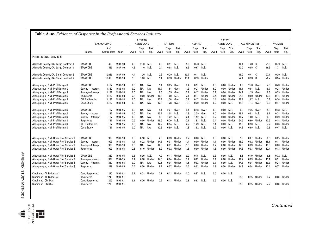|                                                                             |                         | <b>BACKGROUND</b>   |                    |            | <b>AFRICAN</b><br><b>AMERICANS</b> |               |            | LATINOS        |               |              | <b>ASIANS</b>  |               |        | <b>NATIVE</b><br>AMERICANS |               |              | <b>ALL MINORITIES</b>    |               |              | <b>WOMEN</b>   |                   |
|-----------------------------------------------------------------------------|-------------------------|---------------------|--------------------|------------|------------------------------------|---------------|------------|----------------|---------------|--------------|----------------|---------------|--------|----------------------------|---------------|--------------|--------------------------|---------------|--------------|----------------|-------------------|
|                                                                             | Source                  | # of<br>Contractors | Year               | Avail.     | Disp.<br>Ratio                     | Stat.<br>Sig. | Avail.     | Disp.<br>Ratio | Stat.<br>Sig. | Avail.       | Disp.<br>Ratio | Stat.<br>Sig. | Avail. | Disp.<br>Ratio             | Stat.<br>Sig. |              | Disp.<br>Avail. Ratio    | Stat.<br>Sig. | Avail.       | Disp.<br>Ratio | Stat.<br>Sig.     |
| PROFESSIONAL SERVICES                                                       |                         |                     |                    |            |                                    |               |            |                |               |              |                |               |        |                            |               |              |                          |               |              |                |                   |
| Alameda County, CA-Large Contract \$<br>Alameda County, CA-Large Contract # | SM/W0BE<br>SM/WOBE      | 426<br>426          | 1987-90<br>1987-90 | 4.5<br>4.3 | 2.70<br>1.10                       | N.S.<br>N.S.  | 2.3<br>2.4 | 0.51<br>0.88   | N.S.<br>N.S.  | 5.6<br>6.3   | 0.73<br>0.67   | N.S.<br>N.S.  |        |                            |               | 12.4<br>13.0 | 1.40 $\degree$ C<br>0.85 | C             | 21.3<br>19.3 | 1.71           | 0.79 N.S.<br>N.S. |
|                                                                             |                         |                     |                    |            |                                    |               |            |                |               |              |                |               |        |                            |               |              |                          |               |              |                |                   |
| Alameda County, CA-Small Contract \$<br>Alameda County, CA-Small Contract # | SM/WOBE<br>SM/W0BE      | 10.685<br>10,685    | 1987-90<br>1987-90 | 4.4<br>5.6 | 1.20<br>1.00                       | N.S.<br>N.S   | 2.9<br>5.4 | 0.29<br>0.13   | N.S.<br>Under | 10.7<br>13.1 | 0.11<br>0.13   | N.S.<br>Under |        |                            |               | 18.0<br>24.1 | 0.41<br>0.33             | - C<br>C      | 27.1<br>22.7 | 0.30<br>0.24   | N.S.<br>Under     |
|                                                                             |                         |                     |                    |            |                                    |               |            |                |               |              |                |               |        |                            |               |              |                          |               |              |                |                   |
| Albuquerque, NM-Prof Design \$                                              | SM/W0BE                 | 1.182               | 1989-93            | 0.0        | NA.                                | ΝA            | 5.1        | 3.25           | Over          | 0.4          | 0.91           | N.S.          | 0.8    | 0.00                       | Under         | 6.3          | 2.70                     | Over          | 4.3          | 0.43           | Under             |
| Albuquerque, NM-Prof Design \$                                              | Survey-Interest         | 1.182               | 1989-93            | 0.0        | <b>NA</b>                          | <b>NA</b>     | 10.7       | 1.54           | Over          | 1.3          | 0.27           | Under         | 6.0    | 0.00                       | Under         | 18.1         | 0.94                     | N.S.          | 6.7          | 0.28           | Under             |
| Albuquerque, NM-Prof Design \$                                              | Survey-Attempt          | 1.182               | 1989-93            | 0.0        | <b>NA</b>                          | <b>NA</b>     | 9.5        | 1.75           | Over          | 2.1          | 0.17           | Under         | 3.2    | 0.00                       | Under         | 14.7         | 1.15                     | Over          | 6.3          | 0.29           | Under             |
| Albuquerque, NM-Prof Design \$                                              | Registered              | 1.182               | 1989-93            | 2.5        | 0.00                               | Under         | 16.6       | 1.00           | N.S.          | 2.1          | 0.17           | Under         | 3.4    | 0.00                       | Under         | 24.5         | 0.69                     | Under         | 13.6         | 0.14           | Under             |
| Albuquerque, NM-Prof Design \$                                              | <b>CIP Bidders list</b> | 1.182               | 1989-93            | 0.0        | <b>NA</b>                          | <b>NA</b>     | 12.2       | 1.36           | Over          | 2.2          | 0.17           | Under         | 1.4    | 0.00                       | Under         | 15.8         | 1.07                     | N.S.          | 7.2          | 0.26           | Under             |
| Albuquerque, NM-Prof Design \$                                              | <b>Case Study</b>       | 1.182               | 1989-93            | 0.0        | <b>NA</b>                          | <b>NA</b>     | 12.9       | 1.28           | Over          | 1.8          | 0.20           | Under         | 0.2    | 0.00                       | N.S.          | 14.9         | 1.14                     | Over          | 3.9          | 0.47           | Under             |
| Albuquerque, NM-Prof Design \$                                              | SM/W0BE                 | 197                 | 1994-95            | 0.0        | <b>NA</b>                          | <b>NA</b>     | 5.1        | 2.27           | Over          | 0.4          | 8.18           | Over          | 0.8    | 0.00                       | N.S.          | 6.3          | 2.35                     | Over          | 4.3          | 0.43           | N.S.              |
| Albuquerque, NM-Prof Design \$                                              | Survey-Interest         | 197                 | 1994-95            | 0.0        | <b>NA</b>                          | <b>NA</b>     | 10.7       | 1.08           | N.S.          | 1.3          | 2.39           | Over          | 6.0    | 0.00                       | Under         | 18.1         | 0.81                     | N.S.          | 6.7          | 0.28           | Under             |
| Albuquerque, NM-Prof Design \$                                              | Survey-Attempt          | 197                 | 1994-95            | 0.0        | <b>NA</b>                          | <b>NA</b>     | 9.5        | 1.22           | N.S.          | 2.1          | 1.52           | N.S.          | 3.2    | 0.00                       | Under         | 14.7         | 1.00                     | N.S.          | 6.3          | 0.29           | Under             |
| Albuquerque, NM-Prof Design \$                                              | Registered              | 197                 | 1994-95            | 2.5        | 0.00                               | Under         | 16.6       | 0.70           | N.S.          | 2.1          | 1.53           | N.S.          | 3.4    | 0.00                       | Under         | 24.5         | 0.60                     | Under         | 13.6         | 0.14           | Under             |
| Albuquerque, NM-Prof Design \$                                              | <b>CIP Bidders list</b> | 197                 | 1994-95            | 0.0        | <b>NA</b>                          | <b>NA</b>     | 12.2       | 0.94           | N.S.          | 2.2          | 1.49           | N.S.          | 1.4    | 0.00                       | N.S.          | 15.8         | 0.93                     | N.S.          | 7.2          | 0.26           | Under             |
| Albuquerque, NM-Prof Design \$                                              | <b>Case Study</b>       | 197                 | 1994-95            | 0.0        | <b>NA</b>                          | <b>NA</b>     | 12.9       | 0.89           | N.S.          | 1.8          | 1.82           | N.S.          | 0.2    | 0.00                       | N.S.          | 14.9         | 0.99                     | N.S.          | 3.9          | 0.47           | N.S.              |
| Albuquerque, NM-Other Prof Service \$                                       | SM/W0BE                 | 909                 | 1989-93            | 0.3        | 0.98                               | N.S.          | 4.9        | 0.03           | Under         | 0.2          | 0.00           | N.S.          | 0.3    | 0.00                       | N.S.          | 5.6          | 0.07                     | Under         | 6.5          | 0.25           | Under             |
| Albuquerque, NM-Other Prof Service \$                                       | Survey-Interest         | 909                 | 1989-93            | 1.1        | 0.22                               | Under         | 14.5       | 0.01           | Under         | 1.4          | 0.00           | Under         | 1.1    | 0.00                       | Under         | 18.2         | 0.02                     | Under         | 15.1         | 0.11           | Under             |
| Albuquerque, NM-Other Prof Service \$                                       | Survey-Attempt          | 909                 | 1989-93            | 0.0        | ΝA                                 | <b>NA</b>     | 12.6       | 0.01           | Under         | 1.5          | 0.00           | Under         | 0.7    | 0.00                       | Under         | 14.8         | 0.03                     | Under         | 19.3         | 0.08           | Under             |
| Albuquerque, NM-Other Prof Service \$                                       | Registered              | 909                 | 1989-93            | 2.6        | 0.10                               | Under         | 8.2        | 0.02           | Under         | 1.6          | 0.00           | Under         | 1.8    | 0.00                       | Under         | 14.3         | 0.03                     | Under         | 12.4         | 0.13           | Under             |
| Albuquerque, NM-Other Prof Service \$                                       | SM/WOBE                 | 339                 | 1994-95            | 0.3        | 0.00                               | N.S.          | 4.9        | 0.11           | Under         | 0.2          | 0.15           | N.S.          | 0.3    | 0.00                       | N.S.          | 5.6          | 0.10                     | Under         | 6.5          | 0.72           | N.S.              |
|                                                                             |                         | 339                 | 1994-95            | 1.1        | 0.00                               | Under         | 14.5       | 0.04           | Under         | 1.4          | 0.02           | Under         | 1.1    | 0.00                       | Under         |              | 0.03                     | Under         | 15.1         |                | Under             |
| Albuquerque, NM-Other Prof Service \$                                       | Survey-Interest         |                     |                    |            |                                    |               |            |                |               |              |                |               |        |                            |               | 18.2         |                          |               |              | 0.31           |                   |
| Albuquerque, NM-Other Prof Service \$                                       | Survey-Attempt          | 339                 | 1994-95            | 0.0        | ΝA                                 | <b>NA</b>     | 12.6       | 0.04           | Under         | 1.5          | 0.02           | Under         | 0.7    | 0.00                       | N.S.          | 14.8         | 0.04                     | Under         | 19.3         | 0.24           | Under             |
| Albuquerque, NM-Other Prof Service \$                                       | Registered              | 339                 | 1994-95            | 2.6        | 0.00                               | Under         | 8.2        | 0.07           | Under         | 1.6          | 0.02           | Under         | 1.8    | 0.00                       | Under         | 14.3         | 0.04                     | Under         | 12.4         | 0.37           | Under             |
| Cincinnati-All Bidders #                                                    | Cert./Registered        | 1245                | 1990-91            | 5.7        | 0.21                               | Under         | 2.1        | 0.11           | Under         | 1.0          | 0.57           | N.S.          | 0.5    | 0.00                       | N.S.          |              |                          |               |              |                |                   |
| Cincinnati-All Bidders #                                                    | Registered              | 1245                | 1990-91            |            |                                    |               |            |                |               |              |                |               |        |                            |               | 31.5         | 0.15                     | Under         | 6.7          | 0.08           | Under             |
| Cincinnati-CMSA#                                                            | Cert./Registered        | 1205                | 1990-91            | 6.1        | 0.20                               | Under         | 2.2        | 0.11           | Under         | 0.9          | 0.63           | N.S.          | 0.6    | 0.00                       | N.S.          |              |                          |               |              |                |                   |
| Cincinnati-CMSA #                                                           | Registered              | 1205                | 1990-91            |            |                                    |               |            |                |               |              |                |               |        |                            |               | 31.9         | 0.15                     | Under         | 7.2          | 0.08           | Under             |

APPENDIX: STUDY METHODS APPENDIX: STUDY METHODS

*Continued*

INSTITUTE THE URBAN **101**<br> **1011115**<br> **10111115**<br> **101** 

 $\blacksquare$ 

 $\mathbf{I}$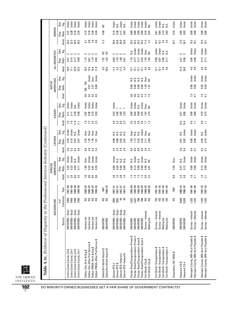| Table A.3c. Evidence of Disparity in the Prof                                                                                                                                                         |                                                                                                         |                              | essional Services Industry (Continued)                         |                                                  |                                             |                                            |                                                    |                                                                            |                                              |                                               |                                           |                                            |                                      |                               |                                 |                                               |                                                                 |                                                     |                                                    |                                                  |                                                |
|-------------------------------------------------------------------------------------------------------------------------------------------------------------------------------------------------------|---------------------------------------------------------------------------------------------------------|------------------------------|----------------------------------------------------------------|--------------------------------------------------|---------------------------------------------|--------------------------------------------|----------------------------------------------------|----------------------------------------------------------------------------|----------------------------------------------|-----------------------------------------------|-------------------------------------------|--------------------------------------------|--------------------------------------|-------------------------------|---------------------------------|-----------------------------------------------|-----------------------------------------------------------------|-----------------------------------------------------|----------------------------------------------------|--------------------------------------------------|------------------------------------------------|
|                                                                                                                                                                                                       |                                                                                                         | BACKGROUND                   |                                                                |                                                  | AMERICANS<br>AFRICAN                        |                                            |                                                    | <b>LATINOS</b>                                                             |                                              |                                               | <b>ASIANS</b>                             |                                            |                                      | AMERICANS<br><b>NATIVE</b>    |                                 |                                               | ALL MINORITIES                                                  |                                                     |                                                    | WOMEN                                            |                                                |
|                                                                                                                                                                                                       | Source                                                                                                  | Contracts<br># of            | Year                                                           | Avail                                            | Ratio<br>Disp.                              | Stat.<br>Sig.                              | Avail                                              | Disp.<br>Ratio                                                             | Stat.<br>Sig.                                | Avail.                                        | Ratio<br>Disp.                            | <b>Stat</b><br>$\overline{\text{sig}}$     | Avail.                               | Ratio<br>Disp.                | Stat.<br>Sig.                   | Avail.                                        | Ratio<br>Disp.                                                  | Stat.<br>Sig.                                       | Avail                                              | Ratio<br>Disp.                                   | Stat.<br>Sig.                                  |
| Contra Costa County, CA #<br>↮<br>Contra Costa County, CA \$<br>Contra Costa County, CA #<br>Contra Costa County, CA                                                                                  | SM/WOBE-Empl<br>SM/WOBE-Empl<br>SM/WOBE-Empl<br>SM/WOBE-Empl                                            | 6769<br>2166<br>6769<br>2166 | 1987-89<br>1989-90<br>1989-90<br>1987-89                       | 3.9<br>G.3<br>37                                 | 0.43<br>0.04<br>0.11<br>0.22                | Under<br>Under<br>Under<br>N.S.            | 6.2<br>5.2<br>4.6                                  | 0.15<br>0.07<br>0.20<br>0.07                                               | Under<br>Under<br>Under<br>N.S.              | 7.9<br>11.8<br>11.1                           | 0.09<br>0.29<br>$\overline{0.11}$<br>0.11 | Under<br>Under<br>Under<br>N.S.            |                                      |                               |                                 | $17.1$<br>$23.0$<br>16.0                      | ပ ပ<br>د<br>د<br>$0.17$<br>0.09<br>0.15<br>0.21                 |                                                     | 23<br>23 23 23<br>23 23 24                         | 0.18<br>0.28<br>0.24<br>0.21                     | Under<br>Under<br>Under<br>Under               |
| Dallas-PMSA-Other Prof Service \$<br>Dallas-City-Other Prof Service \$<br>Dallas-PMSA-Arch & Eng \$<br>Dallas-City-Arch & Eng \$                                                                      | Vendors list<br>Vendors list<br>Vendors list<br>Vendors list                                            | S S<br>S &                   | 1990–93<br>1990–93<br>$1990 - 93$<br>$1990 - 93$               | 6.5<br>6.0<br>$7.8$<br>8.0                       | 0.35<br>$1.05$<br>0.22<br>0.81              | Under<br>Under<br>Under<br><b>Over</b>     | 6.9<br>6.2<br>3.4                                  | 2.76<br>1.35<br>1.76<br>101                                                | Over<br>Over<br>Dver<br><b>Dver</b>          | $\frac{3}{2}$ $\frac{3}{2}$<br>$33 \over 2.3$ | 0.73<br>0.87<br>0.26<br>0.39              | Under<br>Under<br>Under<br>Under           | 0.2<br>3<br>3<br>3<br>$\overline{0}$ | NA NA<br>0.69<br>0.01<br>2.47 | Under<br>Under<br><b>Over</b>   | 16.3<br>16.4<br>11.9<br>14.3                  | $\frac{2}{1.35}$<br>$\begin{array}{c} 1.73 \\ 0.61 \end{array}$ |                                                     | 8.8<br>6.7<br>6.0                                  | 0.19<br>0.29<br>0.44                             | Under<br>Under<br><b>Under</b><br>Under        |
| Dallas/Fort Worth Airport \$<br>Dallas/Fort Worth Airport \$                                                                                                                                          | SM/WOBE<br><b>SM/WDBE</b>                                                                               | S &                          | 1988-92<br>1987                                                |                                                  |                                             |                                            |                                                    |                                                                            |                                              |                                               |                                           |                                            |                                      |                               |                                 | $\begin{array}{c} 9.3 \\ 20.5 \end{array}$    | $1.97$<br>$1.63$                                                | S S                                                 | 11.2                                               | 0.00                                             | š                                              |
| Denver RTD-Federal #<br>Denver RTD-Federal \$<br>Denver RTD \$<br>Denver RTD #                                                                                                                        | SM/WOBE-Empl<br>SM/WOBE-Empl<br>SM/WOBE-Empl<br>SM/WOBE-Empl                                            | 49<br>2282<br>ఞ<br>282       | $1987 - 91$<br>$1987 - 91$<br>1987-91<br>1987-91               | 28000000000                                      | <b>ខេត្ត</b><br>ខេត្ត                       | Under<br>sisisisi<br>Sisisi                | 44.5<br>2.5                                        | <b>96</b><br>086<br>096<br>096                                             | sisisisi<br>Sisisisi                         | $2.3$<br>$4.0$<br>$2.2$                       | 23<br>23<br>25<br>23<br>23                | Under                                      |                                      |                               |                                 | $\frac{12}{6}$<br>$11.2$ 6.3                  | ں ں<br>$9.79$ $-2.5$                                            |                                                     | ពួន ពួន<br>អ្នកនិ                                  | 0.38<br>0.03<br>0.17                             | Under<br>Under<br>N.S.<br>N.S.                 |
| Florida-Road/Transportation-Primes \$<br>Florida-Road/Transportation-Primes#<br>Florida-Road/Transportation-Subs \$<br>Florida-Road/Transportation-Subs #<br>Fort Worth-City \$<br>Fort Worth-City \$ | Survey-Interest<br>Mailing list<br><b>SM/WOBE</b><br><b>SM/WOBE</b><br><b>SM/WOBE</b><br><b>SM/WOBE</b> | 298<br><b>RESE</b><br>1,022  | 1985-89<br>1985-89<br>1985-89<br>1985-89<br>1988-93<br>1988-93 | $\frac{4}{1}$ $\frac{4}{1}$<br>$1402$<br>$-1602$ | 0.14<br>8.80<br>0.09<br>$\frac{8}{0.91}$    | Under<br>Under<br>N.S.<br>si<br>Si<br>N.S. | 3.0<br>3.0<br>$2.\overline{3}$<br>$2.\overline{2}$ | $\begin{array}{c} 0.25 \\ 0.29 \end{array}$<br>113<br>2.11<br>2.69<br>1.64 | Under<br>a<br>Sisi<br>Sisi<br>Over<br>ں<br>ح | 2565672                                       |                                           | Under<br>Under<br>Under<br>Over<br>s.<br>¥ | $\overline{0}$<br>88822              | 1.91<br>8888<br>0000          | ូ<br>ខេ<br>sisisisi<br>Sisisisi | 3.3<br>8.9<br>12.1<br>12.1<br>$\frac{21}{21}$ | 0.358<br>$\frac{110}{0.77}$<br>$\overline{0}$ . $\overline{17}$ | Under<br>Under<br>Under<br><b>Over</b><br>Ν.S.<br>¥ | 25.2<br>25.2<br>25.2<br>25.2<br>$11.2$<br>4.7      | 0.00<br>0.00<br>0.00<br>$0.10$<br>$0.24$<br>0.00 | Under<br>Under<br>Under<br>Under<br>Under<br>¥ |
| Fort Worth-Transportation \$<br>Fort Worth-Transportation #<br>Fort Worth-Transportation \$<br>Fort Worth-Transportation #<br>Fort Worth-Transportation                                               | Survey-Interest<br>Survey-Interest<br>Mailing list<br>Mailing list                                      | ទី ទី<br>ទី ទី               | $1991 - 93$<br>1991-93<br>1991-93<br>$1991 - 93$               |                                                  |                                             |                                            |                                                    |                                                                            |                                              |                                               |                                           |                                            |                                      |                               |                                 | គ្នា<br>គួរ<br><sub>គួ</sub> គួ គួ            | 0.00<br>0.07<br>0.17                                            | Under<br>Under<br>si<br>Si<br>Si                    | $24$<br>$24$<br>$\overline{10}$<br>$\overline{10}$ | 0.64<br>2.72<br>2.83<br>0.61                     | Under<br>Under<br>si<br>Si<br>Si               |
| Greensboro, NC-MSA \$                                                                                                                                                                                 | <b>SM/WOBE</b>                                                                                          | S                            | 1987                                                           | 6.8                                              | 2.30                                        | <b>Over</b>                                |                                                    |                                                                            |                                              |                                               |                                           |                                            |                                      |                               |                                 |                                               |                                                                 |                                                     | 25.7                                               | 0.16                                             | Under                                          |
| Hayward, CA \$<br>Hayward, CA #                                                                                                                                                                       | <b>SM/WOBE</b><br><b>SM/WOBE</b>                                                                        | 3,939<br>3,939               | 1986-92<br>1986-92                                             | 3.8                                              | 0.12<br>0.57                                | Under<br>si<br>N                           | 5.9<br>4<br>∞                                      | 0.01<br>0.02                                                               | Under<br>N.S.                                | 12.5<br>15.4                                  | 0.21<br>0.06                              | Under<br>Under                             |                                      |                               |                                 | 21.8<br>29.6                                  | ں ں<br>$\begin{array}{c} 0.21 \\ 0.06 \end{array}$              |                                                     | 17.5<br>26.7                                       | 0.05<br><u>០.ប</u>                               | Under<br>Under                                 |
| Hennepin County, MN-Acct Payable \$<br>Hennepin County, MN-Acct Payable \$                                                                                                                            | Survey-Interest<br>Survey-Attempt                                                                       | 1,332                        | $1981 - 86$<br>1981-86                                         | $1.6$<br>2.1                                     | 8<br>0.00                                   | Under<br>Under                             | 0.4<br>C.                                          | 0.00<br>0.00                                                               | Under<br>Under                               | $\mathbf{0}.\mathbf{9}$<br>$\Xi$              | 0.00<br>$\overline{a}$                    | Under<br>Under                             | $\Xi$<br>$\overline{a}$              | 0.00<br>0.00                  | Under<br>Under                  | 4.0<br>4.6                                    | 8.00<br>0.00                                                    | Under<br>Under                                      | 15.3<br>16.1                                       | 0.06<br>0.06                                     | Under<br>Under                                 |
| Hennepin County, MN-Acct Payable \$<br>Hennepin County, MN-Acct Payable \$                                                                                                                            | Survey-Attempt<br>Survey-Interest                                                                       | 1,425<br>1,425               | 1987-93<br>1987-93                                             | $1.6$<br>2.1                                     | $\begin{array}{c} 0.12 \\ 0.09 \end{array}$ | Under<br>Under                             | 0.7                                                | $0.26$<br>$0.16$                                                           | Under<br>N.S.                                | $\frac{9}{11}$                                | $0.18$<br>$0.15$                          | Under<br>Under                             | $\frac{10}{10}$                      | 0.03<br>0.03                  | Under<br>Under                  | 4.6                                           | 0.12<br>$\overline{0}$ .                                        | Under<br>Under                                      | $15.3$<br>16.1                                     | 88<br>0.08                                       | Under<br>Under                                 |
|                                                                                                                                                                                                       |                                                                                                         |                              |                                                                |                                                  |                                             |                                            |                                                    |                                                                            |                                              |                                               |                                           |                                            |                                      |                               |                                 |                                               |                                                                 |                                                     |                                                    |                                                  |                                                |

THE URBAN INSTITUTE

 $\overline{\mathbf{L}}$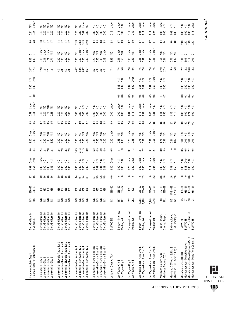| N.S.<br>Under                                          | ត គី គី គី<br>កិច្ច                                                                          | S S<br>52                                                                                                                                            |                                                                                                                                      | 2222                                                                                                                         | Under                     | Jhder<br>N.S.                             | Jnder<br>Jnder                         | Jnder<br>Jnder                                               | Under<br>Under                                               | Jnder<br>N.S.                                    | si<br>Si                                                 |                                                                                                                              |
|--------------------------------------------------------|----------------------------------------------------------------------------------------------|------------------------------------------------------------------------------------------------------------------------------------------------------|--------------------------------------------------------------------------------------------------------------------------------------|------------------------------------------------------------------------------------------------------------------------------|---------------------------|-------------------------------------------|----------------------------------------|--------------------------------------------------------------|--------------------------------------------------------------|--------------------------------------------------|----------------------------------------------------------|------------------------------------------------------------------------------------------------------------------------------|
| 8.34<br>0.34                                           | 8888                                                                                         | 8888                                                                                                                                                 | 8858                                                                                                                                 | 8888                                                                                                                         | 0.16                      | $\frac{11}{0.32}$                         | $0.17$<br>0.49                         | 0.14                                                         | $\frac{11}{0.27}$                                            | 8<br>0.00                                        | 0.35                                                     | <b>SSSS</b>                                                                                                                  |
| $3.\overline{6}$<br>16.3                               | $\frac{1}{2}$ $\frac{1}{2}$ $\frac{1}{2}$ $\frac{1}{2}$                                      | いいいい                                                                                                                                                 | ្អ<br>ភាគនិង<br>ភា                                                                                                                   | 2232<br>23323                                                                                                                | 32.8                      | $3.\overline{9}$<br>10.7                  | $10.7$<br>3.9                          | $10.7$<br>4.1                                                | $10.7$<br>4.1                                                | $\frac{4}{13.4}$                                 | 9. 0                                                     | នី នី ឆ្នួ នី                                                                                                                |
| ں ں                                                    | Under<br>Under<br>N.S.<br>Jnder                                                              | 2222                                                                                                                                                 | Ne<br>State<br>State<br>State                                                                                                        | sisis<br>Sisisi<br>Sisisisi                                                                                                  | š                         | Under<br>N.S.                             | Under<br>N.S.                          | Jnder<br>Jnder                                               | Under<br>Under                                               | si<br>Sis                                        | si<br>Si                                                 | <u>ပ</u> ပ ပ ပ                                                                                                               |
| $\begin{array}{c}\n 1.98 \\  -3.8\n \end{array}$       | 5527<br>5595                                                                                 | 8888                                                                                                                                                 | 8888                                                                                                                                 | 23 5 6 5<br>23 5 6 5                                                                                                         | 2.62                      | 0.56                                      | 0.68<br>0.92                           | 0.41                                                         | 0.48                                                         | $0.58$<br>0.41                                   | 1.85                                                     | $0.84$ $-0.08$                                                                                                               |
| 24.7<br>17.4                                           | <b>2252</b>                                                                                  | <b>SSSS</b>                                                                                                                                          | 44.7<br>63.7<br>56.7                                                                                                                 | 3333                                                                                                                         | 7.3                       | 5.6<br>5.1                                | 7.6<br>5.6                             | 7.6<br>7.6                                                   | 7.6                                                          | 27.9<br>27.9                                     | 5.9<br>5.9                                               | 22022                                                                                                                        |
| N.S.<br>Over                                           |                                                                                              |                                                                                                                                                      |                                                                                                                                      |                                                                                                                              |                           | si<br>Si<br>Si                            | Over<br>Over                           | si<br>Si<br>Si                                               | N.S.<br>Under                                                | si<br>Sis                                        |                                                          | sisisisi<br>Sisisisi                                                                                                         |
| 0.96<br>3.03                                           |                                                                                              |                                                                                                                                                      |                                                                                                                                      |                                                                                                                              |                           | $2.36$<br>$1.92$                          | 7.37<br>6.00                           | $0.65$<br>0.41                                               | 0.82<br>0.52                                                 |                                                  |                                                          | 8888                                                                                                                         |
| $\overline{a}$ = $\overline{a}$                        |                                                                                              |                                                                                                                                                      |                                                                                                                                      |                                                                                                                              |                           | 5.6<br>0.6                                | 5.<br>0.6                              | 5.<br>0.8                                                    | $\begin{array}{c} 5 \\ 0.8 \end{array}$                      | 4.7                                              |                                                          | 3333                                                                                                                         |
| Under<br>Under                                         | si<br>Si                                                                                     | S S<br>52                                                                                                                                            | si<br>Si<br>S 5                                                                                                                      | si si si si                                                                                                                  | Under                     | Jnder<br>N.S.                             | Under<br>N.S.                          | Under<br>Under                                               | Under<br>N.S.                                                | si<br>Sis                                        | si<br>Si                                                 | sisisisi<br>Sisisisi                                                                                                         |
| $0.72$<br>$0.51$                                       | 8858                                                                                         | 8888                                                                                                                                                 | 8888                                                                                                                                 |                                                                                                                              | 0.00                      | 8.8<br>0.00                               | 0.18                                   | $\frac{13}{0.37}$                                            | $0.46$<br>1.31                                               | 0.50                                             | $1.36$<br>$2.18$                                         | <b>B</b><br><b>B</b><br><b>B</b><br><b>B</b><br><b>B</b><br><b>B</b><br><b>B</b>                                             |
| $10.8$<br>4.5                                          | 25555<br>2555                                                                                | 25 12 12<br>25 12 12                                                                                                                                 | 21<br>31<br>31<br>21                                                                                                                 | 400000                                                                                                                       | $\mathbf{c}$              | $2.5$<br>0.5                              | $2.5$<br>0.5                           | 2.8                                                          | 2.8                                                          | 10.6                                             | 2.3<br>2.3                                               | compo<br>compo                                                                                                               |
| Over<br>Under                                          | sisisisi<br>Sisisisi                                                                         | 2222                                                                                                                                                 | s s s sig                                                                                                                            | sisisisi<br>Sisisisisi                                                                                                       | Under                     | si<br>Si<br>Si                            | Jnder<br>N.S.                          | si<br>Sisi                                                   | Under<br>Under                                               | si<br>Sis                                        | si<br>Si                                                 | sisisisi<br>Sisisisi                                                                                                         |
| $1.25$<br>0.40                                         | <b>P.</b> 8 8 5<br>0 8 8 7                                                                   | 8888                                                                                                                                                 | 8888                                                                                                                                 | 88 18 18 19<br>0 10 10 10                                                                                                    | 0.00                      | $\begin{array}{c} 53 \\ 1.30 \end{array}$ | 0.28                                   | 0.78                                                         | 0.69<br>0.69                                                 | $1.23$<br>0.60                                   | $\frac{27}{1.85}$                                        | e e e e<br>e e e e                                                                                                           |
| 3.4                                                    | 23323                                                                                        | 23323                                                                                                                                                | 9: 2: 9: 9:<br>12: 7: 9: 9:<br>12: 7: 9:                                                                                             |                                                                                                                              | $\overline{5}$            | $\frac{1}{2}$ $\frac{1}{2}$               | $\frac{13}{13}$                        | $3.1$<br>$2.7$                                               | $\frac{3}{2}$                                                | 83<br>83                                         | $\frac{10}{10}$                                          | 5525                                                                                                                         |
| Over<br>Over                                           | Under<br>s s s s                                                                             | 2222                                                                                                                                                 | g si si g<br>E E E E                                                                                                                 | c vi vi vi<br>Z Z Z Z                                                                                                        | Over                      | si<br>Zi<br>Zi                            | Jnder<br>Jnder                         | Jnder<br>Jnder                                               | Under<br>Under                                               | si<br>Sisi                                       | si<br>Si                                                 | as si<br>Si si si<br>Ν.S.                                                                                                    |
| $\frac{1}{6}$ 57                                       | <b>B</b> B B #                                                                               | <b>B</b> B B B                                                                                                                                       | 8888                                                                                                                                 | 8 8 8 5<br>8 8 8 5                                                                                                           | 1.40                      | 8<br>0.00                                 | ន<br>ខ.ខ                               | 8.8<br>0.00                                                  | $\frac{11}{110}$                                             | 8<br>0.00                                        | $\begin{array}{c} 0.31 \\ 1.55 \end{array}$              |                                                                                                                              |
| $4.7$<br>8.5                                           | a a a a<br>a a a a                                                                           | 9 9 9 9 9<br>4 4 4 4                                                                                                                                 | $3.74$ $-3.5$                                                                                                                        | 55555<br>5555                                                                                                                | 6.0                       | ه به<br>1 =                               | $\frac{16}{10}$                        | $1.6$<br>2.3                                                 | $1.6$<br>2.3                                                 | 3.6<br>3.9                                       | 0<br>2.6                                                 | 2282                                                                                                                         |
| 1986-93<br>1986-93                                     | 88<br>188<br>188<br>188                                                                      | 88<br>188<br>188<br>198                                                                                                                              | 88<br>186<br>188<br>198                                                                                                              | <b>1989</b><br>1986<br>1987                                                                                                  | 1986-90                   | 1988-92<br>1988-92                        | 1993<br>1993                           | $1988 - 92$<br>1988-92                                       | $1990 - 93$<br>$1990 - 93$                                   | $1987 - 88$<br>1988–89                           | FY91-93<br>FY92-93                                       | $1981 - 91$<br>$1983 - 91$<br>$1983 - 91$<br>$1981 - 91$                                                                     |
| S<br>186                                               | S S<br>S S                                                                                   | S &<br>ន ន                                                                                                                                           | S &<br>ន ន                                                                                                                           | S a<br>S<br>S                                                                                                                | S                         | 167<br>167                                | ន្ល ន្ល                                | 1,268                                                        | 3,248<br>3,248                                               | ន គ                                              | S S                                                      | おびほぷ                                                                                                                         |
| Cert./Bidders list<br><b>SM/WOBE</b>                   | Cert./Bidders list<br>Cert./Bidders list<br>Cert./Bidders list<br>Cert./Bidders list         | Cert./Bidders list<br>Cert./Bidders list<br>Cert./Bidders list<br>Cert./Bidders list                                                                 | Cert./Bidders list<br>Cert./Bidders list<br>Cert./Bidders list<br>Cert./Bidders list                                                 | Cert./Bidders list<br>Cert./Bidders list<br>Cert./Bidders list<br>Cert./Bidders list                                         | <b>SM/WDBE</b>            | Survey-Interest<br>Mailing list           | Survey-Interest<br>Mailing list        | Survey-Interest<br>Mailing list                              | Survey-Interest<br>Mailing list                              | Direcs./Regist.<br>Direcs./Regist.               | Self-employed<br>Self-employed                           | Cert./Bidders list<br>SM/WOBE<br>SM/WOBE<br>SM/WOBE                                                                          |
| Houston-Other Prof Service \$<br>Houston-Arch & Eng \$ | Jacksonville-City \$<br>Jacksonville-City \$<br>Jacksonville-City \$<br>Jacksonville-City \$ | Jacksonville-Electric Authority \$<br>Jacksonville–Electric Authority \$<br>Jacksonville–Electric Authority \$<br>Jacksonville-Electric Authority \$ | Jacksonville-Port Authority \$<br>Jacksonville-Port Authority \$<br>Jacksonville-Port Authority \$<br>Jacksonville-Port Authority \$ | Jacksonville-School Board \$<br>Jacksonville-School Board \$<br>Jacksonville-School Board \$<br>Jacksonville-School Board \$ | #<br>Jefferson County, AL | Las Vegas-City \$<br>Las Vegas-City \$    | Las Vegas-City \$<br>Las Vegas-City \$ | Las Vegas-Local Area Gvts \$<br>Las Vegas-Local Area Gvts \$ | Las Vegas-Local Area Gvts \$<br>Las Vegas-Local Area Gvts \$ | Maricopa County, AZ \$<br>Maricopa County, AZ \$ | Maryland DOT–Arch & Eng \$<br>Maryland DOT–Arch & Eng \$ | Massachusetts-MassHighway A&E \$<br>Massachusetts-Mass Aero Comm. \$<br>Massachusetts-MassHighway \$<br>Massachusetts-EOTC\$ |



Continued *Continued*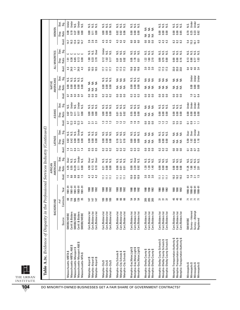|                                                                      |                                          | BACKGROUND               |                                           |                         | AMERICANS<br>AFRICAN |                      |                  | <b>LATINOS</b>   |                  |                             | <b>ASIANS</b>      |                  |                   | AMERICANS<br><b>NATIVE</b> |                          |                   | ALL MINORITIES                |                      |                 | WOMEN                          |                  |
|----------------------------------------------------------------------|------------------------------------------|--------------------------|-------------------------------------------|-------------------------|----------------------|----------------------|------------------|------------------|------------------|-----------------------------|--------------------|------------------|-------------------|----------------------------|--------------------------|-------------------|-------------------------------|----------------------|-----------------|--------------------------------|------------------|
|                                                                      |                                          |                          |                                           |                         |                      |                      |                  |                  |                  |                             |                    |                  |                   |                            |                          |                   |                               |                      |                 |                                |                  |
|                                                                      | Source                                   | Contract:<br>$#$ of      | Year                                      | Avail.                  | Ratio<br>Disp.       | Stat.<br>Sig.        | Avail            | Disp.<br>Ratio   | នី ទី            | Avail.                      | Ratio<br>Disp.     | Stat.<br>Šġ.     | Avail.            | Ratio<br>Disp.             | Stat.<br>.gs             | Avail.            | Disp.<br>Ratio                | ទី<br>ទី             | Avail           | Disp.<br>Ratio                 | Stat.<br>Sig.    |
| Massachusetts-MBTA \$                                                | <b>SMOBE/WOBE</b>                        | සි                       | $1981 - 91$                               |                         |                      | <b>Over</b>          |                  | 0.82             |                  |                             |                    |                  |                   |                            |                          |                   |                               |                      | 14.7            | 0.09                           | Under            |
| ω<br>Massachusetts-MBTA, A&E                                         | Certif. & Bidders                        | 116                      | $1981 - 91$                               |                         | $4.35$<br>0.55       | s.                   | 2.7              | 0.42             |                  |                             | 0.67<br>0.27       | N.S.<br>Under    | $\frac{1}{2}$ 0.4 | 8.00                       |                          | $4.3$<br>24.0     |                               | ں ں                  | 16.3            | 0.19                           | Under            |
| Massachusetts-Massport \$                                            | <b>SMOBE/WOBE</b>                        | ទ្រ                      | $1981 - 91$                               |                         | 14.29                | N.S.                 | $\overline{0.4}$ | 0.00             | sisisi<br>Sisisi | 0.3<br>0.2<br>0.3           | $\overline{0}$ .11 |                  | $\mathbb{S}$      | 0.00                       |                          | $\overline{1}$    | <u>គ្រី</u><br>ខេត្ត<br>ខេត្ត | د                    | 13.4            | 0.27                           | N.S.             |
| Massachusetts-Massport A&E \$                                        | Certif. & Bidders                        | 139                      | 1983-91                                   | 15.88.815<br>15.88.915  | 0.11                 | Under                | 2.7              | 0.00             | Under            | 12.3                        | 0.17               | N.S.<br>Under    | 0.4               |                            | s s s s s s<br>s s s s s | 24.0              | 0.13                          | ပ ပ                  |                 | 0.60                           | Under            |
| Massachusetts-MTA \$                                                 | SMOBE/WOBE                               | 35                       | $1981 - 91$                               |                         | 0.00                 | N.S.                 |                  | 0.00             | Ν.S.             |                             | 0.00               | N.S.             | $\overline{0}$    | 8.00                       |                          | 4.3               | 0.00                          |                      | $16.3$<br>14.7  | 0.00                           | s.<br>N          |
| Memphis-Airport \$                                                   | Cert./Bidders list                       | 147                      | 1988                                      |                         | 4.50                 | <b>Over</b>          |                  | 0.00             |                  |                             | 0.00               |                  |                   |                            |                          |                   | 1.80                          |                      |                 | 0.00                           |                  |
|                                                                      |                                          |                          |                                           |                         |                      |                      |                  |                  |                  |                             |                    |                  |                   |                            |                          |                   |                               | si<br>Sisi           |                 |                                |                  |
| Memphis-Airport \$<br>Memphis-Airport \$                             | Cert./Bidders list<br>Cert./Bidders list | 147<br>147               | 1992<br>1990                              | $4.2$<br>$4.4$<br>$4.3$ | 0.13<br>9.10         | Over<br>N.S.         | 555<br>55        |                  | sisisi<br>Sisisi | <u>ង ។ ។</u>                | 0.00<br>0.00       | sisisi<br>ZZZ    | 888               | ≨ ≨ ≨                      | <b>SES</b>               |                   | 0.33<br>3.70                  | 0ver                 | 26<br>26<br>28  | 0.00<br>$\overline{0}$ .11     | sisisi<br>ZZZ    |
|                                                                      |                                          |                          |                                           |                         |                      |                      |                  |                  |                  |                             |                    |                  |                   |                            |                          |                   |                               |                      |                 |                                |                  |
| Memphis-City \$                                                      | Cert./Bidders list                       | 189                      | 1988                                      | $\Xi$                   | 0.21                 | S.N                  | 222              | 0.00             | sisisi<br>Sisisi | $\frac{3}{2}$               | 0.00               | sisisi<br>Sisisi | 222               | 0.00                       | sisisi<br>ZZZ            | 17.7              | 0.12                          | Under                | 4 4 4<br>4 4 4  | 0.00                           | sisisi<br>Sisisi |
| Memphis-City\$<br>Memphis-City\$                                     | Cert./Bidders list                       | 189                      | 1990                                      | Ξ                       | 0.00                 | si<br>Si             |                  | 0.00             |                  | $\frac{2}{1}$ $\frac{3}{2}$ | 0.00               |                  |                   | 0.00                       |                          | 17.7              | 1.02                          | si<br>Si<br>Si       |                 | 0.00                           |                  |
|                                                                      | Cert./Bidders list                       | 189                      | 1992                                      | Ξ                       | 0.00                 |                      |                  | 0.00             |                  |                             | 0.00               |                  |                   | 0.00                       |                          | 17.7              | 0.17                          |                      |                 | 0.00                           |                  |
| Memphis-City Schools \$                                              | Cert./Bidders list                       |                          | 1988                                      | Ξ                       | 0.00                 |                      |                  | 0.10             |                  | $\mathbf{r}$                | 0.01               |                  | $\mathbf{S}$      |                            |                          |                   | 0.01                          |                      | 4.3             | 0.02                           |                  |
| Memphis-City Schools \$                                              | Cert./Bidders list                       |                          | 1990                                      | Ξ                       | G.OT                 |                      |                  | 0.17             |                  |                             | 0.01               |                  | $\overline{0}$ .  |                            |                          |                   | G.OT                          |                      | 4.3             | 0.02                           |                  |
|                                                                      |                                          | <b>888</b>               |                                           |                         |                      | sisisi<br>Sisisi     | 223              |                  | sisisi<br>ZZZ    | $\frac{12}{12}$             |                    | sisisi<br>Sisisi |                   | <b>SES</b>                 | ≨ ≨ ≨                    | $17.3$<br>$17.3$  |                               | sisisi<br>Sisisi     |                 |                                | sisisi<br>Sisisi |
| Memphis-City Schools \$                                              | Cert./Bidders list                       |                          | 1992                                      | Ξ                       | 0.01                 |                      |                  | 0.10             |                  |                             | 0.02               |                  | co                |                            |                          |                   | 0.02                          |                      | 4.3             | 0.06                           |                  |
| Memphis-Gas, Water, Light \$                                         | Cert./Bidders list                       |                          | 988                                       | 10.9                    | 0.00                 | N.S.                 | $\mathbf{C}$     | 0.00             |                  |                             | 0.55               |                  | $\mathbb{S}^3$    | 0.00                       |                          | 19.8              | 0.05                          |                      | <b>G.O</b>      | 0.00                           |                  |
|                                                                      | Cert./Bidders list                       |                          | 1990                                      |                         | 3.20                 | <b>Over</b>          |                  | 0.00             |                  |                             | 0.00               |                  |                   | 0.00                       |                          |                   | 1.70                          |                      |                 |                                |                  |
| Memphis-Gas,Water,Light \$<br>Memphis-Gas,Water,Light \$             |                                          | ដ ដ ដ                    |                                           | $\frac{0.9}{0.9}$       |                      |                      | <b>33</b>        |                  | sisisi<br>Nisi   | <b>은 은 은</b>                |                    | sisisi<br>ZZZ    | <u>ួ</u><br>ខ     |                            | sisisi<br>Sisisi         | 19.8              |                               | sisisi<br>Sisisi     | 6.0             |                                | sisisi<br>ZZZ    |
|                                                                      | Cert./Bidders list                       |                          | 992                                       |                         | 0.92                 | N.S.                 |                  | 0.00             |                  |                             | 0.00               |                  |                   | 0.00                       |                          |                   | 0.51                          |                      |                 |                                |                  |
| Memphis-Shelby County \$                                             | Cert./Bidders list                       |                          | 1988                                      |                         | <b>1.20</b>          |                      | $\overline{0}$   |                  | ₹                | $\mathbf{S}$                | ₹                  |                  | $\mathbf{S}$      |                            |                          |                   | 122                           |                      | $\overline{0}$  | $\mathop{\mathsf{S}}\nolimits$ |                  |
| Memphis-Shelby County \$                                             | Cert./Bidders list                       |                          | 1990                                      |                         | 1.20                 |                      | $\overline{0}$   | ≨≨               |                  | 0.0                         | $\lessgtr$         |                  | $\mathbf{S}$      |                            |                          |                   | 1.60                          |                      | $\overline{0}$  |                                |                  |
| Memphis-Shelby County \$                                             | Cert./Bidders list                       | <u>ន</u> ្ត<br>ខ្លួ ខ្លួ | 1992                                      | នួនន                    | 1.40                 | sisisi<br>Sisisi     | co               | ₹                | $rac{4}{5}$      | co                          | ₹                  | 552              | co                | ≨≨≨                        | <b>SES</b>               | <b>ង ង ង</b>      | 2.10                          | sisisi<br>Sisisi     | S.              | ≨≨≨<br>$rac{4}{5}$             |                  |
| Memphis-Shelby County Schools \$                                     | Cert./Bidders list                       |                          |                                           | Ξ                       | 0.00                 |                      |                  | 8                |                  |                             | 0.00               |                  |                   |                            |                          |                   | <b>C.O</b>                    |                      |                 |                                |                  |
|                                                                      | Cert./Bidders list                       |                          | <b>1990</b>                               | Ξ                       | 0.00                 |                      |                  | 0.00             |                  |                             | 0.00               |                  |                   |                            |                          |                   | 0.79                          |                      |                 | 8.8<br>0.00                    |                  |
| Memphis-Shelby County Schools \$<br>Memphis-Shelby County Schools \$ | Cert./Bidders list                       | ត ត ត                    | 1992                                      | Ξ                       | 0.00                 | sisisi<br>Sisisi     | 223              | 0.00             | sisisi<br>Sisisi | 12<br>12<br>12              | 0.00               | sisisi<br>Sisisi | 888               | ≨≨≨                        | <b>SSS</b>               | $\frac{173}{173}$ | 0.00                          | sisisi<br>Sisisi     | 444<br>444      | 0.00                           | sisisi<br>Nisi   |
| Memphis-Transportation Authority \$                                  | Cert,/Bidders list                       | 45                       | 1988                                      | 19.2                    | 0.00                 |                      | $\mathbf{c}$     | ₹                |                  | جما<br>ທ່                   | 0.00               |                  | $\mathbf{c}$      |                            |                          |                   | 0.00                          |                      | 82              | 0.00                           |                  |
| Memphis-Transportation Authority \$                                  | Cert./Bidders list                       |                          | 1990                                      |                         | 0.00                 |                      | $\mathbf{c}$     |                  |                  |                             | 0.00               |                  | $\mathbf{c}$      |                            |                          | 33.0<br>33.0      | 0.00                          |                      |                 | 0.00                           |                  |
| Memphis-Transportation Authority \$                                  | Cert./Bidders list                       | 45                       | 1992                                      | 19.2                    | 0.00                 | sisisi<br>Sisisi     | co               | ิ ≸ี             | <b>SSS</b>       | 5.5<br>5.5                  | 0.00               | sisisi<br>Sisisi | co                | ≨≨≨                        | <b>SES</b>               | 33.0              | 0.16                          | sisisi<br>Sisisi     | $8.2$<br>$8.2$  | 0.65                           | sisisi<br>Nisi   |
| Minneapolis \$                                                       | <b>SM/WOBE</b>                           |                          | $990 - 91$                                | $\mathbf{C}$            | 11.25                |                      | 5                | 5.59             | <b>Over</b>      | 2                           | 0.00               | Under            |                   |                            |                          | 0.4               | 8.13                          |                      | 5.4             | 0.70                           | Ν.S.             |
| Minneapolis \$                                                       | Survey-Interest                          |                          |                                           | 1.6                     | 1.88                 |                      | 0.4              | 1.02             | Over             | 0.9                         | 0.00               | Under            | $\Xi$             | 0.00                       | Under                    | 4.0               | 0.88                          |                      |                 |                                | Under            |
| Minneapolis \$                                                       | Survey-Attempt                           | スススス                     | $1990 - 91$<br>$1990 - 91$<br>$1990 - 91$ |                         |                      | sisisisi<br>Sisisisi |                  |                  | Under            |                             | 0.00               | Under            |                   |                            |                          |                   | $\overline{0.77}$             | sisisisi<br>Sisisisi | $15.7$<br>$6.0$ | 538<br>0.82                    | Under            |
|                                                                      |                                          |                          |                                           | $\frac{2.1}{1.5}$       | $1.45$<br>$2.01$     |                      | 0.4              | $0.64$<br>$1.18$ |                  | コロ                          | 0.00               |                  | $0.7$<br>0.4      |                            | Under<br>Under           | $4.6$<br>3.4      | 1.03                          |                      |                 |                                | s.<br>N          |
| Minneapolis \$                                                       | Registered                               |                          |                                           |                         |                      |                      |                  |                  | Dver             |                             |                    | <b>J</b> nder    |                   |                            |                          |                   |                               |                      |                 |                                |                  |

Ľ THE URBAN INSTITUTE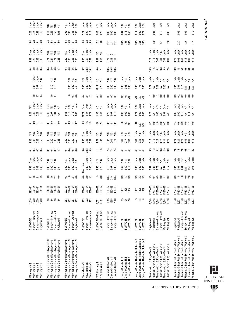| Minneapolis \$<br>Minneapolis \$<br>Minneapolis \$<br>Minneapolis \$                                                                                                                                                             | Survey-Interest<br>Survey-Attempt<br><b>SM/WDBE</b><br>Registered                              | 1,230<br>1,230<br>1,230<br>230                     | 34<br>362 - 34<br>362 - 362<br>363 - 362                                                                                                                                                                                                                                   | <b>3.55</b><br>2.55 |                                                                                                 | ber<br>Dinger<br>Dinger<br>Dinger                           | 5353                                      | 8<br>8<br>8<br>8<br>8<br>8<br>8<br>8 |                                                            | 5855               | <b>ESSE</b><br>DESSE                                            | N.S.<br>Jndej<br>Jndej<br>Jndej              | 253                   | <b>g</b> a a                    | Jnder<br>Under<br>N.S.          | 0 4 4 9<br>0 4 4 9                   |                                                          | over<br>Dinger<br>Dinger<br>Dinger        | ង ជួ ភូ<br>ឆ្នាំ ភូមិ ខ្លួ                | <b>88288</b>                                                          | ber<br>Dinger<br>Dinger<br>Dinger |
|----------------------------------------------------------------------------------------------------------------------------------------------------------------------------------------------------------------------------------|------------------------------------------------------------------------------------------------|----------------------------------------------------|----------------------------------------------------------------------------------------------------------------------------------------------------------------------------------------------------------------------------------------------------------------------------|---------------------|-------------------------------------------------------------------------------------------------|-------------------------------------------------------------|-------------------------------------------|--------------------------------------|------------------------------------------------------------|--------------------|-----------------------------------------------------------------|----------------------------------------------|-----------------------|---------------------------------|---------------------------------|--------------------------------------|----------------------------------------------------------|-------------------------------------------|-------------------------------------------|-----------------------------------------------------------------------|-----------------------------------|
| Minneapolis Comm Devel Agency \$<br>Minneapolis Comm Devel Agency \$<br>Minneapolis Comm Devel Agency \$<br>Minneapolis Comm Devel Agency                                                                                        | Survey-Interest<br>Survey-Attempt<br><b>SM/WDBE</b><br>Registered                              | <b>ះ</b> ៖ ៖ ៖                                     | $\begin{array}{r} 1990 - 91 \\ 1990 - 91 \\ 1990 - 91 \\ 1990 - 91 \\ 1990 - 91 \\ \end{array}$                                                                                                                                                                            | 3 9 5 8             | 8888                                                                                            | sisisi<br>Sisisi                                            | 5355                                      | 8888                                 | sisisisi<br>Sisisisi                                       | 5373               | $\frac{25}{25}$ $\frac{25}{25}$ $\frac{25}{25}$ $\frac{25}{25}$ | ansias<br>Saisias                            | $\frac{10}{10}$       | $\frac{10}{15}$                 | si<br>Si<br>Si                  | <b>4 9 9 7<br/>0 4 4 7</b>           | sisisisi<br>Sisisisi<br><b>ភ្លុង</b> ភ្លុង<br>ស្ថិត ភ្លុ |                                           | 53<br>535<br>59                           | ច្នុំ គ្រូ<br>ក្នុង គ្រូ                                              | sisisisisi<br>Sisisisisi          |
| Minneapolis Comm Devel Agency \$<br>Minneapolis Comm Devel Agency \$<br>Minneapolis Comm Devel Agency \$<br>Minneapolis Comm Devel Agency \$                                                                                     | Survey-Interest<br>Survey-Attempt<br>Registered<br><b>SM/WOBE</b>                              | 297<br>297<br><b>297</b>                           | $1992 - 94$<br>1992-94<br>$1992 - 94$<br>1992-94                                                                                                                                                                                                                           | 3 5 5 9<br>0 7 7 9  | $rac{8}{6}$ $rac{8}{6}$ $rac{8}{6}$ $rac{4}{6}$                                                 | x.s.<br>2.5 am<br>2.5 am                                    | 5358                                      |                                      | sisisisid<br>Sisisid                                       | 5 3 5 5<br>5 3 5 5 | 183<br>0.00<br>0.00                                             | sisis<br>Sisisi<br>Sisisisi                  | 253                   | $rac{8}{5}$ $rac{8}{5}$         | $222$<br>$222$                  | <b>4 9 9 7</b><br>0 <del>4</del> 4 0 | ន ខ ខ ខ<br>ខ ខ ខ ខ                                       | N.S.<br>Under<br>Under                    |                                           | 8 8 8 8 8                                                             | s.<br>255%<br>2552                |
| New Mexico \$<br>New Mexico \$<br>New Mexico \$                                                                                                                                                                                  | Survey-Attempt<br>Survey-Interest<br>SM/WOBE                                                   | 23<br>23                                           | $188 - 94$ $188 - 94$ $188 - 94$                                                                                                                                                                                                                                           | <b>3</b> នី ង       | NA NA<br>0.00 U<br>0.00 U                                                                       | Under<br>Under                                              | 5.2<br>5.2<br>5.2                         | $188$<br>0.43                        | ber<br>S 5 5<br>S 5 5                                      | $3.99$<br>$-2.9$   | 25.74<br>4.47<br>3.71                                           | Der<br>Over<br>Over                          | 0 4 2<br>0 3 2        | 888<br>000                      | N.S.<br>Under<br>Under          | 5.2<br>28.2<br>26.2                  | ន្ត<br>និង<br>១. និ                                      | Over<br>Under<br>Under                    | a a a<br>4 c c                            |                                                                       | ar<br>Sinder<br>Sinder            |
| NYC Housing \$<br>NYC Housing #                                                                                                                                                                                                  | SM/WOBE--Empl.<br>SM/WOBE-Empl                                                                 | 1,051<br>1,051                                     | $1988 - 92$<br>1988-92                                                                                                                                                                                                                                                     | $1.9$<br>3.0        | $2.55$<br>0.70                                                                                  | si<br>Si<br>Si                                              | $\frac{1}{1}$ . 5                         | $2.73$<br>$0.97$                     | š š                                                        | $2.\overline{8}$   | $1.36$<br>1.47                                                  | a<br>S                                       | $\frac{1}{2}$ 0.2     | 34.17<br>5.28                   | a a                             | $6.0$<br>7.1                         | S S<br>$2.64$<br>$1.17$                                  |                                           | $\frac{17.2}{14.8}$                       | 0.48<br>0.25                                                          | N.S.<br>Under                     |
| Oakland-Schools \$<br>Oakland-Schools \$<br>Oakland-Schools \$                                                                                                                                                                   | Survey-Interest<br>Survey-Interest<br>Survey-Interest                                          | 1205<br>1355<br>2560                               | $\begin{array}{c} 1991 - 92 \\ 1992 - 93 \\ 1991 - 93 \end{array}$                                                                                                                                                                                                         | 3<br>33<br>33<br>33 | 5<br>0.07<br>0.09                                                                               | dreig<br>Under<br>Under                                     | 74<br>74<br>74                            | 0.ទ<br>០.ក<br>០.ក                    | $\frac{1}{8}$ $\frac{1}{8}$ $\frac{1}{8}$<br>sisisi<br>ZZZ |                    | 8<br>0.07<br>0.13                                               | der<br>Lister<br>Lister                      | 5<br>5<br>5<br>5<br>5 | 888<br>000                      | 3 3 3<br>2 2 2                  | ធ<br>ធំ ធំ ធំ                        | <b>000</b><br>$0.78$<br>$0.13$<br>$0.18$                 |                                           | $\frac{1}{2}$ $\frac{1}{2}$ $\frac{1}{2}$ | 888                                                                   | under<br>Under<br>Under           |
| Orange County, FL \$<br>Orange County, FL \$<br>Orange County, FL \$                                                                                                                                                             | SM/WOBE<br>SM/WOBE<br>SM/WOBE                                                                  | ន ន<br>15                                          | <b>1997</b><br>1992<br>1992                                                                                                                                                                                                                                                | 33 33<br>33 33      | 0.42<br>2.30<br>4.12                                                                            | sisisi<br>Sisisi                                            | 7.74                                      | 55<br>25                             | sisisi<br>Sisisi                                           | 252                |                                                                 | N.S.<br>N.S.<br>Under                        | ន<br>ខេ<br>ខ          | 8<br>8<br>8<br>8<br>8<br>8<br>8 | Under<br>N.S.<br>Under          |                                      |                                                          |                                           | 56 15 15<br>16 16 16<br>16 16             | 0.043<br>0.13                                                         | sisisi<br>Nisi                    |
| Orange County, FL-Public Schools \$<br>Orange County, FL-Public Schools \$<br>Orange County, FL-Public Schools \$                                                                                                                | SM/WDBE<br>SM/WOBE<br>SM/WDBE                                                                  | ഥ ഇ∞                                               |                                                                                                                                                                                                                                                                            | 33<br>333           | 888<br>000                                                                                      | ber<br>Under<br>Under                                       | $\frac{1}{4}$ $\frac{1}{4}$ $\frac{1}{4}$ | 0.8<br>0.8<br>0.00                   | នី<br>និង<br>Under<br>N.S.<br>Under                        |                    | 5<br>8<br>8<br>8<br>8<br>8                                      | N.S.<br>Under<br>Under                       | ggg                   | 0.00<br>7<br>0.00               | bnder<br>Under<br>Under         |                                      |                                                          |                                           | 56 15 15<br>16 16 16<br>16 16             | $\frac{1}{2}$ $\frac{1}{2}$ $\frac{1}{2}$ $\frac{1}{2}$ $\frac{1}{2}$ | N.S.<br>Drug<br>N.S.              |
| ↮<br>Phoenix-Arch & Eng-Women<br>Phoenix-Arch & Eng-Men \$<br>Phoenix-Arch & Eng-Men \$                                                                                                                                          | Registered<br>Registered                                                                       | 1,348<br>1,348<br>1,348                            |                                                                                                                                                                                                                                                                            |                     |                                                                                                 |                                                             |                                           |                                      |                                                            |                    |                                                                 |                                              |                       |                                 |                                 |                                      |                                                          |                                           | 15.0                                      | 0.04                                                                  | Under                             |
| ↮<br>Phoenix-Arch & Eng-Women \$<br>Phoenix-Arch & Eng-Women<br>Phoenix-Arch & Eng-Men \$                                                                                                                                        | Survey-Interest<br>Survey—Interest<br>Mailing list<br>Mailing list                             | 1,348<br>1,348<br>1,348                            | $\begin{array}{l} 58-28\\ 8-28\\ 8-28\\ 8-28\\ 8-28\\ 8-28\\ 8-28\\ 8-28\\ 8-28\\ 8-28\\ 8-28\\ 8-28\\ 8-28\\ 8-28\\ 8-28\\ 8-28\\ 8-28\\ 8-28\\ 8-28\\ 8-28\\ 8-28\\ 8-28\\ 8-28\\ 8-28\\ 8-28\\ 8-28\\ 8-28\\ 8-28\\ 8-28\\ 8-28\\ 8-28\\ 8-28\\ 8-28\\ 8-28\\ 8-28\\ 8$ | <b>2358228</b>      | 53<br>5373<br>558<br>55                                                                         | Deler<br>Dider<br>Dider<br>Dider<br>Dider<br>Dider<br>Dider | 523333                                    | 1588255                              | dhe<br>Under<br>Under<br>Under<br>Under                    | 292958             | ន្លឹង ខ្លួង ខ្លួ                                                | <b>DAR SERVER</b><br>Particles<br>Dar Server | 282888                | <b>334555</b><br>235555         | der<br>こうしょう<br>こういう            |                                      |                                                          | under<br>Under<br>Under<br>Under<br>Under | 6.4<br>12.0                               | 0.10<br>0.05                                                          | Under<br>Under                    |
| Phoenix-Other Prof Service-Women \$<br>Phoenix-Other Prof Service-Women \$<br>Phoenix-Other Prof Service-Women \$<br>Phoenix-Other Prof Service-Men \$<br>Phoenix-Other Prof Service-Men \$<br>Phoenix-Other Prof Service-Men \$ | Survey-Interest<br>Survey-Interest<br>Mailing list<br>Mailing list<br>Registered<br>Registered | 3,573<br>3,573<br>3,573<br>3,573<br>3,573<br>3,573 | PY87-93<br>PY87-93<br>PY87-93<br>PY87-93<br>PY87-93<br>PY87-93                                                                                                                                                                                                             | <b>3352888</b>      | $\frac{25}{25}$ $\frac{25}{25}$ $\frac{25}{25}$ $\frac{25}{25}$ $\frac{25}{25}$ $\frac{25}{25}$ | Under<br>Under<br>Over<br>Under<br>Under                    | 252572                                    | <b>ភ្នំ ខ្លួ</b> ខ្លួ ខ្លួ ខ្លួ      | Under<br>Under<br>Under<br>Under<br>Under                  | # \$ \$ \$ 5 5     |                                                                 | Jnde je<br>Jnde je<br>Jnde je<br>JNA         | 333888                | 88248                           | J<br>J J J J X X<br>J J J X X X | 0<br>0 8 8 9 0 0 0<br>0 0 0 0 0      | <b>83 8 8 8 5 5</b>                                      |                                           | 11.4<br>227<br>12.6                       | 0.05<br>0.10<br>0.09                                                  | Under<br>Under<br>Under           |

THE URBAN INSTITUTE

APPENDIX: STUDY METHODS

## Continued *Continued*

**105**

L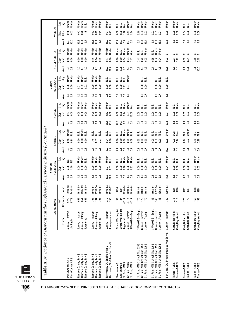|                                                                                     | WOMEN                | Stat.<br>Sig.<br>Ratio<br>Disp. | Under<br>Under<br>0.23<br>0.18           | Under<br>Under<br>N.S.<br>1.15<br>0.40<br>0.42                       | Under<br>Under<br><b>Jnder</b><br>0.12<br>0.13<br>0.34               | Under<br>N.S.<br>0.21<br>0.21                                  | <b>Under</b><br>Over<br>Over<br>si<br>Sis<br>1.18<br>0.00<br>0.00<br>0.44<br>1.24             | Under<br>Under<br><b>Jnder</b><br>0.10<br>0.03<br>0.03                                                   | Under<br>Under<br>Under<br>0.02<br>0.01<br>0.01                                                          | Under<br>0.00                           | Under<br>Under<br>0.00<br>0.00         | si<br>N<br>N<br>N<br>0.06<br>0.04      | Under<br>Under<br>0.08<br>0.08         |
|-------------------------------------------------------------------------------------|----------------------|---------------------------------|------------------------------------------|----------------------------------------------------------------------|----------------------------------------------------------------------|----------------------------------------------------------------|-----------------------------------------------------------------------------------------------|----------------------------------------------------------------------------------------------------------|----------------------------------------------------------------------------------------------------------|-----------------------------------------|----------------------------------------|----------------------------------------|----------------------------------------|
|                                                                                     |                      | Avail                           | 12.8<br>10.0                             | 15.3<br>57<br>16.1                                                   | 15.3<br>57<br>16.1                                                   | 18.0<br>23.4                                                   | $15.3$<br>$5.4$<br>15.2<br>15.2<br>57                                                         | 5.4<br>15.3<br>16.1                                                                                      | 5.4<br>15.3<br>16.0                                                                                      | 20.9                                    | $\frac{6}{1.8}$                        | 5.6<br>41                              | 5.5<br>4.5                             |
|                                                                                     |                      | Stat.<br>Sig.                   | Under<br>Under                           | Under<br><b>Under</b><br>Jnder                                       | Under<br>Under<br><b>Jnder</b>                                       | Under<br>Under                                                 | <b>J</b> nder<br>Under<br>Under<br>Over<br>N.S.                                               | Under<br>ΝS.<br>N.S.                                                                                     | Under<br>Under<br>Ν.S.                                                                                   | د                                       | ں ں                                    | ں ں                                    | ں ں                                    |
|                                                                                     | ALL MINORITIES       | Ratio<br>Disp.<br>Avail         | 0.46<br>0.76<br><u>ය ය</u><br>െ<br>ம்    | 0.00<br>8.8<br>0.00<br>4.0<br>4.0<br>4.6                             | 0.16<br>0.16<br>0.14<br>4.0<br>4.6<br>$-4.0$                         | 0.17<br>0.00<br>53.0<br>61.7                                   | 0.00<br>0.00<br>0.34<br>0.34<br>3.17<br>4.0<br>4.0<br>$\overline{a}$<br>32.1<br>32.1          | 0.26<br>0.23<br>2.41<br>$\overline{0.4}$<br>4.0<br>4.6                                                   | 0.39<br>0.04<br>0.04<br>4.0<br>4.6<br>3                                                                  | 0.03<br>47.6                            | 147<br>221<br>5.8                      | 0.39<br>0.24<br>7.4<br><u>ລ</u>        | $0.75$<br>0.40<br>$\frac{8.1}{15.0}$   |
|                                                                                     |                      | Stat<br>.g                      | Under<br>Under                           | Under<br>Under<br>N.S.                                               | Under<br>Under<br>Under                                              | ΝS.<br>S.                                                      | Under<br>sis<br>Nisi<br>S.N                                                                   |                                                                                                          |                                                                                                          |                                         |                                        |                                        |                                        |
|                                                                                     | AMERICANS<br>NATIVE  | Ratio<br>Disp.                  | 0.08<br>0.20                             | 0.02<br>0.02<br>5.01                                                 | 0.00<br>0.00<br>0.00                                                 | 0.00<br>0.00                                                   | 0.00<br>0.00<br>0.67<br>1.21                                                                  | si<br>Si<br>0.00<br>0.00                                                                                 | si<br>Si<br>Si<br>0.00<br>0.00                                                                           | Ν.S.<br>0.00                            |                                        |                                        |                                        |
|                                                                                     |                      | Avail                           | $\overline{0.4}$<br>თ<br>ö               | 6.6<br>$\Xi$<br>$\overline{5}$                                       | <b>9.0</b><br>$\overline{1.0}$<br>$\overline{0}$                     | $\frac{5}{1.3}$                                                | $\mathbf{0}.\mathbf{9}$<br>$\overline{0.9}$<br>0.6<br>$\overline{10}$                         | $\frac{1}{0}$ .                                                                                          | $\frac{0}{10}$                                                                                           | $\frac{8}{1}$                           |                                        |                                        |                                        |
|                                                                                     |                      | Stat.<br>ی.<br>ာ                | Under<br>Under                           | Under<br>Under<br>Under                                              | Under<br>Under<br>Under                                              | Under<br>N.S.                                                  | Under<br>Under<br>Över<br>s.<br>s.                                                            | N.S.<br>si<br>Sisi                                                                                       | $\frac{2}{5}$ $\frac{2}{5}$<br>S<br>z                                                                    | Under                                   | Under<br>N.S.                          | sisi<br>Nisi                           | Under<br>N.S.                          |
|                                                                                     | ASIANS               | Ratio<br>Disp.                  | 0.20<br>0.17                             | 0.00<br>0.00<br>0.00                                                 | 0.00<br>0.00<br>0.00                                                 | 0.13<br>0.00                                                   | 0.00<br>0.24<br>0.00<br>5.55<br>0.61                                                          | 0.00<br>0.00<br>0.00                                                                                     | 0.00<br>0.00<br>0.00                                                                                     | 0.01                                    | 0.00<br>0.00                           | មិ ទី<br><b>១</b>                      | 8.00<br>0.00                           |
|                                                                                     |                      | Avail                           | 2.3<br>1.9                               | $\mathbf{c}$<br>2.3<br>Ξ                                             | $\overline{0}$ .<br>2.3<br>Ξ                                         | 25.5<br>15.9                                                   | 14.3<br>14.3<br>2.3<br>$\mathbf{c}$<br>ā                                                      | $\mathbf{c}_3$<br>$\Xi$<br>ទ                                                                             | $\mathbf{0}.\mathbf{9}$<br>Ξ<br>ទ                                                                        | 20.3                                    | $\frac{2}{2}$ $\frac{8}{2}$            | $\frac{23}{24}$                        | $1.8$<br>3.7                           |
|                                                                                     |                      | Stat.<br>Sig.                   | Under<br>Ν.S.                            | Under<br>s.<br>N<br>N.S.                                             | ဟံ ဟ<br>ပေ<br>z<br>z<br>z                                            | si<br>Sisi                                                     | <b>Under</b><br>Under<br>N.S.<br>s.<br>Ν.S.                                                   | S.N<br>si<br>Si                                                                                          | S<br>si<br>Si<br>Si<br>z                                                                                 | Under                                   | Over<br>0 ver                          | Under<br>Σ.N                           | si<br>Si<br>Si                         |
|                                                                                     | LATINOS              | Ratio<br>Disp.                  | 0.46<br>0.98                             | 0.00<br>0.00<br><b>S.O</b>                                           | $1.46$<br>0.92<br>2.27                                               | 0.24<br>0.00                                                   | 0.08<br>0.05<br>0.28<br>0.00<br>0.00                                                          | 0.00<br>0.00<br>0.00                                                                                     | 0.00<br>0.00<br>0.00                                                                                     | 0.09                                    | 4.00<br>2.44                           | 0.44<br>0.22                           | $1.69$<br>0.98                         |
|                                                                                     |                      | Avail.                          | $6.0$<br>2.8                             | $\mathbf{c}_3$<br>0.4<br>$\overline{0}$                              | $\mathbf{c}^3$<br>0.4<br>$\overline{0}$                              | $8.0\,$<br>9.7                                                 | $\overline{0.3}$<br>$\overline{a}$<br>$\overline{z}$<br>$\overline{z}$<br>$\overline{a}$      | $\overline{0.4}$<br>G<br>ដ                                                                               | $rac{4}{5}$<br>ដ                                                                                         | 11.0                                    | 53<br>3.2                              | $\overline{41}$<br>្ល                  | 3.5<br>6.0                             |
|                                                                                     |                      | Stat.<br>Sig.                   | S S                                      | Under<br>Under<br>s.                                                 | Under<br>Under<br><b>Jnder</b>                                       | Under<br>N.S.                                                  | Under<br>Under<br><b>Jnder</b><br>si<br>Si                                                    | sisisi<br>Sisisi                                                                                         | sisisi<br>Sisisi                                                                                         | Under                                   | si<br>Si<br>Si                         | sisi<br>Nisi                           | Under<br>Under                         |
|                                                                                     | AMERICANS<br>AFRICAN | Ratio<br>Disp.                  | 2.98<br>1.70                             | 0.00<br>8.0<br>e.o<br>$\frac{6}{1}$<br>0.6                           | 0.00<br>0.00<br>0.00<br>$\frac{6}{1}$<br>0.6                         | 0.21<br>0.01                                                   | 0.16<br>0.06<br>0.00<br>0.33<br>0.00<br>9.8<br>9.8<br>0.6<br>1.6<br>3                         | 0.00<br>0.00<br>0.00<br>$\mathbf{c}$<br>$1.6$<br>2.1                                                     | 0.00<br>0.00<br>$\frac{8}{2}$<br>3<br>$\frac{6}{16}$                                                     | 0.04                                    | 0.00<br>0.00<br>$\ddot{ }$             | 0.50<br>0.30<br>2.0<br>9.6             | 0.03<br>0.03<br>2.8<br>5.3             |
|                                                                                     |                      | Avail                           | 0.7                                      | $\overline{21}$                                                      | $\overline{21}$                                                      | 19.0<br>34.7                                                   |                                                                                               |                                                                                                          | $\overline{z}$                                                                                           | 14.6                                    | 3                                      |                                        |                                        |
|                                                                                     |                      | Year                            | FY90-93<br>FY90-93                       | 1985–89<br>1985–89<br>1985-89                                        | 1990-94<br>1990-94<br>1990-94                                        | 1990-92<br>1990-92                                             | 1990-94<br>1990-94<br>1990-94<br>1990<br>1991                                                 | 1988-91<br>1988-91<br>$16 - 886$                                                                         | 1992-94<br>$1992 - 94$<br>1992-94                                                                        | $1990 - 93$                             | 1986<br>1986                           | 1987<br>1987                           | 1988<br>1988                           |
|                                                                                     | BACKGROUND           | Contracts<br># of               | 2,779<br>2,779                           | នី នី នី                                                             | <b>Band</b>                                                          | 210<br>150                                                     | <b>32</b><br>4,717<br>4,717<br>4,717                                                          | 170<br>170<br>170                                                                                        | $\frac{3}{4}$<br>146<br>146                                                                              | 780                                     | 213<br>213                             | $\frac{170}{170}$                      | <b>158</b>                             |
|                                                                                     |                      | Source                          | Survey-Interest<br>Mailing list          | Survey-Attempt<br>Survey-Interest<br>Registered                      | Survey-Attempt<br>Survey-Interest<br>Registered                      | Survey-Interest<br>Survey-Interest                             | Direcs./Mailing list<br>Direcs./Mailing list<br>SM/WOBE-Empl<br>Survey-Interest<br>Registered | SM/WOBE-Empl<br>Survey-Attempt<br>Survey-Interest                                                        | SM/WOBE-Empl<br>Survey-Interest<br>Survey-Attempt                                                        | Survey-Interest                         | Cert./Bidders list<br>Cert./Registered | Cert./Bidders list<br>Cert./Registered | Cert./Bidders list<br>Cert./Registered |
| Table A.3c. Evidence of Disparity in the Professional Services Industry (Continued) |                      |                                 | Pima County, AZ \$<br>Pima County, AZ \$ | Ramsey County, MN \$<br>Ramsey County, MN \$<br>Ramsey County, MN \$ | Ramsey County, MN \$<br>Ramsey County, MN \$<br>Ramsey County, MN \$ | Richmond, CA-Other Prof Serv \$<br>Richmond, CA-Engineering \$ | St. Paul, MN \$<br>St. Paul, MN \$<br>St. Paul, MN \$<br>Sacramento \$<br>Sacramento \$       | St. Paul, MN-School Dist. 625 \$<br>St. Paul, MN-School Dist. 625 \$<br>St. Paul, MN-School Dist. 625 \$ | St. Paul, MN-School Dist. 625 \$<br>St. Paul, MN-School Dist. 625 \$<br>St. Paul, MN-School Dist. 625 \$ | San Jose, CA-Procurement & Prof Serv \$ | Tampa-A&E\$<br>Tampa-A&E\$             | Tampa-A&E\$<br>Tampa-A&E\$             | Tampa-A&E \$<br>Tampa-A&E \$           |

<u>p</u> THE URBAN INSTITUTE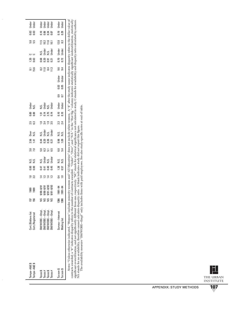| Tampa-A&E\$<br>Tampa-A&E \$                                    | Cert./Bidders list<br>Cert./Registered                       | 156<br>157          | 88<br>1989                                                                                                                                  | $\frac{18}{23}$                                                            | 8<br>8<br>0<br>0     | si<br>Si<br>Si                       | 3.8<br>7.0                     | $2.56$                         | over<br>N.S.                   | 2.5<br>6.3     | 8<br>8<br>0<br>0   | Under<br>N.S.                   |           |                             | ន<br>ខេ<br>ខេ                                                  |                     | <br>28<br> 28<br> 25                     | 5.5<br>5.5                            | ខ្លួ ខ្លួ                                   | Under<br>Under                            |
|----------------------------------------------------------------|--------------------------------------------------------------|---------------------|---------------------------------------------------------------------------------------------------------------------------------------------|----------------------------------------------------------------------------|----------------------|--------------------------------------|--------------------------------|--------------------------------|--------------------------------|----------------|--------------------|---------------------------------|-----------|-----------------------------|----------------------------------------------------------------|---------------------|------------------------------------------|---------------------------------------|---------------------------------------------|-------------------------------------------|
| Texas $#$<br>Texas \$<br>Texas $#$<br>Texas \$                 | SM/WOBE-Empl<br>SM/WOBE-Empl<br>SM/WOBE-Empl<br>SM/WOBE-Empl | SN<br>S<br>Sa<br>SN | $9/91 - 8/93$<br>$9/91 - 8/93$<br>$9/88 - 8/91$<br>$9/88 - 8/91$                                                                            | $\overline{a}$ $\overline{a}$ $\overline{a}$ $\overline{a}$ $\overline{a}$ | 0.47<br>0.45<br>0.41 | x.s.<br>Drag<br>Drag<br>Drag<br>Drag | ន <b>ន ភ</b> ក្នុ<br>ឆ ចំ ភ ចំ | ង ន ឌ<br>តំ ន ឌី ឌី<br>តំ ន ឌី | N.S.<br>Under<br>N.S.<br>Under | 184955         | 57<br>1575<br>1025 | N.S.<br>Under<br>Under<br>Under |           |                             | $\frac{22}{10}$ $\frac{12}{10}$ $\frac{4}{10}$ $\frac{12}{10}$ |                     | N.S.<br>Under<br>Under<br>Under<br>Under | $1.526$<br>$1.61$<br>$2.83$<br>$2.83$ | 28800                                       | Under<br>Under<br>Under<br>Under<br>Under |
| Tucson \$<br>Tucson \$                                         | Survey-Interest<br><b>Mailing list</b>                       | <b>386</b><br>1386  | $1991 - 94$<br>1991-94                                                                                                                      | $\frac{4}{10}$                                                             | 1.38<br>0.57         | si<br>Si<br>Si                       | 6.0<br>5.4                     | $-1.09$                        | si<br>2.3                      | $2.3$<br>$2.4$ | 0.10<br>0.10       | Under<br>Under                  | 8.<br>0.7 | Under<br>Under<br>ខ្លួ ខ្លួ | 9. 4<br>9. 4                                                   | $\frac{0.70}{0.72}$ |                                          |                                       | $\begin{array}{c} 0.19 \\ 0.29 \end{array}$ |                                           |
| $M$ otec: "In less otherwise in dicated $M$ omen" includes min |                                                              |                     | or ty woman and "All Minorities" does not include white women A "\$" after the study name indicates disnarity refers to the dollar value of |                                                                            |                      |                                      |                                |                                |                                |                |                    |                                 |           |                             |                                                                |                     |                                          |                                       |                                             |                                           |

*Notes:* "Unless otherwise indicated, "Women" includes minority women and "All Minorities" does not include white women. A "\$" after the study name indicates disparity refers to the dollar value of<br>contracts awarded; a "#" *Notes:* "Unless otherwise indicated, "Women" includes minority women and "All Minorities" does not include white women. A "\$" after the study name indicates disparity refers to the dollar value of contracts awarded; a "#" indicates disparity refers to the number of contracts awarded. "Under", and "N.S." in the "Stat Sig." column indicates statistically significant underutilization, statistically significant overutilization, and not significantly different from one, respectively. "NC" stands for statistical significance not calculated in study. C stands for availability and disparity ratio calculated by authors. NA stands for no availability, therefore cannot calculate disparity ratio. A blank indicates study did not report this figure.

The availability measure "SM/WOBE—Empl" only includes firms with paid employees. See also study-specific notes at end of table.

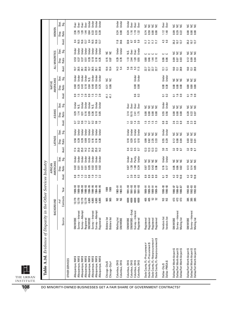|                                                              | BACKGROUND                        |                      |                       |                  | AMERICANS<br>AFRICAN |                |                                                  | <b>LATINOS</b>       |                |                    | ASIANS         |                  |                 | AMERICANS<br><b>NATIVE</b> |               |                      | ALL MINORITIES   |                |                            | WOMEN                     |                |
|--------------------------------------------------------------|-----------------------------------|----------------------|-----------------------|------------------|----------------------|----------------|--------------------------------------------------|----------------------|----------------|--------------------|----------------|------------------|-----------------|----------------------------|---------------|----------------------|------------------|----------------|----------------------------|---------------------------|----------------|
|                                                              | Source                            | Contracts<br># of    | Year                  | Avail.           | Ratio<br>Disp.       | Stat.<br>Sig.  | Avail.                                           | Disp.<br>Ratio       | Stat.<br>Sig.  | Avail.             | Ratio<br>Disp. | Stat.<br>Sig.    | Avail.          | Ratio<br>Disp.             | Stat.<br>Sig. | Avail.               | Disp.<br>Ratio   | Stat.<br>នី    | Avail.                     | Ratio<br>Disp.            | Stat.<br>Sig.  |
| <b>OTHER SERVICES</b>                                        |                                   |                      |                       |                  |                      |                |                                                  |                      |                |                    |                |                  |                 |                            |               |                      |                  |                |                            |                           |                |
| Albuquerque, NM \$<br>Albuquerque, NM \$                     | <b>SM/WOBE</b>                    | 13,179               | $989 - 93$            |                  | <u>ទី</u>            | Undei          |                                                  | 0.56                 | Jnder          |                    | 0.29           | <b>Jnder</b>     |                 | 0.60                       | Jnder         | 19.7                 | <b>G3</b>        | Undei          |                            | 2.36                      | Jver           |
|                                                              | Survey-Interest                   | 13,179               | $1989 - 93$           |                  | $\overline{5}$       | Under          | 25.0                                             | 0.39                 | Under          |                    | 1.14           | N.S.             |                 | 0.35                       | Under         | 28.5                 | 0.37             | Under          | 3<br>16.5<br>16.6          | 1.20                      | Dver           |
| Albuquerque, NM \$                                           | Survey-Attempt                    | 13,179               | 1989-93               |                  | 0.01                 | Under          | 25.0                                             | 0.39                 | Under          | 53525              | 0.31           | Under            | <b>araa</b>     | $0.43$<br>$0.18$           | Under         | 28.1                 | 0.37             | Under          |                            |                           | Over           |
| Albuquerque, NM \$                                           | Registered                        | 13,179               | 1989-93               |                  | 0.01                 | Under          | 14.2                                             | 0.69                 | Under          |                    | 0.16           | Under            |                 |                            | Under         | 20.6                 | $0.51\,$         | Under          | 13.7                       | 1.44                      | Over           |
| Albuquerque, NM \$                                           | <b>SM/WOBE</b>                    | 4,865<br>4,865       | $994 - 95$<br>1994-95 | 8 2 2 3 8 2 2 3  | 0.05<br>0.02         | Under<br>Under | 17.4<br>25.0                                     | 0.16<br>0.23         | Under<br>Under | 0.2                | 0.09<br>0.36   | Under<br>N.S.    |                 | 0.48<br>0.84               | Under<br>s.   | 28.5<br>19.7         | 0.26<br>0.18     | Under<br>Under | 16.5<br>8.4                | 0.64<br>0.33              | Under<br>Under |
| Albuquerque, NM \$                                           | Survey-Interest<br>Survey-Attempt | 4,865                |                       |                  | 0.03                 | Under          | 25.0                                             | 0.16                 | Under          | 0.6                | 0.10           | Under            |                 | 0.59                       | Under         | 28.1                 | 0.18             | Under          |                            |                           | Under          |
| Albuquerque, NM \$<br>Albuquerque, NM \$                     | Registered                        | 4,865                | 1994-95<br>1994-95    |                  | 0.02                 | <b>Jnder</b>   | 14.2                                             | 0.28                 | Under          | 1.2                | 0.05           | <b>J</b> nder    | $1.5$ $2.9$     | 0.25                       | Under         | 20.6                 | 0.25             | <b>Jnder</b>   | 16.6<br>13.7               | 33<br>0.39                | Under          |
|                                                              | <b>Bidders list</b>               |                      | 1989                  |                  |                      |                |                                                  |                      |                |                    |                |                  | 41.1            |                            |               | 10.4                 | 0.15             | š              |                            |                           |                |
| Chicago-City \$<br>Chicago-City #                            | <b>Bidders list</b>               | <b>965</b>           | 1989                  |                  |                      |                |                                                  |                      |                |                    |                |                  | 41.1            | 0.31<br>0.86               | S S           | 10.4                 | 0.87             | ں<br>ح         |                            |                           |                |
| Columbus, OH \$                                              | Mailing list                      | S                    | 1983-91               |                  |                      |                |                                                  |                      |                |                    |                |                  |                 |                            |               | 14.3                 | 0.29             | Under          |                            |                           | Under          |
| Columbus, OH\$                                               | <b>SM/WDBE</b>                    | š                    | 1983-91               |                  |                      |                |                                                  |                      |                |                    |                |                  |                 |                            |               | 5.4                  | 0.78             | <b>J</b> nder  | $11.8$<br>34.6             | $0.24$<br>$0.08$          | Under          |
| Columbus, OH \$                                              | <b>SM/WOBE</b>                    | 4009                 | $1991 - 93$           | $\overline{41}$  | 0.67                 | Under          | 0.4                                              | 0.18                 | Under          |                    | 3.14           | 0 <sub>ver</sub> |                 |                            |               |                      |                  | Ν.S.           | 32.8                       | 0.24                      | Under          |
| Columbus, OH\$                                               | SM/WOBE-Empl.                     | 4009                 | 1991-93               | 0 8 8<br>2 8 8   | $\frac{38}{10}$      | <b>Over</b>    | $\begin{array}{c} 0.5 \\ 0.5 \\ 0.7 \end{array}$ | 0.29                 | Under          | $-310$<br>$-20$    | 10.15          | 0 <sub>ver</sub> |                 |                            |               | 5.8.3.15<br>5.4.5.17 | 7.488            | <b>Over</b>    |                            | 1.16                      | Over           |
| Columbus, OH \$                                              | Survey-Interest                   | 4009                 | $1991 - 93$           |                  |                      | Parity         |                                                  | 0.15                 | Under          |                    | 2.41           | Over             | <b>ី</b> 3      | 0.00                       | Under         |                      |                  | Over           |                            | 1.19                      | Over           |
| Columbus, OH\$                                               | Registered                        | 4009                 | 1991-93               |                  | 0.34                 | <b>Under</b>   |                                                  | 0.10                 | <b>J</b> nder  |                    | 1.75           | <b>Over</b>      |                 | 0.00                       | Under         |                      |                  | <b>Under</b>   |                            | 1.32                      | Over           |
| Dade County, FL-Procurement #                                | Registered                        | 405                  | 1989-91               |                  |                      |                | 12.3                                             | 0.99                 |                |                    | 0.00           |                  |                 |                            |               |                      |                  |                | Ξ                          | 0.74                      |                |
| Dade County, FL-Procurement \$                               | Registered                        | 405                  | 16-686                | တတတတ<br>ထိထိထိထိ | ០.ទ<br>០.ខ           | 2222           | 12.3<br>12.3<br>12.3                             | 0.62<br>2.35<br>3.33 | 2222           | ្អូងដូ             | 0.00           | <b>SSSS</b>      |                 |                            |               | <b>2722</b><br>2722  | 0.80<br>0.46     |                | $\frac{17}{11}$            | <b>88</b><br>0.00<br>0.00 | <b>SSSS</b>    |
| #<br>Dade County, FL-Nonprocurement                          | Registered                        | 52                   | 1989-91               |                  | 0.43                 |                |                                                  |                      |                |                    | 0.00           |                  |                 |                            |               |                      | $1.44$<br>$2.18$ | ں ں            |                            |                           |                |
| Dade County, FL-Nonprocurement \$                            | Registered                        |                      | 1989-91               |                  | 0.96                 |                |                                                  |                      |                |                    | 0.00           |                  |                 |                            |               |                      |                  |                | $\Xi$                      |                           |                |
| Dallas-City \$                                               | Vendors list                      | SN                   | 1990-93               | 5                | 0.16                 | Under          | $3.0\,$                                          | 0.55                 | Under          | $^{\rm 8}_{\rm 0}$ | 0.55           | Under            | ៑               | 0.00                       | Under         | 12.1                 | 0.06             | د              | 43                         | 1.12                      | <b>Over</b>    |
| Dallas-PMSA\$                                                | Vendors list                      | S                    | 1990-93               | 4.8              | 0.17                 | Jnder          | 2.4                                              | 0.29                 | <b>Under</b>   | 3                  | 0.56           | Jnder            | $\mathfrak{S}$  | 0.30                       | <b>Jnder</b>  | 12.1                 | 0.06             | د              | 4.0                        | 1.40                      | Over           |
| Dallas/Fort Worth Airport \$                                 | SM/WOBE                           | 473                  | 1986-87               | 4.2              | 0.05                 |                |                                                  | 0.12                 |                |                    | 0.00           |                  | 2               | 0.00                       |               | $\frac{0}{2}$        | 0.09             |                | 35.2                       | 0.09                      |                |
| Dallas/Fort Worth Airport \$                                 | Survey-Interest                   | 473                  | 1986-87               | 4.0              | 0.06                 | <b>SSS</b>     | $3.3 + 3$                                        | 0.08                 | ggg            | 0 0 0<br>2 0 0     | 0.00           | <b>SSS</b>       | $\frac{6}{1}$   | 0.00                       | <b>SSS</b>    | 13.1                 | 0.07             | <b>SSS</b>     | 10.7                       | 0.29                      | <b>SSS</b>     |
| Dallas/Fort Worth Airport \$                                 | Mailing list                      | 473                  | $19 - 386 - 87$       | $\approx$        | 0.02                 |                | 8.7                                              | 0.04                 |                |                    | 0.00           |                  | 0.9             | 0.00                       |               | 28.9                 | 0.03             |                | 13.7                       | 0.22                      |                |
| Dallas/Fort Worth Airport \$                                 | <b>SM/WOBE</b>                    |                      | 1992-93               | 4.2              | 0.13                 |                |                                                  | 0.03                 |                |                    | 0.20           |                  | 2               |                            |               |                      | 0.12             |                |                            |                           |                |
| Dallas/Fort Worth Airport \$<br>Dallas/Fort Worth Airport \$ | Survey-Interest                   | 38<br>38<br>38<br>38 | 1992-93               | 4.0              | 0.14                 | <b>SSS</b>     | $3.3 + 3$                                        | 0.07<br>0.01         | <b>SSS</b>     | 0 0 0<br>2 0 0     | 0.22           | <b>SSS</b>       | $\frac{6}{1.9}$ | 888<br>000                 | sas           | $\frac{10.0}{13.1}$  | 0.09             | sas            | $35.7$<br>$10.7$<br>$13.7$ | 888<br>888                | ggg            |
|                                                              | Mailing list                      |                      | 1992-93               | 10.8             | 0.05                 |                | 8.7                                              |                      |                |                    | 0.07           |                  |                 |                            |               | 28.9                 | 0.04             |                |                            |                           |                |

E THE URBAN INSTITUTE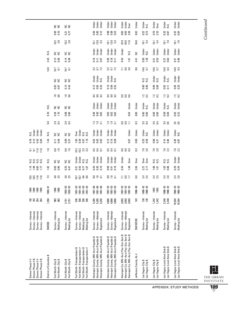|                                                                                    |                         | S S                                       | S S                                      |                                                                                                                            | Under<br>Under<br><b>Jndei</b>                                                                                    | Under<br>Under<br>Under                                                                                              | Jnder<br>Jnder<br>Over                                                                                               | Under                  | Under<br>N.S.                          | <b>J</b> nder<br>Over                  | Under<br>N.S.                                                | Under<br>Under                                               |
|------------------------------------------------------------------------------------|-------------------------|-------------------------------------------|------------------------------------------|----------------------------------------------------------------------------------------------------------------------------|-------------------------------------------------------------------------------------------------------------------|----------------------------------------------------------------------------------------------------------------------|----------------------------------------------------------------------------------------------------------------------|------------------------|----------------------------------------|----------------------------------------|--------------------------------------------------------------|--------------------------------------------------------------|
|                                                                                    |                         | 0.10<br>0.03                              | $\frac{27}{0.77}$                        |                                                                                                                            | 0.05<br>0.12<br>0.04                                                                                              | ខី ទី <u>ដ</u>                                                                                                       | 0.65<br>0.50<br>2.39                                                                                                 | 0.02                   | $0.22$<br>$0.73$                       | $0.70$<br>$2.33$                       | 0.37<br>0.87                                                 | $0.32$<br>0.84                                               |
|                                                                                    |                         | $10.2$<br>$2.8$                           | $10.2$<br>$2.8$                          |                                                                                                                            | <u>ច្រី</u><br>ក្នុង                                                                                              | $\begin{array}{c} 13.8 \\ 5.3 \end{array}$<br>16.1                                                                   | 42.9<br>55.6<br>11.6                                                                                                 | 34.8                   | $18.1$<br>5.4                          | $18.1$<br>5.4                          | $\frac{18.1}{7.0}$                                           | $\frac{18.1}{7.0}$                                           |
|                                                                                    | Ν.S.                    | S S                                       | S S                                      |                                                                                                                            | Under<br>Jnder<br>Under                                                                                           | Under<br>Under<br>Jnder                                                                                              | Under<br>Ν.S.                                                                                                        | š                      | Under<br>N.S.                          | Under<br>Under                         | Jnder<br>Jnder                                               | Under<br>Under                                               |
|                                                                                    | 2.43                    | $\begin{array}{c} 13 \\ 0.36 \end{array}$ | $0.14$<br>$0.38$                         |                                                                                                                            | $0.16$<br>$0.11$<br>0.07                                                                                          | $0.18$<br>$0.11$<br>0.26                                                                                             | 0.43<br>$\overline{5}$                                                                                               | 4.41                   | 0.50<br>1.28                           | ក្ខ និ                                 | $0.27$<br>$0.62$                                             | $0.21$<br>0.49                                               |
|                                                                                    | 14.0                    | $\frac{5}{6}$                             | $\frac{67}{61}$                          |                                                                                                                            | 3.7<br>72                                                                                                         | $3.7$<br>$4.7$<br>$7.2$                                                                                              | 3.0<br>$\overline{1}$                                                                                                | 9.6                    | 14.6<br>5.7                            | $14.6$<br>5.7                          | $14.6$<br>6.3                                                | $14.6$<br>6.3                                                |
|                                                                                    |                         | S S                                       | S S                                      |                                                                                                                            | Under<br>Under<br>N.S.                                                                                            | Under<br>Under<br>Ν.S.                                                                                               |                                                                                                                      |                        | sisi<br>Sisi                           | Under<br>Ν.S.                          | Under<br>ΝS.                                                 | Under<br>Under                                               |
|                                                                                    |                         | 0.02                                      | $0.13$<br>$0.42$                         |                                                                                                                            | $0.12$<br>0.05<br>0.32                                                                                            | <b>288</b>                                                                                                           |                                                                                                                      |                        | 8.80                                   | 8.8<br>0.0                             | $rac{02}{0.11}$                                              | ០.<br>១. ខ<br>០. ខ                                           |
|                                                                                    |                         | $\frac{18}{1.6}$                          | $\frac{8}{16}$                           |                                                                                                                            | <b>333</b>                                                                                                        | 333                                                                                                                  | 888                                                                                                                  |                        | $1.2$ 0.2                              | $1.2$ 0.2                              | $1.2$ 0.2                                                    | $1.2$ 0.2                                                    |
|                                                                                    | N.S.                    | $\frac{1}{2}$                             | S S                                      |                                                                                                                            | Under<br>Under<br>Under                                                                                           | Under<br>Under<br><b>Under</b>                                                                                       | Under                                                                                                                | Under                  | Under<br>N.S.                          | Under<br>Jnder                         | Under<br>N.S.                                                | Under<br>Under                                               |
|                                                                                    | 0.10                    | $0.24$<br>1.75                            | <u>ខ្លួ</u><br>១.៩                       |                                                                                                                            | ទី ខ្ញី ខ្ញី<br>ទី ទី ខ្ញី                                                                                        | ខ្លួ ខ្លួ<br><b>ខ</b> េខ                                                                                             | 0.54                                                                                                                 | 0.00                   |                                        | 8<br>0.00                              | 83<br>0.69                                                   | 0.02<br>0.22                                                 |
|                                                                                    | $5.0\,$                 | $2.9$<br>0.4                              | $2.9$<br>0.4                             |                                                                                                                            | <b>13 11</b><br>19 11                                                                                             | $\frac{3}{2}$ $\frac{9}{2}$                                                                                          | $\frac{1}{2}$<br>0.0                                                                                                 | $\frac{3}{2}$          | $3.5$<br>0.4                           | $3.\overline{3}$ 4                     | 3.5<br>0.5                                                   | 3.5<br>0.5                                                   |
| Under<br>x.s.<br>Under<br><b>Jndei</b>                                             | N.S.                    | S S                                       | S S                                      | Under<br>0 <sub>ver</sub><br>sisi<br>Nisi                                                                                  | Under<br>Under<br>Under                                                                                           | Under<br>Under<br>Jnder                                                                                              | Under                                                                                                                | Under                  | Մաց<br>Մ.Տ.                            | Under<br>Under                         | Under<br>Jnder                                               | Under<br>N.S.                                                |
| 0.13<br>0.43<br>0.78<br>0.05                                                       | 1,44                    | $0.11$<br>$0.46$                          | 0.09<br>0.37                             | 1.65<br>0.39<br>1.18<br>5.07                                                                                               | 888<br>888                                                                                                        | 0.15<br><b>e</b> 0.09<br>0.12                                                                                        | 0.07                                                                                                                 | 0.00                   | $0.25$<br>$0.94$                       | 0.21                                   | 0.46                                                         | 0.26<br>0.87                                                 |
| $\frac{10}{11}$<br>11.0<br><u>은</u> 일                                              | $1.8$                   | $6.8$<br>1.6                              | $6.8$<br>1.6                             | 33<br>33<br>$10.2$<br>$10.2$                                                                                               | 535<br>53                                                                                                         | 535<br>53                                                                                                            | 883                                                                                                                  | $\ddot{0}$             | $7.6$<br>2.0                           | $7.6$<br>2.0                           | $7.6$<br>2.2                                                 | $7.6$<br>2.2                                                 |
| si<br>Si<br>Si<br>si<br>Sisi                                                       | N.S.                    | S S                                       | S E                                      | Under<br>Under<br>$\frac{2}{5}$ $\frac{2}{5}$                                                                              | Under<br>Under<br>Under                                                                                           | Under<br>Under<br>Jnder                                                                                              | Under<br>Over                                                                                                        | <b>Over</b>            | Over<br>Over                           | si<br>Si<br>Si                         | si<br>Sisi                                                   | Jnder<br>Jnder                                               |
| $\frac{1}{2}$ $\frac{3}{2}$<br>$0.65$<br>1.77                                      | 1.82                    | <b>80.00</b>                              | 0.25<br>0.47                             | 0.31<br>0.42<br>0.77<br>1.07                                                                                               | $\frac{1}{4}$ % $\frac{5}{8}$                                                                                     | 83 H S<br>0.41<br>0.16                                                                                               | 0.34<br>1.48                                                                                                         | 2.04                   | 2.27<br>2.17                           | $\frac{105}{101}$                      | $\begin{array}{c} 1.03 \\ 0.86 \end{array}$                  | $0.29$<br>$0.24$                                             |
| 1015<br>1116<br>1116                                                               | 73                      | $4.8$<br>2.5                              | $4.8$<br>2.5                             | 6.6<br>6.6<br>$\frac{16.7}{16.7}$                                                                                          | <b>9941</b>                                                                                                       | $3.9$ $- 4.7$                                                                                                        | $rac{1}{2}$<br>11                                                                                                    | $\overline{5}$         | $2.\overline{5}$                       | $2.\overline{5}$                       | $2.\overline{8}$                                             | $2.\overline{8}$                                             |
| 1989<br>1989<br>1990<br>1990                                                       | $18 - 989$              | 1986<br>1986                              | 1992-93<br>1992-93                       | $\begin{array}{r} 1991 - 93 \\ 1991 - 93 \\ 1991 - 93 \\ 1991 - 93 \\ \end{array}$                                         | $\begin{array}{c} 1981 - 86 \\ 1981 - 86 \\ 1981 - 86 \end{array}$                                                | $987 - 93$<br>1987-93<br>1987-93                                                                                     | 1987-93<br>$1987 - 93$<br>1987-93                                                                                    | 1986-90                | $1988 - 92$<br>1988-92                 | 1993<br>1993                           | 1988-92<br>1988-92                                           | 1990-93<br>1990-93                                           |
| 183<br>254<br>$\frac{2}{183}$<br>254                                               | 1,258                   | ន្ល ន្ល                                   | 3,151                                    | <b>ធី</b> ធី<br><b>536</b>                                                                                                 | 5,295<br>5,295<br>5,295                                                                                           | 4,866<br>4,866<br>4,866                                                                                              | 3,093<br>3,093<br>3,093                                                                                              | SN                     | $\frac{88}{28}$                        | 1,342<br>1,342                         | 2,340                                                        | 10,504<br>10,504                                             |
| Survey-Interest<br>Survey-Interest<br>Survey-Interest<br>Survey-Interest           | SMOBE                   | Survey-Interest<br>Mailing list           | Survey-Interest<br>Mailing list          | Survey-Interest<br>Survey-Interest<br>Mailing list<br>Mailing list                                                         | Survey-Interest<br>Survey-Attempt<br>Registered                                                                   | Survey-Attempt<br>Survey-Interest<br>Registered                                                                      | Survey-Interest<br>Survey-Attempt<br>Registered                                                                      | <b>SM/WOBE</b>         | Survey-Interest<br>Mailing list        | Survey-Interest<br>Mailing list        | Survey-Interest<br>Mailing list                              | Survey-Interest<br>Mailing list                              |
| Denver Phase II \$<br>Denver Phase II \$<br>Denver Phase II #<br>Denver Phase II # | District of Columbia \$ | Fort Worth-City \$<br>Fort Worth-City \$  | Fort Worth-City \$<br>Fort Worth-City \$ | Fort Worth-Transportation \$<br>Fort Worth-Transportation #<br>Fort Worth-Transportation \$<br>Fort Worth-Transportation # | Hennepin County, MN-Acct Payable \$<br>Hennepin County, MN-Acct Payable \$<br>Hennepin County, MN-Acct Payable \$ | Hennepin County, MN–Acct Payable \$<br>Hennepin County, MN–Acct Payable \$<br>မာ<br>Hennepin County, MN-Acct Payable | Hennepin Co, MN-Acct Pay-Soc Serv \$<br>Hennepin Co, MN–Acct Pay–Soc Serv \$<br>Hennepin Co, MN–Acct Pay–Soc Serv \$ | Jefferson County, AL # | Las Vegas-City \$<br>Las Vegas-City \$ | Las Vegas-City \$<br>Las Vegas-City \$ | Las Vegas–Local Area Gvts \$<br>Las Vegas–Local Area Gvts \$ | Las Vegas-Local Area Gvts \$<br>Las Vegas-Local Area Gvts \$ |

L THE URBAN INSTITUTE **109**

Continued *Continued*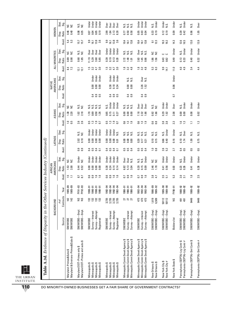| Table A.3d. Evidence of Disparity in the Other                                                           |                                                                   |                                  |                                                    |                                                |                              | Services Industry (Continued)                  |                                           |                              |                                         |                                               |                              |                                    |                         |                            |                                |                                                |                                          |                                                |                            |                                                             |                                                   |
|----------------------------------------------------------------------------------------------------------|-------------------------------------------------------------------|----------------------------------|----------------------------------------------------|------------------------------------------------|------------------------------|------------------------------------------------|-------------------------------------------|------------------------------|-----------------------------------------|-----------------------------------------------|------------------------------|------------------------------------|-------------------------|----------------------------|--------------------------------|------------------------------------------------|------------------------------------------|------------------------------------------------|----------------------------|-------------------------------------------------------------|---------------------------------------------------|
|                                                                                                          |                                                                   | BACKGROUND                       |                                                    |                                                | AMERICANS<br>AFRICAN         |                                                |                                           | LATINOS                      |                                         |                                               | <b>ASIANS</b>                |                                    |                         | AMERICANS<br><b>NATIVE</b> |                                |                                                | ALL MINORITIES                           |                                                |                            | WOMEN                                                       |                                                   |
|                                                                                                          | Source                                                            | Contracts<br># of                | Year                                               | Avail.                                         | Ratio<br>Disp.               | Stat.<br>Sig.                                  | Avail                                     | Ratio<br>Disp.               | Stat.<br>Sig.                           | Avail.                                        | Ratio<br>Disp.               | Stat.<br>Sig.                      | Avail                   | Ratio<br>Disp.             | Stat.<br>Sig.                  | Avail.                                         | Ratio<br>Disp.                           | Stat.<br>ះទី                                   | Avail.                     | Ratio<br>Disp.                                              | Stat.<br>Sig.                                     |
| Maryland & Environs-Primes&Subs \$<br>Maryland-Primes&Subs \$                                            | SM/WOBE<br>SM/WOBE                                                | 142                              | $1985 - 89$<br>$1985 - 89$                         | <u>51</u><br>$\Xi$                             | $1.53$<br>$2.00$             | S S                                            |                                           |                              |                                         | 1.5                                           | $1.30$<br>$2.20$             | S S                                |                         |                            |                                | $8.4$<br>7.2                                   | e a<br>88<br>0.90                        |                                                | 5. 23<br>5. 23             | S S<br>0.46<br>0.40                                         |                                                   |
| Maryland DOT-Primes and subs \$<br>Maryland DOT-Primes only \$                                           | SM/WOBE-Empl<br>SM/WOBE-Empl                                      | S S                              | FY91-93<br>FY92-93                                 | E 8<br>8.7                                     | 0.52<br>0.52                 | Under<br>š                                     | <b>83</b><br>0.91                         | 0.18<br>2.02                 | Ν.S.<br>ں<br>ح                          | $2.6$<br>$2.6$                                | 1.02<br>2.18                 | Ν.S.<br>š                          |                         |                            |                                | 12.1<br>12.1                                   | s.<br>š<br>0.68<br>1.85                  |                                                | 15.7                       | Ν.S.<br>ξ<br>0.08<br>0.35                                   |                                                   |
| Minneapolis \$<br>Minneapolis \$<br>Minneapolis \$<br>Minneapolis \$                                     | Survey-Interest<br>Survey-Attempt<br><b>SM/WOBE</b><br>Registered | <b>BBBB</b>                      | $19 - 0001$<br>$19 - 91$<br>1990-91<br>$1990 - 91$ | 8.9<br>0.9<br>$\frac{6}{16}$<br>$\frac{6}{16}$ | 0.00<br>0.00<br>0.00<br>0.00 | Under<br>Under<br>Under<br>Jnder               | $\frac{4}{5}$ 5.<br>0.4<br>$\overline{a}$ | 0.00<br>0.00<br>0.00<br>0.00 | Under<br>Under<br><b>Under</b><br>Under | $\frac{9}{2}$<br><b>5.3</b><br>$\overline{0}$ | 0.50<br>1.70<br>0.69<br>1.26 | Σ.<br>N.S.<br>N.S.<br>is.          | d 0 0<br>0 0 0          | 0.00<br>0.00<br>0.00       | Under<br>Under<br><b>Under</b> | $\overline{3.0}$<br>$\frac{5}{1}$<br>3.2<br>47 | 11.19<br>3.60<br>5.29<br>5.65            | Over<br><b>Over</b><br><b>Over</b><br>Over     | 9.9<br>13.8<br>3.6<br>16.1 | 0.05<br>0.19<br>0.04<br>0.07                                | <b>Under</b><br>Under<br>Under<br><b>J</b> nder   |
| Minneapolis \$<br>Minneapolis \$<br>Minneapolis \$<br>Minneapolis \$                                     | Survey-Interest<br>Survey-Attempt<br><b>SM/WOBE</b><br>Registered | 3,735<br>3,735<br>3,735<br>3,735 | 1992-94<br>1992-94<br>1992-94<br>1992-94           | 0.6<br>0.9<br>1.6<br>$\frac{6}{16}$            | 0.38<br>0.14<br>0.14<br>0.24 | Under<br>Under<br><b>Under</b><br><b>Jnder</b> | 0.4<br>0.5<br>0.4<br>$\overline{a}$       | 0.00<br>0.00<br>0.00<br>0.01 | Under<br>Under<br>Under<br>N.S.         | 5225                                          | 0.65<br>0.15<br>0.11<br>0.27 | Under<br>Under<br>Under<br>N.S.    | 0.4<br>0.9<br>c5        | 0.38<br>0.18<br>0.34       | Under<br>Under<br>Under        | $\frac{5}{1}$<br>3.2<br>47<br>$30^{\circ}$     | 0.20<br>0.39<br>0.19<br>0.13             | Under<br>Under<br><b>Under</b><br><b>Jnder</b> | 9.9<br>13.8<br>3.6<br>16.1 | 2.13<br>2.99<br>1.84<br>8.28                                | <b>Over</b><br>Over<br><b>Over</b><br><b>Over</b> |
| Minneapolis Comm Devel Agency \$<br>Minneapolis Comm Devel Agency \$<br>Minneapolis Comm Devel Agency \$ | Survey-Interest<br>Survey-Attempt<br>SM/WOBE                      | <b>គ គ គ</b>                     | $1990 - 91$<br>$1990 - 91$<br>1990-91              | 0.9<br>$\frac{6}{16}$<br>CO                    | 5.13<br>3.04<br>6.82         | Over<br><b>Over</b><br>N.S.                    | $\overline{c}$<br>0.5<br>$\overline{0.4}$ | 0.00<br>0.00<br>0.00         | si<br>Na<br>N.S.                        | 90<br>$\frac{2}{1}$ $\frac{3}{1}$             | 0.00<br>0.00<br>0.00         | $\frac{2}{5}$ $\frac{2}{5}$<br>ΝS. | 3<br>0.4                | 0.00<br>0.00               | si<br>Sisi                     | $\frac{8}{10}$<br>$3.\overline{3}$<br>4.8      | sisisi<br>Sisisi<br>1.49<br>2.72<br>1.01 |                                                | 10.4<br>13.8<br>16.1       | $\frac{2}{5}$ $\frac{2}{5}$<br>N.S.<br>0.58<br>0.50<br>0.77 |                                                   |
| Minneapolis Comm Devel Agency \$<br>Minneapolis Comm Devel Agency \$<br>Minneapolis Comm Devel Agency \$ | Survey-Attempt<br>Survey-Interest<br>SM/WOBE                      | 473<br>473<br>473                | 1992-94<br>1992-94<br>1992-94                      | $\mathbf{c}_3$<br>1.6<br>CO                    | 0.20<br>0.15<br>0.09         | Under<br>si<br>Sisi                            | 5.5<br>0.5<br>$\overline{0.4}$            | 0.20<br>0.17<br>0.21         | s.<br>Ν.S.<br>N.S.                      | 0.3<br>1.9                                    | 7.18<br>2.32<br>1.66         | Over<br>Över<br>Over               | $\overline{0.4}$<br>0.9 | N.S.<br>3.26<br>1.52       | Over                           | $\frac{8}{10}$<br>$3.\overline{3}$<br>4.8      | Ν.S.<br>N.S.<br>2.63<br>1.45<br>0.98     | <b>Over</b>                                    | 10.4<br>13.8<br>16.1       | 0.05<br>0.03<br>0.04                                        | Under<br>Under<br>Under                           |
| New Orleans \$<br>New Orleans \$                                                                         | SM/WOBE-Empl<br>SM/WOBE-Empl                                      | 1,619<br>6,509                   | 1986-89<br>1989-92                                 | 3.7                                            | 2.46<br>1.78                 | S S                                            | $\frac{0.8}{0.8}$                         | 0.10<br>0.15                 | si<br>Si<br>Si                          | 0.8<br>0.8                                    | $0.92$<br>$1.66$             | Ν.S.<br>ں<br>ح                     |                         |                            |                                | 5.3<br>$\mathbb{S}^3$                          | ≌ ≋<br>1.56                              |                                                | 123<br>51                  | N.S.<br>0.19<br>0.33                                        | Under                                             |
| New York City \$<br>New York City #                                                                      | SM/WOBE-Empl<br>SM/WOBE-Empl                                      | 50112<br>50112                   | 1989-90<br>1989-90                                 | 3.5<br>$\overline{5}$                          | 0.56<br>0.41                 | Under<br>Under                                 | $2.6$<br>5.2                              | 0.40<br>0.66                 | Under<br>N.S.                           | 3.8<br>3.3                                    | 0.29<br>1.02                 | Under<br>Under                     |                         |                            |                                | 9.9<br>141                                     | ں ں<br>0.43<br>0.62                      |                                                | 19.3<br>19.2               | N.S.<br>0.12<br>0.19                                        | Under                                             |
| New York State \$                                                                                        | <b>Bidders</b> list                                               | S                                | FY90-91                                            | 53                                             | 0.03                         | Under                                          | 27                                        | 0.16                         | Under                                   | 23                                            | 2.08                         | <b>Over</b>                        | $\overline{c}$          | 0.06                       | Under                          | 11.0                                           | 0.49                                     | Under                                          | 14.3                       | 0.09                                                        | Under                                             |
| Pennsylvania (SEPTA)-Lrg Contr \$<br>Pennsylvania (SEPTA)-Lrg Contr #                                    | SM/WOBE-Empl<br>SM/WOBE-Empl                                      | 491<br>491                       | 1988-92<br>1988-92                                 | 2.0<br>$\overline{31}$                         | 0.23<br>0.26                 | Under<br>N.S.                                  | $0.4\,$<br>S.                             | 0.10<br>1.74                 | <b>Over</b><br>Ν.S.                     | $\frac{16}{13}$                               | 0.00<br>0.00                 | Under<br>si<br>N                   |                         |                            |                                | 4.0<br>4.9                                     | N.S.<br>0.13<br>0.33                     | Under                                          | 12.6<br>16.5               | N.S.<br>0.39<br>0.42                                        | Under                                             |
| Pennsylvania (SEPTA)-Sml Contr \$                                                                        | SM/WOBE-Empl.                                                     | 9449                             | 1988-92                                            | $\frac{8}{10}$                                 | 0.41                         | Under                                          | 50                                        | 1.09                         | Ν.S.                                    | $\Xi$                                         | 0.08                         | Under                              |                         |                            |                                | 3.4                                            | 0.40                                     | Under                                          | 13.0                       | Ν.S.<br>0.96                                                |                                                   |
| Pennsylvania (SEPTA)-Sml Contr #                                                                         | SM/WOBE-Empl.                                                     | 9449                             | $1988 - 92$                                        | 2.5                                            | 0.38                         | Under                                          | 50                                        | 0.75                         | Ν.S.                                    | $\ddot{ }$                                    | 0.02                         | Under                              |                         |                            |                                | 4.4                                            | 0.32                                     | Under                                          | 13.9                       | 1.05                                                        | Over                                              |
|                                                                                                          |                                                                   |                                  |                                                    |                                                |                              |                                                |                                           |                              |                                         |                                               |                              |                                    |                         |                            |                                |                                                |                                          |                                                |                            |                                                             |                                                   |

THE URBAN INSTITUTE

<u>p</u>

**110** DO MINORITY-OWNED BUSINESSES GET A FAIR SHARE OF GOVERNMENT CONTRACTS?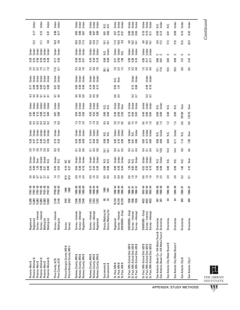| Under<br>Under<br>Under                                                                                              | Under<br><b>Jnder</b>                                                                                       | Under<br>Jnder<br>Under                                              | Under<br>Under<br><b>J</b> nder                                      | si<br>Zi<br>Zi                                                  | Under<br>Under<br>Jnder                               | Under<br>Under<br>Under                                                                                  | Under<br>Under<br><b>Jnder</b>                                                                           | Under<br>N.S.                                                                                               | Σ.                              | Under                          | Under               | Under              |
|----------------------------------------------------------------------------------------------------------------------|-------------------------------------------------------------------------------------------------------------|----------------------------------------------------------------------|----------------------------------------------------------------------|-----------------------------------------------------------------|-------------------------------------------------------|----------------------------------------------------------------------------------------------------------|----------------------------------------------------------------------------------------------------------|-------------------------------------------------------------------------------------------------------------|---------------------------------|--------------------------------|---------------------|--------------------|
| 0.12<br>0.17<br>$\overline{2}$                                                                                       | 0.17                                                                                                        | 8<br>8<br>8<br>8<br>8<br>8<br>8                                      | 0.06<br>0.07                                                         | 5<br>0.00                                                       | <u>ក្នុង</u><br>១.១ ន                                 | 0.06<br>0.04<br>0.04                                                                                     | 0.16<br>$\overline{0.10}$<br>$\overline{0}$ .                                                            | 0.05<br>0.12                                                                                                | 0.01                            | 0.09                           | 0.15                | 0.32               |
| 9.8<br>12.2<br>17.1                                                                                                  | $16.9$<br>8.6                                                                                               | $16.0$<br>$0.8$<br>$1.5$                                             | 16.0<br>13.5                                                         | $\frac{1}{9}$ $\frac{1}{1}$                                     | $1.5$ 8.9                                             | 9<br>9 19 11<br>9 12 11                                                                                  | 9<br>19 19 19<br>19 19                                                                                   | 8.9<br>17.2                                                                                                 | 17.3                            | 17.6                           | 21.6                | 22.3               |
| Under<br>Under<br>Jnder<br>Under<br>Jnder<br>Under                                                                   | Under<br>Under                                                                                              | Under<br>Jnder<br>Jnder                                              | Under<br>Jnder<br>Jnder                                              | Under<br>Ν.S.                                                   | Under<br><b>J</b> nder<br>ΣŐ                          | Under<br>Jnder<br>Under                                                                                  | Under<br>Under<br>Jnder                                                                                  | ں ں                                                                                                         | ت                               | ت                              | ت                   | د                  |
|                                                                                                                      | 0.30                                                                                                        | ទី ខ្ល<br>ខ្លួ ខ្លួ                                                  | 3<br>3<br>0<br>0<br>0<br>0                                           |                                                                 | ភ្នួ គ្នួ<br>ភូ ឆ្នូ ខ្ម                              | $0.59$<br>$0.28$<br>0.19                                                                                 | 0.36<br>$\overline{0.17}$<br>$\overline{5}$                                                              | 0.07                                                                                                        | 0.03                            | 0.09                           | 1.57                | 2.42               |
| 27.9<br><b>2325</b>                                                                                                  | $\frac{16}{6}$                                                                                              | 32 4 7<br>32 4 7                                                     | 32 4 7<br>32 4 7                                                     | ន <b>្ល</b>                                                     | 23<br>2315<br>2315                                    | 1.5, 3.8                                                                                                 | 15 23 <del>21</del><br>15 23 <del>21</del>                                                               | $\frac{12.1}{17.6}$                                                                                         | جما<br>≌                        | بما<br>≌                       | œ<br>∞              | ېما<br>∞           |
| Under<br>Under<br>Under<br>Under<br>Under<br>Under                                                                   | Under<br><b>Jnder</b>                                                                                       | Under<br>Under<br>Jnder                                              | Under<br>Jnder<br>Jnder                                              |                                                                 | Over<br>N.S.                                          | Under<br>Under                                                                                           | Under<br>Jnder                                                                                           |                                                                                                             |                                 |                                |                     |                    |
| 0.00<br>$\frac{17}{0.00}$<br>0.08<br>0.27                                                                            | 5 g<br>0.02                                                                                                 | ទី នី ទី<br>១ ១ ១                                                    | 0.19<br>0.09<br>0.12                                                 |                                                                 | $0.93$<br>147                                         | 0.06<br>0.12                                                                                             | $0.40$<br>$0.19$                                                                                         |                                                                                                             |                                 |                                |                     |                    |
| 333555                                                                                                               | $\frac{5}{2}$                                                                                               | $\frac{4}{5}$ $\frac{6}{5}$ $\frac{6}{5}$                            | $\frac{4}{5}$ $\frac{8}{5}$ $\frac{6}{5}$                            |                                                                 | 0.4                                                   | $\frac{3}{2}$                                                                                            | $\frac{3}{2}$                                                                                            |                                                                                                             |                                 |                                |                     |                    |
| Jnder<br>Under<br>Jnder<br><b>Jnder</b><br>Under<br>Jnder                                                            | Under<br>Under                                                                                              | Jnder<br>Under<br>Under                                              | Under<br>Under<br>Under                                              | sisi<br>Sisi                                                    | Under<br>Under<br>Over                                | <b>J</b> nder<br>Under<br>Under                                                                          | Under<br>Under<br>Under                                                                                  | Under<br>N.S.                                                                                               | S.N                             | ΝS.                            | Over                | Dver               |
| <b>B</b><br>Becases                                                                                                  | 0.07                                                                                                        | $\frac{\pi}{6}$ គឺ គឺ                                                | <b>មិន</b><br>ខេត្ត                                                  | 8<br>0.00                                                       | 83<br>03<br>03<br>03<br>03                            | <b>238</b><br>0.03                                                                                       | $0.88$<br>0.00                                                                                           | 8<br>0.00                                                                                                   | 0.00                            | 0.00                           | 187.00              | 118.75             |
| 533333                                                                                                               | $\frac{1}{2}$ $\frac{3}{2}$                                                                                 | $\frac{3}{2}$ $\frac{3}{2}$ $\frac{3}{2}$                            | $\frac{13}{12}$ $\frac{13}{12}$                                      | 5.5<br>9.5                                                      | 2. 2. 5<br>2. 2. 5                                    | 5.49                                                                                                     | <b>519</b><br>519                                                                                        | 0.3                                                                                                         | $\overline{12}$                 | $\ddot{.}3$                    | $\mathbf{S}$        | $\overline{c}$     |
| Under<br>Under<br>Under<br>Under<br>Under<br>Under                                                                   | Under<br><b>Jnder</b>                                                                                       | Jnder<br>Under<br>Under                                              | Under<br>Under<br>Under                                              | sisi<br>Sisi                                                    | Under<br>Under<br>Jnder                               | Under<br>Under<br>N.S.                                                                                   | Under<br>Jnder<br><b>Under</b>                                                                           | <b>Under</b><br>N.S.                                                                                        | N.S.                            | Under                          | Ν.S.                | 0 <sub>ver</sub>   |
| 0.15<br>0.46<br>$0.27$<br>$0.56$<br>0.47                                                                             | 0.32                                                                                                        | នី ទី<br>ខី ទី ទី                                                    | 0.03<br>0.12                                                         | 8<br>0.00                                                       | 82<br>003                                             | 858<br>000                                                                                               | 0.03<br>0.13<br>0.04                                                                                     | 80.0<br>0.09                                                                                                | 0.04                            | 0.11                           | 1.13                | 1.85               |
| 228223                                                                                                               | 8.5<br>4.0                                                                                                  | $\frac{1}{6}$ $\frac{4}{6}$ $\frac{6}{6}$                            | 3.6<br>$\overline{c}$                                                | $\begin{array}{c} 1 \overline{)} \\ 1 \overline{)} \end{array}$ | 3.54                                                  | $\frac{4}{5}$ $\frac{7}{5}$ $\frac{4}{5}$                                                                | $\frac{4}{5}$ $\frac{5}{9}$ $\frac{4}{9}$                                                                | $\frac{9}{13.8}$                                                                                            | 14.4                            | 14.4                           | 8.6                 | 84                 |
| Under<br>Under<br>Under<br><b>Under</b><br><b>Dver</b><br>S.N                                                        | Under<br>Σ.<br>S S                                                                                          | Under<br>Under<br>Jnder                                              | Under<br>Jnder<br>Under                                              | si<br>Si Si                                                     | Under<br>Jnder<br>Under                               | Under<br>sis<br>NS                                                                                       | Jnder<br>Under<br><b>Jnder</b>                                                                           | Under<br>N.S.                                                                                               | S.N                             | ΝS.                            | N.S.                | Over               |
| <b>A</b> <sub>1</sub> 8 8 9 5 8 9                                                                                    | 0.45<br>0.52<br>$0.16$<br>$0.27$                                                                            | ូ<br>ភូមិ ក្នុ                                                       | 0.73<br>0.20                                                         | 8<br>0.00                                                       | 884<br>884                                            | $1.86$<br>0.50                                                                                           | 0.52<br>0.32<br>0.19                                                                                     | 8<br>0.00                                                                                                   | 0.00                            | 0.00                           | 1.65                | 4.13               |
| <b>ដូនួ</b> ខ្ទុំ ខ្ញុំ ខ្ញ                                                                                          | $\frac{4}{1}$ $\frac{3}{2}$<br>$\frac{5}{5}$ .0                                                             | 9<br>0 . 9 3<br>0 . 9                                                | 9 9 4<br>0 - 8                                                       | 5. 5.<br>5. 5.                                                  | ನೆ ರ<br>ನಂ                                            | $0.99$<br>$-1.9$                                                                                         | <b>9999</b>                                                                                              | $1.8$<br>$2.5$                                                                                              | 2.9                             | 2.8                            | $\approx$           | 5                  |
| FY87-93<br>FY87-93<br>FY87-93<br>FY87-93<br>FY87-93<br>FY87-93                                                       | FY90-93<br>FY90-93<br>1988<br>1988                                                                          | $1985 - 89$<br>1985–89<br>1985–89                                    | 1990-94<br>1990-94<br>1990-94                                        | 1990<br>1991                                                    | 1990-94<br>1990-94<br>1990-94                         | 1988-91<br>$1886 - 91$<br>1988-91                                                                        | 1992-94<br>1992-94<br>1992-94                                                                            | 1986-90<br>1986-90                                                                                          | 1986-90                         | 1986-90                        | 1986-87             | 1986-87            |
| 12,883<br>12,883<br>12,883<br>12,883<br>12,883<br>12,883                                                             | 2,140<br>2,140<br>3182<br>3182                                                                              | 7,546<br>7,546<br>7,546                                              | 7,352<br>7,352<br>7,352                                              | ន ន                                                             | 10,729<br>10,729<br>10,729                            | 1936<br>1936<br>1936                                                                                     | 4022<br>4022<br>4022                                                                                     |                                                                                                             | ಹ                               | रु                             | 905                 | 905                |
| Survey-Interest<br>Survey-Interest<br>Mailing list<br>Mailing list<br>Registered<br>Registered                       | Survey-Interest<br>Mailing list<br>Survey<br>Survey                                                         | Survey-Attempt<br>Survey—Interest<br>Registered                      | Survey-Attempt<br>Survey-Interest<br>Registered                      | Direcs./Mailing list<br>Direcs./Mailing list                    | SM/WOBE-Empl<br>Survey-Interest<br>Registered         | SM/WOBE-Empl<br>Survey-Interest<br>Survey-Attempt                                                        | SM/WOBE-Empl.<br>Survey-Interest<br>Survey-Attempt                                                       |                                                                                                             | <b>Directories</b>              | <b>Directories</b>             | <b>Directories</b>  | Directories        |
| ↮<br>↮<br>↔<br>Phoenix-Women<br>Phoenix-Women<br>Phoenix-Women<br>Phoenix-Men \$<br>Phoenix-Men \$<br>Phoenix-Men \$ | Prince George's County, MD \$<br>Prince George's County, MD #<br>↔<br>Pima County, AZ \$<br>Pima County, AZ | Ramsey County, MN \$<br>Ramsey County, MN \$<br>Ramsey County, MN \$ | Ramsey County, MN \$<br>Ramsey County, MN \$<br>Ramsey County, MN \$ | Sacramento\$<br>Sacramento\$                                    | St. Paul, MN \$<br>St. Paul, MN \$<br>St. Paul, MN \$ | St. Paul, MN-School Dist. 625 \$<br>St. Paul, MN-School Dist. 625 \$<br>St. Paul, MN-School Dist. 625 \$ | St. Paul, MN-School Dist. 625 \$<br>St. Paul, MN-School Dist. 625 \$<br>St. Paul, MN-School Dist. 625 \$ | San Antonio-Bexar Co.-VIA Metro Trans \$ Directories<br>San Antonio-Bexar Co.-VIA Metro Trans # Directories | San Antonio-City Water Board \$ | San Antonio-City Water Board # | San Antonio-City \$ | San Antonio-City # |

L THE URBAN INSTITUTE

APPENDIX: STUDY METHODS

Continued *Continued*

**111**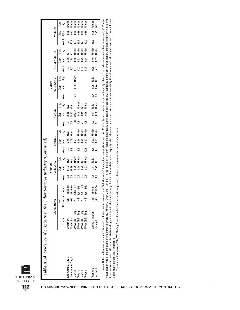| THE URBAN |  |
|-----------|--|
| INSTITUTE |  |

| Source<br><b>Jirectories</b><br><b>Directories</b><br>San Antonio-City #<br>San Antonio-City \$ | BACKGROUND |               |        |                                        |           |                  |                                             |                         |                 |                                                     |                        |                |                      |              |                |              |                 |                  |                                 |  |
|-------------------------------------------------------------------------------------------------|------------|---------------|--------|----------------------------------------|-----------|------------------|---------------------------------------------|-------------------------|-----------------|-----------------------------------------------------|------------------------|----------------|----------------------|--------------|----------------|--------------|-----------------|------------------|---------------------------------|--|
|                                                                                                 |            |               |        | AFRICAN                                |           |                  |                                             |                         |                 |                                                     |                        |                | <b>NATIVE</b>        |              |                |              |                 |                  |                                 |  |
|                                                                                                 |            |               |        | AMERICANS                              |           |                  | <b>LATINOS</b>                              |                         |                 | ASIANS                                              |                        |                | <b>AMERICANS</b>     |              | ALL MINORITIES |              |                 | WOMEN            |                                 |  |
|                                                                                                 | # of       |               |        | Disp.                                  | Stat.     |                  | Disp.                                       | Stat.                   |                 | Disp.                                               | Stat.                  |                | Stat<br>Disp.        |              | Disp.          | Stat.        |                 | Disp.            |                                 |  |
|                                                                                                 | Contracts  | Year          | Avail. | Ratio                                  | Sig.      | Avail. Ratio     |                                             | Sig.                    |                 | Avail. Ratio Sig.                                   |                        |                | Avail. Ratio Sig.    |              | Avail. Ratio   | Sig.         | Avail.          | Ratio            | ទី<br>ទី                        |  |
|                                                                                                 | 806        | 1989-90       |        |                                        |           | $\overline{8.0}$ |                                             |                         | $\overline{0}$  | 1 95.00 Over<br>68.83 Over<br>4 Under<br>0.18 Under |                        |                |                      |              |                |              | 22.5            | 0.36             | Under                           |  |
|                                                                                                 | ඝ          | $1989 - 90$   |        | 11.63 Over<br>15.36 Over<br>0.25 Undel | Over      | 8.3              | 2.45 Over<br>2.25 Over<br>8.2               |                         |                 |                                                     |                        |                |                      | 3.5          | 2.38<br>2.38   |              | $\overline{21}$ | 0.43             |                                 |  |
| SM/WOBE-Empl.<br>Texas \$                                                                       | છૂ         | $9/88 - 8/91$ | 3.3    |                                        |           |                  |                                             |                         | 0.14            |                                                     |                        |                | 2.3 0.09 Under       | 13.8         | 0.16           | Under        | 16.6            | $0.32$<br>$0.59$ | de a<br>Babar<br>Babar<br>Babar |  |
| SM/WOBE-Empl<br>Texas $#$                                                                       |            | $9/88 - 8/91$ |        | 0.18                                   |           | 9.8              | 0.36                                        |                         | $\frac{18}{10}$ |                                                     |                        |                |                      |              | 0.31           | <b>Under</b> | 16.7            |                  |                                 |  |
| SM/WOBE-Empl<br>Texas \$                                                                        |            | $9/91 - 8/93$ |        | 0.23                                   |           | 9.9              | $\begin{array}{c} 0.22 \\ 0.37 \end{array}$ | der<br>Sinder<br>Sinder | $2.3$<br>1.8    |                                                     | Under<br>N.S.<br>Under |                |                      | 14.0<br>15.7 | 0.25           | Jnder        | 17.3            | 0.33             |                                 |  |
| SM/WOBE-Empl.<br>Texas $#$                                                                      |            | $9/9 - 19/93$ | 2.4    | 0.27                                   |           | 10.2             |                                             |                         |                 | $0.45$<br>$0.26$                                    |                        |                |                      | 14.4         | 0.34           | <b>Under</b> | 17.0            | 0.59             | Jnder                           |  |
| Survey-Interest<br>Tucson \$                                                                    | 746        | 1991-94       | 14     | 1.11                                   |           | 8.5              |                                             |                         | $\frac{0}{10}$  |                                                     |                        |                | s.<br>N              | 11.6         |                | 0.40 Under   | 16.9            |                  |                                 |  |
| Mailing list<br>Tucson \$                                                                       | 746        | 1991-94       | 1.3    | 1.23                                   | si<br>2 2 | 4.5              | 0.32 Under<br>0.61 Under                    |                         | 1.3             | $\frac{1}{2}$ 8                                     | x.s.<br>Under          | $\overline{0}$ | N.S.<br>0.24<br>០.24 | 7.8          | 0.59           | Under        | $\frac{8}{2}$   |                  | $0.75$ Under<br>1.29 NC         |  |

cates disparity refers to the number of contracts awarded. "Under", "Over", and "Not Sig." in the "Stat Sig." colum indicates statistically significant inderulization, statistically significant overutilization, and not sig Notes: Unless otherwise indicated, "Women" includes minority women and "All Minorities" does not include white women. A "\$" after the study name indicates disparity refers to the dollar value of contracts awarded; a "#" in cates disparity refers to the number of contracts awarded. "Under", "Under", "Under", "Under", "Under", "Under", "Not Sig." in the "Stat Sig." column incloates statistically signification, statistically significant overwil Notes: Unless otherwise indicated, "Women" includes minority women and "All Minorities" does not include white women. A "\$" after the study name indicates disparity refers to the dollar value of contracts awarded; a "#" in from one, respectively. NC stands for standscal significance not calculated in study. C stands for availablity and disparity ratio calculated by and by authors. NA stands for no availability, therefore cannot calculate dis cates study did not report this figure. cates study did not report this figure.

The availability measure "SM/WOBE-Empl" only includes firms with paid employees. See also study-specific notes at end of table. The availability measure "SM/WOBE–Empl" only includes firms with paid employees. See also study–specific notes at end of table.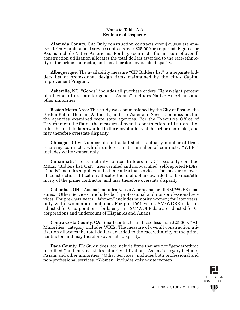## **Notes to Table A.3 Evidence of Disparity**

**Alameda County, CA:** Only construction contracts over \$25,000 are analyzed. Only professional service contracts over \$25,000 are reported. Figures for Asians include Native Americans. For large contracts, the measure of overall construction utilization allocates the total dollars awarded to the race/ethnicity of the prime contractor, and may therefore overstate disparity.

**Albuquerque:** The availability measure "CIP Bidders list" is a separate bidders list of professional design firms maintained by the city's Capital Improvement Program.

**Asheville, NC:** "Goods" includes all purchase orders. Eighty-eight percent of all expenditures are for goods. "Asians" includes Native Americans and other minorities.

**Boston Metro Area:** This study was commissioned by the City of Boston, the Boston Public Housing Authority, and the Water and Sewer Commission, but the agencies examined were state agencies. For the Executive Office of Environmental Affairs, the measure of overall construction utilization allocates the total dollars awarded to the race/ethnicity of the prime contractor, and may therefore overstate disparity.

**Chicago—City:** Number of contracts listed is actually number of firms receiving contracts, which underestimates number of contracts. "WBEs" includes white women only.

**Cincinnati:** The availability source "Bidders list: C" uses only certified MBEs; "Bidders list: C&N" uses certified and non-certified, self-reported MBEs. "Goods" includes supplies and other contractual services. The measure of overall construction utilization allocates the total dollars awarded to the race/ethnicity of the prime contractor, and may therefore overstate disparity.

**Columbus, OH:** "Asians" includes Native Americans for all SM/WOBE measures. "Other Services" includes both professional and non-professional services. For pre-1991 years, "Women" includes minority women; for later years, only white women are included. For pre-1991 years, SM/WOBE data are adjusted for C-corporations; for later years, SM/WOBE data are adjusted for Ccorporations and undercount of Hispanics and Asians.

**Contra Costa County, CA:** Small contracts are those less than \$25,000. "All Minorities" category includes WBEs. The measure of overall construction utilization allocates the total dollars awarded to the race/ethnicity of the prime contractor, and may therefore overstate disparity.

**Dade County, FL:** Study does not include firms that are not "gender/ethnic" identified," and thus overstates minority utilization. "Asians" category includes Asians and other minorities. "Other Services" includes both professional and non-professional services. "Women" includes only white women.

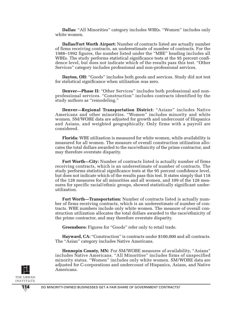**Dallas:** "All Minorities" category includes WBEs. "Women" includes only white women.

**Dallas/Fort Worth Airport:** Number of contracts listed are actually number of firms receiving contracts, an underestimate of number of contracts. For the 1988–1992 figures, the number listed under the "MBE" heading includes all WBEs. The study performs statistical significance tests at the 95 percent confidence level, but does not indicate which of the results pass this test. "Other Services" category includes professional and non-professional services.

**Dayton, OH:** "Goods" includes both goods and services. Study did not test for statistical significance when utilization was zero.

**Denver—Phase II:** "Other Services" includes both professional and nonprofessional services. "Construction" includes contracts identified by the study authors as "remodeling."

**Denver—Regional Transportation District:** "Asians" includes Native Americans and other minorities. "Women" includes minority and white women. SM/WOBE data are adjusted for growth and undercount of Hispanics and Asians, and weighted geographically. Only firms with a payroll are considered.

**Florida:** WBE utilization is measured for white women, while availability is measured for all women. The measure of overall construction utilization allocates the total dollars awarded to the race/ethnicity of the prime contractor, and may therefore overstate disparity.

**Fort Worth—City:** Number of contracts listed is actually number of firms receiving contracts, which is an underestimate of number of contracts. The study performs statistical significance tests at the 95 percent confidence level, but does not indicate which of the results pass this test. It states simply that 118 of the 128 measures for all minorities and all women, and 109 of the 128 measures for specific racial/ethnic groups, showed statistically significant underutilization.

**Fort Worth—Transportation:** Number of contracts listed is actually number of firms receiving contracts, which is an underestimate of number of contracts. WBE numbers include only white women. The measure of overall construction utilization allocates the total dollars awarded to the race/ethnicity of the prime contractor, and may therefore overstate disparity.

**Greensboro:** Figures for "Goods" refer only to retail trade.

**Hayward, CA:** "Construction" is contracts under \$100,000 and all contracts. The "Asian" category includes Native Americans.

**Hennepin County, MN:** For SM/WOBE measures of availability, "Asians" includes Native Americans. "All Minorities" includes firms of unspecified minority status. "Women" includes only white women. SM/WOBE data are adjusted for C-corporations and undercount of Hispanics, Asians, and Native Americans.

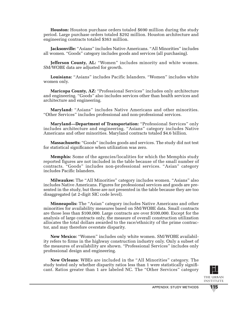**Houston:** Houston purchase orders totaled \$690 million during the study period. Large purchase orders totaled \$292 million. Houston architecture and engineering contracts totaled \$363 million.

**Jacksonville:** "Asians" includes Native Americans. "All Minorities" includes all women. "Goods" category includes goods and services (all purchasing).

**Jefferson County, AL:** "Women" includes minority and white women. SM/WOBE data are adjusted for growth.

**Louisiana:** "Asians" includes Pacific Islanders. "Women" includes white women only.

**Maricopa County, AZ:** "Professional Services" includes only architecture and engineering. "Goods" also includes services other than health services and architecture and engineering.

**Maryland:** "Asians" includes Native Americans and other minorities. "Other Services" includes professional and non-professional services.

**Maryland—Department of Transportation:** "Professional Services" only includes architecture and engineering. "Asians" category includes Native Americans and other minorities. Maryland contracts totaled \$4.6 billion.

**Massachusetts:** "Goods" includes goods and services. The study did not test for statistical significance when utilization was zero.

**Memphis:** Some of the agencies/localities for which the Memphis study reported figures are not included in the table because of the small number of contracts. "Goods" includes non-professional services. "Asian" category includes Pacific Islanders.

**Milwaukee:** The "All Minorities" category includes women. "Asians" also includes Native Americans. Figures for professional services and goods are presented in the study, but these are not presented in the table because they are too disaggregated (at 2-digit SIC code level).

**Minneapolis:** The "Asian" category includes Native Americans and other minorities for availability measures based on SM/WOBE data. Small contracts are those less than \$100,000. Large contracts are over \$100,000. Except for the analysis of large contracts only, the measure of overall construction utilization allocates the total dollars awarded to the race/ethnicity of the prime contractor, and may therefore overstate disparity.

**New Mexico:** "Women" includes only white women. SM/WOBE availability refers to firms in the highway construction industry only. Only a subset of the measures of availability are shown. "Professional Services" includes only professional design and engineering.

**New Orleans**: WBEs are included in the "All Minorities" category. The study tested only whether disparity ratios less than 1 were statistically significant. Ratios greater than 1 are labeled NC. The "Other Services" category



**115**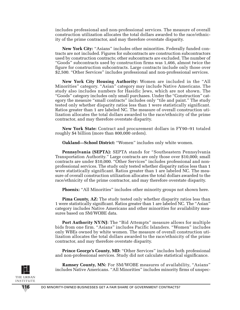includes professional and non-professional services. The measure of overall construction utilization allocates the total dollars awarded to the race/ethnicity of the prime contractor, and may therefore overstate disparity.

**New York City:** "Asians" includes other minorities. Federally funded contracts are not included. Figures for subcontracts are construction subcontractors used by construction contracts; other subcontracts are excluded. The number of "Goods" subcontracts used by construction firms was 1,466, almost twice the figure for construction subcontracts. Large contracts include only those over \$2,500. "Other Services" includes professional and non-professional services.

**New York City Housing Authority:** Women are included in the "All Minorities" category. "Asian" category may include Native Americans. The study also includes numbers for Hasidic Jews, which are not shown. The "Goods" category includes only small purchases. Under the "Construction" category the measure "small contracts" includes only "tile and paint." The study tested only whether disparity ratios less than 1 were statistically significant. Ratios greater than 1 are labeled NC. The measure of overall construction utilization allocates the total dollars awarded to the race/ethnicity of the prime contractor, and may therefore overstate disparity.

**New York State:** Contract and procurement dollars in FY90–91 totaled roughly \$4 billion (more than 800,000 orders).

**Oakland—School District:** "Women" includes only white women.

**Pennsylvania (SEPTA):** SEPTA stands for "Southeastern Pennsylvania Transportation Authority." Large contracts are only those over \$10,000; small contracts are under \$10,000. "Other Services" includes professional and nonprofessional services. The study only tested whether disparity ratios less than 1 were statistically significant. Ratios greater than 1 are labeled NC. The measure of overall construction utilization allocates the total dollars awarded to the race/ethnicity of the prime contractor, and may therefore overstate disparity.

**Phoenix:** "All Minorities" includes other minority groups not shown here.

**Pima County, AZ:** The study tested only whether disparity ratios less than 1 were statistically significant. Ratios greater than 1 are labeled NC. The "Asian" category includes Native Americans and other minorities for availability measures based on SM/WOBE data.

**Port Authority NY/NJ:** The "Bid Attempts" measure allows for multiple bids from one firm. "Asians" includes Pacific Islanders. "Women" includes only WBEs owned by white women. The measure of overall construction utilization allocates the total dollars awarded to the race/ethnicity of the prime contractor, and may therefore overstate disparity.

**Prince George's County, MD:** "Other Services" includes both professional and non-professional services. Study did not calculate statistical significance.



**Ramsey County, MN:** For SM/WOBE measures of availability, "Asians" includes Native Americans. "All Minorities" includes minority firms of unspec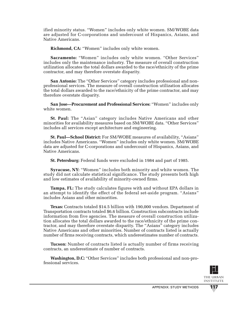ified minority status. "Women" includes only white women. SM/WOBE data are adjusted for C-corporations and undercount of Hispanics, Asians, and Native Americans.

**Richmond, CA:** "Women" includes only white women.

**Sacramento:** "Women" includes only white women. "Other Services" includes only the maintenance industry. The measure of overall construction utilization allocates the total dollars awarded to the race/ethnicity of the prime contractor, and may therefore overstate disparity.

**San Antonio:** The "Other Services" category includes professional and nonprofessional services. The measure of overall construction utilization allocates the total dollars awarded to the race/ethnicity of the prime contractor, and may therefore overstate disparity.

**San Jose—Procurement and Professional Services:** "Women" includes only white women.

**St. Paul:** The "Asian" category includes Native Americans and other minorities for availability measures based on SM/WOBE data. "Other Services" includes all services except architecture and engineering.

**St. Paul—School District:** For SM/WOBE measures of availability, "Asians" includes Native Americans. "Women" includes only white women. SM/WOBE data are adjusted for C-corporations and undercount of Hispanics, Asians, and Native Americans.

**St. Petersburg:** Federal funds were excluded in 1984 and part of 1985.

**Syracuse, NY:** "Women" includes both minority and white women. The study did not calculate statistical significance. The study presents both high and low estimates of availability of minority-owned firms.

**Tampa, FL:** The study calculates figures with and without EPA dollars in an attempt to identify the effect of the federal set-aside program. "Asians" includes Asians and other minorities.

**Texas:** Contracts totaled \$14.5 billion with 190,000 vendors. Department of Transportation contracts totaled \$6.6 billion. Construction subcontracts include information from five agencies. The measure of overall construction utilization allocates the total dollars awarded to the race/ethnicity of the prime contractor, and may therefore overstate disparity. The "Asians" category includes Native Americans and other minorities. Number of contracts listed is actually number of firms receiving contracts, which underestimates number of contracts.

**Tucson:** Number of contracts listed is actually number of firms receiving contracts, an underestimate of number of contracts.

**Washington, D.C:** "Other Services" includes both professional and non-professional services.



**117**